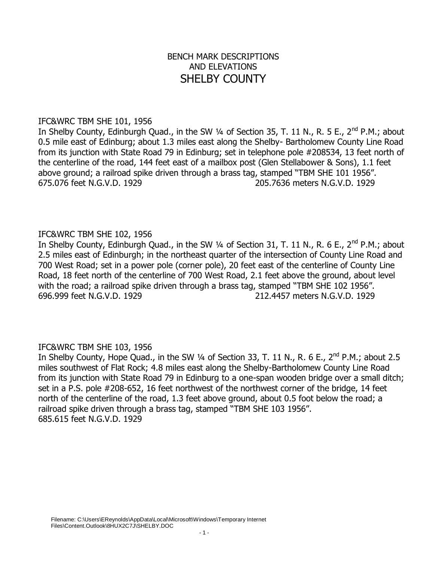# BENCH MARK DESCRIPTIONS AND ELEVATIONS SHELBY COUNTY

### IFC&WRC TBM SHE 101, 1956

In Shelby County, Edinburgh Quad., in the SW 1/4 of Section 35, T. 11 N., R. 5 E., 2<sup>nd</sup> P.M.; about 0.5 mile east of Edinburg; about 1.3 miles east along the Shelby- Bartholomew County Line Road from its junction with State Road 79 in Edinburg; set in telephone pole #208534, 13 feet north of the centerline of the road, 144 feet east of a mailbox post (Glen Stellabower & Sons), 1.1 feet above ground; a railroad spike driven through a brass tag, stamped "TBM SHE 101 1956". 675.076 feet N.G.V.D. 1929 205.7636 meters N.G.V.D. 1929

# IFC&WRC TBM SHE 102, 1956

In Shelby County, Edinburgh Quad., in the SW 1/4 of Section 31, T. 11 N., R. 6 E., 2<sup>nd</sup> P.M.; about 2.5 miles east of Edinburgh; in the northeast quarter of the intersection of County Line Road and 700 West Road; set in a power pole (corner pole), 20 feet east of the centerline of County Line Road, 18 feet north of the centerline of 700 West Road, 2.1 feet above the ground, about level with the road; a railroad spike driven through a brass tag, stamped "TBM SHE 102 1956". 696.999 feet N.G.V.D. 1929 212.4457 meters N.G.V.D. 1929

# IFC&WRC TBM SHE 103, 1956

In Shelby County, Hope Quad., in the SW 1/4 of Section 33, T. 11 N., R. 6 E., 2<sup>nd</sup> P.M.; about 2.5 miles southwest of Flat Rock; 4.8 miles east along the Shelby-Bartholomew County Line Road from its junction with State Road 79 in Edinburg to a one-span wooden bridge over a small ditch; set in a P.S. pole #208-652, 16 feet northwest of the northwest corner of the bridge, 14 feet north of the centerline of the road, 1.3 feet above ground, about 0.5 foot below the road; a railroad spike driven through a brass tag, stamped "TBM SHE 103 1956". 685.615 feet N.G.V.D. 1929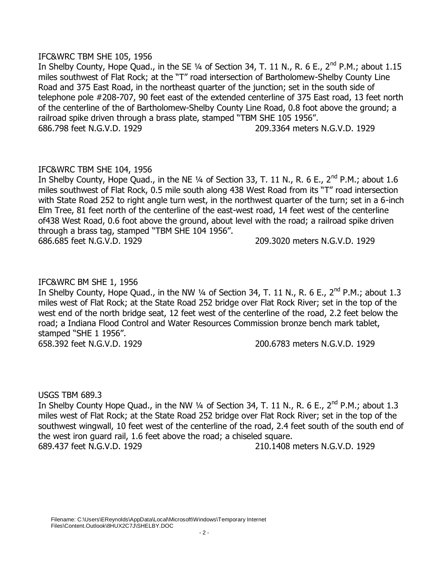### IFC&WRC TBM SHE 105, 1956

In Shelby County, Hope Quad., in the SE  $\frac{1}{4}$  of Section 34, T. 11 N., R. 6 E., 2<sup>nd</sup> P.M.; about 1.15 miles southwest of Flat Rock; at the "T" road intersection of Bartholomew-Shelby County Line Road and 375 East Road, in the northeast quarter of the junction; set in the south side of telephone pole #208-707, 90 feet east of the extended centerline of 375 East road, 13 feet north of the centerline of the of Bartholomew-Shelby County Line Road, 0.8 foot above the ground; a railroad spike driven through a brass plate, stamped "TBM SHE 105 1956". 686.798 feet N.G.V.D. 1929 209.3364 meters N.G.V.D. 1929

# IFC&WRC TBM SHE 104, 1956

In Shelby County, Hope Quad., in the NE  $\frac{1}{4}$  of Section 33, T. 11 N., R. 6 E., 2<sup>nd</sup> P.M.; about 1.6 miles southwest of Flat Rock, 0.5 mile south along 438 West Road from its "T" road intersection with State Road 252 to right angle turn west, in the northwest quarter of the turn; set in a 6-inch Elm Tree, 81 feet north of the centerline of the east-west road, 14 feet west of the centerline of438 West Road, 0.6 foot above the ground, about level with the road; a railroad spike driven through a brass tag, stamped "TBM SHE 104 1956". 686.685 feet N.G.V.D. 1929 209.3020 meters N.G.V.D. 1929

# IFC&WRC BM SHE 1, 1956

In Shelby County, Hope Quad., in the NW  $\frac{1}{4}$  of Section 34, T. 11 N., R. 6 E., 2<sup>nd</sup> P.M.; about 1.3 miles west of Flat Rock; at the State Road 252 bridge over Flat Rock River; set in the top of the west end of the north bridge seat, 12 feet west of the centerline of the road, 2.2 feet below the road; a Indiana Flood Control and Water Resources Commission bronze bench mark tablet, stamped "SHE 1 1956". 658.392 feet N.G.V.D. 1929 200.6783 meters N.G.V.D. 1929

USGS TBM 689.3

In Shelby County Hope Quad., in the NW 1/4 of Section 34, T. 11 N., R. 6 E.,  $2^{nd}$  P.M.; about 1.3 miles west of Flat Rock; at the State Road 252 bridge over Flat Rock River; set in the top of the southwest wingwall, 10 feet west of the centerline of the road, 2.4 feet south of the south end of the west iron guard rail, 1.6 feet above the road; a chiseled square. 689.437 feet N.G.V.D. 1929 210.1408 meters N.G.V.D. 1929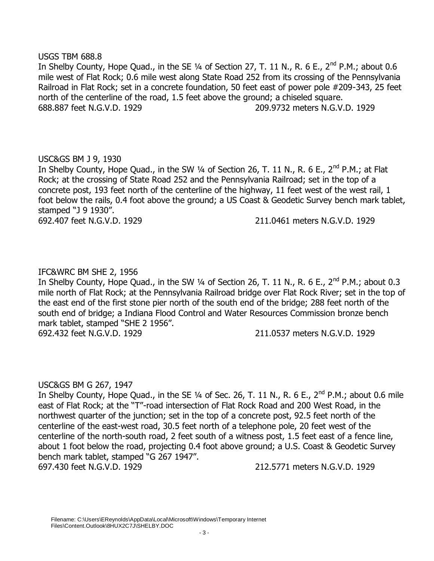### USGS TBM 688.8

In Shelby County, Hope Quad., in the SE  $\frac{1}{4}$  of Section 27, T. 11 N., R. 6 E., 2<sup>nd</sup> P.M.; about 0.6 mile west of Flat Rock; 0.6 mile west along State Road 252 from its crossing of the Pennsylvania Railroad in Flat Rock; set in a concrete foundation, 50 feet east of power pole #209-343, 25 feet north of the centerline of the road, 1.5 feet above the ground; a chiseled square. 688.887 feet N.G.V.D. 1929 209.9732 meters N.G.V.D. 1929

# USC&GS BM J 9, 1930

In Shelby County, Hope Quad., in the SW 1/4 of Section 26, T. 11 N., R. 6 E., 2<sup>nd</sup> P.M.; at Flat Rock; at the crossing of State Road 252 and the Pennsylvania Railroad; set in the top of a concrete post, 193 feet north of the centerline of the highway, 11 feet west of the west rail, 1 foot below the rails, 0.4 foot above the ground; a US Coast & Geodetic Survey bench mark tablet, stamped "J 9 1930". 692.407 feet N.G.V.D. 1929 211.0461 meters N.G.V.D. 1929

# IFC&WRC BM SHE 2, 1956

In Shelby County, Hope Quad., in the SW  $\frac{1}{4}$  of Section 26, T. 11 N., R. 6 E., 2<sup>nd</sup> P.M.; about 0.3 mile north of Flat Rock; at the Pennsylvania Railroad bridge over Flat Rock River; set in the top of the east end of the first stone pier north of the south end of the bridge; 288 feet north of the south end of bridge; a Indiana Flood Control and Water Resources Commission bronze bench mark tablet, stamped "SHE 2 1956". 692.432 feet N.G.V.D. 1929 211.0537 meters N.G.V.D. 1929

# USC&GS BM G 267, 1947

In Shelby County, Hope Quad., in the SE  $\frac{1}{4}$  of Sec. 26, T. 11 N., R. 6 E., 2<sup>nd</sup> P.M.; about 0.6 mile east of Flat Rock; at the "T"-road intersection of Flat Rock Road and 200 West Road, in the northwest quarter of the junction; set in the top of a concrete post, 92.5 feet north of the centerline of the east-west road, 30.5 feet north of a telephone pole, 20 feet west of the centerline of the north-south road, 2 feet south of a witness post, 1.5 feet east of a fence line, about 1 foot below the road, projecting 0.4 foot above ground; a U.S. Coast & Geodetic Survey bench mark tablet, stamped "G 267 1947".

697.430 feet N.G.V.D. 1929 212.5771 meters N.G.V.D. 1929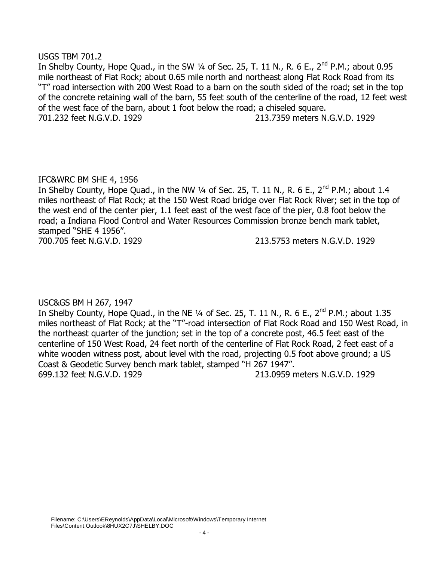### USGS TBM 701.2

In Shelby County, Hope Quad., in the SW  $\frac{1}{4}$  of Sec. 25, T. 11 N., R. 6 E., 2<sup>nd</sup> P.M.; about 0.95 mile northeast of Flat Rock; about 0.65 mile north and northeast along Flat Rock Road from its "T" road intersection with 200 West Road to a barn on the south sided of the road; set in the top of the concrete retaining wall of the barn, 55 feet south of the centerline of the road, 12 feet west of the west face of the barn, about 1 foot below the road; a chiseled square. 701.232 feet N.G.V.D. 1929 213.7359 meters N.G.V.D. 1929

# IFC&WRC BM SHE 4, 1956

In Shelby County, Hope Quad., in the NW 1/4 of Sec. 25, T. 11 N., R. 6 E., 2<sup>nd</sup> P.M.; about 1.4 miles northeast of Flat Rock; at the 150 West Road bridge over Flat Rock River; set in the top of the west end of the center pier, 1.1 feet east of the west face of the pier, 0.8 foot below the road; a Indiana Flood Control and Water Resources Commission bronze bench mark tablet, stamped "SHE 4 1956".

700.705 feet N.G.V.D. 1929 213.5753 meters N.G.V.D. 1929

# USC&GS BM H 267, 1947

In Shelby County, Hope Quad., in the NE  $\frac{1}{4}$  of Sec. 25, T. 11 N., R. 6 E., 2<sup>nd</sup> P.M.; about 1.35 miles northeast of Flat Rock; at the "T"-road intersection of Flat Rock Road and 150 West Road, in the northeast quarter of the junction; set in the top of a concrete post, 46.5 feet east of the centerline of 150 West Road, 24 feet north of the centerline of Flat Rock Road, 2 feet east of a white wooden witness post, about level with the road, projecting 0.5 foot above ground; a US Coast & Geodetic Survey bench mark tablet, stamped "H 267 1947". 699.132 feet N.G.V.D. 1929 213.0959 meters N.G.V.D. 1929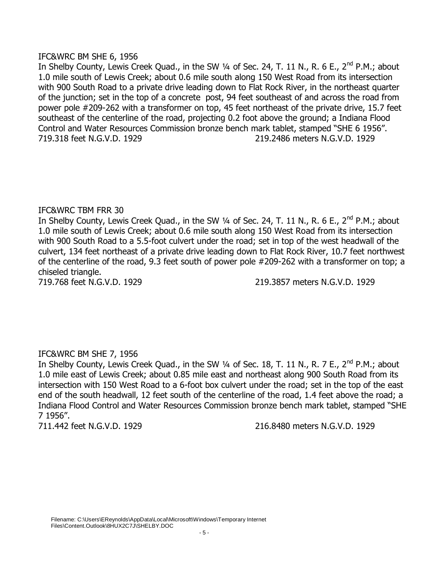### IFC&WRC BM SHE 6, 1956

In Shelby County, Lewis Creek Quad., in the SW 1/4 of Sec. 24, T. 11 N., R. 6 E., 2<sup>nd</sup> P.M.; about 1.0 mile south of Lewis Creek; about 0.6 mile south along 150 West Road from its intersection with 900 South Road to a private drive leading down to Flat Rock River, in the northeast quarter of the junction; set in the top of a concrete post, 94 feet southeast of and across the road from power pole #209-262 with a transformer on top, 45 feet northeast of the private drive, 15.7 feet southeast of the centerline of the road, projecting 0.2 foot above the ground; a Indiana Flood Control and Water Resources Commission bronze bench mark tablet, stamped "SHE 6 1956". 719.318 feet N.G.V.D. 1929 219.2486 meters N.G.V.D. 1929

# IFC&WRC TBM FRR 30

In Shelby County, Lewis Creek Quad., in the SW 1/4 of Sec. 24, T. 11 N., R. 6 E., 2<sup>nd</sup> P.M.; about 1.0 mile south of Lewis Creek; about 0.6 mile south along 150 West Road from its intersection with 900 South Road to a 5.5-foot culvert under the road; set in top of the west headwall of the culvert, 134 feet northeast of a private drive leading down to Flat Rock River, 10.7 feet northwest of the centerline of the road, 9.3 feet south of power pole #209-262 with a transformer on top; a chiseled triangle.

719.768 feet N.G.V.D. 1929 219.3857 meters N.G.V.D. 1929

# IFC&WRC BM SHE 7, 1956

In Shelby County, Lewis Creek Quad., in the SW 1/4 of Sec. 18, T. 11 N., R. 7 E., 2<sup>nd</sup> P.M.; about 1.0 mile east of Lewis Creek; about 0.85 mile east and northeast along 900 South Road from its intersection with 150 West Road to a 6-foot box culvert under the road; set in the top of the east end of the south headwall, 12 feet south of the centerline of the road, 1.4 feet above the road; a Indiana Flood Control and Water Resources Commission bronze bench mark tablet, stamped "SHE 7 1956".

711.442 feet N.G.V.D. 1929 216.8480 meters N.G.V.D. 1929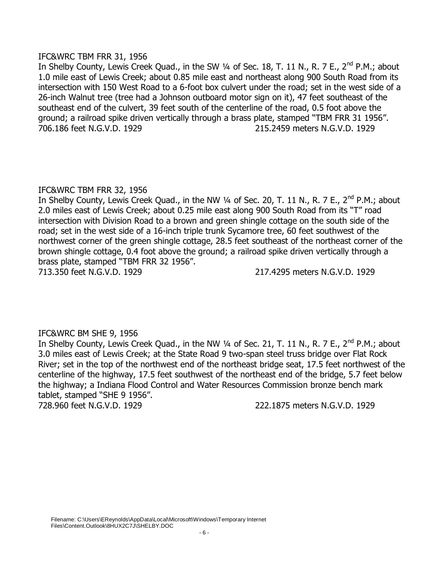### IFC&WRC TBM FRR 31, 1956

In Shelby County, Lewis Creek Quad., in the SW 1/4 of Sec. 18, T. 11 N., R. 7 E., 2<sup>nd</sup> P.M.; about 1.0 mile east of Lewis Creek; about 0.85 mile east and northeast along 900 South Road from its intersection with 150 West Road to a 6-foot box culvert under the road; set in the west side of a 26-inch Walnut tree (tree had a Johnson outboard motor sign on it), 47 feet southeast of the southeast end of the culvert, 39 feet south of the centerline of the road, 0.5 foot above the ground; a railroad spike driven vertically through a brass plate, stamped "TBM FRR 31 1956". 706.186 feet N.G.V.D. 1929 215.2459 meters N.G.V.D. 1929

# IFC&WRC TBM FRR 32, 1956

In Shelby County, Lewis Creek Quad., in the NW 1/4 of Sec. 20, T. 11 N., R. 7 E., 2<sup>nd</sup> P.M.; about 2.0 miles east of Lewis Creek; about 0.25 mile east along 900 South Road from its "T" road intersection with Division Road to a brown and green shingle cottage on the south side of the road; set in the west side of a 16-inch triple trunk Sycamore tree, 60 feet southwest of the northwest corner of the green shingle cottage, 28.5 feet southeast of the northeast corner of the brown shingle cottage, 0.4 foot above the ground; a railroad spike driven vertically through a brass plate, stamped "TBM FRR 32 1956".

713.350 feet N.G.V.D. 1929 217.4295 meters N.G.V.D. 1929

# IFC&WRC BM SHE 9, 1956

In Shelby County, Lewis Creek Quad., in the NW 1/4 of Sec. 21, T. 11 N., R. 7 E., 2<sup>nd</sup> P.M.; about 3.0 miles east of Lewis Creek; at the State Road 9 two-span steel truss bridge over Flat Rock River; set in the top of the northwest end of the northeast bridge seat, 17.5 feet northwest of the centerline of the highway, 17.5 feet southwest of the northeast end of the bridge, 5.7 feet below the highway; a Indiana Flood Control and Water Resources Commission bronze bench mark tablet, stamped "SHE 9 1956". 728.960 feet N.G.V.D. 1929 222.1875 meters N.G.V.D. 1929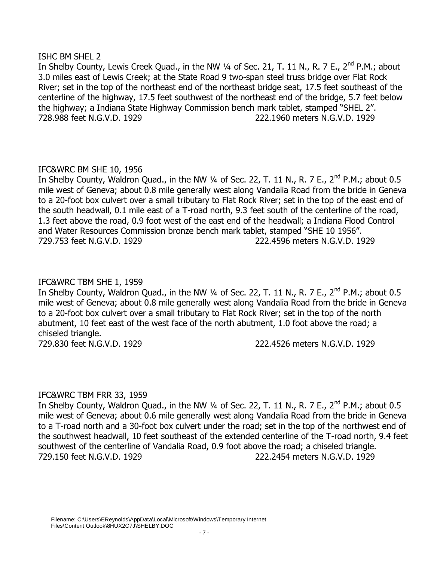### ISHC BM SHEL 2

In Shelby County, Lewis Creek Quad., in the NW 1/4 of Sec. 21, T. 11 N., R. 7 E., 2<sup>nd</sup> P.M.; about 3.0 miles east of Lewis Creek; at the State Road 9 two-span steel truss bridge over Flat Rock River; set in the top of the northeast end of the northeast bridge seat, 17.5 feet southeast of the centerline of the highway, 17.5 feet southwest of the northeast end of the bridge, 5.7 feet below the highway; a Indiana State Highway Commission bench mark tablet, stamped "SHEL 2". 728.988 feet N.G.V.D. 1929 222.1960 meters N.G.V.D. 1929

# IFC&WRC BM SHE 10, 1956

In Shelby County, Waldron Quad., in the NW  $\frac{1}{4}$  of Sec. 22, T. 11 N., R. 7 E., 2<sup>nd</sup> P.M.; about 0.5 mile west of Geneva; about 0.8 mile generally west along Vandalia Road from the bride in Geneva to a 20-foot box culvert over a small tributary to Flat Rock River; set in the top of the east end of the south headwall, 0.1 mile east of a T-road north, 9.3 feet south of the centerline of the road, 1.3 feet above the road, 0.9 foot west of the east end of the headwall; a Indiana Flood Control and Water Resources Commission bronze bench mark tablet, stamped "SHE 10 1956". 729.753 feet N.G.V.D. 1929 222.4596 meters N.G.V.D. 1929

# IFC&WRC TBM SHE 1, 1959

In Shelby County, Waldron Quad., in the NW  $\frac{1}{4}$  of Sec. 22, T. 11 N., R. 7 E., 2<sup>nd</sup> P.M.; about 0.5 mile west of Geneva; about 0.8 mile generally west along Vandalia Road from the bride in Geneva to a 20-foot box culvert over a small tributary to Flat Rock River; set in the top of the north abutment, 10 feet east of the west face of the north abutment, 1.0 foot above the road; a chiseled triangle.

729.830 feet N.G.V.D. 1929 222.4526 meters N.G.V.D. 1929

# IFC&WRC TBM FRR 33, 1959

In Shelby County, Waldron Quad., in the NW  $\frac{1}{4}$  of Sec. 22, T. 11 N., R. 7 E., 2<sup>nd</sup> P.M.; about 0.5 mile west of Geneva; about 0.6 mile generally west along Vandalia Road from the bride in Geneva to a T-road north and a 30-foot box culvert under the road; set in the top of the northwest end of the southwest headwall, 10 feet southeast of the extended centerline of the T-road north, 9.4 feet southwest of the centerline of Vandalia Road, 0.9 foot above the road; a chiseled triangle. 729.150 feet N.G.V.D. 1929 222.2454 meters N.G.V.D. 1929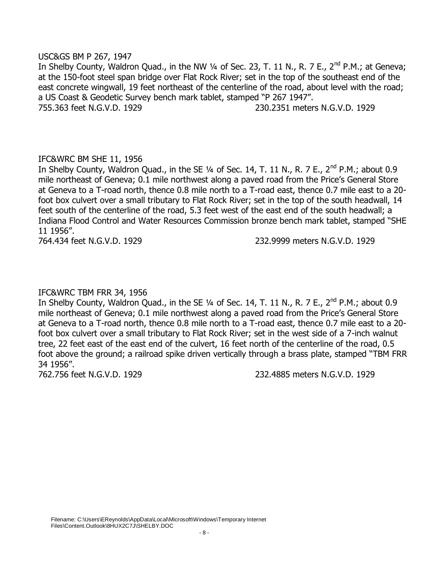### USC&GS BM P 267, 1947

In Shelby County, Waldron Quad., in the NW 1/4 of Sec. 23, T. 11 N., R. 7 E., 2<sup>nd</sup> P.M.; at Geneva; at the 150-foot steel span bridge over Flat Rock River; set in the top of the southeast end of the east concrete wingwall, 19 feet northeast of the centerline of the road, about level with the road; a US Coast & Geodetic Survey bench mark tablet, stamped "P 267 1947". 755.363 feet N.G.V.D. 1929 230.2351 meters N.G.V.D. 1929

# IFC&WRC BM SHE 11, 1956

In Shelby County, Waldron Quad., in the SE  $\frac{1}{4}$  of Sec. 14, T. 11 N., R. 7 E., 2<sup>nd</sup> P.M.; about 0.9 mile northeast of Geneva; 0.1 mile northwest along a paved road from the Price's General Store at Geneva to a T-road north, thence 0.8 mile north to a T-road east, thence 0.7 mile east to a 20 foot box culvert over a small tributary to Flat Rock River; set in the top of the south headwall, 14 feet south of the centerline of the road, 5.3 feet west of the east end of the south headwall; a Indiana Flood Control and Water Resources Commission bronze bench mark tablet, stamped "SHE 11 1956".

764.434 feet N.G.V.D. 1929 232.9999 meters N.G.V.D. 1929

# IFC&WRC TBM FRR 34, 1956

In Shelby County, Waldron Quad., in the SE  $\frac{1}{4}$  of Sec. 14, T. 11 N., R. 7 E., 2<sup>nd</sup> P.M.; about 0.9 mile northeast of Geneva; 0.1 mile northwest along a paved road from the Price's General Store at Geneva to a T-road north, thence 0.8 mile north to a T-road east, thence 0.7 mile east to a 20 foot box culvert over a small tributary to Flat Rock River; set in the west side of a 7-inch walnut tree, 22 feet east of the east end of the culvert, 16 feet north of the centerline of the road, 0.5 foot above the ground; a railroad spike driven vertically through a brass plate, stamped "TBM FRR 34 1956".

762.756 feet N.G.V.D. 1929 232.4885 meters N.G.V.D. 1929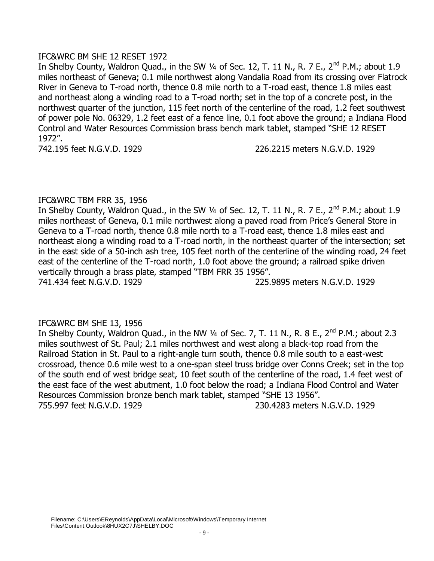### IFC&WRC BM SHE 12 RESET 1972

In Shelby County, Waldron Quad., in the SW  $\frac{1}{4}$  of Sec. 12, T. 11 N., R. 7 E., 2<sup>nd</sup> P.M.; about 1.9 miles northeast of Geneva; 0.1 mile northwest along Vandalia Road from its crossing over Flatrock River in Geneva to T-road north, thence 0.8 mile north to a T-road east, thence 1.8 miles east and northeast along a winding road to a T-road north; set in the top of a concrete post, in the northwest quarter of the junction, 115 feet north of the centerline of the road, 1.2 feet southwest of power pole No. 06329, 1.2 feet east of a fence line, 0.1 foot above the ground; a Indiana Flood Control and Water Resources Commission brass bench mark tablet, stamped "SHE 12 RESET 1972".

742.195 feet N.G.V.D. 1929 226.2215 meters N.G.V.D. 1929

# IFC&WRC TBM FRR 35, 1956

In Shelby County, Waldron Quad., in the SW 1/4 of Sec. 12, T. 11 N., R. 7 E., 2<sup>nd</sup> P.M.; about 1.9 miles northeast of Geneva, 0.1 mile northwest along a paved road from Price's General Store in Geneva to a T-road north, thence 0.8 mile north to a T-road east, thence 1.8 miles east and northeast along a winding road to a T-road north, in the northeast quarter of the intersection; set in the east side of a 50-inch ash tree, 105 feet north of the centerline of the winding road, 24 feet east of the centerline of the T-road north, 1.0 foot above the ground; a railroad spike driven vertically through a brass plate, stamped "TBM FRR 35 1956". 741.434 feet N.G.V.D. 1929 225.9895 meters N.G.V.D. 1929

# IFC&WRC BM SHE 13, 1956

In Shelby County, Waldron Quad., in the NW 1/4 of Sec. 7, T. 11 N., R. 8 E., 2<sup>nd</sup> P.M.; about 2.3 miles southwest of St. Paul; 2.1 miles northwest and west along a black-top road from the Railroad Station in St. Paul to a right-angle turn south, thence 0.8 mile south to a east-west crossroad, thence 0.6 mile west to a one-span steel truss bridge over Conns Creek; set in the top of the south end of west bridge seat, 10 feet south of the centerline of the road, 1.4 feet west of the east face of the west abutment, 1.0 foot below the road; a Indiana Flood Control and Water Resources Commission bronze bench mark tablet, stamped "SHE 13 1956". 755.997 feet N.G.V.D. 1929 230.4283 meters N.G.V.D. 1929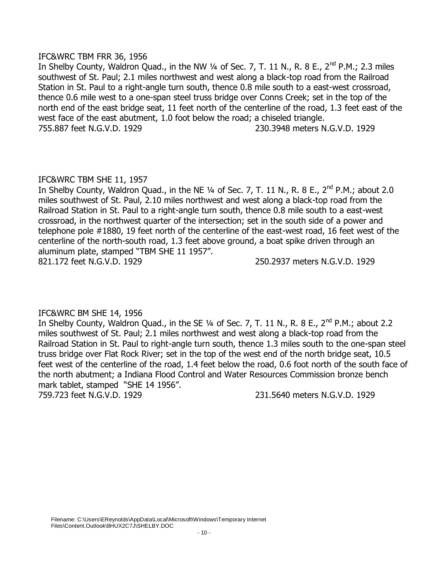### IFC&WRC TBM FRR 36, 1956

In Shelby County, Waldron Quad., in the NW 1/4 of Sec. 7, T. 11 N., R. 8 E., 2<sup>nd</sup> P.M.; 2.3 miles southwest of St. Paul; 2.1 miles northwest and west along a black-top road from the Railroad Station in St. Paul to a right-angle turn south, thence 0.8 mile south to a east-west crossroad, thence 0.6 mile west to a one-span steel truss bridge over Conns Creek; set in the top of the north end of the east bridge seat, 11 feet north of the centerline of the road, 1.3 feet east of the west face of the east abutment, 1.0 foot below the road; a chiseled triangle. 755.887 feet N.G.V.D. 1929 230.3948 meters N.G.V.D. 1929

# IFC&WRC TBM SHE 11, 1957

In Shelby County, Waldron Quad., in the NE  $\frac{1}{4}$  of Sec. 7, T. 11 N., R. 8 E., 2<sup>nd</sup> P.M.; about 2.0 miles southwest of St. Paul, 2.10 miles northwest and west along a black-top road from the Railroad Station in St. Paul to a right-angle turn south, thence 0.8 mile south to a east-west crossroad, in the northwest quarter of the intersection; set in the south side of a power and telephone pole #1880, 19 feet north of the centerline of the east-west road, 16 feet west of the centerline of the north-south road, 1.3 feet above ground, a boat spike driven through an aluminum plate, stamped "TBM SHE 11 1957". 821.172 feet N.G.V.D. 1929 250.2937 meters N.G.V.D. 1929

# IFC&WRC BM SHE 14, 1956

In Shelby County, Waldron Quad., in the SE 1/4 of Sec. 7, T. 11 N., R. 8 E., 2<sup>nd</sup> P.M.; about 2.2 miles southwest of St. Paul; 2.1 miles northwest and west along a black-top road from the Railroad Station in St. Paul to right-angle turn south, thence 1.3 miles south to the one-span steel truss bridge over Flat Rock River; set in the top of the west end of the north bridge seat, 10.5 feet west of the centerline of the road, 1.4 feet below the road, 0.6 foot north of the south face of the north abutment; a Indiana Flood Control and Water Resources Commission bronze bench mark tablet, stamped "SHE 14 1956".

759.723 feet N.G.V.D. 1929 231.5640 meters N.G.V.D. 1929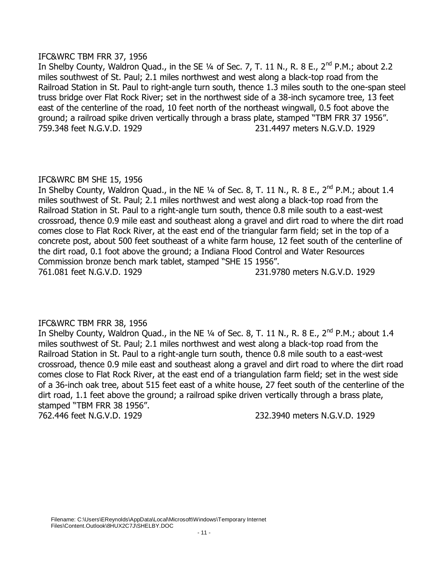### IFC&WRC TBM FRR 37, 1956

In Shelby County, Waldron Quad., in the SE 1/4 of Sec. 7, T. 11 N., R. 8 E., 2<sup>nd</sup> P.M.; about 2.2 miles southwest of St. Paul; 2.1 miles northwest and west along a black-top road from the Railroad Station in St. Paul to right-angle turn south, thence 1.3 miles south to the one-span steel truss bridge over Flat Rock River; set in the northwest side of a 38-inch sycamore tree, 13 feet east of the centerline of the road, 10 feet north of the northeast wingwall, 0.5 foot above the ground; a railroad spike driven vertically through a brass plate, stamped "TBM FRR 37 1956". 759.348 feet N.G.V.D. 1929 231.4497 meters N.G.V.D. 1929

# IFC&WRC BM SHE 15, 1956

In Shelby County, Waldron Quad., in the NE  $\frac{1}{4}$  of Sec. 8, T. 11 N., R. 8 E., 2<sup>nd</sup> P.M.; about 1.4 miles southwest of St. Paul; 2.1 miles northwest and west along a black-top road from the Railroad Station in St. Paul to a right-angle turn south, thence 0.8 mile south to a east-west crossroad, thence 0.9 mile east and southeast along a gravel and dirt road to where the dirt road comes close to Flat Rock River, at the east end of the triangular farm field; set in the top of a concrete post, about 500 feet southeast of a white farm house, 12 feet south of the centerline of the dirt road, 0.1 foot above the ground; a Indiana Flood Control and Water Resources Commission bronze bench mark tablet, stamped "SHE 15 1956". 761.081 feet N.G.V.D. 1929 231.9780 meters N.G.V.D. 1929

# IFC&WRC TBM FRR 38, 1956

In Shelby County, Waldron Quad., in the NE  $\frac{1}{4}$  of Sec. 8, T. 11 N., R. 8 E., 2<sup>nd</sup> P.M.; about 1.4 miles southwest of St. Paul; 2.1 miles northwest and west along a black-top road from the Railroad Station in St. Paul to a right-angle turn south, thence 0.8 mile south to a east-west crossroad, thence 0.9 mile east and southeast along a gravel and dirt road to where the dirt road comes close to Flat Rock River, at the east end of a triangulation farm field; set in the west side of a 36-inch oak tree, about 515 feet east of a white house, 27 feet south of the centerline of the dirt road, 1.1 feet above the ground; a railroad spike driven vertically through a brass plate, stamped "TBM FRR 38 1956". 762.446 feet N.G.V.D. 1929 232.3940 meters N.G.V.D. 1929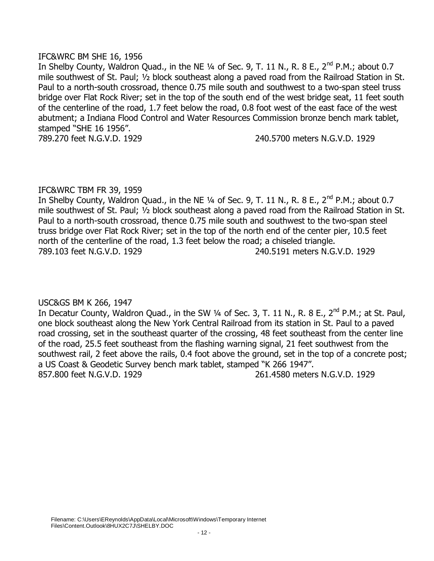### IFC&WRC BM SHE 16, 1956

In Shelby County, Waldron Quad., in the NE  $\frac{1}{4}$  of Sec. 9, T. 11 N., R. 8 E., 2<sup>nd</sup> P.M.; about 0.7 mile southwest of St. Paul; ½ block southeast along a paved road from the Railroad Station in St. Paul to a north-south crossroad, thence 0.75 mile south and southwest to a two-span steel truss bridge over Flat Rock River; set in the top of the south end of the west bridge seat, 11 feet south of the centerline of the road, 1.7 feet below the road, 0.8 foot west of the east face of the west abutment; a Indiana Flood Control and Water Resources Commission bronze bench mark tablet, stamped "SHE 16 1956".

789.270 feet N.G.V.D. 1929 240.5700 meters N.G.V.D. 1929

# IFC&WRC TBM FR 39, 1959

In Shelby County, Waldron Quad., in the NE  $\frac{1}{4}$  of Sec. 9, T. 11 N., R. 8 E., 2<sup>nd</sup> P.M.; about 0.7 mile southwest of St. Paul; ½ block southeast along a paved road from the Railroad Station in St. Paul to a north-south crossroad, thence 0.75 mile south and southwest to the two-span steel truss bridge over Flat Rock River; set in the top of the north end of the center pier, 10.5 feet north of the centerline of the road, 1.3 feet below the road; a chiseled triangle. 789.103 feet N.G.V.D. 1929 240.5191 meters N.G.V.D. 1929

USC&GS BM K 266, 1947

In Decatur County, Waldron Quad., in the SW 1/4 of Sec. 3, T. 11 N., R. 8 E., 2<sup>nd</sup> P.M.; at St. Paul, one block southeast along the New York Central Railroad from its station in St. Paul to a paved road crossing, set in the southeast quarter of the crossing, 48 feet southeast from the center line of the road, 25.5 feet southeast from the flashing warning signal, 21 feet southwest from the southwest rail, 2 feet above the rails, 0.4 foot above the ground, set in the top of a concrete post; a US Coast & Geodetic Survey bench mark tablet, stamped "K 266 1947". 857.800 feet N.G.V.D. 1929 261.4580 meters N.G.V.D. 1929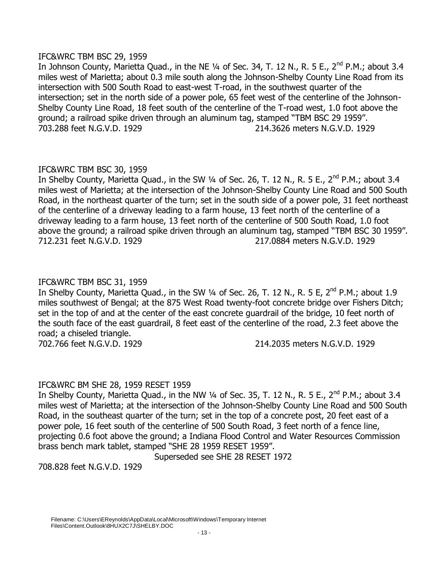# IFC&WRC TBM BSC 29, 1959

In Johnson County, Marietta Quad., in the NE  $\frac{1}{4}$  of Sec. 34, T. 12 N., R. 5 E., 2<sup>nd</sup> P.M.; about 3.4 miles west of Marietta; about 0.3 mile south along the Johnson-Shelby County Line Road from its intersection with 500 South Road to east-west T-road, in the southwest quarter of the intersection; set in the north side of a power pole, 65 feet west of the centerline of the Johnson-Shelby County Line Road, 18 feet south of the centerline of the T-road west, 1.0 foot above the ground; a railroad spike driven through an aluminum tag, stamped "TBM BSC 29 1959". 703.288 feet N.G.V.D. 1929 214.3626 meters N.G.V.D. 1929

# IFC&WRC TBM BSC 30, 1959

In Shelby County, Marietta Quad., in the SW 1/4 of Sec. 26, T. 12 N., R. 5 E., 2<sup>nd</sup> P.M.; about 3.4 miles west of Marietta; at the intersection of the Johnson-Shelby County Line Road and 500 South Road, in the northeast quarter of the turn; set in the south side of a power pole, 31 feet northeast of the centerline of a driveway leading to a farm house, 13 feet north of the centerline of a driveway leading to a farm house, 13 feet north of the centerline of 500 South Road, 1.0 foot above the ground; a railroad spike driven through an aluminum tag, stamped "TBM BSC 30 1959". 712.231 feet N.G.V.D. 1929 217.0884 meters N.G.V.D. 1929

# IFC&WRC TBM BSC 31, 1959

In Shelby County, Marietta Quad., in the SW  $\frac{1}{4}$  of Sec. 26, T. 12 N., R. 5 E, 2<sup>nd</sup> P.M.; about 1.9 miles southwest of Bengal; at the 875 West Road twenty-foot concrete bridge over Fishers Ditch; set in the top of and at the center of the east concrete guardrail of the bridge, 10 feet north of the south face of the east guardrail, 8 feet east of the centerline of the road, 2.3 feet above the road; a chiseled triangle.

702.766 feet N.G.V.D. 1929 214.2035 meters N.G.V.D. 1929

# IFC&WRC BM SHE 28, 1959 RESET 1959

In Shelby County, Marietta Quad., in the NW 1/4 of Sec. 35, T. 12 N., R. 5 E., 2<sup>nd</sup> P.M.; about 3.4 miles west of Marietta; at the intersection of the Johnson-Shelby County Line Road and 500 South Road, in the southeast quarter of the turn; set in the top of a concrete post, 20 feet east of a power pole, 16 feet south of the centerline of 500 South Road, 3 feet north of a fence line, projecting 0.6 foot above the ground; a Indiana Flood Control and Water Resources Commission brass bench mark tablet, stamped "SHE 28 1959 RESET 1959".

Superseded see SHE 28 RESET 1972

708.828 feet N.G.V.D. 1929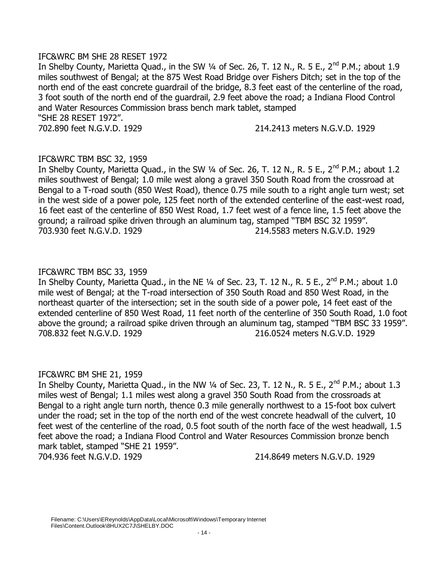### IFC&WRC BM SHE 28 RESET 1972

In Shelby County, Marietta Quad., in the SW 1/4 of Sec. 26, T. 12 N., R. 5 E., 2<sup>nd</sup> P.M.; about 1.9 miles southwest of Bengal; at the 875 West Road Bridge over Fishers Ditch; set in the top of the north end of the east concrete guardrail of the bridge, 8.3 feet east of the centerline of the road, 3 foot south of the north end of the guardrail, 2.9 feet above the road; a Indiana Flood Control and Water Resources Commission brass bench mark tablet, stamped "SHE 28 RESET 1972". 702.890 feet N.G.V.D. 1929 214.2413 meters N.G.V.D. 1929

# IFC&WRC TBM BSC 32, 1959

In Shelby County, Marietta Quad., in the SW 1/4 of Sec. 26, T. 12 N., R. 5 E., 2<sup>nd</sup> P.M.; about 1.2 miles southwest of Bengal; 1.0 mile west along a gravel 350 South Road from the crossroad at Bengal to a T-road south (850 West Road), thence 0.75 mile south to a right angle turn west; set in the west side of a power pole, 125 feet north of the extended centerline of the east-west road, 16 feet east of the centerline of 850 West Road, 1.7 feet west of a fence line, 1.5 feet above the ground; a railroad spike driven through an aluminum tag, stamped "TBM BSC 32 1959". 703.930 feet N.G.V.D. 1929 214.5583 meters N.G.V.D. 1929

# IFC&WRC TBM BSC 33, 1959

In Shelby County, Marietta Quad., in the NE  $\frac{1}{4}$  of Sec. 23, T. 12 N., R. 5 E., 2<sup>nd</sup> P.M.; about 1.0 mile west of Bengal; at the T-road intersection of 350 South Road and 850 West Road, in the northeast quarter of the intersection; set in the south side of a power pole, 14 feet east of the extended centerline of 850 West Road, 11 feet north of the centerline of 350 South Road, 1.0 foot above the ground; a railroad spike driven through an aluminum tag, stamped "TBM BSC 33 1959". 708.832 feet N.G.V.D. 1929 216.0524 meters N.G.V.D. 1929

#### IFC&WRC BM SHE 21, 1959

In Shelby County, Marietta Quad., in the NW 1/4 of Sec. 23, T. 12 N., R. 5 E., 2<sup>nd</sup> P.M.; about 1.3 miles west of Bengal; 1.1 miles west along a gravel 350 South Road from the crossroads at Bengal to a right angle turn north, thence 0.3 mile generally northwest to a 15-foot box culvert under the road; set in the top of the north end of the west concrete headwall of the culvert, 10 feet west of the centerline of the road, 0.5 foot south of the north face of the west headwall, 1.5 feet above the road; a Indiana Flood Control and Water Resources Commission bronze bench mark tablet, stamped "SHE 21 1959".

704.936 feet N.G.V.D. 1929 214.8649 meters N.G.V.D. 1929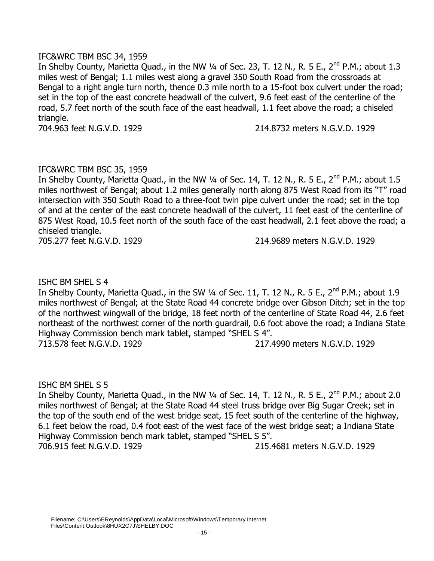### IFC&WRC TBM BSC 34, 1959

In Shelby County, Marietta Quad., in the NW  $\frac{1}{4}$  of Sec. 23, T. 12 N., R. 5 E., 2<sup>nd</sup> P.M.; about 1.3 miles west of Bengal; 1.1 miles west along a gravel 350 South Road from the crossroads at Bengal to a right angle turn north, thence 0.3 mile north to a 15-foot box culvert under the road; set in the top of the east concrete headwall of the culvert, 9.6 feet east of the centerline of the road, 5.7 feet north of the south face of the east headwall, 1.1 feet above the road; a chiseled triangle.

704.963 feet N.G.V.D. 1929 214.8732 meters N.G.V.D. 1929

### IFC&WRC TBM BSC 35, 1959

In Shelby County, Marietta Quad., in the NW  $\frac{1}{4}$  of Sec. 14, T. 12 N., R. 5 E., 2<sup>nd</sup> P.M.; about 1.5 miles northwest of Bengal; about 1.2 miles generally north along 875 West Road from its "T" road intersection with 350 South Road to a three-foot twin pipe culvert under the road; set in the top of and at the center of the east concrete headwall of the culvert, 11 feet east of the centerline of 875 West Road, 10.5 feet north of the south face of the east headwall, 2.1 feet above the road; a chiseled triangle.

705.277 feet N.G.V.D. 1929 214.9689 meters N.G.V.D. 1929

ISHC BM SHEL S 4

In Shelby County, Marietta Quad., in the SW  $\frac{1}{4}$  of Sec. 11, T. 12 N., R. 5 E., 2<sup>nd</sup> P.M.; about 1.9 miles northwest of Bengal; at the State Road 44 concrete bridge over Gibson Ditch; set in the top of the northwest wingwall of the bridge, 18 feet north of the centerline of State Road 44, 2.6 feet northeast of the northwest corner of the north guardrail, 0.6 foot above the road; a Indiana State Highway Commission bench mark tablet, stamped "SHEL S 4".

713.578 feet N.G.V.D. 1929 217.4990 meters N.G.V.D. 1929

# ISHC BM SHEL S 5

In Shelby County, Marietta Quad., in the NW 1/4 of Sec. 14, T. 12 N., R. 5 E., 2<sup>nd</sup> P.M.; about 2.0 miles northwest of Bengal; at the State Road 44 steel truss bridge over Big Sugar Creek; set in the top of the south end of the west bridge seat, 15 feet south of the centerline of the highway, 6.1 feet below the road, 0.4 foot east of the west face of the west bridge seat; a Indiana State Highway Commission bench mark tablet, stamped "SHEL S 5". 706.915 feet N.G.V.D. 1929 215.4681 meters N.G.V.D. 1929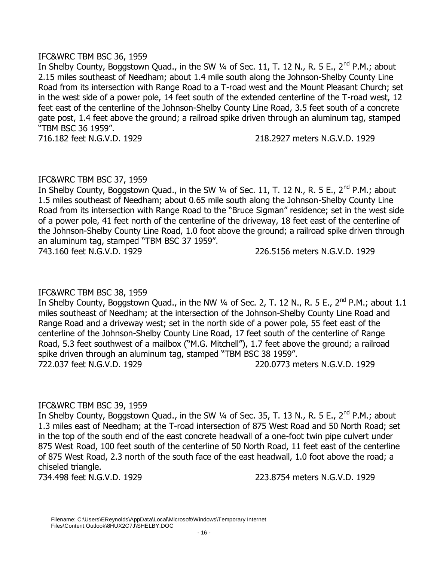### IFC&WRC TBM BSC 36, 1959

In Shelby County, Boggstown Quad., in the SW  $\frac{1}{4}$  of Sec. 11, T. 12 N., R. 5 E., 2<sup>nd</sup> P.M.; about 2.15 miles southeast of Needham; about 1.4 mile south along the Johnson-Shelby County Line Road from its intersection with Range Road to a T-road west and the Mount Pleasant Church; set in the west side of a power pole, 14 feet south of the extended centerline of the T-road west, 12 feet east of the centerline of the Johnson-Shelby County Line Road, 3.5 feet south of a concrete gate post, 1.4 feet above the ground; a railroad spike driven through an aluminum tag, stamped "TBM BSC 36 1959".

716.182 feet N.G.V.D. 1929 218.2927 meters N.G.V.D. 1929

# IFC&WRC TBM BSC 37, 1959

In Shelby County, Boggstown Quad., in the SW  $\frac{1}{4}$  of Sec. 11, T. 12 N., R. 5 E., 2<sup>nd</sup> P.M.; about 1.5 miles southeast of Needham; about 0.65 mile south along the Johnson-Shelby County Line Road from its intersection with Range Road to the "Bruce Sigman" residence; set in the west side of a power pole, 41 feet north of the centerline of the driveway, 18 feet east of the centerline of the Johnson-Shelby County Line Road, 1.0 foot above the ground; a railroad spike driven through an aluminum tag, stamped "TBM BSC 37 1959".

743.160 feet N.G.V.D. 1929 226.5156 meters N.G.V.D. 1929

# IFC&WRC TBM BSC 38, 1959

In Shelby County, Boggstown Quad., in the NW 1/4 of Sec. 2, T. 12 N., R. 5 E., 2<sup>nd</sup> P.M.; about 1.1 miles southeast of Needham; at the intersection of the Johnson-Shelby County Line Road and Range Road and a driveway west; set in the north side of a power pole, 55 feet east of the centerline of the Johnson-Shelby County Line Road, 17 feet south of the centerline of Range Road, 5.3 feet southwest of a mailbox ("M.G. Mitchell"), 1.7 feet above the ground; a railroad spike driven through an aluminum tag, stamped "TBM BSC 38 1959". 722.037 feet N.G.V.D. 1929 220.0773 meters N.G.V.D. 1929

# IFC&WRC TBM BSC 39, 1959

In Shelby County, Boggstown Quad., in the SW  $\frac{1}{4}$  of Sec. 35, T. 13 N., R. 5 E., 2<sup>nd</sup> P.M.; about 1.3 miles east of Needham; at the T-road intersection of 875 West Road and 50 North Road; set in the top of the south end of the east concrete headwall of a one-foot twin pipe culvert under 875 West Road, 100 feet south of the centerline of 50 North Road, 11 feet east of the centerline of 875 West Road, 2.3 north of the south face of the east headwall, 1.0 foot above the road; a chiseled triangle.

734.498 feet N.G.V.D. 1929 223.8754 meters N.G.V.D. 1929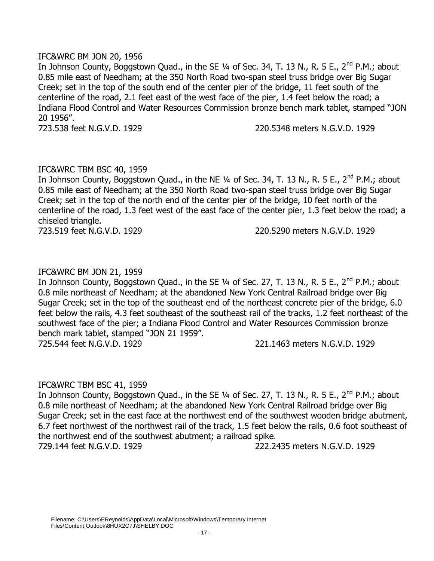### IFC&WRC BM JON 20, 1956

In Johnson County, Boggstown Quad., in the SE  $\frac{1}{4}$  of Sec. 34, T. 13 N., R. 5 E., 2<sup>nd</sup> P.M.; about 0.85 mile east of Needham; at the 350 North Road two-span steel truss bridge over Big Sugar Creek; set in the top of the south end of the center pier of the bridge, 11 feet south of the centerline of the road, 2.1 feet east of the west face of the pier, 1.4 feet below the road; a Indiana Flood Control and Water Resources Commission bronze bench mark tablet, stamped "JON 20 1956".

723.538 feet N.G.V.D. 1929 220.5348 meters N.G.V.D. 1929

# IFC&WRC TBM BSC 40, 1959

In Johnson County, Boggstown Quad., in the NE 1/4 of Sec. 34, T. 13 N., R. 5 E., 2<sup>nd</sup> P.M.; about 0.85 mile east of Needham; at the 350 North Road two-span steel truss bridge over Big Sugar Creek; set in the top of the north end of the center pier of the bridge, 10 feet north of the centerline of the road, 1.3 feet west of the east face of the center pier, 1.3 feet below the road; a chiseled triangle.

723.519 feet N.G.V.D. 1929 220.5290 meters N.G.V.D. 1929

# IFC&WRC BM JON 21, 1959

In Johnson County, Boggstown Quad., in the SE 1/4 of Sec. 27, T. 13 N., R. 5 E., 2<sup>nd</sup> P.M.: about 0.8 mile northeast of Needham; at the abandoned New York Central Railroad bridge over Big Sugar Creek; set in the top of the southeast end of the northeast concrete pier of the bridge, 6.0 feet below the rails, 4.3 feet southeast of the southeast rail of the tracks, 1.2 feet northeast of the southwest face of the pier; a Indiana Flood Control and Water Resources Commission bronze bench mark tablet, stamped "JON 21 1959". 725.544 feet N.G.V.D. 1929 221.1463 meters N.G.V.D. 1929

# IFC&WRC TBM BSC 41, 1959

In Johnson County, Boggstown Quad., in the SE 1/4 of Sec. 27, T. 13 N., R. 5 E., 2<sup>nd</sup> P.M.; about 0.8 mile northeast of Needham; at the abandoned New York Central Railroad bridge over Big Sugar Creek; set in the east face at the northwest end of the southwest wooden bridge abutment, 6.7 feet northwest of the northwest rail of the track, 1.5 feet below the rails, 0.6 foot southeast of the northwest end of the southwest abutment; a railroad spike. 729.144 feet N.G.V.D. 1929 222.2435 meters N.G.V.D. 1929

Filename: C:\Users\EReynolds\AppData\Local\Microsoft\Windows\Temporary Internet Files\Content.Outlook\8HUX2C7J\SHELBY.DOC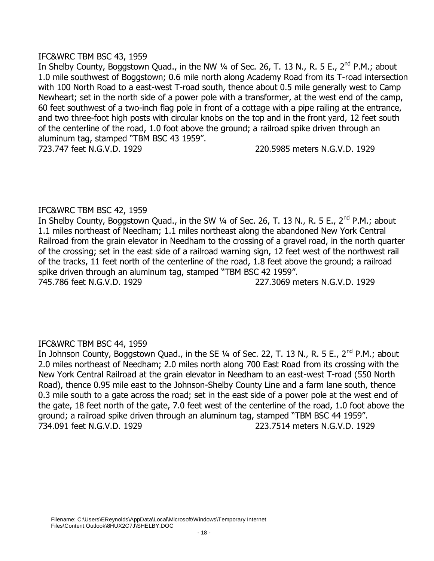### IFC&WRC TBM BSC 43, 1959

In Shelby County, Boggstown Quad., in the NW  $\frac{1}{4}$  of Sec. 26, T. 13 N., R. 5 E., 2<sup>nd</sup> P.M.; about 1.0 mile southwest of Boggstown; 0.6 mile north along Academy Road from its T-road intersection with 100 North Road to a east-west T-road south, thence about 0.5 mile generally west to Camp Newheart; set in the north side of a power pole with a transformer, at the west end of the camp, 60 feet southwest of a two-inch flag pole in front of a cottage with a pipe railing at the entrance, and two three-foot high posts with circular knobs on the top and in the front yard, 12 feet south of the centerline of the road, 1.0 foot above the ground; a railroad spike driven through an aluminum tag, stamped "TBM BSC 43 1959". 723.747 feet N.G.V.D. 1929 220.5985 meters N.G.V.D. 1929

# IFC&WRC TBM BSC 42, 1959

In Shelby County, Boggstown Quad., in the SW 1/4 of Sec. 26, T. 13 N., R. 5 E., 2<sup>nd</sup> P.M.; about 1.1 miles northeast of Needham; 1.1 miles northeast along the abandoned New York Central Railroad from the grain elevator in Needham to the crossing of a gravel road, in the north quarter of the crossing; set in the east side of a railroad warning sign, 12 feet west of the northwest rail of the tracks, 11 feet north of the centerline of the road, 1.8 feet above the ground; a railroad spike driven through an aluminum tag, stamped "TBM BSC 42 1959". 745.786 feet N.G.V.D. 1929 227.3069 meters N.G.V.D. 1929

# IFC&WRC TBM BSC 44, 1959

In Johnson County, Boggstown Quad., in the SE 1/4 of Sec. 22, T. 13 N., R. 5 E., 2<sup>nd</sup> P.M.; about 2.0 miles northeast of Needham; 2.0 miles north along 700 East Road from its crossing with the New York Central Railroad at the grain elevator in Needham to an east-west T-road (550 North Road), thence 0.95 mile east to the Johnson-Shelby County Line and a farm lane south, thence 0.3 mile south to a gate across the road; set in the east side of a power pole at the west end of the gate, 18 feet north of the gate, 7.0 feet west of the centerline of the road, 1.0 foot above the ground; a railroad spike driven through an aluminum tag, stamped "TBM BSC 44 1959". 734.091 feet N.G.V.D. 1929 223.7514 meters N.G.V.D. 1929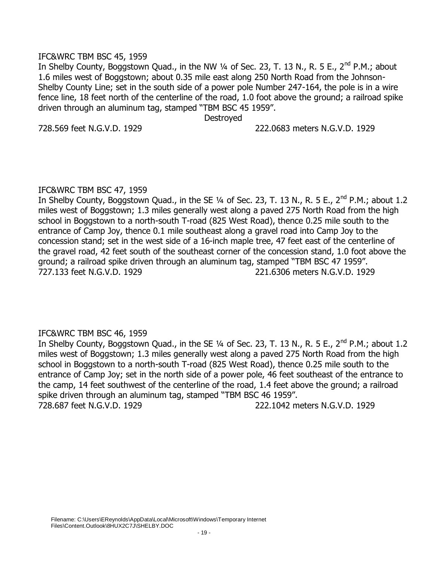### IFC&WRC TBM BSC 45, 1959

In Shelby County, Boggstown Quad., in the NW  $\frac{1}{4}$  of Sec. 23, T. 13 N., R. 5 E., 2<sup>nd</sup> P.M.; about 1.6 miles west of Boggstown; about 0.35 mile east along 250 North Road from the Johnson-Shelby County Line; set in the south side of a power pole Number 247-164, the pole is in a wire fence line, 18 feet north of the centerline of the road, 1.0 foot above the ground; a railroad spike driven through an aluminum tag, stamped "TBM BSC 45 1959".

**Destroved** 

728.569 feet N.G.V.D. 1929 222.0683 meters N.G.V.D. 1929

### IFC&WRC TBM BSC 47, 1959

In Shelby County, Boggstown Quad., in the SE 1/4 of Sec. 23, T. 13 N., R. 5 E., 2<sup>nd</sup> P.M.; about 1.2 miles west of Boggstown; 1.3 miles generally west along a paved 275 North Road from the high school in Boggstown to a north-south T-road (825 West Road), thence 0.25 mile south to the entrance of Camp Joy, thence 0.1 mile southeast along a gravel road into Camp Joy to the concession stand; set in the west side of a 16-inch maple tree, 47 feet east of the centerline of the gravel road, 42 feet south of the southeast corner of the concession stand, 1.0 foot above the ground; a railroad spike driven through an aluminum tag, stamped "TBM BSC 47 1959". 727.133 feet N.G.V.D. 1929 221.6306 meters N.G.V.D. 1929

# IFC&WRC TBM BSC 46, 1959

In Shelby County, Boggstown Quad., in the SE  $\frac{1}{4}$  of Sec. 23, T. 13 N., R. 5 E., 2<sup>nd</sup> P.M.; about 1.2 miles west of Boggstown; 1.3 miles generally west along a paved 275 North Road from the high school in Boggstown to a north-south T-road (825 West Road), thence 0.25 mile south to the entrance of Camp Joy; set in the north side of a power pole, 46 feet southeast of the entrance to the camp, 14 feet southwest of the centerline of the road, 1.4 feet above the ground; a railroad spike driven through an aluminum tag, stamped "TBM BSC 46 1959". 728.687 feet N.G.V.D. 1929 222.1042 meters N.G.V.D. 1929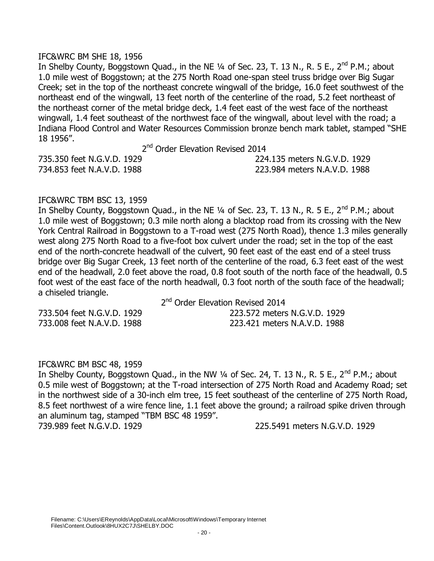#### IFC&WRC BM SHE 18, 1956

In Shelby County, Boggstown Quad., in the NE  $\frac{1}{4}$  of Sec. 23, T. 13 N., R. 5 E., 2<sup>nd</sup> P.M.; about 1.0 mile west of Boggstown; at the 275 North Road one-span steel truss bridge over Big Sugar Creek; set in the top of the northeast concrete wingwall of the bridge, 16.0 feet southwest of the northeast end of the wingwall, 13 feet north of the centerline of the road, 5.2 feet northeast of the northeast corner of the metal bridge deck, 1.4 feet east of the west face of the northeast wingwall, 1.4 feet southeast of the northwest face of the wingwall, about level with the road; a Indiana Flood Control and Water Resources Commission bronze bench mark tablet, stamped "SHE 18 1956".

2<sup>nd</sup> Order Elevation Revised 2014

|                            | 2 <sup>nd</sup> Order Elevation Revised 2014 |
|----------------------------|----------------------------------------------|
| 735.350 feet N.G.V.D. 1929 | 224.135 meters N.G.V.D. 1929                 |
| 734.853 feet N.A.V.D. 1988 | 223.984 meters N.A.V.D. 1988                 |

# IFC&WRC TBM BSC 13, 1959

In Shelby County, Boggstown Quad., in the NE  $\frac{1}{4}$  of Sec. 23, T. 13 N., R. 5 E., 2<sup>nd</sup> P.M.; about 1.0 mile west of Boggstown; 0.3 mile north along a blacktop road from its crossing with the New York Central Railroad in Boggstown to a T-road west (275 North Road), thence 1.3 miles generally west along 275 North Road to a five-foot box culvert under the road; set in the top of the east end of the north-concrete headwall of the culvert, 90 feet east of the east end of a steel truss bridge over Big Sugar Creek, 13 feet north of the centerline of the road, 6.3 feet east of the west end of the headwall, 2.0 feet above the road, 0.8 foot south of the north face of the headwall, 0.5 foot west of the east face of the north headwall, 0.3 foot north of the south face of the headwall; a chiseled triangle.

2<sup>nd</sup> Order Elevation Revised 2014

733.504 feet N.G.V.D. 1929 223.572 meters N.G.V.D. 1929 733.008 feet N.A.V.D. 1988 223.421 meters N.A.V.D. 1988

#### IFC&WRC BM BSC 48, 1959

In Shelby County, Boggstown Quad., in the NW  $\frac{1}{4}$  of Sec. 24, T. 13 N., R. 5 E., 2<sup>nd</sup> P.M.; about 0.5 mile west of Boggstown; at the T-road intersection of 275 North Road and Academy Road; set in the northwest side of a 30-inch elm tree, 15 feet southeast of the centerline of 275 North Road, 8.5 feet northwest of a wire fence line, 1.1 feet above the ground; a railroad spike driven through an aluminum tag, stamped "TBM BSC 48 1959".

739.989 feet N.G.V.D. 1929 225.5491 meters N.G.V.D. 1929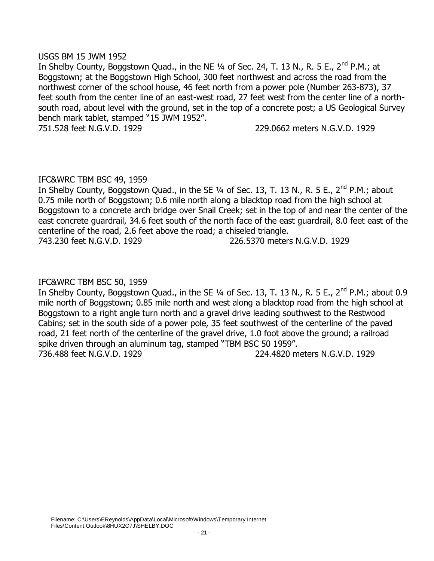### USGS BM 15 JWM 1952

In Shelby County, Boggstown Quad., in the NE  $\frac{1}{4}$  of Sec. 24, T. 13 N., R. 5 E., 2<sup>nd</sup> P.M.; at Boggstown; at the Boggstown High School, 300 feet northwest and across the road from the northwest corner of the school house, 46 feet north from a power pole (Number 263-873), 37 feet south from the center line of an east-west road, 27 feet west from the center line of a northsouth road, about level with the ground, set in the top of a concrete post; a US Geological Survey bench mark tablet, stamped "15 JWM 1952".

751.528 feet N.G.V.D. 1929 229.0662 meters N.G.V.D. 1929

# IFC&WRC TBM BSC 49, 1959

In Shelby County, Boggstown Quad., in the SE  $\frac{1}{4}$  of Sec. 13, T. 13 N., R. 5 E., 2<sup>nd</sup> P.M.; about 0.75 mile north of Boggstown; 0.6 mile north along a blacktop road from the high school at Boggstown to a concrete arch bridge over Snail Creek; set in the top of and near the center of the east concrete guardrail, 34.6 feet south of the north face of the east guardrail, 8.0 feet east of the centerline of the road, 2.6 feet above the road; a chiseled triangle.

743.230 feet N.G.V.D. 1929 226.5370 meters N.G.V.D. 1929

# IFC&WRC TBM BSC 50, 1959

In Shelby County, Boggstown Quad., in the SE  $\frac{1}{4}$  of Sec. 13, T. 13 N., R. 5 E., 2<sup>nd</sup> P.M.; about 0.9 mile north of Boggstown; 0.85 mile north and west along a blacktop road from the high school at Boggstown to a right angle turn north and a gravel drive leading southwest to the Restwood Cabins; set in the south side of a power pole, 35 feet southwest of the centerline of the paved road, 21 feet north of the centerline of the gravel drive, 1.0 foot above the ground; a railroad spike driven through an aluminum tag, stamped "TBM BSC 50 1959". 736.488 feet N.G.V.D. 1929 224.4820 meters N.G.V.D. 1929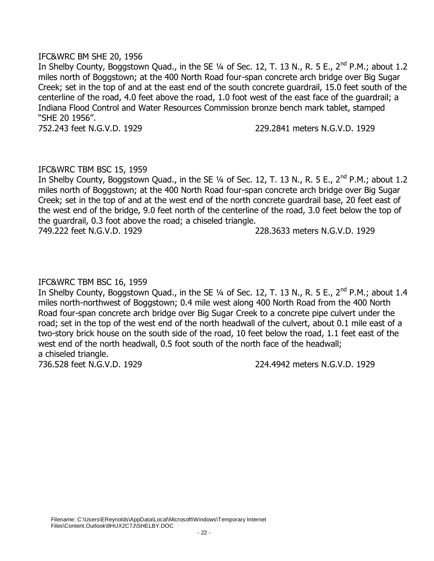### IFC&WRC BM SHE 20, 1956

In Shelby County, Boggstown Quad., in the SE 1/4 of Sec. 12, T. 13 N., R. 5 E., 2<sup>nd</sup> P.M.; about 1.2 miles north of Boggstown; at the 400 North Road four-span concrete arch bridge over Big Sugar Creek; set in the top of and at the east end of the south concrete guardrail, 15.0 feet south of the centerline of the road, 4.0 feet above the road, 1.0 foot west of the east face of the guardrail; a Indiana Flood Control and Water Resources Commission bronze bench mark tablet, stamped "SHE 20 1956".

752.243 feet N.G.V.D. 1929 229.2841 meters N.G.V.D. 1929

### IFC&WRC TBM BSC 15, 1959

In Shelby County, Boggstown Quad., in the SE  $\frac{1}{4}$  of Sec. 12, T. 13 N., R. 5 E., 2<sup>nd</sup> P.M.; about 1.2 miles north of Boggstown; at the 400 North Road four-span concrete arch bridge over Big Sugar Creek; set in the top of and at the west end of the north concrete guardrail base, 20 feet east of the west end of the bridge, 9.0 feet north of the centerline of the road, 3.0 feet below the top of the guardrail, 0.3 foot above the road; a chiseled triangle. 749.222 feet N.G.V.D. 1929 228.3633 meters N.G.V.D. 1929

### IFC&WRC TBM BSC 16, 1959

In Shelby County, Boggstown Quad., in the SE 1/4 of Sec. 12, T. 13 N., R. 5 E., 2<sup>nd</sup> P.M.: about 1.4 miles north-northwest of Boggstown; 0.4 mile west along 400 North Road from the 400 North Road four-span concrete arch bridge over Big Sugar Creek to a concrete pipe culvert under the road; set in the top of the west end of the north headwall of the culvert, about 0.1 mile east of a two-story brick house on the south side of the road, 10 feet below the road, 1.1 feet east of the west end of the north headwall, 0.5 foot south of the north face of the headwall; a chiseled triangle.

736.528 feet N.G.V.D. 1929 224.4942 meters N.G.V.D. 1929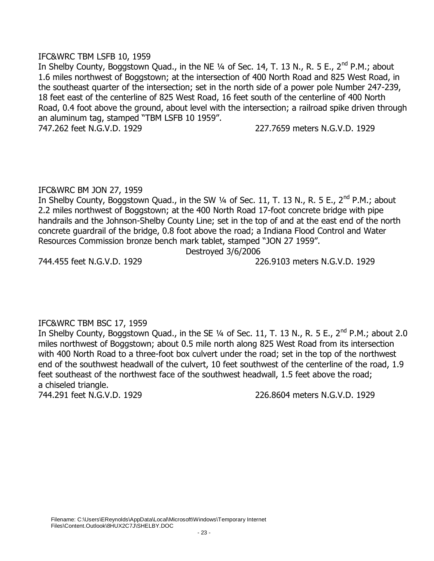### IFC&WRC TBM LSFB 10, 1959

In Shelby County, Boggstown Quad., in the NE  $\frac{1}{4}$  of Sec. 14, T. 13 N., R. 5 E., 2<sup>nd</sup> P.M.; about 1.6 miles northwest of Boggstown; at the intersection of 400 North Road and 825 West Road, in the southeast quarter of the intersection; set in the north side of a power pole Number 247-239, 18 feet east of the centerline of 825 West Road, 16 feet south of the centerline of 400 North Road, 0.4 foot above the ground, about level with the intersection; a railroad spike driven through an aluminum tag, stamped "TBM LSFB 10 1959".

747.262 feet N.G.V.D. 1929 227.7659 meters N.G.V.D. 1929

# IFC&WRC BM JON 27, 1959

In Shelby County, Boggstown Quad., in the SW  $\frac{1}{4}$  of Sec. 11, T. 13 N., R. 5 E., 2<sup>nd</sup> P.M.; about 2.2 miles northwest of Boggstown; at the 400 North Road 17-foot concrete bridge with pipe handrails and the Johnson-Shelby County Line; set in the top of and at the east end of the north concrete guardrail of the bridge, 0.8 foot above the road; a Indiana Flood Control and Water Resources Commission bronze bench mark tablet, stamped "JON 27 1959".

Destroyed 3/6/2006

744.455 feet N.G.V.D. 1929 226.9103 meters N.G.V.D. 1929

# IFC&WRC TBM BSC 17, 1959

In Shelby County, Boggstown Quad., in the SE  $\frac{1}{4}$  of Sec. 11, T. 13 N., R. 5 E., 2<sup>nd</sup> P.M.; about 2.0 miles northwest of Boggstown; about 0.5 mile north along 825 West Road from its intersection with 400 North Road to a three-foot box culvert under the road; set in the top of the northwest end of the southwest headwall of the culvert, 10 feet southwest of the centerline of the road, 1.9 feet southeast of the northwest face of the southwest headwall, 1.5 feet above the road; a chiseled triangle.

744.291 feet N.G.V.D. 1929 226.8604 meters N.G.V.D. 1929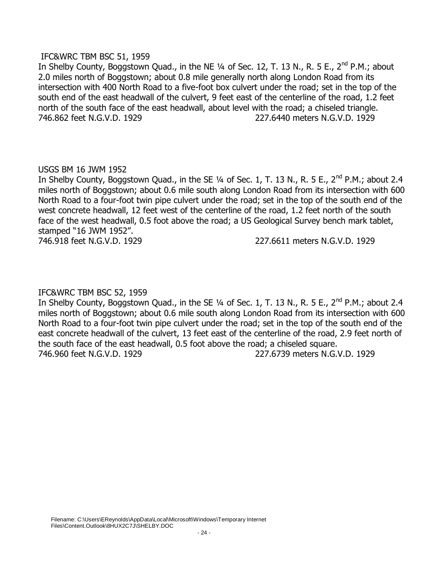### IFC&WRC TBM BSC 51, 1959

In Shelby County, Boggstown Quad., in the NE  $\frac{1}{4}$  of Sec. 12, T. 13 N., R. 5 E., 2<sup>nd</sup> P.M.; about 2.0 miles north of Boggstown; about 0.8 mile generally north along London Road from its intersection with 400 North Road to a five-foot box culvert under the road; set in the top of the south end of the east headwall of the culvert, 9 feet east of the centerline of the road, 1.2 feet north of the south face of the east headwall, about level with the road; a chiseled triangle. 746.862 feet N.G.V.D. 1929 227.6440 meters N.G.V.D. 1929

# USGS BM 16 JWM 1952

In Shelby County, Boggstown Quad., in the SE  $\frac{1}{4}$  of Sec. 1, T. 13 N., R. 5 E., 2<sup>nd</sup> P.M.; about 2.4 miles north of Boggstown; about 0.6 mile south along London Road from its intersection with 600 North Road to a four-foot twin pipe culvert under the road; set in the top of the south end of the west concrete headwall, 12 feet west of the centerline of the road, 1.2 feet north of the south face of the west headwall, 0.5 foot above the road; a US Geological Survey bench mark tablet, stamped "16 JWM 1952".

746.918 feet N.G.V.D. 1929 227.6611 meters N.G.V.D. 1929

# IFC&WRC TBM BSC 52, 1959

In Shelby County, Boggstown Quad., in the SE 1/4 of Sec. 1, T. 13 N., R. 5 E., 2<sup>nd</sup> P.M.; about 2.4 miles north of Boggstown; about 0.6 mile south along London Road from its intersection with 600 North Road to a four-foot twin pipe culvert under the road; set in the top of the south end of the east concrete headwall of the culvert, 13 feet east of the centerline of the road, 2.9 feet north of the south face of the east headwall, 0.5 foot above the road; a chiseled square. 746.960 feet N.G.V.D. 1929 227.6739 meters N.G.V.D. 1929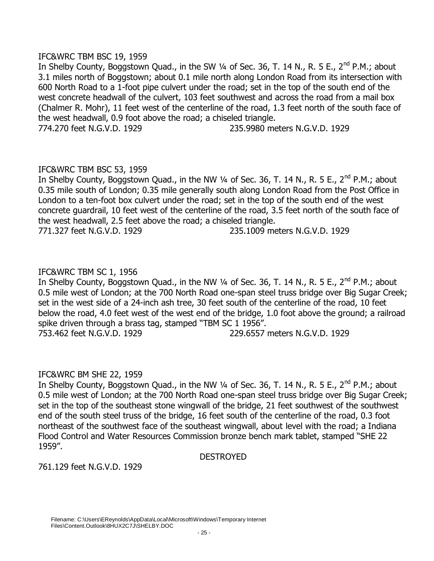### IFC&WRC TBM BSC 19, 1959

In Shelby County, Boggstown Quad., in the SW  $\frac{1}{4}$  of Sec. 36, T. 14 N., R. 5 E., 2<sup>nd</sup> P.M.; about 3.1 miles north of Boggstown; about 0.1 mile north along London Road from its intersection with 600 North Road to a 1-foot pipe culvert under the road; set in the top of the south end of the west concrete headwall of the culvert, 103 feet southwest and across the road from a mail box (Chalmer R. Mohr), 11 feet west of the centerline of the road, 1.3 feet north of the south face of the west headwall, 0.9 foot above the road; a chiseled triangle. 774.270 feet N.G.V.D. 1929 235.9980 meters N.G.V.D. 1929

IFC&WRC TBM BSC 53, 1959

In Shelby County, Boggstown Quad., in the NW  $\frac{1}{4}$  of Sec. 36, T. 14 N., R. 5 E., 2<sup>nd</sup> P.M.; about 0.35 mile south of London; 0.35 mile generally south along London Road from the Post Office in London to a ten-foot box culvert under the road; set in the top of the south end of the west concrete guardrail, 10 feet west of the centerline of the road, 3.5 feet north of the south face of the west headwall, 2.5 feet above the road; a chiseled triangle. 771.327 feet N.G.V.D. 1929 235.1009 meters N.G.V.D. 1929

IFC&WRC TBM SC 1, 1956

In Shelby County, Boggstown Quad., in the NW  $\frac{1}{4}$  of Sec. 36, T. 14 N., R. 5 E., 2<sup>nd</sup> P.M.; about 0.5 mile west of London; at the 700 North Road one-span steel truss bridge over Big Sugar Creek; set in the west side of a 24-inch ash tree, 30 feet south of the centerline of the road, 10 feet below the road, 4.0 feet west of the west end of the bridge, 1.0 foot above the ground; a railroad spike driven through a brass tag, stamped "TBM SC 1 1956". 753.462 feet N.G.V.D. 1929 229.6557 meters N.G.V.D. 1929

#### IFC&WRC BM SHE 22, 1959

In Shelby County, Boggstown Quad., in the NW 1/4 of Sec. 36, T. 14 N., R. 5 E., 2<sup>nd</sup> P.M.; about 0.5 mile west of London; at the 700 North Road one-span steel truss bridge over Big Sugar Creek; set in the top of the southeast stone wingwall of the bridge, 21 feet southwest of the southwest end of the south steel truss of the bridge, 16 feet south of the centerline of the road, 0.3 foot northeast of the southwest face of the southeast wingwall, about level with the road; a Indiana Flood Control and Water Resources Commission bronze bench mark tablet, stamped "SHE 22 1959".

DESTROYED

761.129 feet N.G.V.D. 1929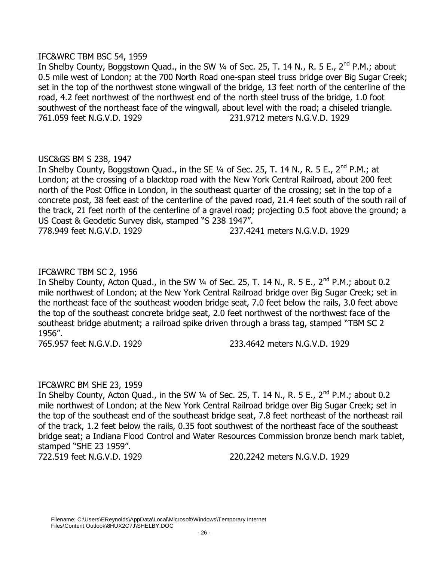### IFC&WRC TBM BSC 54, 1959

In Shelby County, Boggstown Quad., in the SW  $\frac{1}{4}$  of Sec. 25, T. 14 N., R. 5 E., 2<sup>nd</sup> P.M.; about 0.5 mile west of London; at the 700 North Road one-span steel truss bridge over Big Sugar Creek; set in the top of the northwest stone wingwall of the bridge, 13 feet north of the centerline of the road, 4.2 feet northwest of the northwest end of the north steel truss of the bridge, 1.0 foot southwest of the northeast face of the wingwall, about level with the road; a chiseled triangle. 761.059 feet N.G.V.D. 1929 231.9712 meters N.G.V.D. 1929

# USC&GS BM S 238, 1947

In Shelby County, Boggstown Quad., in the SE  $\frac{1}{4}$  of Sec. 25, T. 14 N., R. 5 E., 2<sup>nd</sup> P.M.; at London; at the crossing of a blacktop road with the New York Central Railroad, about 200 feet north of the Post Office in London, in the southeast quarter of the crossing; set in the top of a concrete post, 38 feet east of the centerline of the paved road, 21.4 feet south of the south rail of the track, 21 feet north of the centerline of a gravel road; projecting 0.5 foot above the ground; a US Coast & Geodetic Survey disk, stamped "S 238 1947". 778.949 feet N.G.V.D. 1929 237.4241 meters N.G.V.D. 1929

### IFC&WRC TBM SC 2, 1956

In Shelby County, Acton Quad., in the SW  $\frac{1}{4}$  of Sec. 25, T. 14 N., R. 5 E., 2<sup>nd</sup> P.M.; about 0.2 mile northwest of London; at the New York Central Railroad bridge over Big Sugar Creek; set in the northeast face of the southeast wooden bridge seat, 7.0 feet below the rails, 3.0 feet above the top of the southeast concrete bridge seat, 2.0 feet northwest of the northwest face of the southeast bridge abutment; a railroad spike driven through a brass tag, stamped "TBM SC 2 1956".

765.957 feet N.G.V.D. 1929 233.4642 meters N.G.V.D. 1929

# IFC&WRC BM SHE 23, 1959

In Shelby County, Acton Quad., in the SW  $\frac{1}{4}$  of Sec. 25, T. 14 N., R. 5 E., 2<sup>nd</sup> P.M.; about 0.2 mile northwest of London; at the New York Central Railroad bridge over Big Sugar Creek; set in the top of the southeast end of the southeast bridge seat, 7.8 feet northeast of the northeast rail of the track, 1.2 feet below the rails, 0.35 foot southwest of the northeast face of the southeast bridge seat; a Indiana Flood Control and Water Resources Commission bronze bench mark tablet, stamped "SHE 23 1959".

722.519 feet N.G.V.D. 1929 220.2242 meters N.G.V.D. 1929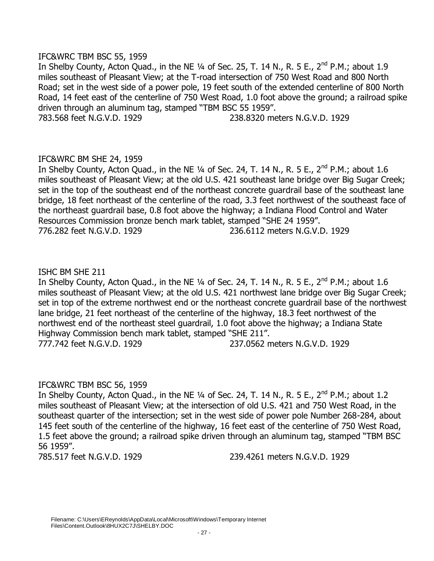### IFC&WRC TBM BSC 55, 1959

In Shelby County, Acton Quad., in the NE  $\frac{1}{4}$  of Sec. 25, T. 14 N., R. 5 E., 2<sup>nd</sup> P.M.; about 1.9 miles southeast of Pleasant View; at the T-road intersection of 750 West Road and 800 North Road; set in the west side of a power pole, 19 feet south of the extended centerline of 800 North Road, 14 feet east of the centerline of 750 West Road, 1.0 foot above the ground; a railroad spike driven through an aluminum tag, stamped "TBM BSC 55 1959". 783.568 feet N.G.V.D. 1929 238.8320 meters N.G.V.D. 1929

# IFC&WRC BM SHE 24, 1959

In Shelby County, Acton Quad., in the NE  $\frac{1}{4}$  of Sec. 24, T. 14 N., R. 5 E., 2<sup>nd</sup> P.M.; about 1.6 miles southeast of Pleasant View; at the old U.S. 421 southeast lane bridge over Big Sugar Creek; set in the top of the southeast end of the northeast concrete guardrail base of the southeast lane bridge, 18 feet northeast of the centerline of the road, 3.3 feet northwest of the southeast face of the northeast guardrail base, 0.8 foot above the highway; a Indiana Flood Control and Water Resources Commission bronze bench mark tablet, stamped "SHE 24 1959". 776.282 feet N.G.V.D. 1929 236.6112 meters N.G.V.D. 1929

# ISHC BM SHE 211

In Shelby County, Acton Quad., in the NE  $\frac{1}{4}$  of Sec. 24, T. 14 N., R. 5 E., 2<sup>nd</sup> P.M.; about 1.6 miles southeast of Pleasant View; at the old U.S. 421 northwest lane bridge over Big Sugar Creek; set in top of the extreme northwest end or the northeast concrete guardrail base of the northwest lane bridge, 21 feet northeast of the centerline of the highway, 18.3 feet northwest of the northwest end of the northeast steel guardrail, 1.0 foot above the highway; a Indiana State Highway Commission bench mark tablet, stamped "SHE 211". 777.742 feet N.G.V.D. 1929 237.0562 meters N.G.V.D. 1929

# IFC&WRC TBM BSC 56, 1959

In Shelby County, Acton Quad., in the NE  $\frac{1}{4}$  of Sec. 24, T. 14 N., R. 5 E., 2<sup>nd</sup> P.M.; about 1.2 miles southeast of Pleasant View; at the intersection of old U.S. 421 and 750 West Road, in the southeast quarter of the intersection; set in the west side of power pole Number 268-284, about 145 feet south of the centerline of the highway, 16 feet east of the centerline of 750 West Road, 1.5 feet above the ground; a railroad spike driven through an aluminum tag, stamped "TBM BSC 56 1959".

785.517 feet N.G.V.D. 1929 239.4261 meters N.G.V.D. 1929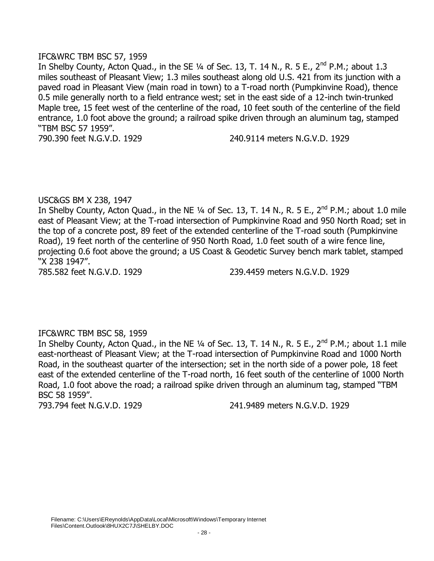### IFC&WRC TBM BSC 57, 1959

In Shelby County, Acton Quad., in the SE  $\frac{1}{4}$  of Sec. 13, T. 14 N., R. 5 E., 2<sup>nd</sup> P.M.; about 1.3 miles southeast of Pleasant View; 1.3 miles southeast along old U.S. 421 from its junction with a paved road in Pleasant View (main road in town) to a T-road north (Pumpkinvine Road), thence 0.5 mile generally north to a field entrance west; set in the east side of a 12-inch twin-trunked Maple tree, 15 feet west of the centerline of the road, 10 feet south of the centerline of the field entrance, 1.0 foot above the ground; a railroad spike driven through an aluminum tag, stamped "TBM BSC 57 1959".

790.390 feet N.G.V.D. 1929 240.9114 meters N.G.V.D. 1929

### USC&GS BM X 238, 1947

In Shelby County, Acton Quad., in the NE 1/4 of Sec. 13, T. 14 N., R. 5 E., 2<sup>nd</sup> P.M.; about 1.0 mile east of Pleasant View; at the T-road intersection of Pumpkinvine Road and 950 North Road; set in the top of a concrete post, 89 feet of the extended centerline of the T-road south (Pumpkinvine Road), 19 feet north of the centerline of 950 North Road, 1.0 feet south of a wire fence line, projecting 0.6 foot above the ground; a US Coast & Geodetic Survey bench mark tablet, stamped "X 238 1947".

785.582 feet N.G.V.D. 1929 239.4459 meters N.G.V.D. 1929

# IFC&WRC TBM BSC 58, 1959

In Shelby County, Acton Quad., in the NE  $\frac{1}{4}$  of Sec. 13, T. 14 N., R. 5 E., 2<sup>nd</sup> P.M.; about 1.1 mile east-northeast of Pleasant View; at the T-road intersection of Pumpkinvine Road and 1000 North Road, in the southeast quarter of the intersection; set in the north side of a power pole, 18 feet east of the extended centerline of the T-road north, 16 feet south of the centerline of 1000 North Road, 1.0 foot above the road; a railroad spike driven through an aluminum tag, stamped "TBM BSC 58 1959".

793.794 feet N.G.V.D. 1929 241.9489 meters N.G.V.D. 1929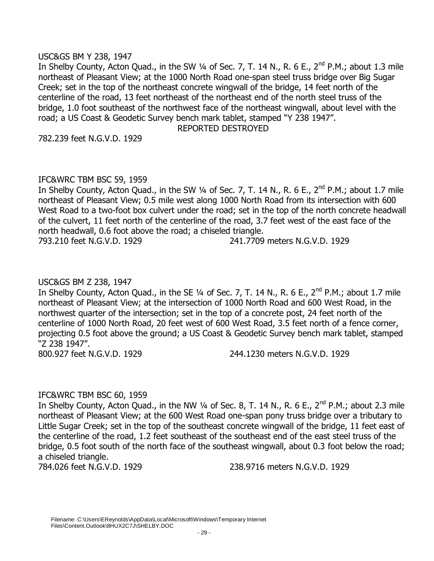### USC&GS BM Y 238, 1947

In Shelby County, Acton Quad., in the SW  $\frac{1}{4}$  of Sec. 7, T. 14 N., R. 6 E., 2<sup>nd</sup> P.M.; about 1.3 mile northeast of Pleasant View; at the 1000 North Road one-span steel truss bridge over Big Sugar Creek; set in the top of the northeast concrete wingwall of the bridge, 14 feet north of the centerline of the road, 13 feet northeast of the northeast end of the north steel truss of the bridge, 1.0 foot southeast of the northwest face of the northeast wingwall, about level with the road; a US Coast & Geodetic Survey bench mark tablet, stamped "Y 238 1947". REPORTED DESTROYED

782.239 feet N.G.V.D. 1929

# IFC&WRC TBM BSC 59, 1959

In Shelby County, Acton Quad., in the SW 1/4 of Sec. 7, T. 14 N., R. 6 E., 2<sup>nd</sup> P.M.; about 1.7 mile northeast of Pleasant View; 0.5 mile west along 1000 North Road from its intersection with 600 West Road to a two-foot box culvert under the road; set in the top of the north concrete headwall of the culvert, 11 feet north of the centerline of the road, 3.7 feet west of the east face of the north headwall, 0.6 foot above the road; a chiseled triangle.

793.210 feet N.G.V.D. 1929 241.7709 meters N.G.V.D. 1929

# USC&GS BM Z 238, 1947

In Shelby County, Acton Quad., in the SE  $\frac{1}{4}$  of Sec. 7, T. 14 N., R. 6 E., 2<sup>nd</sup> P.M.; about 1.7 mile northeast of Pleasant View; at the intersection of 1000 North Road and 600 West Road, in the northwest quarter of the intersection; set in the top of a concrete post, 24 feet north of the centerline of 1000 North Road, 20 feet west of 600 West Road, 3.5 feet north of a fence corner, projecting 0.5 foot above the ground; a US Coast & Geodetic Survey bench mark tablet, stamped "Z 238 1947".

800.927 feet N.G.V.D. 1929 244.1230 meters N.G.V.D. 1929

# IFC&WRC TBM BSC 60, 1959

In Shelby County, Acton Quad., in the NW  $\frac{1}{4}$  of Sec. 8, T. 14 N., R. 6 E., 2<sup>nd</sup> P.M.; about 2.3 mile northeast of Pleasant View; at the 600 West Road one-span pony truss bridge over a tributary to Little Sugar Creek; set in the top of the southeast concrete wingwall of the bridge, 11 feet east of the centerline of the road, 1.2 feet southeast of the southeast end of the east steel truss of the bridge, 0.5 foot south of the north face of the southeast wingwall, about 0.3 foot below the road; a chiseled triangle.

784.026 feet N.G.V.D. 1929 238.9716 meters N.G.V.D. 1929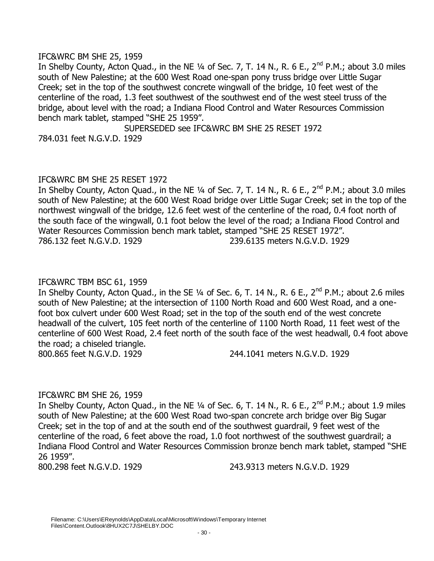### IFC&WRC BM SHE 25, 1959

In Shelby County, Acton Quad., in the NE 1/4 of Sec. 7, T. 14 N., R. 6 E., 2<sup>nd</sup> P.M.; about 3.0 miles south of New Palestine; at the 600 West Road one-span pony truss bridge over Little Sugar Creek; set in the top of the southwest concrete wingwall of the bridge, 10 feet west of the centerline of the road, 1.3 feet southwest of the southwest end of the west steel truss of the bridge, about level with the road; a Indiana Flood Control and Water Resources Commission bench mark tablet, stamped "SHE 25 1959".

SUPERSEDED see IFC&WRC BM SHE 25 RESET 1972 784.031 feet N.G.V.D. 1929

### IFC&WRC BM SHE 25 RESET 1972

In Shelby County, Acton Quad., in the NE  $\frac{1}{4}$  of Sec. 7, T. 14 N., R. 6 E., 2<sup>nd</sup> P.M.; about 3.0 miles south of New Palestine; at the 600 West Road bridge over Little Sugar Creek; set in the top of the northwest wingwall of the bridge, 12.6 feet west of the centerline of the road, 0.4 foot north of the south face of the wingwall, 0.1 foot below the level of the road; a Indiana Flood Control and Water Resources Commission bench mark tablet, stamped "SHE 25 RESET 1972". 786.132 feet N.G.V.D. 1929 239.6135 meters N.G.V.D. 1929

### IFC&WRC TBM BSC 61, 1959

In Shelby County, Acton Quad., in the SE  $\frac{1}{4}$  of Sec. 6, T. 14 N., R. 6 E., 2<sup>nd</sup> P.M.; about 2.6 miles south of New Palestine; at the intersection of 1100 North Road and 600 West Road, and a onefoot box culvert under 600 West Road; set in the top of the south end of the west concrete headwall of the culvert, 105 feet north of the centerline of 1100 North Road, 11 feet west of the centerline of 600 West Road, 2.4 feet north of the south face of the west headwall, 0.4 foot above the road; a chiseled triangle. 800.865 feet N.G.V.D. 1929 244.1041 meters N.G.V.D. 1929

IFC&WRC BM SHE 26, 1959 In Shelby County, Acton Quad., in the NE  $\frac{1}{4}$  of Sec. 6, T. 14 N., R. 6 E., 2<sup>nd</sup> P.M.; about 1.9 miles south of New Palestine; at the 600 West Road two-span concrete arch bridge over Big Sugar Creek; set in the top of and at the south end of the southwest guardrail, 9 feet west of the centerline of the road, 6 feet above the road, 1.0 foot northwest of the southwest guardrail; a Indiana Flood Control and Water Resources Commission bronze bench mark tablet, stamped "SHE 26 1959".

800.298 feet N.G.V.D. 1929 243.9313 meters N.G.V.D. 1929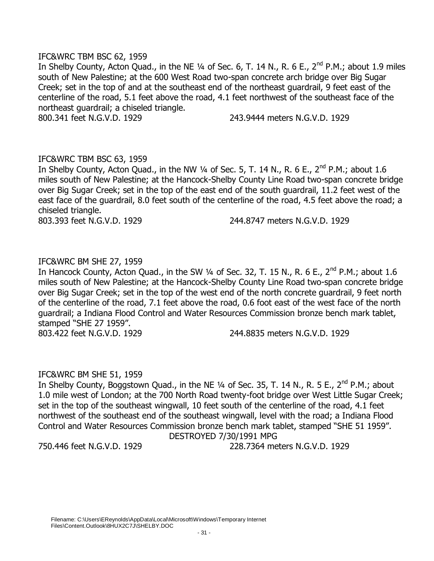### IFC&WRC TBM BSC 62, 1959

In Shelby County, Acton Quad., in the NE  $\frac{1}{4}$  of Sec. 6, T. 14 N., R. 6 E., 2<sup>nd</sup> P.M.; about 1.9 miles south of New Palestine; at the 600 West Road two-span concrete arch bridge over Big Sugar Creek; set in the top of and at the southeast end of the northeast guardrail, 9 feet east of the centerline of the road, 5.1 feet above the road, 4.1 feet northwest of the southeast face of the northeast guardrail; a chiseled triangle.

800.341 feet N.G.V.D. 1929 243.9444 meters N.G.V.D. 1929

# IFC&WRC TBM BSC 63, 1959

In Shelby County, Acton Quad., in the NW 1/4 of Sec. 5, T. 14 N., R. 6 E., 2<sup>nd</sup> P.M.; about 1.6 miles south of New Palestine; at the Hancock-Shelby County Line Road two-span concrete bridge over Big Sugar Creek; set in the top of the east end of the south guardrail, 11.2 feet west of the east face of the guardrail, 8.0 feet south of the centerline of the road, 4.5 feet above the road; a chiseled triangle.

803.393 feet N.G.V.D. 1929 244.8747 meters N.G.V.D. 1929

# IFC&WRC BM SHE 27, 1959

In Hancock County, Acton Quad., in the SW  $\frac{1}{4}$  of Sec. 32, T. 15 N., R. 6 E., 2<sup>nd</sup> P.M.; about 1.6 miles south of New Palestine; at the Hancock-Shelby County Line Road two-span concrete bridge over Big Sugar Creek; set in the top of the west end of the north concrete guardrail, 9 feet north of the centerline of the road, 7.1 feet above the road, 0.6 foot east of the west face of the north guardrail; a Indiana Flood Control and Water Resources Commission bronze bench mark tablet, stamped "SHE 27 1959". 803.422 feet N.G.V.D. 1929 244.8835 meters N.G.V.D. 1929

#### IFC&WRC BM SHE 51, 1959

In Shelby County, Boggstown Quad., in the NE 1/4 of Sec. 35, T. 14 N., R. 5 E., 2<sup>nd</sup> P.M.; about 1.0 mile west of London; at the 700 North Road twenty-foot bridge over West Little Sugar Creek; set in the top of the southeast wingwall, 10 feet south of the centerline of the road, 4.1 feet northwest of the southeast end of the southeast wingwall, level with the road; a Indiana Flood Control and Water Resources Commission bronze bench mark tablet, stamped "SHE 51 1959". DESTROYED 7/30/1991 MPG

750.446 feet N.G.V.D. 1929 228.7364 meters N.G.V.D. 1929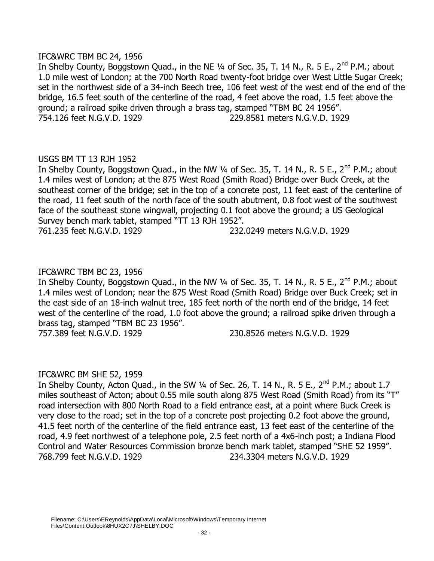### IFC&WRC TBM BC 24, 1956

In Shelby County, Boggstown Quad., in the NE 1/4 of Sec. 35, T. 14 N., R. 5 E., 2<sup>nd</sup> P.M.; about 1.0 mile west of London; at the 700 North Road twenty-foot bridge over West Little Sugar Creek; set in the northwest side of a 34-inch Beech tree, 106 feet west of the west end of the end of the bridge, 16.5 feet south of the centerline of the road, 4 feet above the road, 1.5 feet above the ground; a railroad spike driven through a brass tag, stamped "TBM BC 24 1956". 754.126 feet N.G.V.D. 1929 229.8581 meters N.G.V.D. 1929

# USGS BM TT 13 RJH 1952

In Shelby County, Boggstown Quad., in the NW  $\frac{1}{4}$  of Sec. 35, T. 14 N., R. 5 E., 2<sup>nd</sup> P.M.; about 1.4 miles west of London; at the 875 West Road (Smith Road) Bridge over Buck Creek, at the southeast corner of the bridge; set in the top of a concrete post, 11 feet east of the centerline of the road, 11 feet south of the north face of the south abutment, 0.8 foot west of the southwest face of the southeast stone wingwall, projecting 0.1 foot above the ground; a US Geological Survey bench mark tablet, stamped "TT 13 RJH 1952". 761.235 feet N.G.V.D. 1929 232.0249 meters N.G.V.D. 1929

# IFC&WRC TBM BC 23, 1956

In Shelby County, Boggstown Quad., in the NW  $\frac{1}{4}$  of Sec. 35, T. 14 N., R. 5 E., 2<sup>nd</sup> P.M.; about 1.4 miles west of London; near the 875 West Road (Smith Road) Bridge over Buck Creek; set in the east side of an 18-inch walnut tree, 185 feet north of the north end of the bridge, 14 feet west of the centerline of the road, 1.0 foot above the ground; a railroad spike driven through a brass tag, stamped "TBM BC 23 1956". 757.389 feet N.G.V.D. 1929 230.8526 meters N.G.V.D. 1929

# IFC&WRC BM SHE 52, 1959

In Shelby County, Acton Quad., in the SW  $\frac{1}{4}$  of Sec. 26, T. 14 N., R. 5 E., 2<sup>nd</sup> P.M.; about 1.7 miles southeast of Acton; about 0.55 mile south along 875 West Road (Smith Road) from its "T" road intersection with 800 North Road to a field entrance east, at a point where Buck Creek is very close to the road; set in the top of a concrete post projecting 0.2 foot above the ground, 41.5 feet north of the centerline of the field entrance east, 13 feet east of the centerline of the road, 4.9 feet northwest of a telephone pole, 2.5 feet north of a 4x6-inch post; a Indiana Flood Control and Water Resources Commission bronze bench mark tablet, stamped "SHE 52 1959". 768.799 feet N.G.V.D. 1929 234.3304 meters N.G.V.D. 1929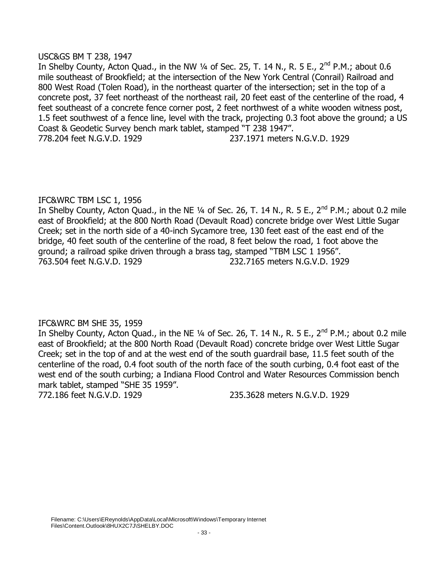### USC&GS BM T 238, 1947

In Shelby County, Acton Quad., in the NW  $\frac{1}{4}$  of Sec. 25, T. 14 N., R. 5 E., 2<sup>nd</sup> P.M.; about 0.6 mile southeast of Brookfield; at the intersection of the New York Central (Conrail) Railroad and 800 West Road (Tolen Road), in the northeast quarter of the intersection; set in the top of a concrete post, 37 feet northeast of the northeast rail, 20 feet east of the centerline of the road, 4 feet southeast of a concrete fence corner post, 2 feet northwest of a white wooden witness post, 1.5 feet southwest of a fence line, level with the track, projecting 0.3 foot above the ground; a US Coast & Geodetic Survey bench mark tablet, stamped "T 238 1947". 778.204 feet N.G.V.D. 1929 237.1971 meters N.G.V.D. 1929

# IFC&WRC TBM LSC 1, 1956

In Shelby County, Acton Quad., in the NE 1/4 of Sec. 26, T. 14 N., R. 5 E., 2<sup>nd</sup> P.M.; about 0.2 mile east of Brookfield; at the 800 North Road (Devault Road) concrete bridge over West Little Sugar Creek; set in the north side of a 40-inch Sycamore tree, 130 feet east of the east end of the bridge, 40 feet south of the centerline of the road, 8 feet below the road, 1 foot above the ground; a railroad spike driven through a brass tag, stamped "TBM LSC 1 1956". 763.504 feet N.G.V.D. 1929 232.7165 meters N.G.V.D. 1929

# IFC&WRC BM SHE 35, 1959

In Shelby County, Acton Quad., in the NE  $\frac{1}{4}$  of Sec. 26, T. 14 N., R. 5 E., 2<sup>nd</sup> P.M.; about 0.2 mile east of Brookfield; at the 800 North Road (Devault Road) concrete bridge over West Little Sugar Creek; set in the top of and at the west end of the south guardrail base, 11.5 feet south of the centerline of the road, 0.4 foot south of the north face of the south curbing, 0.4 foot east of the west end of the south curbing; a Indiana Flood Control and Water Resources Commission bench mark tablet, stamped "SHE 35 1959".

772.186 feet N.G.V.D. 1929 235.3628 meters N.G.V.D. 1929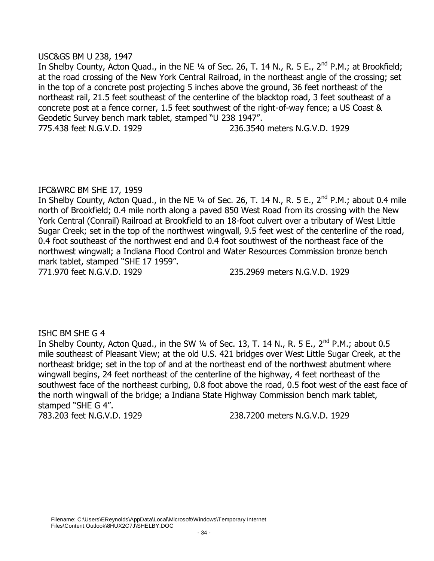### USC&GS BM U 238, 1947

In Shelby County, Acton Quad., in the NE  $\frac{1}{4}$  of Sec. 26, T. 14 N., R. 5 E., 2<sup>nd</sup> P.M.; at Brookfield; at the road crossing of the New York Central Railroad, in the northeast angle of the crossing; set in the top of a concrete post projecting 5 inches above the ground, 36 feet northeast of the northeast rail, 21.5 feet southeast of the centerline of the blacktop road, 3 feet southeast of a concrete post at a fence corner, 1.5 feet southwest of the right-of-way fence; a US Coast & Geodetic Survey bench mark tablet, stamped "U 238 1947". 775.438 feet N.G.V.D. 1929 236.3540 meters N.G.V.D. 1929

# IFC&WRC BM SHE 17, 1959

In Shelby County, Acton Quad., in the NE 1/4 of Sec. 26, T. 14 N., R. 5 E., 2<sup>nd</sup> P.M.; about 0.4 mile north of Brookfield; 0.4 mile north along a paved 850 West Road from its crossing with the New York Central (Conrail) Railroad at Brookfield to an 18-foot culvert over a tributary of West Little Sugar Creek; set in the top of the northwest wingwall, 9.5 feet west of the centerline of the road, 0.4 foot southeast of the northwest end and 0.4 foot southwest of the northeast face of the northwest wingwall; a Indiana Flood Control and Water Resources Commission bronze bench mark tablet, stamped "SHE 17 1959".

771.970 feet N.G.V.D. 1929 235.2969 meters N.G.V.D. 1929

#### ISHC BM SHE G 4

In Shelby County, Acton Quad., in the SW  $\frac{1}{4}$  of Sec. 13, T. 14 N., R. 5 E., 2<sup>nd</sup> P.M.; about 0.5 mile southeast of Pleasant View; at the old U.S. 421 bridges over West Little Sugar Creek, at the northeast bridge; set in the top of and at the northeast end of the northwest abutment where wingwall begins, 24 feet northeast of the centerline of the highway, 4 feet northeast of the southwest face of the northeast curbing, 0.8 foot above the road, 0.5 foot west of the east face of the north wingwall of the bridge; a Indiana State Highway Commission bench mark tablet, stamped "SHE G 4".

783.203 feet N.G.V.D. 1929 238.7200 meters N.G.V.D. 1929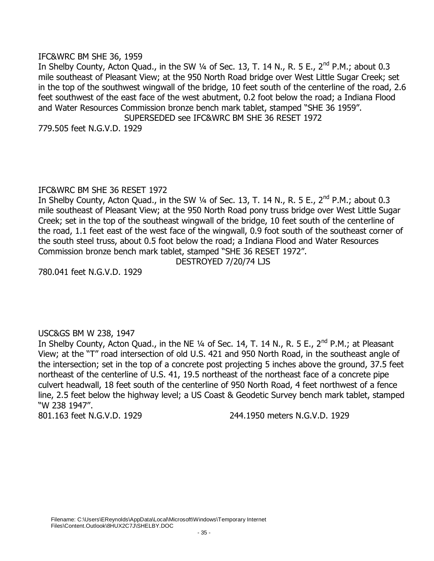### IFC&WRC BM SHE 36, 1959

In Shelby County, Acton Quad., in the SW  $\frac{1}{4}$  of Sec. 13, T. 14 N., R. 5 E., 2<sup>nd</sup> P.M.; about 0.3 mile southeast of Pleasant View; at the 950 North Road bridge over West Little Sugar Creek; set in the top of the southwest wingwall of the bridge, 10 feet south of the centerline of the road, 2.6 feet southwest of the east face of the west abutment, 0.2 foot below the road; a Indiana Flood and Water Resources Commission bronze bench mark tablet, stamped "SHE 36 1959". SUPERSEDED see IFC&WRC BM SHE 36 RESET 1972

779.505 feet N.G.V.D. 1929

# IFC&WRC BM SHE 36 RESET 1972

In Shelby County, Acton Quad., in the SW  $\frac{1}{4}$  of Sec. 13, T. 14 N., R. 5 E., 2<sup>nd</sup> P.M.; about 0.3 mile southeast of Pleasant View; at the 950 North Road pony truss bridge over West Little Sugar Creek; set in the top of the southeast wingwall of the bridge, 10 feet south of the centerline of the road, 1.1 feet east of the west face of the wingwall, 0.9 foot south of the southeast corner of the south steel truss, about 0.5 foot below the road; a Indiana Flood and Water Resources Commission bronze bench mark tablet, stamped "SHE 36 RESET 1972".

DESTROYED 7/20/74 LJS

780.041 feet N.G.V.D. 1929

# USC&GS BM W 238, 1947

In Shelby County, Acton Quad., in the NE 1/4 of Sec. 14, T. 14 N., R. 5 E., 2<sup>nd</sup> P.M.; at Pleasant View; at the "T" road intersection of old U.S. 421 and 950 North Road, in the southeast angle of the intersection; set in the top of a concrete post projecting 5 inches above the ground, 37.5 feet northeast of the centerline of U.S. 41, 19.5 northeast of the northeast face of a concrete pipe culvert headwall, 18 feet south of the centerline of 950 North Road, 4 feet northwest of a fence line, 2.5 feet below the highway level; a US Coast & Geodetic Survey bench mark tablet, stamped "W 238 1947".

801.163 feet N.G.V.D. 1929 244.1950 meters N.G.V.D. 1929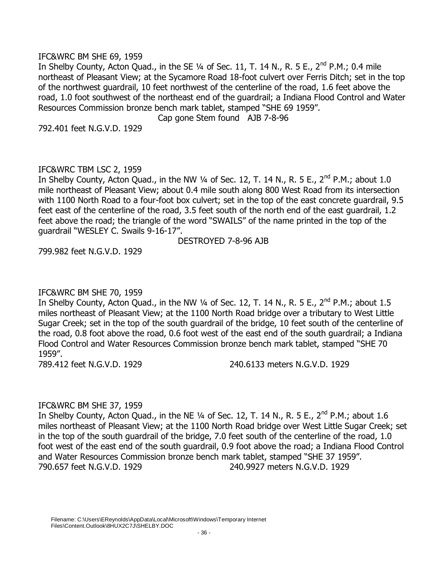### IFC&WRC BM SHE 69, 1959

In Shelby County, Acton Quad., in the SE  $\frac{1}{4}$  of Sec. 11, T. 14 N., R. 5 E., 2<sup>nd</sup> P.M.; 0.4 mile northeast of Pleasant View; at the Sycamore Road 18-foot culvert over Ferris Ditch; set in the top of the northwest guardrail, 10 feet northwest of the centerline of the road, 1.6 feet above the road, 1.0 foot southwest of the northeast end of the guardrail; a Indiana Flood Control and Water Resources Commission bronze bench mark tablet, stamped "SHE 69 1959".

Cap gone Stem found AJB 7-8-96

792.401 feet N.G.V.D. 1929

# IFC&WRC TBM LSC 2, 1959

In Shelby County, Acton Quad., in the NW  $\frac{1}{4}$  of Sec. 12, T. 14 N., R. 5 E., 2<sup>nd</sup> P.M.; about 1.0 mile northeast of Pleasant View; about 0.4 mile south along 800 West Road from its intersection with 1100 North Road to a four-foot box culvert; set in the top of the east concrete guardrail, 9.5 feet east of the centerline of the road, 3.5 feet south of the north end of the east guardrail, 1.2 feet above the road; the triangle of the word "SWAILS" of the name printed in the top of the guardrail "WESLEY C. Swails 9-16-17".

DESTROYED 7-8-96 AJB

799.982 feet N.G.V.D. 1929

# IFC&WRC BM SHE 70, 1959

In Shelby County, Acton Quad., in the NW  $\frac{1}{4}$  of Sec. 12, T. 14 N., R. 5 E., 2<sup>nd</sup> P.M.; about 1.5 miles northeast of Pleasant View; at the 1100 North Road bridge over a tributary to West Little Sugar Creek; set in the top of the south guardrail of the bridge, 10 feet south of the centerline of the road, 0.8 foot above the road, 0.6 foot west of the east end of the south guardrail; a Indiana Flood Control and Water Resources Commission bronze bench mark tablet, stamped "SHE 70 1959".

789.412 feet N.G.V.D. 1929 240.6133 meters N.G.V.D. 1929

# IFC&WRC BM SHE 37, 1959

In Shelby County, Acton Quad., in the NE 1/4 of Sec. 12, T. 14 N., R. 5 E., 2<sup>nd</sup> P.M.; about 1.6 miles northeast of Pleasant View; at the 1100 North Road bridge over West Little Sugar Creek; set in the top of the south guardrail of the bridge, 7.0 feet south of the centerline of the road, 1.0 foot west of the east end of the south guardrail, 0.9 foot above the road; a Indiana Flood Control and Water Resources Commission bronze bench mark tablet, stamped "SHE 37 1959". 790.657 feet N.G.V.D. 1929 240.9927 meters N.G.V.D. 1929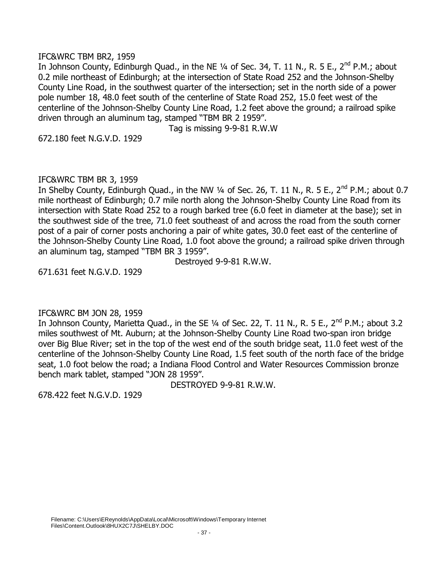### IFC&WRC TBM BR2, 1959

In Johnson County, Edinburgh Quad., in the NE  $\frac{1}{4}$  of Sec. 34, T. 11 N., R. 5 E., 2<sup>nd</sup> P.M.; about 0.2 mile northeast of Edinburgh; at the intersection of State Road 252 and the Johnson-Shelby County Line Road, in the southwest quarter of the intersection; set in the north side of a power pole number 18, 48.0 feet south of the centerline of State Road 252, 15.0 feet west of the centerline of the Johnson-Shelby County Line Road, 1.2 feet above the ground; a railroad spike driven through an aluminum tag, stamped "TBM BR 2 1959".

Tag is missing 9-9-81 R.W.W

672.180 feet N.G.V.D. 1929

## IFC&WRC TBM BR 3, 1959

In Shelby County, Edinburgh Quad., in the NW 1/4 of Sec. 26, T. 11 N., R. 5 E., 2<sup>nd</sup> P.M.; about 0.7 mile northeast of Edinburgh; 0.7 mile north along the Johnson-Shelby County Line Road from its intersection with State Road 252 to a rough barked tree (6.0 feet in diameter at the base); set in the southwest side of the tree, 71.0 feet southeast of and across the road from the south corner post of a pair of corner posts anchoring a pair of white gates, 30.0 feet east of the centerline of the Johnson-Shelby County Line Road, 1.0 foot above the ground; a railroad spike driven through an aluminum tag, stamped "TBM BR 3 1959".

Destroyed 9-9-81 R.W.W.

671.631 feet N.G.V.D. 1929

### IFC&WRC BM JON 28, 1959

In Johnson County, Marietta Quad., in the SE  $\frac{1}{4}$  of Sec. 22, T. 11 N., R. 5 E., 2<sup>nd</sup> P.M.; about 3.2 miles southwest of Mt. Auburn; at the Johnson-Shelby County Line Road two-span iron bridge over Big Blue River; set in the top of the west end of the south bridge seat, 11.0 feet west of the centerline of the Johnson-Shelby County Line Road, 1.5 feet south of the north face of the bridge seat, 1.0 foot below the road; a Indiana Flood Control and Water Resources Commission bronze bench mark tablet, stamped "JON 28 1959".

DESTROYED 9-9-81 R.W.W.

678.422 feet N.G.V.D. 1929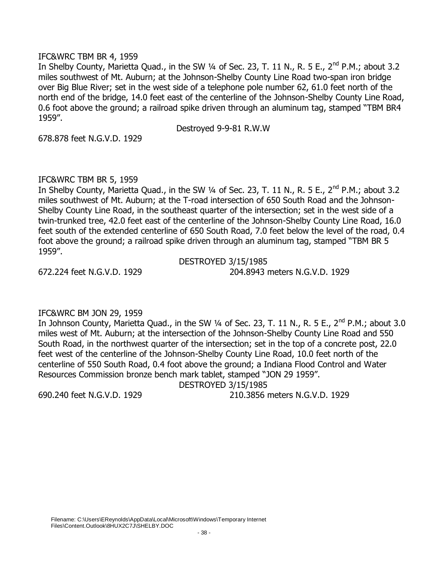## IFC&WRC TBM BR 4, 1959

In Shelby County, Marietta Quad., in the SW 1/4 of Sec. 23, T. 11 N., R. 5 E., 2<sup>nd</sup> P.M.; about 3.2 miles southwest of Mt. Auburn; at the Johnson-Shelby County Line Road two-span iron bridge over Big Blue River; set in the west side of a telephone pole number 62, 61.0 feet north of the north end of the bridge, 14.0 feet east of the centerline of the Johnson-Shelby County Line Road, 0.6 foot above the ground; a railroad spike driven through an aluminum tag, stamped "TBM BR4 1959".

Destroyed 9-9-81 R.W.W

678.878 feet N.G.V.D. 1929

# IFC&WRC TBM BR 5, 1959

In Shelby County, Marietta Quad., in the SW 1/4 of Sec. 23, T. 11 N., R. 5 E., 2<sup>nd</sup> P.M.; about 3.2 miles southwest of Mt. Auburn; at the T-road intersection of 650 South Road and the Johnson-Shelby County Line Road, in the southeast quarter of the intersection; set in the west side of a twin-trunked tree, 42.0 feet east of the centerline of the Johnson-Shelby County Line Road, 16.0 feet south of the extended centerline of 650 South Road, 7.0 feet below the level of the road, 0.4 foot above the ground; a railroad spike driven through an aluminum tag, stamped "TBM BR 5 1959".

DESTROYED 3/15/1985 672.224 feet N.G.V.D. 1929 204.8943 meters N.G.V.D. 1929

# IFC&WRC BM JON 29, 1959

In Johnson County, Marietta Quad., in the SW  $\frac{1}{4}$  of Sec. 23, T. 11 N., R. 5 E., 2<sup>nd</sup> P.M.; about 3.0 miles west of Mt. Auburn; at the intersection of the Johnson-Shelby County Line Road and 550 South Road, in the northwest quarter of the intersection; set in the top of a concrete post, 22.0 feet west of the centerline of the Johnson-Shelby County Line Road, 10.0 feet north of the centerline of 550 South Road, 0.4 foot above the ground; a Indiana Flood Control and Water Resources Commission bronze bench mark tablet, stamped "JON 29 1959".

DESTROYED 3/15/1985

690.240 feet N.G.V.D. 1929 210.3856 meters N.G.V.D. 1929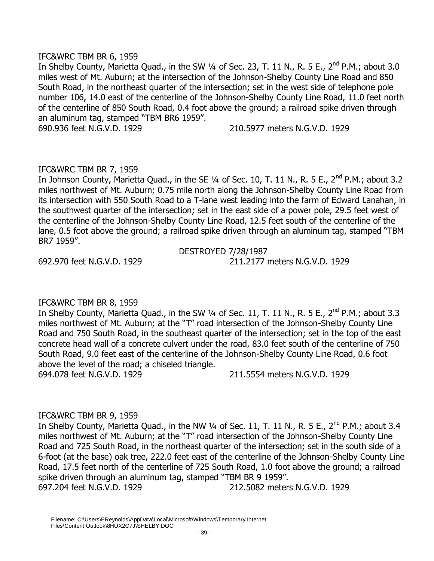## IFC&WRC TBM BR 6, 1959

In Shelby County, Marietta Quad., in the SW 1/4 of Sec. 23, T. 11 N., R. 5 E., 2<sup>nd</sup> P.M.; about 3.0 miles west of Mt. Auburn; at the intersection of the Johnson-Shelby County Line Road and 850 South Road, in the northeast quarter of the intersection; set in the west side of telephone pole number 106, 14.0 east of the centerline of the Johnson-Shelby County Line Road, 11.0 feet north of the centerline of 850 South Road, 0.4 foot above the ground; a railroad spike driven through an aluminum tag, stamped "TBM BR6 1959".

690.936 feet N.G.V.D. 1929 210.5977 meters N.G.V.D. 1929

# IFC&WRC TBM BR 7, 1959

In Johnson County, Marietta Quad., in the SE  $\frac{1}{4}$  of Sec. 10, T. 11 N., R. 5 E., 2<sup>nd</sup> P.M.; about 3.2 miles northwest of Mt. Auburn; 0.75 mile north along the Johnson-Shelby County Line Road from its intersection with 550 South Road to a T-lane west leading into the farm of Edward Lanahan, in the southwest quarter of the intersection; set in the east side of a power pole, 29.5 feet west of the centerline of the Johnson-Shelby County Line Road, 12.5 feet south of the centerline of the lane, 0.5 foot above the ground; a railroad spike driven through an aluminum tag, stamped "TBM BR7 1959".

DESTROYED 7/28/1987 692.970 feet N.G.V.D. 1929 211.2177 meters N.G.V.D. 1929

# IFC&WRC TBM BR 8, 1959

In Shelby County, Marietta Quad., in the SW  $\frac{1}{4}$  of Sec. 11, T. 11 N., R. 5 E., 2<sup>nd</sup> P.M.; about 3.3 miles northwest of Mt. Auburn; at the "T" road intersection of the Johnson-Shelby County Line Road and 750 South Road, in the southeast quarter of the intersection; set in the top of the east concrete head wall of a concrete culvert under the road, 83.0 feet south of the centerline of 750 South Road, 9.0 feet east of the centerline of the Johnson-Shelby County Line Road, 0.6 foot above the level of the road; a chiseled triangle. 694.078 feet N.G.V.D. 1929 211.5554 meters N.G.V.D. 1929

# IFC&WRC TBM BR 9, 1959

In Shelby County, Marietta Quad., in the NW 1/4 of Sec. 11, T. 11 N., R. 5 E., 2<sup>nd</sup> P.M.; about 3.4 miles northwest of Mt. Auburn; at the "T" road intersection of the Johnson-Shelby County Line Road and 725 South Road, in the northeast quarter of the intersection; set in the south side of a 6-foot (at the base) oak tree, 222.0 feet east of the centerline of the Johnson-Shelby County Line Road, 17.5 feet north of the centerline of 725 South Road, 1.0 foot above the ground; a railroad spike driven through an aluminum tag, stamped "TBM BR 9 1959". 697.204 feet N.G.V.D. 1929 212.5082 meters N.G.V.D. 1929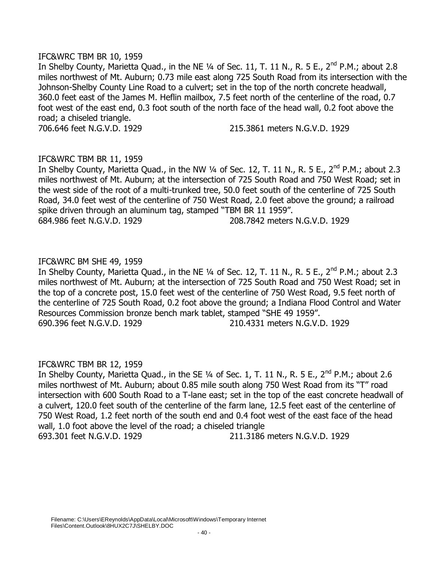## IFC&WRC TBM BR 10, 1959

In Shelby County, Marietta Quad., in the NE  $\frac{1}{4}$  of Sec. 11, T. 11 N., R. 5 E., 2<sup>nd</sup> P.M.; about 2.8 miles northwest of Mt. Auburn; 0.73 mile east along 725 South Road from its intersection with the Johnson-Shelby County Line Road to a culvert; set in the top of the north concrete headwall, 360.0 feet east of the James M. Heflin mailbox, 7.5 feet north of the centerline of the road, 0.7 foot west of the east end, 0.3 foot south of the north face of the head wall, 0.2 foot above the road; a chiseled triangle.

706.646 feet N.G.V.D. 1929 215.3861 meters N.G.V.D. 1929

# IFC&WRC TBM BR 11, 1959

In Shelby County, Marietta Quad., in the NW 1/4 of Sec. 12, T. 11 N., R. 5 E., 2<sup>nd</sup> P.M.; about 2.3 miles northwest of Mt. Auburn; at the intersection of 725 South Road and 750 West Road; set in the west side of the root of a multi-trunked tree, 50.0 feet south of the centerline of 725 South Road, 34.0 feet west of the centerline of 750 West Road, 2.0 feet above the ground; a railroad spike driven through an aluminum tag, stamped "TBM BR 11 1959". 684.986 feet N.G.V.D. 1929 208.7842 meters N.G.V.D. 1929

# IFC&WRC BM SHE 49, 1959

In Shelby County, Marietta Quad., in the NE  $\frac{1}{4}$  of Sec. 12, T. 11 N., R. 5 E., 2<sup>nd</sup> P.M.; about 2.3 miles northwest of Mt. Auburn; at the intersection of 725 South Road and 750 West Road; set in the top of a concrete post, 15.0 feet west of the centerline of 750 West Road, 9.5 feet north of the centerline of 725 South Road, 0.2 foot above the ground; a Indiana Flood Control and Water Resources Commission bronze bench mark tablet, stamped "SHE 49 1959". 690.396 feet N.G.V.D. 1929 210.4331 meters N.G.V.D. 1929

# IFC&WRC TBM BR 12, 1959

In Shelby County, Marietta Quad., in the SE  $\frac{1}{4}$  of Sec. 1, T. 11 N., R. 5 E., 2<sup>nd</sup> P.M.; about 2.6 miles northwest of Mt. Auburn; about 0.85 mile south along 750 West Road from its "T" road intersection with 600 South Road to a T-lane east; set in the top of the east concrete headwall of a culvert, 120.0 feet south of the centerline of the farm lane, 12.5 feet east of the centerline of 750 West Road, 1.2 feet north of the south end and 0.4 foot west of the east face of the head wall, 1.0 foot above the level of the road; a chiseled triangle 693.301 feet N.G.V.D. 1929 211.3186 meters N.G.V.D. 1929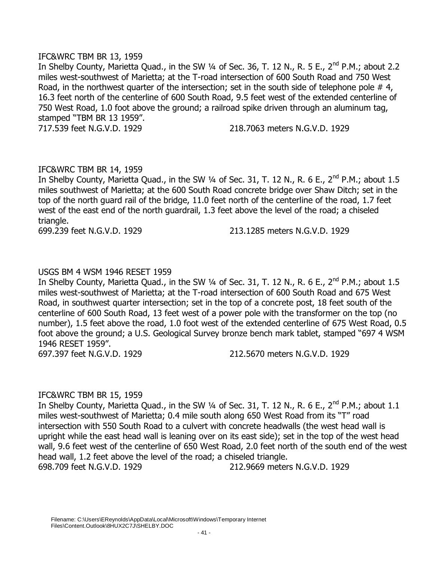## IFC&WRC TBM BR 13, 1959

In Shelby County, Marietta Quad., in the SW 1/4 of Sec. 36, T. 12 N., R. 5 E., 2<sup>nd</sup> P.M.; about 2.2 miles west-southwest of Marietta; at the T-road intersection of 600 South Road and 750 West Road, in the northwest quarter of the intersection; set in the south side of telephone pole  $\#$  4, 16.3 feet north of the centerline of 600 South Road, 9.5 feet west of the extended centerline of 750 West Road, 1.0 foot above the ground; a railroad spike driven through an aluminum tag, stamped "TBM BR 13 1959". 717.539 feet N.G.V.D. 1929 218.7063 meters N.G.V.D. 1929

# IFC&WRC TBM BR 14, 1959

In Shelby County, Marietta Quad., in the SW 1/4 of Sec. 31, T. 12 N., R. 6 E., 2<sup>nd</sup> P.M.; about 1.5 miles southwest of Marietta; at the 600 South Road concrete bridge over Shaw Ditch; set in the top of the north guard rail of the bridge, 11.0 feet north of the centerline of the road, 1.7 feet west of the east end of the north guardrail, 1.3 feet above the level of the road; a chiseled triangle.

699.239 feet N.G.V.D. 1929 213.1285 meters N.G.V.D. 1929

# USGS BM 4 WSM 1946 RESET 1959

In Shelby County, Marietta Quad., in the SW 1/4 of Sec. 31, T. 12 N., R. 6 E., 2<sup>nd</sup> P.M.; about 1.5 miles west-southwest of Marietta; at the T-road intersection of 600 South Road and 675 West Road, in southwest quarter intersection; set in the top of a concrete post, 18 feet south of the centerline of 600 South Road, 13 feet west of a power pole with the transformer on the top (no number), 1.5 feet above the road, 1.0 foot west of the extended centerline of 675 West Road, 0.5 foot above the ground; a U.S. Geological Survey bronze bench mark tablet, stamped "697 4 WSM 1946 RESET 1959".

697.397 feet N.G.V.D. 1929 212.5670 meters N.G.V.D. 1929

# IFC&WRC TBM BR 15, 1959

In Shelby County, Marietta Quad., in the SW  $\frac{1}{4}$  of Sec. 31, T. 12 N., R. 6 E., 2<sup>nd</sup> P.M.; about 1.1 miles west-southwest of Marietta; 0.4 mile south along 650 West Road from its "T" road intersection with 550 South Road to a culvert with concrete headwalls (the west head wall is upright while the east head wall is leaning over on its east side); set in the top of the west head wall, 9.6 feet west of the centerline of 650 West Road, 2.0 feet north of the south end of the west head wall, 1.2 feet above the level of the road; a chiseled triangle. 698.709 feet N.G.V.D. 1929 212.9669 meters N.G.V.D. 1929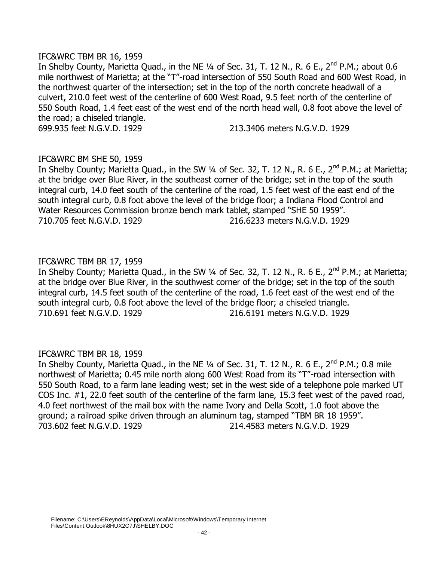### IFC&WRC TBM BR 16, 1959

In Shelby County, Marietta Quad., in the NE  $\frac{1}{4}$  of Sec. 31, T. 12 N., R. 6 E., 2<sup>nd</sup> P.M.; about 0.6 mile northwest of Marietta; at the "T"-road intersection of 550 South Road and 600 West Road, in the northwest quarter of the intersection; set in the top of the north concrete headwall of a culvert, 210.0 feet west of the centerline of 600 West Road, 9.5 feet north of the centerline of 550 South Road, 1.4 feet east of the west end of the north head wall, 0.8 foot above the level of the road; a chiseled triangle. 699.935 feet N.G.V.D. 1929 213.3406 meters N.G.V.D. 1929

# IFC&WRC BM SHE 50, 1959

In Shelby County; Marietta Quad., in the SW 1/4 of Sec. 32, T. 12 N., R. 6 E., 2<sup>nd</sup> P.M.; at Marietta; at the bridge over Blue River, in the southeast corner of the bridge; set in the top of the south integral curb, 14.0 feet south of the centerline of the road, 1.5 feet west of the east end of the south integral curb, 0.8 foot above the level of the bridge floor; a Indiana Flood Control and Water Resources Commission bronze bench mark tablet, stamped "SHE 50 1959". 710.705 feet N.G.V.D. 1929 216.6233 meters N.G.V.D. 1929

# IFC&WRC TBM BR 17, 1959

In Shelby County; Marietta Quad., in the SW 1/4 of Sec. 32, T. 12 N., R. 6 E., 2<sup>nd</sup> P.M.; at Marietta; at the bridge over Blue River, in the southwest corner of the bridge; set in the top of the south integral curb, 14.5 feet south of the centerline of the road, 1.6 feet east of the west end of the south integral curb, 0.8 foot above the level of the bridge floor; a chiseled triangle. 710.691 feet N.G.V.D. 1929 216.6191 meters N.G.V.D. 1929

# IFC&WRC TBM BR 18, 1959

In Shelby County, Marietta Quad., in the NE 1/4 of Sec. 31, T. 12 N., R. 6 E., 2<sup>nd</sup> P.M.; 0.8 mile northwest of Marietta; 0.45 mile north along 600 West Road from its "T"-road intersection with 550 South Road, to a farm lane leading west; set in the west side of a telephone pole marked UT COS Inc. #1, 22.0 feet south of the centerline of the farm lane, 15.3 feet west of the paved road, 4.0 feet northwest of the mail box with the name Ivory and Della Scott, 1.0 foot above the ground; a railroad spike driven through an aluminum tag, stamped "TBM BR 18 1959". 703.602 feet N.G.V.D. 1929 214.4583 meters N.G.V.D. 1929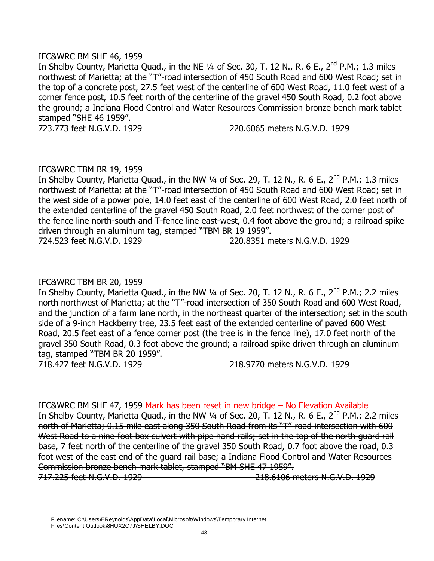## IFC&WRC BM SHE 46, 1959

In Shelby County, Marietta Quad., in the NE  $\frac{1}{4}$  of Sec. 30, T. 12 N., R. 6 E., 2<sup>nd</sup> P.M.; 1.3 miles northwest of Marietta; at the "T"-road intersection of 450 South Road and 600 West Road; set in the top of a concrete post, 27.5 feet west of the centerline of 600 West Road, 11.0 feet west of a corner fence post, 10.5 feet north of the centerline of the gravel 450 South Road, 0.2 foot above the ground; a Indiana Flood Control and Water Resources Commission bronze bench mark tablet stamped "SHE 46 1959".

723.773 feet N.G.V.D. 1929 220.6065 meters N.G.V.D. 1929

# IFC&WRC TBM BR 19, 1959

In Shelby County, Marietta Quad., in the NW  $\frac{1}{4}$  of Sec. 29, T. 12 N., R. 6 E., 2<sup>nd</sup> P.M.; 1.3 miles northwest of Marietta; at the "T"-road intersection of 450 South Road and 600 West Road; set in the west side of a power pole, 14.0 feet east of the centerline of 600 West Road, 2.0 feet north of the extended centerline of the gravel 450 South Road, 2.0 feet northwest of the corner post of the fence line north-south and T-fence line east-west, 0.4 foot above the ground; a railroad spike driven through an aluminum tag, stamped "TBM BR 19 1959".

724.523 feet N.G.V.D. 1929 220.8351 meters N.G.V.D. 1929

# IFC&WRC TBM BR 20, 1959

In Shelby County, Marietta Quad., in the NW 1/4 of Sec. 20, T. 12 N., R. 6 E., 2<sup>nd</sup> P.M.; 2.2 miles north northwest of Marietta; at the "T"-road intersection of 350 South Road and 600 West Road, and the junction of a farm lane north, in the northeast quarter of the intersection; set in the south side of a 9-inch Hackberry tree, 23.5 feet east of the extended centerline of paved 600 West Road, 20.5 feet east of a fence corner post (the tree is in the fence line), 17.0 feet north of the gravel 350 South Road, 0.3 foot above the ground; a railroad spike driven through an aluminum tag, stamped "TBM BR 20 1959".

718.427 feet N.G.V.D. 1929 218.9770 meters N.G.V.D. 1929

IFC&WRC BM SHE 47, 1959 Mark has been reset in new bridge – No Elevation Available In Shelby County, Marietta Quad., in the NW 1/4 of Sec. 20, T. 12 N., R. 6 E., 2<sup>nd</sup> P.M.; 2.2 miles north of Marietta; 0.15 mile east along 350 South Road from its "T"-road intersection with 600 West Road to a nine-foot box culvert with pipe hand rails; set in the top of the north quard rail base, 7 feet north of the centerline of the gravel 350 South Road, 0.7 foot above the road, 0.3 foot west of the east end of the guard rail base; a Indiana Flood Control and Water Resources Commission bronze bench mark tablet, stamped "BM SHE 47 1959". 717.225 feet N.G.V.D. 1929 218.6106 meters N.G.V.D. 1929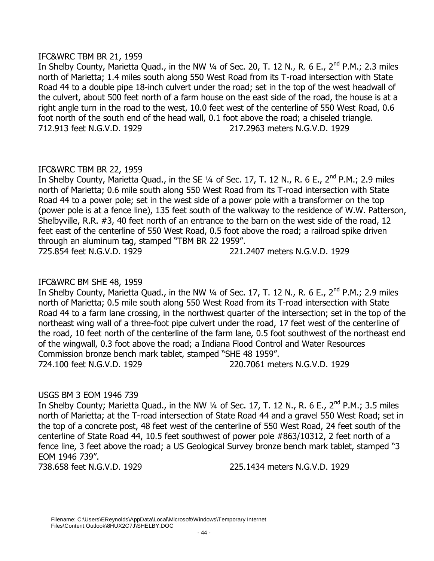## IFC&WRC TBM BR 21, 1959

In Shelby County, Marietta Quad., in the NW  $\frac{1}{4}$  of Sec. 20, T. 12 N., R. 6 E., 2<sup>nd</sup> P.M.; 2.3 miles north of Marietta; 1.4 miles south along 550 West Road from its T-road intersection with State Road 44 to a double pipe 18-inch culvert under the road; set in the top of the west headwall of the culvert, about 500 feet north of a farm house on the east side of the road, the house is at a right angle turn in the road to the west, 10.0 feet west of the centerline of 550 West Road, 0.6 foot north of the south end of the head wall, 0.1 foot above the road; a chiseled triangle. 712.913 feet N.G.V.D. 1929 217.2963 meters N.G.V.D. 1929

# IFC&WRC TBM BR 22, 1959

In Shelby County, Marietta Quad., in the SE 1/4 of Sec. 17, T. 12 N., R. 6 E., 2<sup>nd</sup> P.M.; 2.9 miles north of Marietta; 0.6 mile south along 550 West Road from its T-road intersection with State Road 44 to a power pole; set in the west side of a power pole with a transformer on the top (power pole is at a fence line), 135 feet south of the walkway to the residence of W.W. Patterson, Shelbyville, R.R. #3, 40 feet north of an entrance to the barn on the west side of the road, 12 feet east of the centerline of 550 West Road, 0.5 foot above the road; a railroad spike driven through an aluminum tag, stamped "TBM BR 22 1959". 725.854 feet N.G.V.D. 1929 221.2407 meters N.G.V.D. 1929

# IFC&WRC BM SHE 48, 1959

In Shelby County, Marietta Quad., in the NW 1/4 of Sec. 17, T. 12 N., R. 6 E., 2<sup>nd</sup> P.M.; 2.9 miles north of Marietta; 0.5 mile south along 550 West Road from its T-road intersection with State Road 44 to a farm lane crossing, in the northwest quarter of the intersection; set in the top of the northeast wing wall of a three-foot pipe culvert under the road, 17 feet west of the centerline of the road, 10 feet north of the centerline of the farm lane, 0.5 foot southwest of the northeast end of the wingwall, 0.3 foot above the road; a Indiana Flood Control and Water Resources Commission bronze bench mark tablet, stamped "SHE 48 1959". 724.100 feet N.G.V.D. 1929 220.7061 meters N.G.V.D. 1929

# USGS BM 3 EOM 1946 739

In Shelby County; Marietta Quad., in the NW  $\frac{1}{4}$  of Sec. 17, T. 12 N., R. 6 E., 2<sup>nd</sup> P.M.; 3.5 miles north of Marietta; at the T-road intersection of State Road 44 and a gravel 550 West Road; set in the top of a concrete post, 48 feet west of the centerline of 550 West Road, 24 feet south of the centerline of State Road 44, 10.5 feet southwest of power pole #863/10312, 2 feet north of a fence line, 3 feet above the road; a US Geological Survey bronze bench mark tablet, stamped "3 EOM 1946 739".

738.658 feet N.G.V.D. 1929 225.1434 meters N.G.V.D. 1929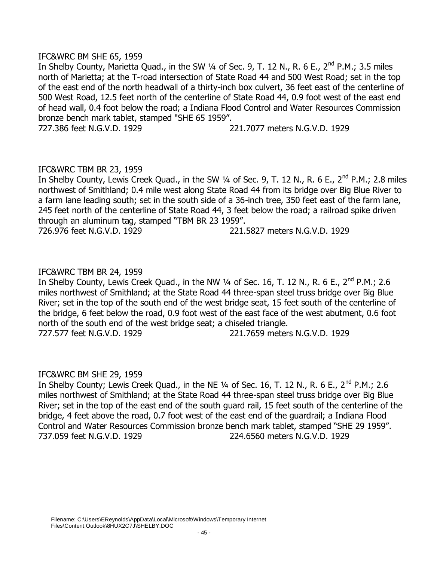## IFC&WRC BM SHE 65, 1959

In Shelby County, Marietta Quad., in the SW  $\frac{1}{4}$  of Sec. 9, T. 12 N., R. 6 E., 2<sup>nd</sup> P.M.; 3.5 miles north of Marietta; at the T-road intersection of State Road 44 and 500 West Road; set in the top of the east end of the north headwall of a thirty-inch box culvert, 36 feet east of the centerline of 500 West Road, 12.5 feet north of the centerline of State Road 44, 0.9 foot west of the east end of head wall, 0.4 foot below the road; a Indiana Flood Control and Water Resources Commission bronze bench mark tablet, stamped "SHE 65 1959".

727.386 feet N.G.V.D. 1929 221.7077 meters N.G.V.D. 1929

## IFC&WRC TBM BR 23, 1959

In Shelby County, Lewis Creek Quad., in the SW 1/4 of Sec. 9, T. 12 N., R. 6 E., 2<sup>nd</sup> P.M.; 2.8 miles northwest of Smithland; 0.4 mile west along State Road 44 from its bridge over Big Blue River to a farm lane leading south; set in the south side of a 36-inch tree, 350 feet east of the farm lane, 245 feet north of the centerline of State Road 44, 3 feet below the road; a railroad spike driven through an aluminum tag, stamped "TBM BR 23 1959". 726.976 feet N.G.V.D. 1929 221.5827 meters N.G.V.D. 1929

## IFC&WRC TBM BR 24, 1959

In Shelby County, Lewis Creek Quad., in the NW  $\frac{1}{4}$  of Sec. 16, T. 12 N., R. 6 E., 2<sup>nd</sup> P.M.; 2.6 miles northwest of Smithland; at the State Road 44 three-span steel truss bridge over Big Blue River; set in the top of the south end of the west bridge seat, 15 feet south of the centerline of the bridge, 6 feet below the road, 0.9 foot west of the east face of the west abutment, 0.6 foot north of the south end of the west bridge seat; a chiseled triangle. 727.577 feet N.G.V.D. 1929 221.7659 meters N.G.V.D. 1929

### IFC&WRC BM SHE 29, 1959

In Shelby County; Lewis Creek Quad., in the NE 1/4 of Sec. 16, T. 12 N., R. 6 E., 2<sup>nd</sup> P.M.; 2.6 miles northwest of Smithland; at the State Road 44 three-span steel truss bridge over Big Blue River; set in the top of the east end of the south guard rail, 15 feet south of the centerline of the bridge, 4 feet above the road, 0.7 foot west of the east end of the guardrail; a Indiana Flood Control and Water Resources Commission bronze bench mark tablet, stamped "SHE 29 1959". 737.059 feet N.G.V.D. 1929 224.6560 meters N.G.V.D. 1929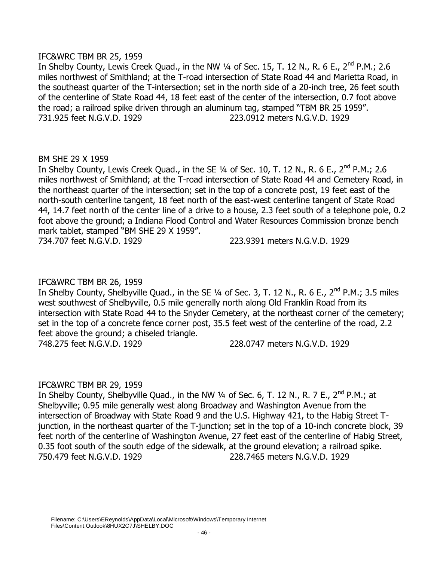## IFC&WRC TBM BR 25, 1959

In Shelby County, Lewis Creek Quad., in the NW  $\frac{1}{4}$  of Sec. 15, T. 12 N., R. 6 E., 2<sup>nd</sup> P.M.; 2.6 miles northwest of Smithland; at the T-road intersection of State Road 44 and Marietta Road, in the southeast quarter of the T-intersection; set in the north side of a 20-inch tree, 26 feet south of the centerline of State Road 44, 18 feet east of the center of the intersection, 0.7 foot above the road; a railroad spike driven through an aluminum tag, stamped "TBM BR 25 1959". 731.925 feet N.G.V.D. 1929 223.0912 meters N.G.V.D. 1929

## BM SHE 29 X 1959

In Shelby County, Lewis Creek Quad., in the SE  $\frac{1}{4}$  of Sec. 10, T. 12 N., R. 6 E., 2<sup>nd</sup> P.M.; 2.6 miles northwest of Smithland; at the T-road intersection of State Road 44 and Cemetery Road, in the northeast quarter of the intersection; set in the top of a concrete post, 19 feet east of the north-south centerline tangent, 18 feet north of the east-west centerline tangent of State Road 44, 14.7 feet north of the center line of a drive to a house, 2.3 feet south of a telephone pole, 0.2 foot above the ground; a Indiana Flood Control and Water Resources Commission bronze bench mark tablet, stamped "BM SHE 29 X 1959".

734.707 feet N.G.V.D. 1929 223.9391 meters N.G.V.D. 1929

## IFC&WRC TBM BR 26, 1959

In Shelby County, Shelbyville Quad., in the SE  $\frac{1}{4}$  of Sec. 3, T. 12 N., R. 6 E., 2<sup>nd</sup> P.M.; 3.5 miles west southwest of Shelbyville, 0.5 mile generally north along Old Franklin Road from its intersection with State Road 44 to the Snyder Cemetery, at the northeast corner of the cemetery; set in the top of a concrete fence corner post, 35.5 feet west of the centerline of the road, 2.2 feet above the ground; a chiseled triangle.

748.275 feet N.G.V.D. 1929 228.0747 meters N.G.V.D. 1929

# IFC&WRC TBM BR 29, 1959

In Shelby County, Shelbyville Quad., in the NW 1/4 of Sec. 6, T. 12 N., R. 7 E., 2<sup>nd</sup> P.M.; at Shelbyville; 0.95 mile generally west along Broadway and Washington Avenue from the intersection of Broadway with State Road 9 and the U.S. Highway 421, to the Habig Street Tjunction, in the northeast quarter of the T-junction; set in the top of a 10-inch concrete block, 39 feet north of the centerline of Washington Avenue, 27 feet east of the centerline of Habig Street, 0.35 foot south of the south edge of the sidewalk, at the ground elevation; a railroad spike. 750.479 feet N.G.V.D. 1929 228.7465 meters N.G.V.D. 1929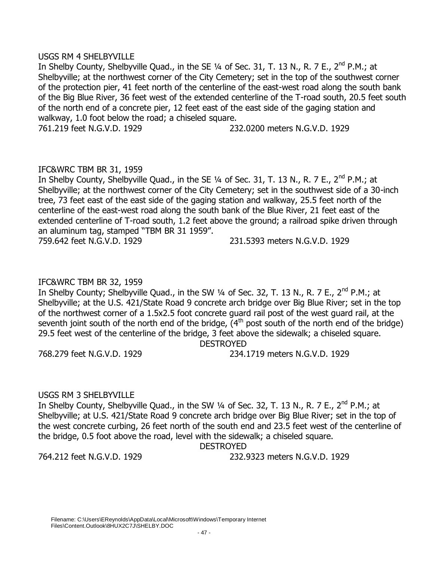### USGS RM 4 SHELBYVILLE

In Shelby County, Shelbyville Quad., in the SE  $\frac{1}{4}$  of Sec. 31, T. 13 N., R. 7 E., 2<sup>nd</sup> P.M.; at Shelbyville; at the northwest corner of the City Cemetery; set in the top of the southwest corner of the protection pier, 41 feet north of the centerline of the east-west road along the south bank of the Big Blue River, 36 feet west of the extended centerline of the T-road south, 20.5 feet south of the north end of a concrete pier, 12 feet east of the east side of the gaging station and walkway, 1.0 foot below the road; a chiseled square. 761.219 feet N.G.V.D. 1929 232.0200 meters N.G.V.D. 1929

# IFC&WRC TBM BR 31, 1959

In Shelby County, Shelbyville Quad., in the SE 1/4 of Sec. 31, T. 13 N., R. 7 E., 2<sup>nd</sup> P.M.; at Shelbyville; at the northwest corner of the City Cemetery; set in the southwest side of a 30-inch tree, 73 feet east of the east side of the gaging station and walkway, 25.5 feet north of the centerline of the east-west road along the south bank of the Blue River, 21 feet east of the extended centerline of T-road south, 1.2 feet above the ground; a railroad spike driven through an aluminum tag, stamped "TBM BR 31 1959".

759.642 feet N.G.V.D. 1929 231.5393 meters N.G.V.D. 1929

# IFC&WRC TBM BR 32, 1959

In Shelby County; Shelbyville Quad., in the SW  $\frac{1}{4}$  of Sec. 32, T. 13 N., R. 7 E., 2<sup>nd</sup> P.M.; at Shelbyville; at the U.S. 421/State Road 9 concrete arch bridge over Big Blue River; set in the top of the northwest corner of a 1.5x2.5 foot concrete guard rail post of the west guard rail, at the seventh joint south of the north end of the bridge,  $(4<sup>th</sup>$  post south of the north end of the bridge) 29.5 feet west of the centerline of the bridge, 3 feet above the sidewalk; a chiseled square.

DESTROYED

768.279 feet N.G.V.D. 1929 234.1719 meters N.G.V.D. 1929

# USGS RM 3 SHELBYVILLE

In Shelby County, Shelbyville Quad., in the SW  $\frac{1}{4}$  of Sec. 32, T. 13 N., R. 7 E., 2<sup>nd</sup> P.M.; at Shelbyville; at U.S. 421/State Road 9 concrete arch bridge over Big Blue River; set in the top of the west concrete curbing, 26 feet north of the south end and 23.5 feet west of the centerline of the bridge, 0.5 foot above the road, level with the sidewalk; a chiseled square.

DESTROYED

764.212 feet N.G.V.D. 1929 232.9323 meters N.G.V.D. 1929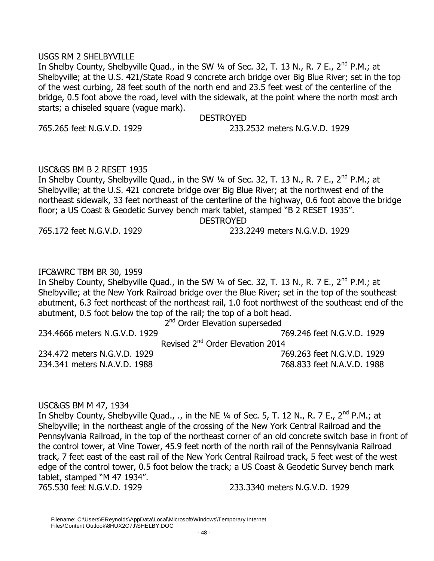### USGS RM 2 SHELBYVILLE

In Shelby County, Shelbyville Quad., in the SW 1/4 of Sec. 32, T. 13 N., R. 7 E., 2<sup>nd</sup> P.M.; at Shelbyville; at the U.S. 421/State Road 9 concrete arch bridge over Big Blue River; set in the top of the west curbing, 28 feet south of the north end and 23.5 feet west of the centerline of the bridge, 0.5 foot above the road, level with the sidewalk, at the point where the north most arch starts; a chiseled square (vague mark).

### DESTROYED

765.265 feet N.G.V.D. 1929 233.2532 meters N.G.V.D. 1929

## USC&GS BM B 2 RESET 1935

In Shelby County, Shelbyville Quad., in the SW  $\frac{1}{4}$  of Sec. 32, T. 13 N., R. 7 E., 2<sup>nd</sup> P.M.; at Shelbyville; at the U.S. 421 concrete bridge over Big Blue River; at the northwest end of the northeast sidewalk, 33 feet northeast of the centerline of the highway, 0.6 foot above the bridge floor; a US Coast & Geodetic Survey bench mark tablet, stamped "B 2 RESET 1935".

**DESTROYED** 

765.172 feet N.G.V.D. 1929 233.2249 meters N.G.V.D. 1929

# IFC&WRC TBM BR 30, 1959

In Shelby County, Shelbyville Quad., in the SW  $\frac{1}{4}$  of Sec. 32, T. 13 N., R. 7 E., 2<sup>nd</sup> P.M.; at Shelbyville; at the New York Railroad bridge over the Blue River; set in the top of the southeast abutment, 6.3 feet northeast of the northeast rail, 1.0 foot northwest of the southeast end of the abutment, 0.5 foot below the top of the rail; the top of a bolt head.

2<sup>nd</sup> Order Elevation superseded

| 234,4666 meters N.G.V.D. 1929 | 769.246 feet N.G.V.D. 1929                   |
|-------------------------------|----------------------------------------------|
|                               | Revised 2 <sup>nd</sup> Order Elevation 2014 |
| 234.472 meters N.G.V.D. 1929  | 769.263 feet N.G.V.D. 1929                   |
| 234.341 meters N.A.V.D. 1988  | 768.833 feet N.A.V.D. 1988                   |

### USC&GS BM M 47, 1934

In Shelby County, Shelbyville Quad., ., in the NE  $\frac{1}{4}$  of Sec. 5, T. 12 N., R. 7 E., 2<sup>nd</sup> P.M.; at Shelbyville; in the northeast angle of the crossing of the New York Central Railroad and the Pennsylvania Railroad, in the top of the northeast corner of an old concrete switch base in front of the control tower, at Vine Tower, 45.9 feet north of the north rail of the Pennsylvania Railroad track, 7 feet east of the east rail of the New York Central Railroad track, 5 feet west of the west edge of the control tower, 0.5 foot below the track; a US Coast & Geodetic Survey bench mark tablet, stamped "M 47 1934". 765.530 feet N.G.V.D. 1929 233.3340 meters N.G.V.D. 1929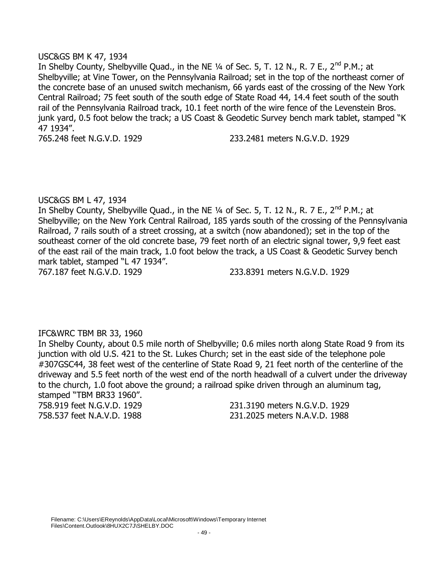## USC&GS BM K 47, 1934

In Shelby County, Shelbyville Quad., in the NE  $\frac{1}{4}$  of Sec. 5, T. 12 N., R. 7 E., 2<sup>nd</sup> P.M.; at Shelbyville; at Vine Tower, on the Pennsylvania Railroad; set in the top of the northeast corner of the concrete base of an unused switch mechanism, 66 yards east of the crossing of the New York Central Railroad; 75 feet south of the south edge of State Road 44, 14.4 feet south of the south rail of the Pennsylvania Railroad track, 10.1 feet north of the wire fence of the Levenstein Bros. junk yard, 0.5 foot below the track; a US Coast & Geodetic Survey bench mark tablet, stamped "K 47 1934".

765.248 feet N.G.V.D. 1929 233.2481 meters N.G.V.D. 1929

## USC&GS BM L 47, 1934

In Shelby County, Shelbyville Quad., in the NE  $\frac{1}{4}$  of Sec. 5, T. 12 N., R. 7 E., 2<sup>nd</sup> P.M.; at Shelbyville; on the New York Central Railroad, 185 yards south of the crossing of the Pennsylvania Railroad, 7 rails south of a street crossing, at a switch (now abandoned); set in the top of the southeast corner of the old concrete base, 79 feet north of an electric signal tower, 9,9 feet east of the east rail of the main track, 1.0 foot below the track, a US Coast & Geodetic Survey bench mark tablet, stamped "L 47 1934".

767.187 feet N.G.V.D. 1929 233.8391 meters N.G.V.D. 1929

# IFC&WRC TBM BR 33, 1960

In Shelby County, about 0.5 mile north of Shelbyville; 0.6 miles north along State Road 9 from its junction with old U.S. 421 to the St. Lukes Church; set in the east side of the telephone pole #307GSC44, 38 feet west of the centerline of State Road 9, 21 feet north of the centerline of the driveway and 5.5 feet north of the west end of the north headwall of a culvert under the driveway to the church, 1.0 foot above the ground; a railroad spike driven through an aluminum tag, stamped "TBM BR33 1960".

758.919 feet N.G.V.D. 1929 231.3190 meters N.G.V.D. 1929 758.537 feet N.A.V.D. 1988 231.2025 meters N.A.V.D. 1988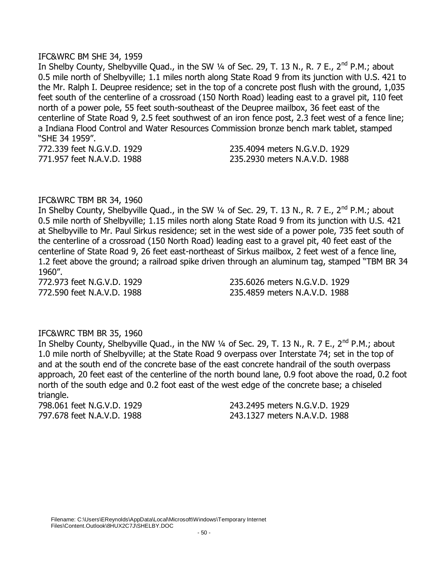#### IFC&WRC BM SHE 34, 1959

In Shelby County, Shelbyville Quad., in the SW 1/4 of Sec. 29, T. 13 N., R. 7 E., 2<sup>nd</sup> P.M.; about 0.5 mile north of Shelbyville; 1.1 miles north along State Road 9 from its junction with U.S. 421 to the Mr. Ralph I. Deupree residence; set in the top of a concrete post flush with the ground, 1,035 feet south of the centerline of a crossroad (150 North Road) leading east to a gravel pit, 110 feet north of a power pole, 55 feet south-southeast of the Deupree mailbox, 36 feet east of the centerline of State Road 9, 2.5 feet southwest of an iron fence post, 2.3 feet west of a fence line; a Indiana Flood Control and Water Resources Commission bronze bench mark tablet, stamped "SHE 34 1959".

772.339 feet N.G.V.D. 1929 235.4094 meters N.G.V.D. 1929 771.957 feet N.A.V.D. 1988 235.2930 meters N.A.V.D. 1988

#### IFC&WRC TBM BR 34, 1960

In Shelby County, Shelbyville Quad., in the SW 1/4 of Sec. 29, T. 13 N., R. 7 E., 2<sup>nd</sup> P.M.; about 0.5 mile north of Shelbyville; 1.15 miles north along State Road 9 from its junction with U.S. 421 at Shelbyville to Mr. Paul Sirkus residence; set in the west side of a power pole, 735 feet south of the centerline of a crossroad (150 North Road) leading east to a gravel pit, 40 feet east of the centerline of State Road 9, 26 feet east-northeast of Sirkus mailbox, 2 feet west of a fence line, 1.2 feet above the ground; a railroad spike driven through an aluminum tag, stamped "TBM BR 34 1960".

772.973 feet N.G.V.D. 1929 235.6026 meters N.G.V.D. 1929 772.590 feet N.A.V.D. 1988 235.4859 meters N.A.V.D. 1988

### IFC&WRC TBM BR 35, 1960

In Shelby County, Shelbyville Quad., in the NW  $\frac{1}{4}$  of Sec. 29, T. 13 N., R. 7 E., 2<sup>nd</sup> P.M.; about 1.0 mile north of Shelbyville; at the State Road 9 overpass over Interstate 74; set in the top of and at the south end of the concrete base of the east concrete handrail of the south overpass approach, 20 feet east of the centerline of the north bound lane, 0.9 foot above the road, 0.2 foot north of the south edge and 0.2 foot east of the west edge of the concrete base; a chiseled triangle.

798.061 feet N.G.V.D. 1929 243.2495 meters N.G.V.D. 1929 797.678 feet N.A.V.D. 1988 243.1327 meters N.A.V.D. 1988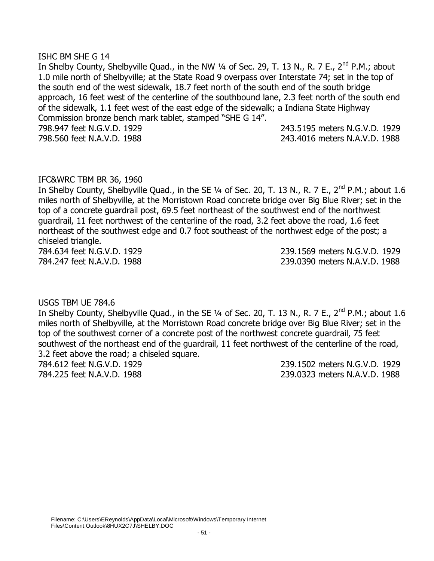### ISHC BM SHE G 14

In Shelby County, Shelbyville Quad., in the NW 1/4 of Sec. 29, T. 13 N., R. 7 E., 2<sup>nd</sup> P.M.; about 1.0 mile north of Shelbyville; at the State Road 9 overpass over Interstate 74; set in the top of the south end of the west sidewalk, 18.7 feet north of the south end of the south bridge approach, 16 feet west of the centerline of the southbound lane, 2.3 feet north of the south end of the sidewalk, 1.1 feet west of the east edge of the sidewalk; a Indiana State Highway Commission bronze bench mark tablet, stamped "SHE G 14". 798.947 feet N.G.V.D. 1929 243.5195 meters N.G.V.D. 1929 798.560 feet N.A.V.D. 1988 243.4016 meters N.A.V.D. 1988

## IFC&WRC TBM BR 36, 1960

In Shelby County, Shelbyville Quad., in the SE  $\frac{1}{4}$  of Sec. 20, T. 13 N., R. 7 E., 2<sup>nd</sup> P.M.; about 1.6 miles north of Shelbyville, at the Morristown Road concrete bridge over Big Blue River; set in the top of a concrete guardrail post, 69.5 feet northeast of the southwest end of the northwest guardrail, 11 feet northwest of the centerline of the road, 3.2 feet above the road, 1.6 feet northeast of the southwest edge and 0.7 foot southeast of the northwest edge of the post; a chiseled triangle.

784.634 feet N.G.V.D. 1929 239.1569 meters N.G.V.D. 1929 784.247 feet N.A.V.D. 1988 239.0390 meters N.A.V.D. 1988

USGS TBM UE 784.6

In Shelby County, Shelbyville Quad., in the SE  $\frac{1}{4}$  of Sec. 20, T. 13 N., R. 7 E., 2<sup>nd</sup> P.M.; about 1.6 miles north of Shelbyville, at the Morristown Road concrete bridge over Big Blue River; set in the top of the southwest corner of a concrete post of the northwest concrete guardrail, 75 feet southwest of the northeast end of the guardrail, 11 feet northwest of the centerline of the road, 3.2 feet above the road; a chiseled square.

784.612 feet N.G.V.D. 1929 239.1502 meters N.G.V.D. 1929 784.225 feet N.A.V.D. 1988 239.0323 meters N.A.V.D. 1988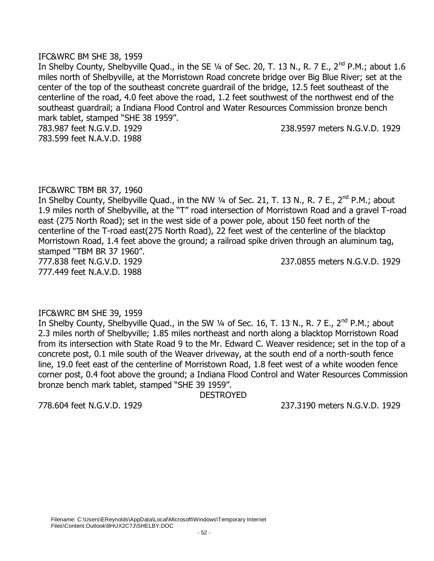### IFC&WRC BM SHE 38, 1959

In Shelby County, Shelbyville Quad., in the SE 1/4 of Sec. 20, T. 13 N., R. 7 E., 2<sup>nd</sup> P.M.; about 1.6 miles north of Shelbyville, at the Morristown Road concrete bridge over Big Blue River; set at the center of the top of the southeast concrete guardrail of the bridge, 12.5 feet southeast of the centerline of the road, 4.0 feet above the road, 1.2 feet southwest of the northwest end of the southeast guardrail; a Indiana Flood Control and Water Resources Commission bronze bench mark tablet, stamped "SHE 38 1959".

783.599 feet N.A.V.D. 1988

783.987 feet N.G.V.D. 1929 238.9597 meters N.G.V.D. 1929

## IFC&WRC TBM BR 37, 1960

In Shelby County, Shelbyville Quad., in the NW 1/4 of Sec. 21, T. 13 N., R. 7 E., 2<sup>nd</sup> P.M.; about 1.9 miles north of Shelbyville, at the "T" road intersection of Morristown Road and a gravel T-road east (275 North Road); set in the west side of a power pole, about 150 feet north of the centerline of the T-road east(275 North Road), 22 feet west of the centerline of the blacktop Morristown Road, 1.4 feet above the ground; a railroad spike driven through an aluminum tag, stamped "TBM BR 37 1960". 777.838 feet N.G.V.D. 1929 237.0855 meters N.G.V.D. 1929

777.449 feet N.A.V.D. 1988

### IFC&WRC BM SHE 39, 1959

In Shelby County, Shelbyville Quad., in the SW  $\frac{1}{4}$  of Sec. 16, T. 13 N., R. 7 E., 2<sup>nd</sup> P.M.; about 2.3 miles north of Shelbyville; 1.85 miles northeast and north along a blacktop Morristown Road from its intersection with State Road 9 to the Mr. Edward C. Weaver residence; set in the top of a concrete post, 0.1 mile south of the Weaver driveway, at the south end of a north-south fence line, 19.0 feet east of the centerline of Morristown Road, 1.8 feet west of a white wooden fence corner post, 0.4 foot above the ground; a Indiana Flood Control and Water Resources Commission bronze bench mark tablet, stamped "SHE 39 1959".

DESTROYED

778.604 feet N.G.V.D. 1929 237.3190 meters N.G.V.D. 1929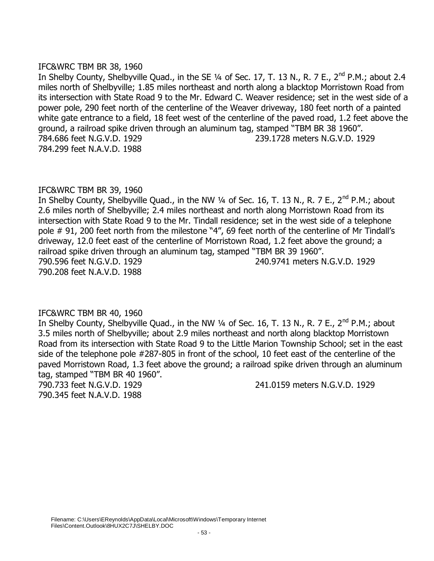## IFC&WRC TBM BR 38, 1960

In Shelby County, Shelbyville Quad., in the SE 1/4 of Sec. 17, T. 13 N., R. 7 E., 2<sup>nd</sup> P.M.; about 2.4 miles north of Shelbyville; 1.85 miles northeast and north along a blacktop Morristown Road from its intersection with State Road 9 to the Mr. Edward C. Weaver residence; set in the west side of a power pole, 290 feet north of the centerline of the Weaver driveway, 180 feet north of a painted white gate entrance to a field, 18 feet west of the centerline of the paved road, 1.2 feet above the ground, a railroad spike driven through an aluminum tag, stamped "TBM BR 38 1960". 784.686 feet N.G.V.D. 1929 239.1728 meters N.G.V.D. 1929 784.299 feet N.A.V.D. 1988

# IFC&WRC TBM BR 39, 1960

In Shelby County, Shelbyville Quad., in the NW 1/4 of Sec. 16, T. 13 N., R. 7 E., 2<sup>nd</sup> P.M.; about 2.6 miles north of Shelbyville; 2.4 miles northeast and north along Morristown Road from its intersection with State Road 9 to the Mr. Tindall residence; set in the west side of a telephone pole # 91, 200 feet north from the milestone "4", 69 feet north of the centerline of Mr Tindall's driveway, 12.0 feet east of the centerline of Morristown Road, 1.2 feet above the ground; a railroad spike driven through an aluminum tag, stamped "TBM BR 39 1960". 790.596 feet N.G.V.D. 1929 240.9741 meters N.G.V.D. 1929 790.208 feet N.A.V.D. 1988

# IFC&WRC TBM BR 40, 1960

In Shelby County, Shelbyville Quad., in the NW  $\frac{1}{4}$  of Sec. 16, T. 13 N., R. 7 E., 2<sup>nd</sup> P.M.; about 3.5 miles north of Shelbyville; about 2.9 miles northeast and north along blacktop Morristown Road from its intersection with State Road 9 to the Little Marion Township School; set in the east side of the telephone pole #287-805 in front of the school, 10 feet east of the centerline of the paved Morristown Road, 1.3 feet above the ground; a railroad spike driven through an aluminum tag, stamped "TBM BR 40 1960".

790.345 feet N.A.V.D. 1988

790.733 feet N.G.V.D. 1929 241.0159 meters N.G.V.D. 1929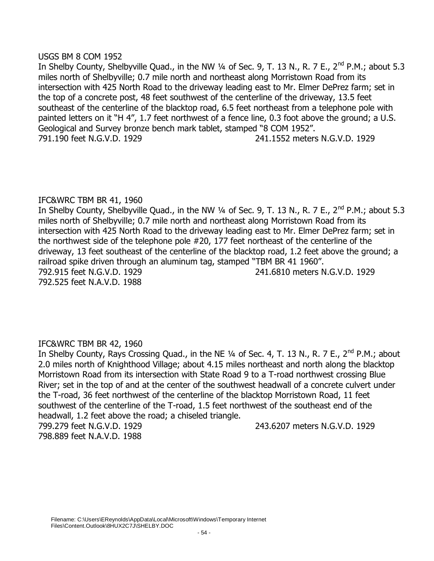## USGS BM 8 COM 1952

In Shelby County, Shelbyville Quad., in the NW  $\frac{1}{4}$  of Sec. 9, T. 13 N., R. 7 E., 2<sup>nd</sup> P.M.; about 5.3 miles north of Shelbyville; 0.7 mile north and northeast along Morristown Road from its intersection with 425 North Road to the driveway leading east to Mr. Elmer DePrez farm; set in the top of a concrete post, 48 feet southwest of the centerline of the driveway, 13.5 feet southeast of the centerline of the blacktop road, 6.5 feet northeast from a telephone pole with painted letters on it "H 4", 1.7 feet northwest of a fence line, 0.3 foot above the ground; a U.S. Geological and Survey bronze bench mark tablet, stamped "8 COM 1952". 791.190 feet N.G.V.D. 1929 241.1552 meters N.G.V.D. 1929

# IFC&WRC TBM BR 41, 1960

In Shelby County, Shelbyville Quad., in the NW 1/4 of Sec. 9, T. 13 N., R. 7 E., 2<sup>nd</sup> P.M.; about 5.3 miles north of Shelbyville; 0.7 mile north and northeast along Morristown Road from its intersection with 425 North Road to the driveway leading east to Mr. Elmer DePrez farm; set in the northwest side of the telephone pole #20, 177 feet northeast of the centerline of the driveway, 13 feet southeast of the centerline of the blacktop road, 1.2 feet above the ground; a railroad spike driven through an aluminum tag, stamped "TBM BR 41 1960". 792.915 feet N.G.V.D. 1929 241.6810 meters N.G.V.D. 1929 792.525 feet N.A.V.D. 1988

# IFC&WRC TBM BR 42, 1960

In Shelby County, Rays Crossing Quad., in the NE 1/4 of Sec. 4, T. 13 N., R. 7 E., 2<sup>nd</sup> P.M.; about 2.0 miles north of Knighthood Village; about 4.15 miles northeast and north along the blacktop Morristown Road from its intersection with State Road 9 to a T-road northwest crossing Blue River; set in the top of and at the center of the southwest headwall of a concrete culvert under the T-road, 36 feet northwest of the centerline of the blacktop Morristown Road, 11 feet southwest of the centerline of the T-road, 1.5 feet northwest of the southeast end of the headwall, 1.2 feet above the road; a chiseled triangle.

798.889 feet N.A.V.D. 1988

799.279 feet N.G.V.D. 1929 243.6207 meters N.G.V.D. 1929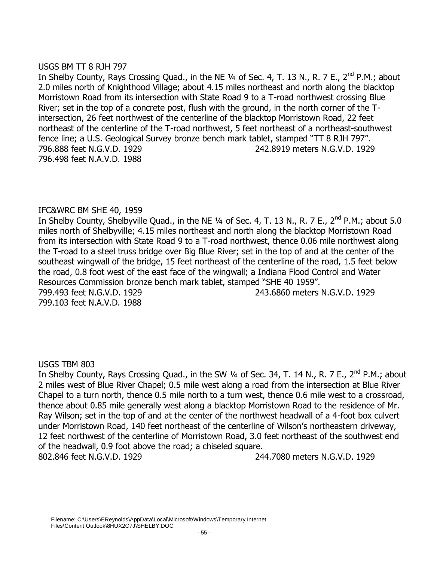# USGS BM TT 8 RJH 797

In Shelby County, Rays Crossing Quad., in the NE 1/4 of Sec. 4, T. 13 N., R. 7 E., 2<sup>nd</sup> P.M.; about 2.0 miles north of Knighthood Village; about 4.15 miles northeast and north along the blacktop Morristown Road from its intersection with State Road 9 to a T-road northwest crossing Blue River; set in the top of a concrete post, flush with the ground, in the north corner of the Tintersection, 26 feet northwest of the centerline of the blacktop Morristown Road, 22 feet northeast of the centerline of the T-road northwest, 5 feet northeast of a northeast-southwest fence line; a U.S. Geological Survey bronze bench mark tablet, stamped "TT 8 RJH 797". 796.888 feet N.G.V.D. 1929 242.8919 meters N.G.V.D. 1929 796.498 feet N.A.V.D. 1988

# IFC&WRC BM SHE 40, 1959

In Shelby County, Shelbyville Quad., in the NE 1/4 of Sec. 4, T. 13 N., R. 7 E., 2<sup>nd</sup> P.M.; about 5.0 miles north of Shelbyville; 4.15 miles northeast and north along the blacktop Morristown Road from its intersection with State Road 9 to a T-road northwest, thence 0.06 mile northwest along the T-road to a steel truss bridge over Big Blue River; set in the top of and at the center of the southeast wingwall of the bridge, 15 feet northeast of the centerline of the road, 1.5 feet below the road, 0.8 foot west of the east face of the wingwall; a Indiana Flood Control and Water Resources Commission bronze bench mark tablet, stamped "SHE 40 1959". 799.493 feet N.G.V.D. 1929 243.6860 meters N.G.V.D. 1929 799.103 feet N.A.V.D. 1988

# USGS TBM 803

In Shelby County, Rays Crossing Quad., in the SW 1/4 of Sec. 34, T. 14 N., R. 7 E., 2<sup>nd</sup> P.M.; about 2 miles west of Blue River Chapel; 0.5 mile west along a road from the intersection at Blue River Chapel to a turn north, thence 0.5 mile north to a turn west, thence 0.6 mile west to a crossroad, thence about 0.85 mile generally west along a blacktop Morristown Road to the residence of Mr. Ray Wilson; set in the top of and at the center of the northwest headwall of a 4-foot box culvert under Morristown Road, 140 feet northeast of the centerline of Wilson's northeastern driveway, 12 feet northwest of the centerline of Morristown Road, 3.0 feet northeast of the southwest end of the headwall, 0.9 foot above the road; a chiseled square. 802.846 feet N.G.V.D. 1929 244.7080 meters N.G.V.D. 1929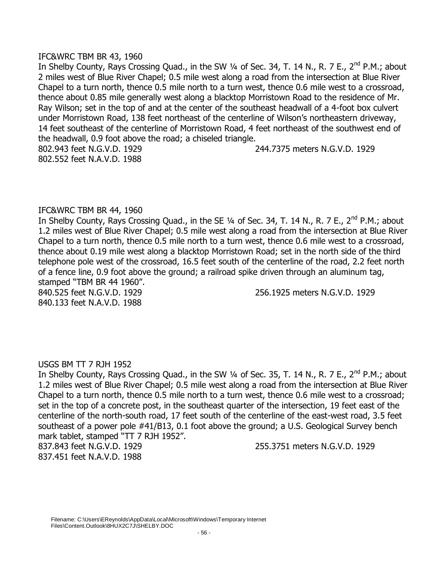### IFC&WRC TBM BR 43, 1960

In Shelby County, Rays Crossing Quad., in the SW 1/4 of Sec. 34, T. 14 N., R. 7 E., 2<sup>nd</sup> P.M.; about 2 miles west of Blue River Chapel; 0.5 mile west along a road from the intersection at Blue River Chapel to a turn north, thence 0.5 mile north to a turn west, thence 0.6 mile west to a crossroad, thence about 0.85 mile generally west along a blacktop Morristown Road to the residence of Mr. Ray Wilson; set in the top of and at the center of the southeast headwall of a 4-foot box culvert under Morristown Road, 138 feet northeast of the centerline of Wilson's northeastern driveway, 14 feet southeast of the centerline of Morristown Road, 4 feet northeast of the southwest end of the headwall, 0.9 foot above the road; a chiseled triangle. 802.943 feet N.G.V.D. 1929 244.7375 meters N.G.V.D. 1929 802.552 feet N.A.V.D. 1988

# IFC&WRC TBM BR 44, 1960

In Shelby County, Rays Crossing Quad., in the SE 1/4 of Sec. 34, T. 14 N., R. 7 E., 2<sup>nd</sup> P.M.; about 1.2 miles west of Blue River Chapel; 0.5 mile west along a road from the intersection at Blue River Chapel to a turn north, thence 0.5 mile north to a turn west, thence 0.6 mile west to a crossroad, thence about 0.19 mile west along a blacktop Morristown Road; set in the north side of the third telephone pole west of the crossroad, 16.5 feet south of the centerline of the road, 2.2 feet north of a fence line, 0.9 foot above the ground; a railroad spike driven through an aluminum tag, stamped "TBM BR 44 1960".

840.133 feet N.A.V.D. 1988

840.525 feet N.G.V.D. 1929 256.1925 meters N.G.V.D. 1929

# USGS BM TT 7 RJH 1952

In Shelby County, Rays Crossing Quad., in the SW 1/4 of Sec. 35, T. 14 N., R. 7 E., 2<sup>nd</sup> P.M.; about 1.2 miles west of Blue River Chapel; 0.5 mile west along a road from the intersection at Blue River Chapel to a turn north, thence 0.5 mile north to a turn west, thence 0.6 mile west to a crossroad; set in the top of a concrete post, in the southeast quarter of the intersection, 19 feet east of the centerline of the north-south road, 17 feet south of the centerline of the east-west road, 3.5 feet southeast of a power pole #41/B13, 0.1 foot above the ground; a U.S. Geological Survey bench mark tablet, stamped "TT 7 RJH 1952".

837.451 feet N.A.V.D. 1988

837.843 feet N.G.V.D. 1929 255.3751 meters N.G.V.D. 1929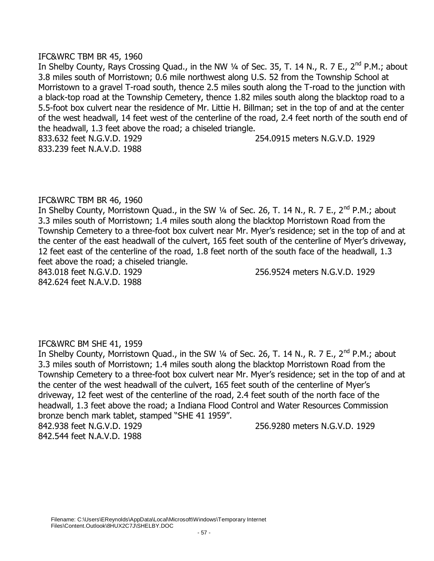### IFC&WRC TBM BR 45, 1960

In Shelby County, Rays Crossing Quad., in the NW 1/4 of Sec. 35, T. 14 N., R. 7 E., 2<sup>nd</sup> P.M.; about 3.8 miles south of Morristown; 0.6 mile northwest along U.S. 52 from the Township School at Morristown to a gravel T-road south, thence 2.5 miles south along the T-road to the junction with a black-top road at the Township Cemetery, thence 1.82 miles south along the blacktop road to a 5.5-foot box culvert near the residence of Mr. Littie H. Billman; set in the top of and at the center of the west headwall, 14 feet west of the centerline of the road, 2.4 feet north of the south end of the headwall, 1.3 feet above the road; a chiseled triangle. 833.632 feet N.G.V.D. 1929 254.0915 meters N.G.V.D. 1929 833.239 feet N.A.V.D. 1988

## IFC&WRC TBM BR 46, 1960

In Shelby County, Morristown Quad., in the SW  $\frac{1}{4}$  of Sec. 26, T. 14 N., R. 7 E., 2<sup>nd</sup> P.M.; about 3.3 miles south of Morristown; 1.4 miles south along the blacktop Morristown Road from the Township Cemetery to a three-foot box culvert near Mr. Myer's residence; set in the top of and at the center of the east headwall of the culvert, 165 feet south of the centerline of Myer's driveway, 12 feet east of the centerline of the road, 1.8 feet north of the south face of the headwall, 1.3 feet above the road; a chiseled triangle.

842.624 feet N.A.V.D. 1988

843.018 feet N.G.V.D. 1929 256.9524 meters N.G.V.D. 1929

# IFC&WRC BM SHE 41, 1959

In Shelby County, Morristown Quad., in the SW 1/4 of Sec. 26, T. 14 N., R. 7 E., 2<sup>nd</sup> P.M.; about 3.3 miles south of Morristown; 1.4 miles south along the blacktop Morristown Road from the Township Cemetery to a three-foot box culvert near Mr. Myer's residence; set in the top of and at the center of the west headwall of the culvert, 165 feet south of the centerline of Myer's driveway, 12 feet west of the centerline of the road, 2.4 feet south of the north face of the headwall, 1.3 feet above the road; a Indiana Flood Control and Water Resources Commission bronze bench mark tablet, stamped "SHE 41 1959".

842.544 feet N.A.V.D. 1988

842.938 feet N.G.V.D. 1929 256.9280 meters N.G.V.D. 1929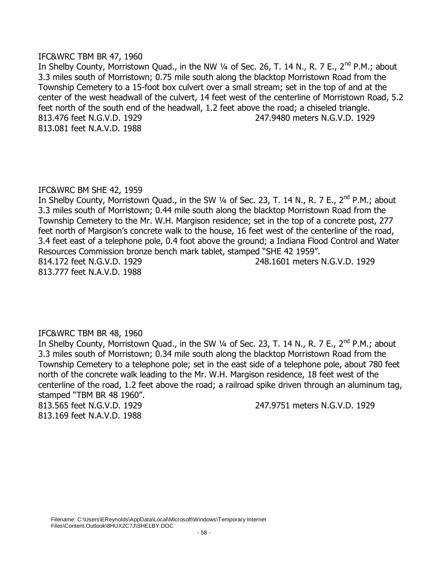### IFC&WRC TBM BR 47, 1960

In Shelby County, Morristown Quad., in the NW  $\frac{1}{4}$  of Sec. 26, T. 14 N., R. 7 E., 2<sup>nd</sup> P.M.; about 3.3 miles south of Morristown; 0.75 mile south along the blacktop Morristown Road from the Township Cemetery to a 15-foot box culvert over a small stream; set in the top of and at the center of the west headwall of the culvert, 14 feet west of the centerline of Morristown Road, 5.2 feet north of the south end of the headwall, 1.2 feet above the road; a chiseled triangle. 813.476 feet N.G.V.D. 1929 247.9480 meters N.G.V.D. 1929 813.081 feet N.A.V.D. 1988

# IFC&WRC BM SHE 42, 1959

In Shelby County, Morristown Quad., in the SW  $\frac{1}{4}$  of Sec. 23, T. 14 N., R. 7 E., 2<sup>nd</sup> P.M.; about 3.3 miles south of Morristown; 0.44 mile south along the blacktop Morristown Road from the Township Cemetery to the Mr. W.H. Margison residence; set in the top of a concrete post, 277 feet north of Margison's concrete walk to the house, 16 feet west of the centerline of the road, 3.4 feet east of a telephone pole, 0.4 foot above the ground; a Indiana Flood Control and Water Resources Commission bronze bench mark tablet, stamped "SHE 42 1959". 814.172 feet N.G.V.D. 1929 248.1601 meters N.G.V.D. 1929 813.777 feet N.A.V.D. 1988

# IFC&WRC TBM BR 48, 1960

In Shelby County, Morristown Quad., in the SW  $\frac{1}{4}$  of Sec. 23, T. 14 N., R. 7 E., 2<sup>nd</sup> P.M.; about 3.3 miles south of Morristown; 0.34 mile south along the blacktop Morristown Road from the Township Cemetery to a telephone pole; set in the east side of a telephone pole, about 780 feet north of the concrete walk leading to the Mr. W.H. Margison residence, 18 feet west of the centerline of the road, 1.2 feet above the road; a railroad spike driven through an aluminum tag, stamped "TBM BR 48 1960".

813.169 feet N.A.V.D. 1988

813.565 feet N.G.V.D. 1929 247.9751 meters N.G.V.D. 1929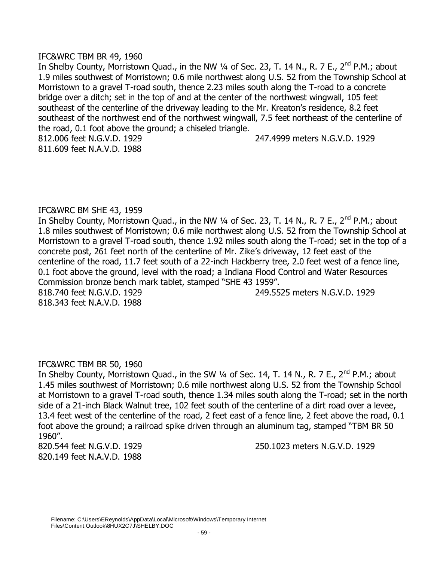## IFC&WRC TBM BR 49, 1960

In Shelby County, Morristown Quad., in the NW  $\frac{1}{4}$  of Sec. 23, T. 14 N., R. 7 E., 2<sup>nd</sup> P.M.; about 1.9 miles southwest of Morristown; 0.6 mile northwest along U.S. 52 from the Township School at Morristown to a gravel T-road south, thence 2.23 miles south along the T-road to a concrete bridge over a ditch; set in the top of and at the center of the northwest wingwall, 105 feet southeast of the centerline of the driveway leading to the Mr. Kreaton's residence, 8.2 feet southeast of the northwest end of the northwest wingwall, 7.5 feet northeast of the centerline of the road, 0.1 foot above the ground; a chiseled triangle. 812.006 feet N.G.V.D. 1929 247.4999 meters N.G.V.D. 1929 811.609 feet N.A.V.D. 1988

# IFC&WRC BM SHE 43, 1959

In Shelby County, Morristown Quad., in the NW  $\frac{1}{4}$  of Sec. 23, T. 14 N., R. 7 E., 2<sup>nd</sup> P.M.; about 1.8 miles southwest of Morristown; 0.6 mile northwest along U.S. 52 from the Township School at Morristown to a gravel T-road south, thence 1.92 miles south along the T-road; set in the top of a concrete post, 261 feet north of the centerline of Mr. Zike's driveway, 12 feet east of the centerline of the road, 11.7 feet south of a 22-inch Hackberry tree, 2.0 feet west of a fence line, 0.1 foot above the ground, level with the road; a Indiana Flood Control and Water Resources Commission bronze bench mark tablet, stamped "SHE 43 1959". 818.740 feet N.G.V.D. 1929 249.5525 meters N.G.V.D. 1929

818.343 feet N.A.V.D. 1988

# IFC&WRC TBM BR 50, 1960

In Shelby County, Morristown Quad., in the SW  $\frac{1}{4}$  of Sec. 14, T. 14 N., R. 7 E., 2<sup>nd</sup> P.M.; about 1.45 miles southwest of Morristown; 0.6 mile northwest along U.S. 52 from the Township School at Morristown to a gravel T-road south, thence 1.34 miles south along the T-road; set in the north side of a 21-inch Black Walnut tree, 102 feet south of the centerline of a dirt road over a levee, 13.4 feet west of the centerline of the road, 2 feet east of a fence line, 2 feet above the road, 0.1 foot above the ground; a railroad spike driven through an aluminum tag, stamped "TBM BR 50 1960".

820.149 feet N.A.V.D. 1988

820.544 feet N.G.V.D. 1929 250.1023 meters N.G.V.D. 1929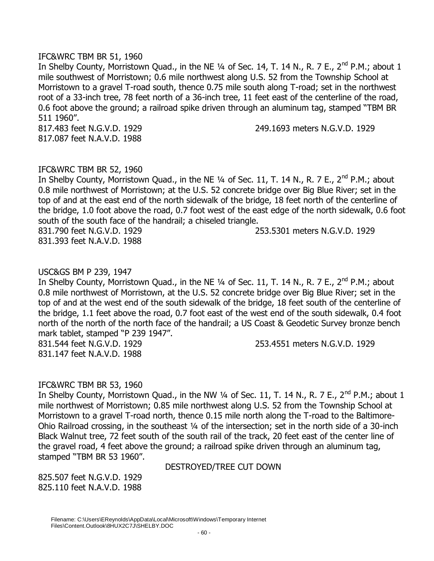## IFC&WRC TBM BR 51, 1960

In Shelby County, Morristown Quad., in the NE 1/4 of Sec. 14, T. 14 N., R. 7 E., 2<sup>nd</sup> P.M.; about 1 mile southwest of Morristown; 0.6 mile northwest along U.S. 52 from the Township School at Morristown to a gravel T-road south, thence 0.75 mile south along T-road; set in the northwest root of a 33-inch tree, 78 feet north of a 36-inch tree, 11 feet east of the centerline of the road, 0.6 foot above the ground; a railroad spike driven through an aluminum tag, stamped "TBM BR 511 1960".

817.087 feet N.A.V.D. 1988

817.483 feet N.G.V.D. 1929 249.1693 meters N.G.V.D. 1929

## IFC&WRC TBM BR 52, 1960

In Shelby County, Morristown Quad., in the NE  $1/4$  of Sec. 11, T. 14 N., R. 7 E., 2<sup>nd</sup> P.M.; about 0.8 mile northwest of Morristown; at the U.S. 52 concrete bridge over Big Blue River; set in the top of and at the east end of the north sidewalk of the bridge, 18 feet north of the centerline of the bridge, 1.0 foot above the road, 0.7 foot west of the east edge of the north sidewalk, 0.6 foot south of the south face of the handrail; a chiseled triangle. 831.790 feet N.G.V.D. 1929 253.5301 meters N.G.V.D. 1929

831.393 feet N.A.V.D. 1988

# USC&GS BM P 239, 1947

In Shelby County, Morristown Quad., in the NE 1/4 of Sec. 11, T. 14 N., R. 7 E., 2<sup>nd</sup> P.M.; about 0.8 mile northwest of Morristown, at the U.S. 52 concrete bridge over Big Blue River; set in the top of and at the west end of the south sidewalk of the bridge, 18 feet south of the centerline of the bridge, 1.1 feet above the road, 0.7 foot east of the west end of the south sidewalk, 0.4 foot north of the north of the north face of the handrail; a US Coast & Geodetic Survey bronze bench mark tablet, stamped "P 239 1947".

831.147 feet N.A.V.D. 1988

831.544 feet N.G.V.D. 1929 253.4551 meters N.G.V.D. 1929

# IFC&WRC TBM BR 53, 1960

In Shelby County, Morristown Quad., in the NW 1/4 of Sec. 11, T. 14 N., R. 7 E., 2<sup>nd</sup> P.M.; about 1 mile northwest of Morristown; 0.85 mile northwest along U.S. 52 from the Township School at Morristown to a gravel T-road north, thence 0.15 mile north along the T-road to the Baltimore-Ohio Railroad crossing, in the southeast ¼ of the intersection; set in the north side of a 30-inch Black Walnut tree, 72 feet south of the south rail of the track, 20 feet east of the center line of the gravel road, 4 feet above the ground; a railroad spike driven through an aluminum tag, stamped "TBM BR 53 1960".

DESTROYED/TREE CUT DOWN

825.507 feet N.G.V.D. 1929 825.110 feet N.A.V.D. 1988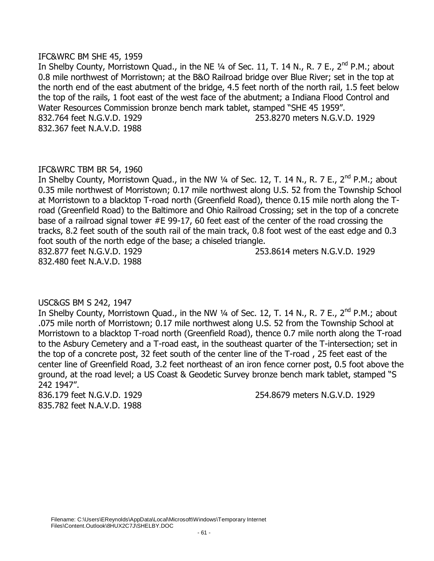### IFC&WRC BM SHE 45, 1959

In Shelby County, Morristown Quad., in the NE 1/4 of Sec. 11, T. 14 N., R. 7 E., 2<sup>nd</sup> P.M.; about 0.8 mile northwest of Morristown; at the B&O Railroad bridge over Blue River; set in the top at the north end of the east abutment of the bridge, 4.5 feet north of the north rail, 1.5 feet below the top of the rails, 1 foot east of the west face of the abutment; a Indiana Flood Control and Water Resources Commission bronze bench mark tablet, stamped "SHE 45 1959". 832.764 feet N.G.V.D. 1929 253.8270 meters N.G.V.D. 1929 832.367 feet N.A.V.D. 1988

# IFC&WRC TBM BR 54, 1960

In Shelby County, Morristown Quad., in the NW  $\frac{1}{4}$  of Sec. 12, T. 14 N., R. 7 E., 2<sup>nd</sup> P.M.; about 0.35 mile northwest of Morristown; 0.17 mile northwest along U.S. 52 from the Township School at Morristown to a blacktop T-road north (Greenfield Road), thence 0.15 mile north along the Troad (Greenfield Road) to the Baltimore and Ohio Railroad Crossing; set in the top of a concrete base of a railroad signal tower #E 99-17, 60 feet east of the center of the road crossing the tracks, 8.2 feet south of the south rail of the main track, 0.8 foot west of the east edge and 0.3 foot south of the north edge of the base; a chiseled triangle. 832.877 feet N.G.V.D. 1929 253.8614 meters N.G.V.D. 1929

832.480 feet N.A.V.D. 1988

# USC&GS BM S 242, 1947

In Shelby County, Morristown Quad., in the NW  $\frac{1}{4}$  of Sec. 12, T. 14 N., R. 7 E., 2<sup>nd</sup> P.M.; about .075 mile north of Morristown; 0.17 mile northwest along U.S. 52 from the Township School at Morristown to a blacktop T-road north (Greenfield Road), thence 0.7 mile north along the T-road to the Asbury Cemetery and a T-road east, in the southeast quarter of the T-intersection; set in the top of a concrete post, 32 feet south of the center line of the T-road , 25 feet east of the center line of Greenfield Road, 3.2 feet northeast of an iron fence corner post, 0.5 foot above the ground, at the road level; a US Coast & Geodetic Survey bronze bench mark tablet, stamped "S 242 1947".

835.782 feet N.A.V.D. 1988

836.179 feet N.G.V.D. 1929 254.8679 meters N.G.V.D. 1929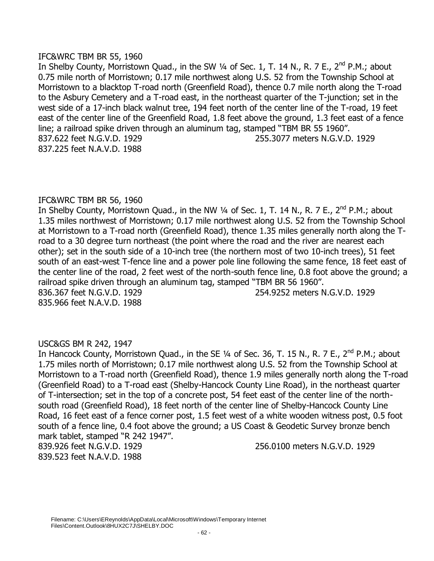## IFC&WRC TBM BR 55, 1960

In Shelby County, Morristown Quad., in the SW  $\frac{1}{4}$  of Sec. 1, T. 14 N., R. 7 E., 2<sup>nd</sup> P.M.; about 0.75 mile north of Morristown; 0.17 mile northwest along U.S. 52 from the Township School at Morristown to a blacktop T-road north (Greenfield Road), thence 0.7 mile north along the T-road to the Asbury Cemetery and a T-road east, in the northeast quarter of the T-junction; set in the west side of a 17-inch black walnut tree, 194 feet north of the center line of the T-road, 19 feet east of the center line of the Greenfield Road, 1.8 feet above the ground, 1.3 feet east of a fence line; a railroad spike driven through an aluminum tag, stamped "TBM BR 55 1960". 837.622 feet N.G.V.D. 1929 255.3077 meters N.G.V.D. 1929 837.225 feet N.A.V.D. 1988

# IFC&WRC TBM BR 56, 1960

In Shelby County, Morristown Quad., in the NW 1/4 of Sec. 1, T. 14 N., R. 7 E., 2<sup>nd</sup> P.M.; about 1.35 miles northwest of Morristown; 0.17 mile northwest along U.S. 52 from the Township School at Morristown to a T-road north (Greenfield Road), thence 1.35 miles generally north along the Troad to a 30 degree turn northeast (the point where the road and the river are nearest each other); set in the south side of a 10-inch tree (the northern most of two 10-inch trees), 51 feet south of an east-west T-fence line and a power pole line following the same fence, 18 feet east of the center line of the road, 2 feet west of the north-south fence line, 0.8 foot above the ground; a railroad spike driven through an aluminum tag, stamped "TBM BR 56 1960". 836.367 feet N.G.V.D. 1929 254.9252 meters N.G.V.D. 1929 835.966 feet N.A.V.D. 1988

# USC&GS BM R 242, 1947

In Hancock County, Morristown Quad., in the SE 1/4 of Sec. 36, T. 15 N., R. 7 E., 2<sup>nd</sup> P.M.; about 1.75 miles north of Morristown; 0.17 mile northwest along U.S. 52 from the Township School at Morristown to a T-road north (Greenfield Road), thence 1.9 miles generally north along the T-road (Greenfield Road) to a T-road east (Shelby-Hancock County Line Road), in the northeast quarter of T-intersection; set in the top of a concrete post, 54 feet east of the center line of the northsouth road (Greenfield Road), 18 feet north of the center line of Shelby-Hancock County Line Road, 16 feet east of a fence corner post, 1.5 feet west of a white wooden witness post, 0.5 foot south of a fence line, 0.4 foot above the ground; a US Coast & Geodetic Survey bronze bench mark tablet, stamped "R 242 1947".

839.523 feet N.A.V.D. 1988

839.926 feet N.G.V.D. 1929 256.0100 meters N.G.V.D. 1929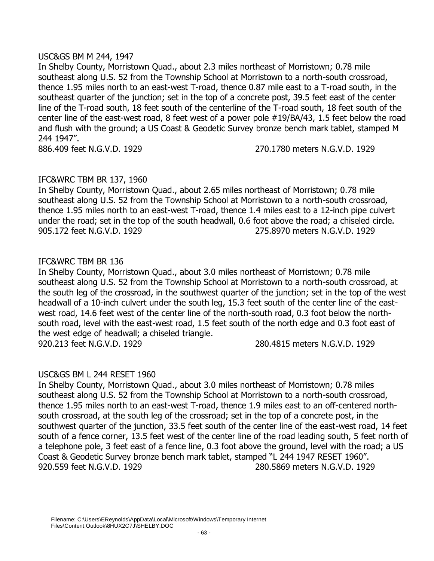## USC&GS BM M 244, 1947

In Shelby County, Morristown Quad., about 2.3 miles northeast of Morristown; 0.78 mile southeast along U.S. 52 from the Township School at Morristown to a north-south crossroad, thence 1.95 miles north to an east-west T-road, thence 0.87 mile east to a T-road south, in the southeast quarter of the junction; set in the top of a concrete post, 39.5 feet east of the center line of the T-road south, 18 feet south of the centerline of the T-road south, 18 feet south of the center line of the east-west road, 8 feet west of a power pole #19/BA/43, 1.5 feet below the road and flush with the ground; a US Coast & Geodetic Survey bronze bench mark tablet, stamped M 244 1947".

886.409 feet N.G.V.D. 1929 270.1780 meters N.G.V.D. 1929

# IFC&WRC TBM BR 137, 1960

In Shelby County, Morristown Quad., about 2.65 miles northeast of Morristown; 0.78 mile southeast along U.S. 52 from the Township School at Morristown to a north-south crossroad, thence 1.95 miles north to an east-west T-road, thence 1.4 miles east to a 12-inch pipe culvert under the road; set in the top of the south headwall, 0.6 foot above the road; a chiseled circle. 905.172 feet N.G.V.D. 1929 275.8970 meters N.G.V.D. 1929

# IFC&WRC TBM BR 136

In Shelby County, Morristown Quad., about 3.0 miles northeast of Morristown; 0.78 mile southeast along U.S. 52 from the Township School at Morristown to a north-south crossroad, at the south leg of the crossroad, in the southwest quarter of the junction; set in the top of the west headwall of a 10-inch culvert under the south leg, 15.3 feet south of the center line of the eastwest road, 14.6 feet west of the center line of the north-south road, 0.3 foot below the northsouth road, level with the east-west road, 1.5 feet south of the north edge and 0.3 foot east of the west edge of headwall; a chiseled triangle. 920.213 feet N.G.V.D. 1929 280.4815 meters N.G.V.D. 1929

# USC&GS BM L 244 RESET 1960

In Shelby County, Morristown Quad., about 3.0 miles northeast of Morristown; 0.78 miles southeast along U.S. 52 from the Township School at Morristown to a north-south crossroad, thence 1.95 miles north to an east-west T-road, thence 1.9 miles east to an off-centered northsouth crossroad, at the south leg of the crossroad; set in the top of a concrete post, in the southwest quarter of the junction, 33.5 feet south of the center line of the east-west road, 14 feet south of a fence corner, 13.5 feet west of the center line of the road leading south, 5 feet north of a telephone pole, 3 feet east of a fence line, 0.3 foot above the ground, level with the road; a US Coast & Geodetic Survey bronze bench mark tablet, stamped "L 244 1947 RESET 1960". 920.559 feet N.G.V.D. 1929 280.5869 meters N.G.V.D. 1929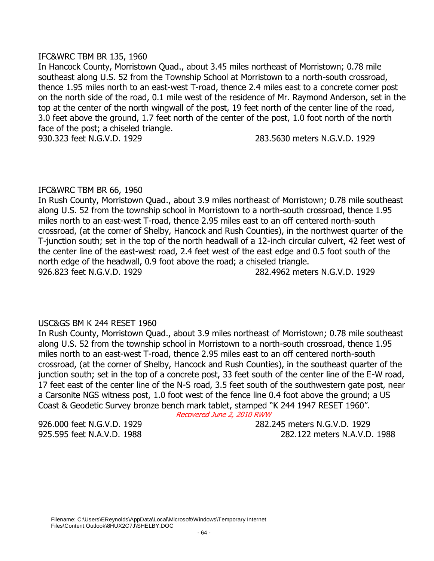## IFC&WRC TBM BR 135, 1960

In Hancock County, Morristown Quad., about 3.45 miles northeast of Morristown; 0.78 mile southeast along U.S. 52 from the Township School at Morristown to a north-south crossroad, thence 1.95 miles north to an east-west T-road, thence 2.4 miles east to a concrete corner post on the north side of the road, 0.1 mile west of the residence of Mr. Raymond Anderson, set in the top at the center of the north wingwall of the post, 19 feet north of the center line of the road, 3.0 feet above the ground, 1.7 feet north of the center of the post, 1.0 foot north of the north face of the post; a chiseled triangle.

930.323 feet N.G.V.D. 1929 283.5630 meters N.G.V.D. 1929

# IFC&WRC TBM BR 66, 1960

In Rush County, Morristown Quad., about 3.9 miles northeast of Morristown; 0.78 mile southeast along U.S. 52 from the township school in Morristown to a north-south crossroad, thence 1.95 miles north to an east-west T-road, thence 2.95 miles east to an off centered north-south crossroad, (at the corner of Shelby, Hancock and Rush Counties), in the northwest quarter of the T-junction south; set in the top of the north headwall of a 12-inch circular culvert, 42 feet west of the center line of the east-west road, 2.4 feet west of the east edge and 0.5 foot south of the north edge of the headwall, 0.9 foot above the road; a chiseled triangle. 926.823 feet N.G.V.D. 1929 282.4962 meters N.G.V.D. 1929

# USC&GS BM K 244 RESET 1960

In Rush County, Morristown Quad., about 3.9 miles northeast of Morristown; 0.78 mile southeast along U.S. 52 from the township school in Morristown to a north-south crossroad, thence 1.95 miles north to an east-west T-road, thence 2.95 miles east to an off centered north-south crossroad, (at the corner of Shelby, Hancock and Rush Counties), in the southeast quarter of the junction south; set in the top of a concrete post, 33 feet south of the center line of the E-W road, 17 feet east of the center line of the N-S road, 3.5 feet south of the southwestern gate post, near a Carsonite NGS witness post, 1.0 foot west of the fence line 0.4 foot above the ground; a US Coast & Geodetic Survey bronze bench mark tablet, stamped "K 244 1947 RESET 1960".

Recovered June 2, 2010 RWW

926.000 feet N.G.V.D. 1929 282.245 meters N.G.V.D. 1929 925.595 feet N.A.V.D. 1988 282.122 meters N.A.V.D. 1988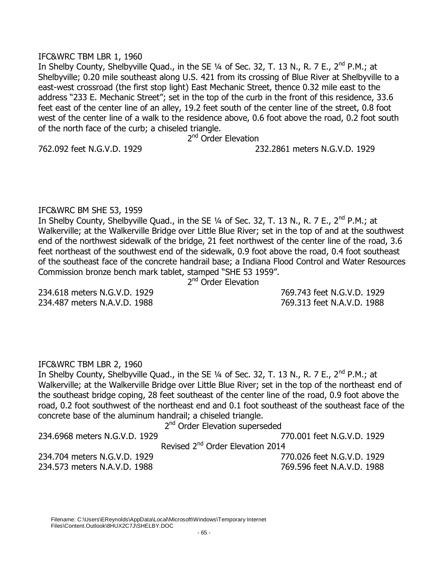### IFC&WRC TBM LBR 1, 1960

In Shelby County, Shelbyville Quad., in the SE  $\frac{1}{4}$  of Sec. 32, T. 13 N., R. 7 E., 2<sup>nd</sup> P.M.; at Shelbyville; 0.20 mile southeast along U.S. 421 from its crossing of Blue River at Shelbyville to a east-west crossroad (the first stop light) East Mechanic Street, thence 0.32 mile east to the address "233 E. Mechanic Street"; set in the top of the curb in the front of this residence, 33.6 feet east of the center line of an alley, 19.2 feet south of the center line of the street, 0.8 foot west of the center line of a walk to the residence above, 0.6 foot above the road, 0.2 foot south of the north face of the curb; a chiseled triangle.

2<sup>nd</sup> Order Elevation

762.092 feet N.G.V.D. 1929 232.2861 meters N.G.V.D. 1929

# IFC&WRC BM SHE 53, 1959

In Shelby County, Shelbyville Quad., in the SE 1/4 of Sec. 32, T. 13 N., R. 7 E., 2<sup>nd</sup> P.M.; at Walkerville; at the Walkerville Bridge over Little Blue River; set in the top of and at the southwest end of the northwest sidewalk of the bridge, 21 feet northwest of the center line of the road, 3.6 feet northeast of the southwest end of the sidewalk, 0.9 foot above the road, 0.4 foot southeast of the southeast face of the concrete handrail base; a Indiana Flood Control and Water Resources Commission bronze bench mark tablet, stamped "SHE 53 1959".

2<sup>nd</sup> Order Elevation

234.618 meters N.G.V.D. 1929 769.743 feet N.G.V.D. 1929 234.487 meters N.A.V.D. 1988 769.313 feet N.A.V.D. 1988

# IFC&WRC TBM LBR 2, 1960

In Shelby County, Shelbyville Quad., in the SE  $\frac{1}{4}$  of Sec. 32, T. 13 N., R. 7 E., 2<sup>nd</sup> P.M.; at Walkerville; at the Walkerville Bridge over Little Blue River; set in the top of the northeast end of the southeast bridge coping, 28 feet southeast of the center line of the road, 0.9 foot above the road, 0.2 foot southwest of the northeast end and 0.1 foot southeast of the southeast face of the concrete base of the aluminum handrail; a chiseled triangle.

2<sup>nd</sup> Order Elevation superseded

234.6968 meters N.G.V.D. 1929 770.001 feet N.G.V.D. 1929

Revised 2<sup>nd</sup> Order Elevation 2014

234.704 meters N.G.V.D. 1929 770.026 feet N.G.V.D. 1929 234.573 meters N.A.V.D. 1988 769.596 feet N.A.V.D. 1988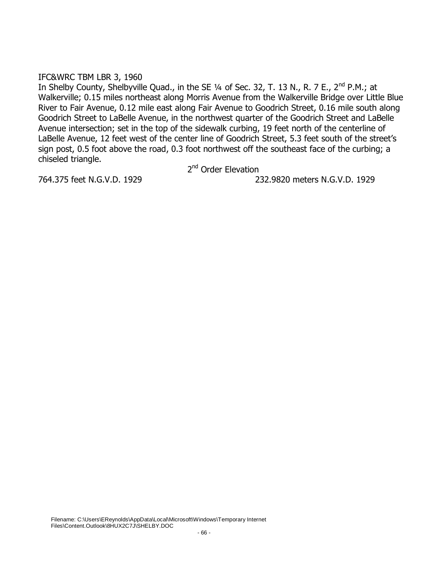## IFC&WRC TBM LBR 3, 1960

In Shelby County, Shelbyville Quad., in the SE  $\frac{1}{4}$  of Sec. 32, T. 13 N., R. 7 E., 2<sup>nd</sup> P.M.; at Walkerville; 0.15 miles northeast along Morris Avenue from the Walkerville Bridge over Little Blue River to Fair Avenue, 0.12 mile east along Fair Avenue to Goodrich Street, 0.16 mile south along Goodrich Street to LaBelle Avenue, in the northwest quarter of the Goodrich Street and LaBelle Avenue intersection; set in the top of the sidewalk curbing, 19 feet north of the centerline of LaBelle Avenue, 12 feet west of the center line of Goodrich Street, 5.3 feet south of the street's sign post, 0.5 foot above the road, 0.3 foot northwest off the southeast face of the curbing; a chiseled triangle.

2<sup>nd</sup> Order Elevation

764.375 feet N.G.V.D. 1929 232.9820 meters N.G.V.D. 1929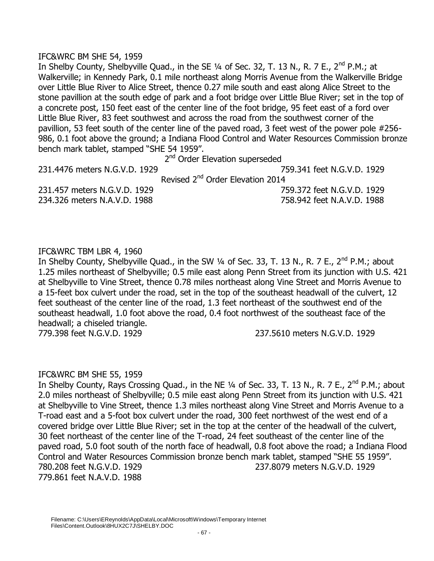## IFC&WRC BM SHE 54, 1959

In Shelby County, Shelbyville Quad., in the SE  $\frac{1}{4}$  of Sec. 32, T. 13 N., R. 7 E., 2<sup>nd</sup> P.M.; at Walkerville; in Kennedy Park, 0.1 mile northeast along Morris Avenue from the Walkerville Bridge over Little Blue River to Alice Street, thence 0.27 mile south and east along Alice Street to the stone pavillion at the south edge of park and a foot bridge over Little Blue River; set in the top of a concrete post, 150 feet east of the center line of the foot bridge, 95 feet east of a ford over Little Blue River, 83 feet southwest and across the road from the southwest corner of the pavillion, 53 feet south of the center line of the paved road, 3 feet west of the power pole #256- 986, 0.1 foot above the ground; a Indiana Flood Control and Water Resources Commission bronze bench mark tablet, stamped "SHE 54 1959".

2<sup>nd</sup> Order Elevation superseded 231.4476 meters N.G.V.D. 1929 759.341 feet N.G.V.D. 1929 Revised 2<sup>nd</sup> Order Elevation 2014 231.457 meters N.G.V.D. 1929 759.372 feet N.G.V.D. 1929 234.326 meters N.A.V.D. 1988 758.942 feet N.A.V.D. 1988

# IFC&WRC TBM LBR 4, 1960

In Shelby County, Shelbyville Quad., in the SW 1/4 of Sec. 33, T. 13 N., R. 7 E., 2<sup>nd</sup> P.M.; about 1.25 miles northeast of Shelbyville; 0.5 mile east along Penn Street from its junction with U.S. 421 at Shelbyville to Vine Street, thence 0.78 miles northeast along Vine Street and Morris Avenue to a 15-feet box culvert under the road, set in the top of the southeast headwall of the culvert, 12 feet southeast of the center line of the road, 1.3 feet northeast of the southwest end of the southeast headwall, 1.0 foot above the road, 0.4 foot northwest of the southeast face of the headwall; a chiseled triangle.

779.398 feet N.G.V.D. 1929 237.5610 meters N.G.V.D. 1929

# IFC&WRC BM SHE 55, 1959

In Shelby County, Rays Crossing Quad., in the NE 1/4 of Sec. 33, T. 13 N., R. 7 E., 2<sup>nd</sup> P.M.; about 2.0 miles northeast of Shelbyville; 0.5 mile east along Penn Street from its junction with U.S. 421 at Shelbyville to Vine Street, thence 1.3 miles northeast along Vine Street and Morris Avenue to a T-road east and a 5-foot box culvert under the road, 300 feet northwest of the west end of a covered bridge over Little Blue River; set in the top at the center of the headwall of the culvert, 30 feet northeast of the center line of the T-road, 24 feet southeast of the center line of the paved road, 5.0 foot south of the north face of headwall, 0.8 foot above the road; a Indiana Flood Control and Water Resources Commission bronze bench mark tablet, stamped "SHE 55 1959". 780.208 feet N.G.V.D. 1929 237.8079 meters N.G.V.D. 1929 779.861 feet N.A.V.D. 1988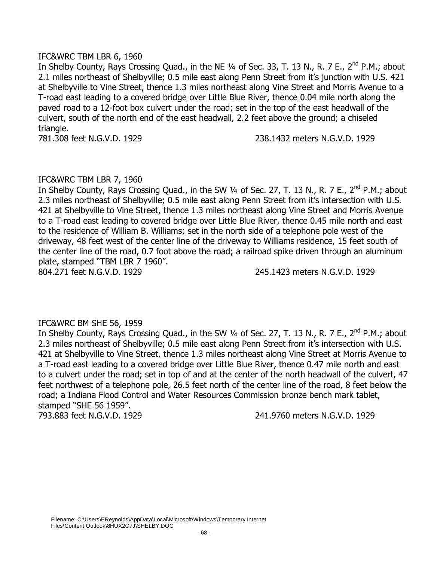## IFC&WRC TBM LBR 6, 1960

In Shelby County, Rays Crossing Quad., in the NE 1/4 of Sec. 33, T. 13 N., R. 7 E., 2<sup>nd</sup> P.M.; about 2.1 miles northeast of Shelbyville; 0.5 mile east along Penn Street from it's junction with U.S. 421 at Shelbyville to Vine Street, thence 1.3 miles northeast along Vine Street and Morris Avenue to a T-road east leading to a covered bridge over Little Blue River, thence 0.04 mile north along the paved road to a 12-foot box culvert under the road; set in the top of the east headwall of the culvert, south of the north end of the east headwall, 2.2 feet above the ground; a chiseled triangle.

781.308 feet N.G.V.D. 1929 238.1432 meters N.G.V.D. 1929

# IFC&WRC TBM LBR 7, 1960

In Shelby County, Rays Crossing Quad., in the SW 1/4 of Sec. 27, T. 13 N., R. 7 E., 2<sup>nd</sup> P.M.; about 2.3 miles northeast of Shelbyville; 0.5 mile east along Penn Street from it's intersection with U.S. 421 at Shelbyville to Vine Street, thence 1.3 miles northeast along Vine Street and Morris Avenue to a T-road east leading to covered bridge over Little Blue River, thence 0.45 mile north and east to the residence of William B. Williams; set in the north side of a telephone pole west of the driveway, 48 feet west of the center line of the driveway to Williams residence, 15 feet south of the center line of the road, 0.7 foot above the road; a railroad spike driven through an aluminum plate, stamped "TBM LBR 7 1960".

804.271 feet N.G.V.D. 1929 245.1423 meters N.G.V.D. 1929

# IFC&WRC BM SHE 56, 1959

In Shelby County, Rays Crossing Quad., in the SW 1/4 of Sec. 27, T. 13 N., R. 7 E., 2<sup>nd</sup> P.M.; about 2.3 miles northeast of Shelbyville; 0.5 mile east along Penn Street from it's intersection with U.S. 421 at Shelbyville to Vine Street, thence 1.3 miles northeast along Vine Street at Morris Avenue to a T-road east leading to a covered bridge over Little Blue River, thence 0.47 mile north and east to a culvert under the road; set in top of and at the center of the north headwall of the culvert, 47 feet northwest of a telephone pole, 26.5 feet north of the center line of the road, 8 feet below the road; a Indiana Flood Control and Water Resources Commission bronze bench mark tablet, stamped "SHE 56 1959".

793.883 feet N.G.V.D. 1929 241.9760 meters N.G.V.D. 1929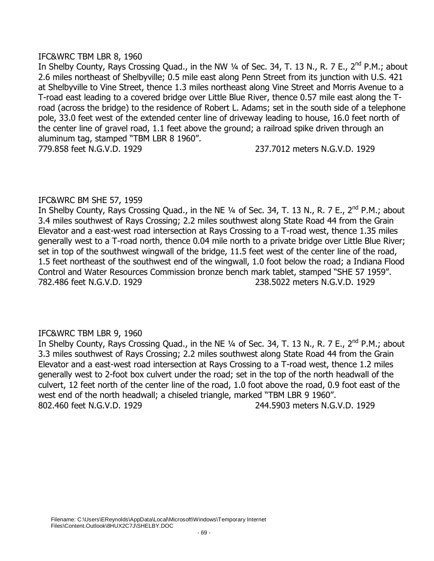### IFC&WRC TBM LBR 8, 1960

In Shelby County, Rays Crossing Quad., in the NW 1/4 of Sec. 34, T. 13 N., R. 7 E., 2<sup>nd</sup> P.M.; about 2.6 miles northeast of Shelbyville; 0.5 mile east along Penn Street from its junction with U.S. 421 at Shelbyville to Vine Street, thence 1.3 miles northeast along Vine Street and Morris Avenue to a T-road east leading to a covered bridge over Little Blue River, thence 0.57 mile east along the Troad (across the bridge) to the residence of Robert L. Adams; set in the south side of a telephone pole, 33.0 feet west of the extended center line of driveway leading to house, 16.0 feet north of the center line of gravel road, 1.1 feet above the ground; a railroad spike driven through an aluminum tag, stamped "TBM LBR 8 1960". 779.858 feet N.G.V.D. 1929 237.7012 meters N.G.V.D. 1929

# IFC&WRC BM SHE 57, 1959

In Shelby County, Rays Crossing Quad., in the NE 1/4 of Sec. 34, T. 13 N., R. 7 E., 2<sup>nd</sup> P.M.; about 3.4 miles southwest of Rays Crossing; 2.2 miles southwest along State Road 44 from the Grain Elevator and a east-west road intersection at Rays Crossing to a T-road west, thence 1.35 miles generally west to a T-road north, thence 0.04 mile north to a private bridge over Little Blue River; set in top of the southwest wingwall of the bridge, 11.5 feet west of the center line of the road, 1.5 feet northeast of the southwest end of the wingwall, 1.0 foot below the road; a Indiana Flood Control and Water Resources Commission bronze bench mark tablet, stamped "SHE 57 1959". 782.486 feet N.G.V.D. 1929 238.5022 meters N.G.V.D. 1929

# IFC&WRC TBM LBR 9, 1960

In Shelby County, Rays Crossing Quad., in the NE 1/4 of Sec. 34, T. 13 N., R. 7 E., 2<sup>nd</sup> P.M.; about 3.3 miles southwest of Rays Crossing; 2.2 miles southwest along State Road 44 from the Grain Elevator and a east-west road intersection at Rays Crossing to a T-road west, thence 1.2 miles generally west to 2-foot box culvert under the road; set in the top of the north headwall of the culvert, 12 feet north of the center line of the road, 1.0 foot above the road, 0.9 foot east of the west end of the north headwall; a chiseled triangle, marked "TBM LBR 9 1960". 802.460 feet N.G.V.D. 1929 244.5903 meters N.G.V.D. 1929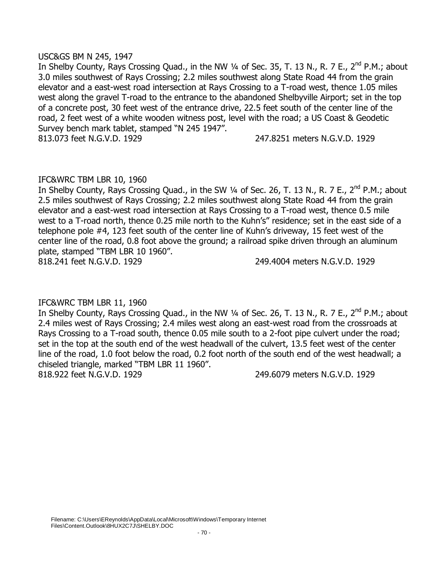## USC&GS BM N 245, 1947

In Shelby County, Rays Crossing Quad., in the NW 1/4 of Sec. 35, T. 13 N., R. 7 E., 2<sup>nd</sup> P.M.; about 3.0 miles southwest of Rays Crossing; 2.2 miles southwest along State Road 44 from the grain elevator and a east-west road intersection at Rays Crossing to a T-road west, thence 1.05 miles west along the gravel T-road to the entrance to the abandoned Shelbyville Airport; set in the top of a concrete post, 30 feet west of the entrance drive, 22.5 feet south of the center line of the road, 2 feet west of a white wooden witness post, level with the road; a US Coast & Geodetic Survey bench mark tablet, stamped "N 245 1947".

813.073 feet N.G.V.D. 1929 247.8251 meters N.G.V.D. 1929

# IFC&WRC TBM LBR 10, 1960

In Shelby County, Rays Crossing Quad., in the SW 1/4 of Sec. 26, T. 13 N., R. 7 E., 2<sup>nd</sup> P.M.; about 2.5 miles southwest of Rays Crossing; 2.2 miles southwest along State Road 44 from the grain elevator and a east-west road intersection at Rays Crossing to a T-road west, thence 0.5 mile west to a T-road north, thence 0.25 mile north to the Kuhn's" residence; set in the east side of a telephone pole #4, 123 feet south of the center line of Kuhn's driveway, 15 feet west of the center line of the road, 0.8 foot above the ground; a railroad spike driven through an aluminum plate, stamped "TBM LBR 10 1960". 818.241 feet N.G.V.D. 1929 249.4004 meters N.G.V.D. 1929

# IFC&WRC TBM LBR 11, 1960

In Shelby County, Rays Crossing Quad., in the NW  $\frac{1}{4}$  of Sec. 26, T. 13 N., R. 7 E., 2<sup>nd</sup> P.M.; about 2.4 miles west of Rays Crossing; 2.4 miles west along an east-west road from the crossroads at Rays Crossing to a T-road south, thence 0.05 mile south to a 2-foot pipe culvert under the road; set in the top at the south end of the west headwall of the culvert, 13.5 feet west of the center line of the road, 1.0 foot below the road, 0.2 foot north of the south end of the west headwall; a chiseled triangle, marked "TBM LBR 11 1960".

818.922 feet N.G.V.D. 1929 249.6079 meters N.G.V.D. 1929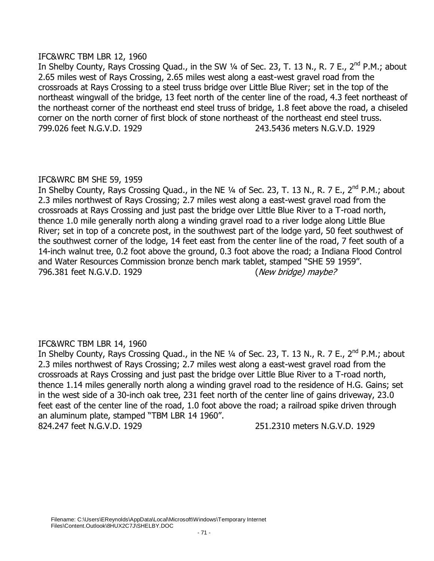## IFC&WRC TBM LBR 12, 1960

In Shelby County, Rays Crossing Quad., in the SW 1/4 of Sec. 23, T. 13 N., R. 7 E., 2<sup>nd</sup> P.M.; about 2.65 miles west of Rays Crossing, 2.65 miles west along a east-west gravel road from the crossroads at Rays Crossing to a steel truss bridge over Little Blue River; set in the top of the northeast wingwall of the bridge, 13 feet north of the center line of the road, 4.3 feet northeast of the northeast corner of the northeast end steel truss of bridge, 1.8 feet above the road, a chiseled corner on the north corner of first block of stone northeast of the northeast end steel truss. 799.026 feet N.G.V.D. 1929 243.5436 meters N.G.V.D. 1929

# IFC&WRC BM SHE 59, 1959

In Shelby County, Rays Crossing Quad., in the NE  $\frac{1}{4}$  of Sec. 23, T. 13 N., R. 7 E., 2<sup>nd</sup> P.M.; about 2.3 miles northwest of Rays Crossing; 2.7 miles west along a east-west gravel road from the crossroads at Rays Crossing and just past the bridge over Little Blue River to a T-road north, thence 1.0 mile generally north along a winding gravel road to a river lodge along Little Blue River; set in top of a concrete post, in the southwest part of the lodge yard, 50 feet southwest of the southwest corner of the lodge, 14 feet east from the center line of the road, 7 feet south of a 14-inch walnut tree, 0.2 foot above the ground, 0.3 foot above the road; a Indiana Flood Control and Water Resources Commission bronze bench mark tablet, stamped "SHE 59 1959". 796.381 feet N.G.V.D. 1929 (*New bridge*) maybe?

# IFC&WRC TBM LBR 14, 1960

In Shelby County, Rays Crossing Quad., in the NE 1/4 of Sec. 23, T. 13 N., R. 7 E., 2<sup>nd</sup> P.M.; about 2.3 miles northwest of Rays Crossing; 2.7 miles west along a east-west gravel road from the crossroads at Rays Crossing and just past the bridge over Little Blue River to a T-road north, thence 1.14 miles generally north along a winding gravel road to the residence of H.G. Gains; set in the west side of a 30-inch oak tree, 231 feet north of the center line of gains driveway, 23.0 feet east of the center line of the road, 1.0 foot above the road; a railroad spike driven through an aluminum plate, stamped "TBM LBR 14 1960".

824.247 feet N.G.V.D. 1929 251.2310 meters N.G.V.D. 1929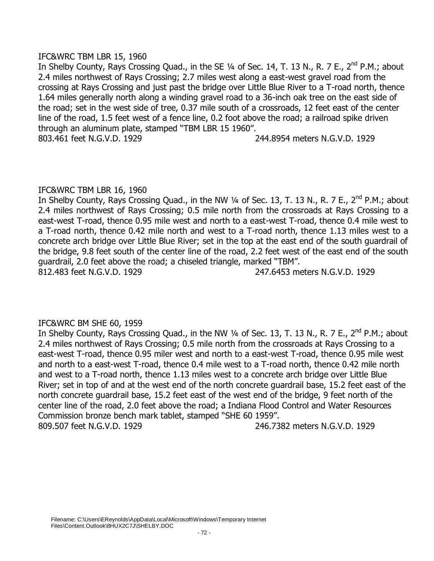## IFC&WRC TBM LBR 15, 1960

In Shelby County, Rays Crossing Quad., in the SE 1/4 of Sec. 14, T. 13 N., R. 7 E., 2<sup>nd</sup> P.M.; about 2.4 miles northwest of Rays Crossing; 2.7 miles west along a east-west gravel road from the crossing at Rays Crossing and just past the bridge over Little Blue River to a T-road north, thence 1.64 miles generally north along a winding gravel road to a 36-inch oak tree on the east side of the road; set in the west side of tree, 0.37 mile south of a crossroads, 12 feet east of the center line of the road, 1.5 feet west of a fence line, 0.2 foot above the road; a railroad spike driven through an aluminum plate, stamped "TBM LBR 15 1960". 803.461 feet N.G.V.D. 1929 244.8954 meters N.G.V.D. 1929

# IFC&WRC TBM LBR 16, 1960

In Shelby County, Rays Crossing Quad., in the NW 1/4 of Sec. 13, T. 13 N., R. 7 E., 2<sup>nd</sup> P.M.; about 2.4 miles northwest of Rays Crossing; 0.5 mile north from the crossroads at Rays Crossing to a east-west T-road, thence 0.95 mile west and north to a east-west T-road, thence 0.4 mile west to a T-road north, thence 0.42 mile north and west to a T-road north, thence 1.13 miles west to a concrete arch bridge over Little Blue River; set in the top at the east end of the south guardrail of the bridge, 9.8 feet south of the center line of the road, 2.2 feet west of the east end of the south guardrail, 2.0 feet above the road; a chiseled triangle, marked "TBM".

812.483 feet N.G.V.D. 1929 247.6453 meters N.G.V.D. 1929

# IFC&WRC BM SHE 60, 1959

In Shelby County, Rays Crossing Quad., in the NW 1/4 of Sec. 13, T. 13 N., R. 7 E., 2<sup>nd</sup> P.M.; about 2.4 miles northwest of Rays Crossing; 0.5 mile north from the crossroads at Rays Crossing to a east-west T-road, thence 0.95 miler west and north to a east-west T-road, thence 0.95 mile west and north to a east-west T-road, thence 0.4 mile west to a T-road north, thence 0.42 mile north and west to a T-road north, thence 1.13 miles west to a concrete arch bridge over Little Blue River; set in top of and at the west end of the north concrete guardrail base, 15.2 feet east of the north concrete guardrail base, 15.2 feet east of the west end of the bridge, 9 feet north of the center line of the road, 2.0 feet above the road; a Indiana Flood Control and Water Resources Commission bronze bench mark tablet, stamped "SHE 60 1959". 809.507 feet N.G.V.D. 1929 246.7382 meters N.G.V.D. 1929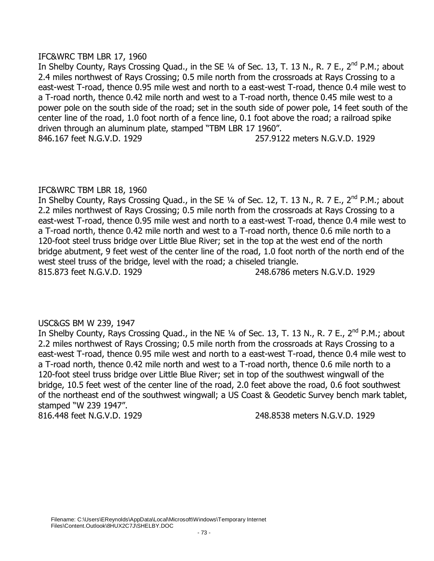## IFC&WRC TBM LBR 17, 1960

In Shelby County, Rays Crossing Quad., in the SE 1/4 of Sec. 13, T. 13 N., R. 7 E., 2<sup>nd</sup> P.M.; about 2.4 miles northwest of Rays Crossing; 0.5 mile north from the crossroads at Rays Crossing to a east-west T-road, thence 0.95 mile west and north to a east-west T-road, thence 0.4 mile west to a T-road north, thence 0.42 mile north and west to a T-road north, thence 0.45 mile west to a power pole on the south side of the road; set in the south side of power pole, 14 feet south of the center line of the road, 1.0 foot north of a fence line, 0.1 foot above the road; a railroad spike driven through an aluminum plate, stamped "TBM LBR 17 1960". 846.167 feet N.G.V.D. 1929 257.9122 meters N.G.V.D. 1929

# IFC&WRC TBM LBR 18, 1960

In Shelby County, Rays Crossing Quad., in the SE 1/4 of Sec. 12, T. 13 N., R. 7 E., 2<sup>nd</sup> P.M.; about 2.2 miles northwest of Rays Crossing; 0.5 mile north from the crossroads at Rays Crossing to a east-west T-road, thence 0.95 mile west and north to a east-west T-road, thence 0.4 mile west to a T-road north, thence 0.42 mile north and west to a T-road north, thence 0.6 mile north to a 120-foot steel truss bridge over Little Blue River; set in the top at the west end of the north bridge abutment, 9 feet west of the center line of the road, 1.0 foot north of the north end of the west steel truss of the bridge, level with the road; a chiseled triangle. 815.873 feet N.G.V.D. 1929 248.6786 meters N.G.V.D. 1929

# USC&GS BM W 239, 1947

In Shelby County, Rays Crossing Quad., in the NE 1/4 of Sec. 13, T. 13 N., R. 7 E., 2<sup>nd</sup> P.M.; about 2.2 miles northwest of Rays Crossing; 0.5 mile north from the crossroads at Rays Crossing to a east-west T-road, thence 0.95 mile west and north to a east-west T-road, thence 0.4 mile west to a T-road north, thence 0.42 mile north and west to a T-road north, thence 0.6 mile north to a 120-foot steel truss bridge over Little Blue River; set in top of the southwest wingwall of the bridge, 10.5 feet west of the center line of the road, 2.0 feet above the road, 0.6 foot southwest of the northeast end of the southwest wingwall; a US Coast & Geodetic Survey bench mark tablet, stamped "W 239 1947".

816.448 feet N.G.V.D. 1929 248.8538 meters N.G.V.D. 1929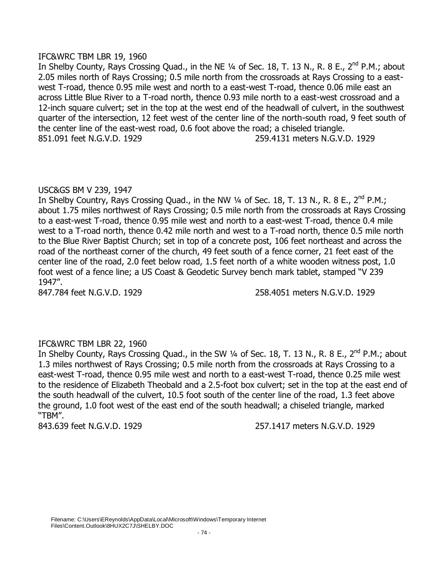## IFC&WRC TBM LBR 19, 1960

In Shelby County, Rays Crossing Quad., in the NE 1/4 of Sec. 18, T. 13 N., R. 8 E., 2<sup>nd</sup> P.M.; about 2.05 miles north of Rays Crossing; 0.5 mile north from the crossroads at Rays Crossing to a eastwest T-road, thence 0.95 mile west and north to a east-west T-road, thence 0.06 mile east an across Little Blue River to a T-road north, thence 0.93 mile north to a east-west crossroad and a 12-inch square culvert; set in the top at the west end of the headwall of culvert, in the southwest quarter of the intersection, 12 feet west of the center line of the north-south road, 9 feet south of the center line of the east-west road, 0.6 foot above the road; a chiseled triangle. 851.091 feet N.G.V.D. 1929 259.4131 meters N.G.V.D. 1929

# USC&GS BM V 239, 1947

In Shelby Country, Rays Crossing Quad., in the NW 1/4 of Sec. 18, T. 13 N., R. 8 E., 2<sup>nd</sup> P.M.; about 1.75 miles northwest of Rays Crossing; 0.5 mile north from the crossroads at Rays Crossing to a east-west T-road, thence 0.95 mile west and north to a east-west T-road, thence 0.4 mile west to a T-road north, thence 0.42 mile north and west to a T-road north, thence 0.5 mile north to the Blue River Baptist Church; set in top of a concrete post, 106 feet northeast and across the road of the northeast corner of the church, 49 feet south of a fence corner, 21 feet east of the center line of the road, 2.0 feet below road, 1.5 feet north of a white wooden witness post, 1.0 foot west of a fence line; a US Coast & Geodetic Survey bench mark tablet, stamped "V 239 1947".

847.784 feet N.G.V.D. 1929 258.4051 meters N.G.V.D. 1929

# IFC&WRC TBM LBR 22, 1960

In Shelby County, Rays Crossing Quad., in the SW 1/4 of Sec. 18, T. 13 N., R. 8 E., 2<sup>nd</sup> P.M.; about 1.3 miles northwest of Rays Crossing; 0.5 mile north from the crossroads at Rays Crossing to a east-west T-road, thence 0.95 mile west and north to a east-west T-road, thence 0.25 mile west to the residence of Elizabeth Theobald and a 2.5-foot box culvert; set in the top at the east end of the south headwall of the culvert, 10.5 foot south of the center line of the road, 1.3 feet above the ground, 1.0 foot west of the east end of the south headwall; a chiseled triangle, marked "TBM".

843.639 feet N.G.V.D. 1929 257.1417 meters N.G.V.D. 1929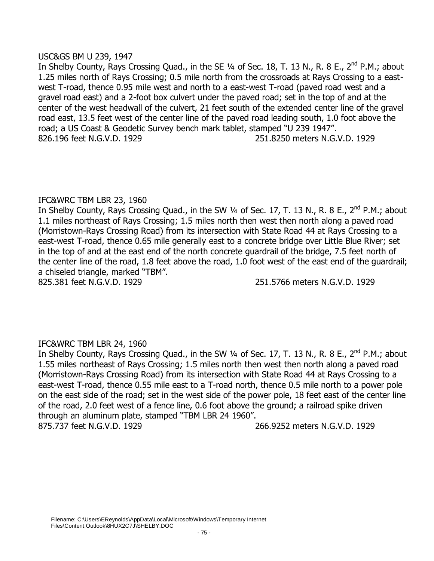## USC&GS BM U 239, 1947

In Shelby County, Rays Crossing Quad., in the SE 1/4 of Sec. 18, T. 13 N., R. 8 E., 2<sup>nd</sup> P.M.; about 1.25 miles north of Rays Crossing; 0.5 mile north from the crossroads at Rays Crossing to a eastwest T-road, thence 0.95 mile west and north to a east-west T-road (paved road west and a gravel road east) and a 2-foot box culvert under the paved road; set in the top of and at the center of the west headwall of the culvert, 21 feet south of the extended center line of the gravel road east, 13.5 feet west of the center line of the paved road leading south, 1.0 foot above the road; a US Coast & Geodetic Survey bench mark tablet, stamped "U 239 1947". 826.196 feet N.G.V.D. 1929 251.8250 meters N.G.V.D. 1929

# IFC&WRC TBM LBR 23, 1960

In Shelby County, Rays Crossing Quad., in the SW 1/4 of Sec. 17, T. 13 N., R. 8 E., 2<sup>nd</sup> P.M.; about 1.1 miles northeast of Rays Crossing; 1.5 miles north then west then north along a paved road (Morristown-Rays Crossing Road) from its intersection with State Road 44 at Rays Crossing to a east-west T-road, thence 0.65 mile generally east to a concrete bridge over Little Blue River; set in the top of and at the east end of the north concrete guardrail of the bridge, 7.5 feet north of the center line of the road, 1.8 feet above the road, 1.0 foot west of the east end of the guardrail; a chiseled triangle, marked "TBM".

825.381 feet N.G.V.D. 1929 251.5766 meters N.G.V.D. 1929

# IFC&WRC TBM LBR 24, 1960

In Shelby County, Rays Crossing Quad., in the SW 1/4 of Sec. 17, T. 13 N., R. 8 E., 2<sup>nd</sup> P.M.; about 1.55 miles northeast of Rays Crossing; 1.5 miles north then west then north along a paved road (Morristown-Rays Crossing Road) from its intersection with State Road 44 at Rays Crossing to a east-west T-road, thence 0.55 mile east to a T-road north, thence 0.5 mile north to a power pole on the east side of the road; set in the west side of the power pole, 18 feet east of the center line of the road, 2.0 feet west of a fence line, 0.6 foot above the ground; a railroad spike driven through an aluminum plate, stamped "TBM LBR 24 1960". 875.737 feet N.G.V.D. 1929 266.9252 meters N.G.V.D. 1929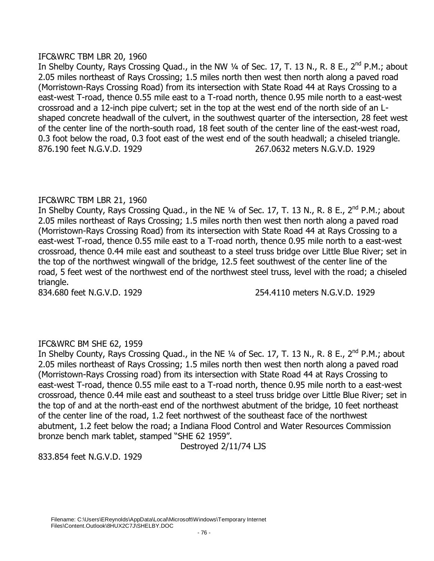## IFC&WRC TBM LBR 20, 1960

In Shelby County, Rays Crossing Quad., in the NW 1/4 of Sec. 17, T. 13 N., R. 8 E., 2<sup>nd</sup> P.M.; about 2.05 miles northeast of Rays Crossing; 1.5 miles north then west then north along a paved road (Morristown-Rays Crossing Road) from its intersection with State Road 44 at Rays Crossing to a east-west T-road, thence 0.55 mile east to a T-road north, thence 0.95 mile north to a east-west crossroad and a 12-inch pipe culvert; set in the top at the west end of the north side of an Lshaped concrete headwall of the culvert, in the southwest quarter of the intersection, 28 feet west of the center line of the north-south road, 18 feet south of the center line of the east-west road, 0.3 foot below the road, 0.3 foot east of the west end of the south headwall; a chiseled triangle. 876.190 feet N.G.V.D. 1929 267.0632 meters N.G.V.D. 1929

# IFC&WRC TBM LBR 21, 1960

In Shelby County, Rays Crossing Quad., in the NE 1/4 of Sec. 17, T. 13 N., R. 8 E., 2<sup>nd</sup> P.M.; about 2.05 miles northeast of Rays Crossing; 1.5 miles north then west then north along a paved road (Morristown-Rays Crossing Road) from its intersection with State Road 44 at Rays Crossing to a east-west T-road, thence 0.55 mile east to a T-road north, thence 0.95 mile north to a east-west crossroad, thence 0.44 mile east and southeast to a steel truss bridge over Little Blue River; set in the top of the northwest wingwall of the bridge, 12.5 feet southwest of the center line of the road, 5 feet west of the northwest end of the northwest steel truss, level with the road; a chiseled triangle.

834.680 feet N.G.V.D. 1929 254.4110 meters N.G.V.D. 1929

# IFC&WRC BM SHE 62, 1959

In Shelby County, Rays Crossing Quad., in the NE 1/4 of Sec. 17, T. 13 N., R. 8 E., 2<sup>nd</sup> P.M.; about 2.05 miles northeast of Rays Crossing; 1.5 miles north then west then north along a paved road (Morristown-Rays Crossing road) from its intersection with State Road 44 at Rays Crossing to east-west T-road, thence 0.55 mile east to a T-road north, thence 0.95 mile north to a east-west crossroad, thence 0.44 mile east and southeast to a steel truss bridge over Little Blue River; set in the top of and at the north-east end of the northwest abutment of the bridge, 10 feet northeast of the center line of the road, 1.2 feet northwest of the southeast face of the northwest abutment, 1.2 feet below the road; a Indiana Flood Control and Water Resources Commission bronze bench mark tablet, stamped "SHE 62 1959".

Destroyed 2/11/74 LJS

833.854 feet N.G.V.D. 1929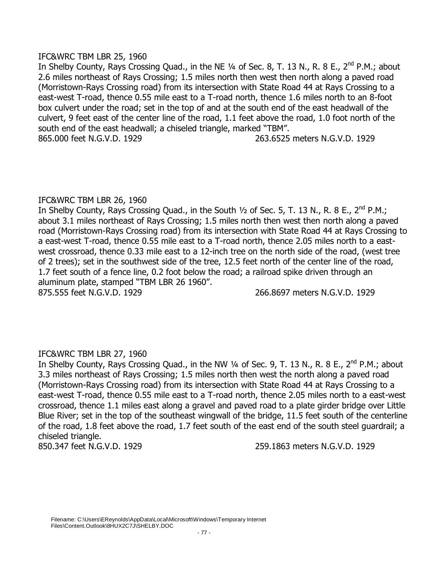# IFC&WRC TBM LBR 25, 1960

In Shelby County, Rays Crossing Quad., in the NE 1/4 of Sec. 8, T. 13 N., R. 8 E., 2<sup>nd</sup> P.M.; about 2.6 miles northeast of Rays Crossing; 1.5 miles north then west then north along a paved road (Morristown-Rays Crossing road) from its intersection with State Road 44 at Rays Crossing to a east-west T-road, thence 0.55 mile east to a T-road north, thence 1.6 miles north to an 8-foot box culvert under the road; set in the top of and at the south end of the east headwall of the culvert, 9 feet east of the center line of the road, 1.1 feet above the road, 1.0 foot north of the south end of the east headwall; a chiseled triangle, marked "TBM". 865.000 feet N.G.V.D. 1929 263.6525 meters N.G.V.D. 1929

### IFC&WRC TBM LBR 26, 1960

In Shelby County, Rays Crossing Quad., in the South  $\frac{1}{2}$  of Sec. 5, T. 13 N., R. 8 E., 2<sup>nd</sup> P.M.; about 3.1 miles northeast of Rays Crossing; 1.5 miles north then west then north along a paved road (Morristown-Rays Crossing road) from its intersection with State Road 44 at Rays Crossing to a east-west T-road, thence 0.55 mile east to a T-road north, thence 2.05 miles north to a eastwest crossroad, thence 0.33 mile east to a 12-inch tree on the north side of the road, (west tree of 2 trees); set in the southwest side of the tree, 12.5 feet north of the center line of the road, 1.7 feet south of a fence line, 0.2 foot below the road; a railroad spike driven through an aluminum plate, stamped "TBM LBR 26 1960". 875.555 feet N.G.V.D. 1929 266.8697 meters N.G.V.D. 1929

IFC&WRC TBM LBR 27, 1960 In Shelby County, Rays Crossing Quad., in the NW 1/4 of Sec. 9, T. 13 N., R. 8 E., 2<sup>nd</sup> P.M.; about 3.3 miles northeast of Rays Crossing; 1.5 miles north then west the north along a paved road (Morristown-Rays Crossing road) from its intersection with State Road 44 at Rays Crossing to a east-west T-road, thence 0.55 mile east to a T-road north, thence 2.05 miles north to a east-west crossroad, thence 1.1 miles east along a gravel and paved road to a plate girder bridge over Little Blue River; set in the top of the southeast wingwall of the bridge, 11.5 feet south of the centerline of the road, 1.8 feet above the road, 1.7 feet south of the east end of the south steel guardrail; a chiseled triangle.

850.347 feet N.G.V.D. 1929 259.1863 meters N.G.V.D. 1929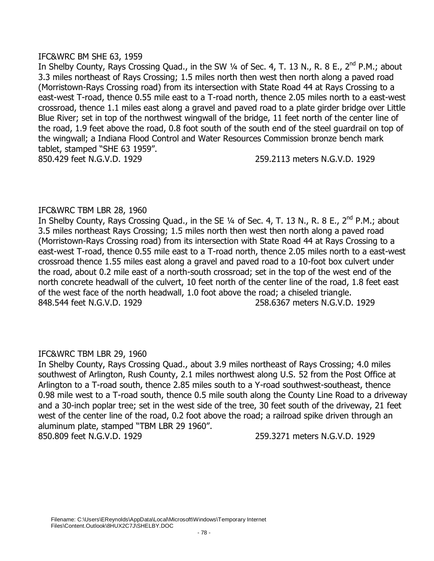## IFC&WRC BM SHE 63, 1959

In Shelby County, Rays Crossing Quad., in the SW 1/4 of Sec. 4, T. 13 N., R. 8 E., 2<sup>nd</sup> P.M.; about 3.3 miles northeast of Rays Crossing; 1.5 miles north then west then north along a paved road (Morristown-Rays Crossing road) from its intersection with State Road 44 at Rays Crossing to a east-west T-road, thence 0.55 mile east to a T-road north, thence 2.05 miles north to a east-west crossroad, thence 1.1 miles east along a gravel and paved road to a plate girder bridge over Little Blue River; set in top of the northwest wingwall of the bridge, 11 feet north of the center line of the road, 1.9 feet above the road, 0.8 foot south of the south end of the steel guardrail on top of the wingwall; a Indiana Flood Control and Water Resources Commission bronze bench mark tablet, stamped "SHE 63 1959". 850.429 feet N.G.V.D. 1929 259.2113 meters N.G.V.D. 1929

# IFC&WRC TBM LBR 28, 1960

In Shelby County, Rays Crossing Quad., in the SE 1/4 of Sec. 4, T. 13 N., R. 8 E., 2<sup>nd</sup> P.M.; about 3.5 miles northeast Rays Crossing; 1.5 miles north then west then north along a paved road (Morristown-Rays Crossing road) from its intersection with State Road 44 at Rays Crossing to a east-west T-road, thence 0.55 mile east to a T-road north, thence 2.05 miles north to a east-west crossroad thence 1.55 miles east along a gravel and paved road to a 10-foot box culvert under the road, about 0.2 mile east of a north-south crossroad; set in the top of the west end of the north concrete headwall of the culvert, 10 feet north of the center line of the road, 1.8 feet east of the west face of the north headwall, 1.0 foot above the road; a chiseled triangle. 848.544 feet N.G.V.D. 1929 258.6367 meters N.G.V.D. 1929

# IFC&WRC TBM LBR 29, 1960

In Shelby County, Rays Crossing Quad., about 3.9 miles northeast of Rays Crossing; 4.0 miles southwest of Arlington, Rush County, 2.1 miles northwest along U.S. 52 from the Post Office at Arlington to a T-road south, thence 2.85 miles south to a Y-road southwest-southeast, thence 0.98 mile west to a T-road south, thence 0.5 mile south along the County Line Road to a driveway and a 30-inch poplar tree; set in the west side of the tree, 30 feet south of the driveway, 21 feet west of the center line of the road, 0.2 foot above the road; a railroad spike driven through an aluminum plate, stamped "TBM LBR 29 1960". 850.809 feet N.G.V.D. 1929 259.3271 meters N.G.V.D. 1929

Filename: C:\Users\EReynolds\AppData\Local\Microsoft\Windows\Temporary Internet Files\Content.Outlook\8HUX2C7J\SHELBY.DOC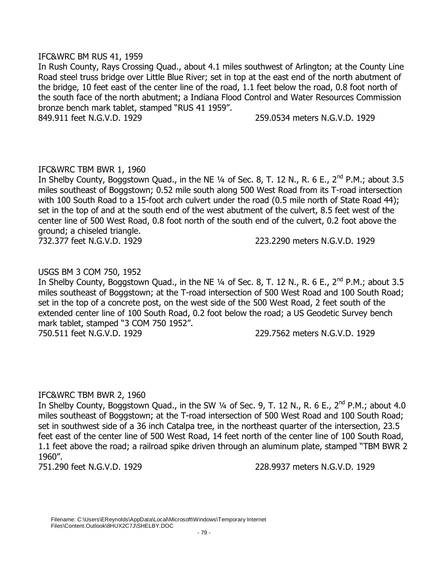## IFC&WRC BM RUS 41, 1959

In Rush County, Rays Crossing Quad., about 4.1 miles southwest of Arlington; at the County Line Road steel truss bridge over Little Blue River; set in top at the east end of the north abutment of the bridge, 10 feet east of the center line of the road, 1.1 feet below the road, 0.8 foot north of the south face of the north abutment; a Indiana Flood Control and Water Resources Commission bronze bench mark tablet, stamped "RUS 41 1959".

849.911 feet N.G.V.D. 1929 259.0534 meters N.G.V.D. 1929

# IFC&WRC TBM BWR 1, 1960

In Shelby County, Boggstown Quad., in the NE  $\frac{1}{4}$  of Sec. 8, T. 12 N., R. 6 E., 2<sup>nd</sup> P.M.; about 3.5 miles southeast of Boggstown; 0.52 mile south along 500 West Road from its T-road intersection with 100 South Road to a 15-foot arch culvert under the road (0.5 mile north of State Road 44); set in the top of and at the south end of the west abutment of the culvert, 8.5 feet west of the center line of 500 West Road, 0.8 foot north of the south end of the culvert, 0.2 foot above the ground; a chiseled triangle.

732.377 feet N.G.V.D. 1929 223.2290 meters N.G.V.D. 1929

# USGS BM 3 COM 750, 1952

In Shelby County, Boggstown Quad., in the NE  $\frac{1}{4}$  of Sec. 8, T. 12 N., R. 6 E., 2<sup>nd</sup> P.M.; about 3.5 miles southeast of Boggstown; at the T-road intersection of 500 West Road and 100 South Road; set in the top of a concrete post, on the west side of the 500 West Road, 2 feet south of the extended center line of 100 South Road, 0.2 foot below the road; a US Geodetic Survey bench mark tablet, stamped "3 COM 750 1952". 750.511 feet N.G.V.D. 1929 229.7562 meters N.G.V.D. 1929

# IFC&WRC TBM BWR 2, 1960

In Shelby County, Boggstown Quad., in the SW  $\frac{1}{4}$  of Sec. 9, T. 12 N., R. 6 E., 2<sup>nd</sup> P.M.; about 4.0 miles southeast of Boggstown; at the T-road intersection of 500 West Road and 100 South Road; set in southwest side of a 36 inch Catalpa tree, in the northeast quarter of the intersection, 23.5 feet east of the center line of 500 West Road, 14 feet north of the center line of 100 South Road, 1.1 feet above the road; a railroad spike driven through an aluminum plate, stamped "TBM BWR 2 1960".

751.290 feet N.G.V.D. 1929 228.9937 meters N.G.V.D. 1929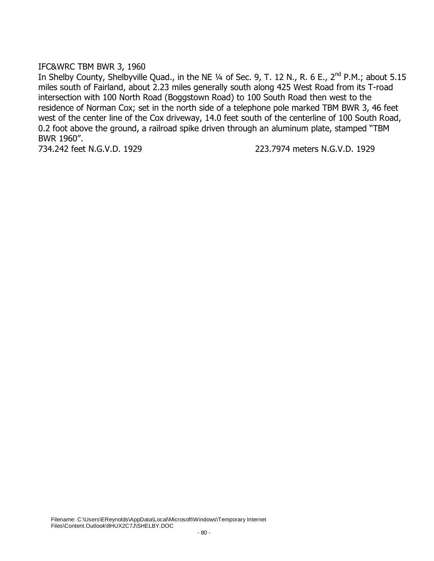#### IFC&WRC TBM BWR 3, 1960

In Shelby County, Shelbyville Quad., in the NE 1/4 of Sec. 9, T. 12 N., R. 6 E., 2<sup>nd</sup> P.M.; about 5.15 miles south of Fairland, about 2.23 miles generally south along 425 West Road from its T-road intersection with 100 North Road (Boggstown Road) to 100 South Road then west to the residence of Norman Cox; set in the north side of a telephone pole marked TBM BWR 3, 46 feet west of the center line of the Cox driveway, 14.0 feet south of the centerline of 100 South Road, 0.2 foot above the ground, a railroad spike driven through an aluminum plate, stamped "TBM BWR 1960".

734.242 feet N.G.V.D. 1929 223.7974 meters N.G.V.D. 1929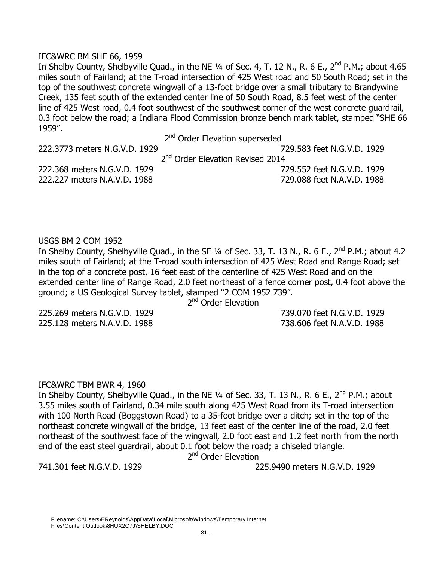#### IFC&WRC BM SHE 66, 1959

In Shelby County, Shelbyville Quad., in the NE  $\frac{1}{4}$  of Sec. 4, T. 12 N., R. 6 E., 2<sup>nd</sup> P.M.; about 4.65 miles south of Fairland; at the T-road intersection of 425 West road and 50 South Road; set in the top of the southwest concrete wingwall of a 13-foot bridge over a small tributary to Brandywine Creek, 135 feet south of the extended center line of 50 South Road, 8.5 feet west of the center line of 425 West road, 0.4 foot southwest of the southwest corner of the west concrete guardrail, 0.3 foot below the road; a Indiana Flood Commission bronze bench mark tablet, stamped "SHE 66 1959".

2<sup>nd</sup> Order Elevation superseded

222.3773 meters N.G.V.D. 1929 729.583 feet N.G.V.D. 1929

2<sup>nd</sup> Order Elevation Revised 2014 222.368 meters N.G.V.D. 1929 729.552 feet N.G.V.D. 1929

222.227 meters N.A.V.D. 1988 729.088 feet N.A.V.D. 1988

USGS BM 2 COM 1952

In Shelby County, Shelbyville Quad., in the SE 1/4 of Sec. 33, T. 13 N., R. 6 E., 2<sup>nd</sup> P.M.; about 4.2 miles south of Fairland; at the T-road south intersection of 425 West Road and Range Road; set in the top of a concrete post, 16 feet east of the centerline of 425 West Road and on the extended center line of Range Road, 2.0 feet northeast of a fence corner post, 0.4 foot above the ground; a US Geological Survey tablet, stamped "2 COM 1952 739".

2<sup>nd</sup> Order Elevation

225.269 meters N.G.V.D. 1929 739.070 feet N.G.V.D. 1929 225.128 meters N.A.V.D. 1988 738.606 feet N.A.V.D. 1988

# IFC&WRC TBM BWR 4, 1960

In Shelby County, Shelbyville Quad., in the NE 1/4 of Sec. 33, T. 13 N., R. 6 E., 2<sup>nd</sup> P.M.; about 3.55 miles south of Fairland, 0.34 mile south along 425 West Road from its T-road intersection with 100 North Road (Boggstown Road) to a 35-foot bridge over a ditch; set in the top of the northeast concrete wingwall of the bridge, 13 feet east of the center line of the road, 2.0 feet northeast of the southwest face of the wingwall, 2.0 foot east and 1.2 feet north from the north end of the east steel guardrail, about 0.1 foot below the road; a chiseled triangle.

2<sup>nd</sup> Order Elevation

741.301 feet N.G.V.D. 1929 225.9490 meters N.G.V.D. 1929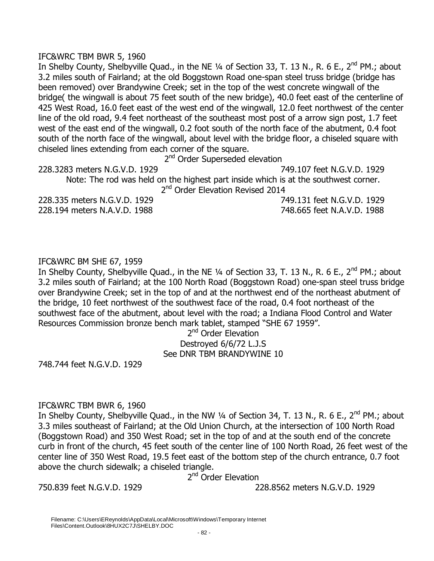## IFC&WRC TBM BWR 5, 1960

In Shelby County, Shelbyville Quad., in the NE 1/4 of Section 33, T. 13 N., R. 6 E., 2<sup>nd</sup> PM.; about 3.2 miles south of Fairland; at the old Boggstown Road one-span steel truss bridge (bridge has been removed) over Brandywine Creek; set in the top of the west concrete wingwall of the bridge( the wingwall is about 75 feet south of the new bridge), 40.0 feet east of the centerline of 425 West Road, 16.0 feet east of the west end of the wingwall, 12.0 feet northwest of the center line of the old road, 9.4 feet northeast of the southeast most post of a arrow sign post, 1.7 feet west of the east end of the wingwall, 0.2 foot south of the north face of the abutment, 0.4 foot south of the north face of the wingwall, about level with the bridge floor, a chiseled square with chiseled lines extending from each corner of the square.

2<sup>nd</sup> Order Superseded elevation

228.3283 meters N.G.V.D. 1929 749.107 feet N.G.V.D. 1929

Note: The rod was held on the highest part inside which is at the southwest corner. 2<sup>nd</sup> Order Elevation Revised 2014

228.335 meters N.G.V.D. 1929 749.131 feet N.G.V.D. 1929 228.194 meters N.A.V.D. 1988 748.665 feet N.A.V.D. 1988

# IFC&WRC BM SHE 67, 1959

In Shelby County, Shelbyville Quad., in the NE 1/4 of Section 33, T. 13 N., R. 6 E., 2<sup>nd</sup> PM.; about 3.2 miles south of Fairland; at the 100 North Road (Boggstown Road) one-span steel truss bridge over Brandywine Creek; set in the top of and at the northwest end of the northeast abutment of the bridge, 10 feet northwest of the southwest face of the road, 0.4 foot northeast of the southwest face of the abutment, about level with the road; a Indiana Flood Control and Water Resources Commission bronze bench mark tablet, stamped "SHE 67 1959".

# 2<sup>nd</sup> Order Elevation Destroyed 6/6/72 L.J.S See DNR TBM BRANDYWINE 10

748.744 feet N.G.V.D. 1929

# IFC&WRC TBM BWR 6, 1960

In Shelby County, Shelbyville Quad., in the NW 1/4 of Section 34, T. 13 N., R. 6 E., 2<sup>nd</sup> PM.; about 3.3 miles southeast of Fairland; at the Old Union Church, at the intersection of 100 North Road (Boggstown Road) and 350 West Road; set in the top of and at the south end of the concrete curb in front of the church, 45 feet south of the center line of 100 North Road, 26 feet west of the center line of 350 West Road, 19.5 feet east of the bottom step of the church entrance, 0.7 foot above the church sidewalk; a chiseled triangle.

2<sup>nd</sup> Order Elevation

750.839 feet N.G.V.D. 1929 228.8562 meters N.G.V.D. 1929

Filename: C:\Users\EReynolds\AppData\Local\Microsoft\Windows\Temporary Internet Files\Content.Outlook\8HUX2C7J\SHELBY.DOC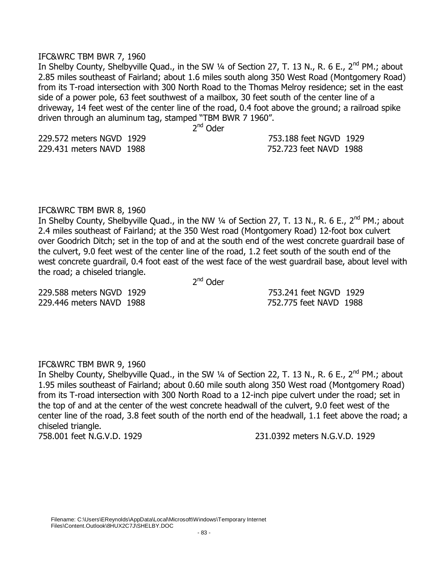#### IFC&WRC TBM BWR 7, 1960

In Shelby County, Shelbyville Quad., in the SW 1/4 of Section 27, T. 13 N., R. 6 E., 2<sup>nd</sup> PM.; about 2.85 miles southeast of Fairland; about 1.6 miles south along 350 West Road (Montgomery Road) from its T-road intersection with 300 North Road to the Thomas Melroy residence; set in the east side of a power pole, 63 feet southwest of a mailbox, 30 feet south of the center line of a driveway, 14 feet west of the center line of the road, 0.4 foot above the ground; a railroad spike driven through an aluminum tag, stamped "TBM BWR 7 1960".

 2  $2<sup>nd</sup>$  Oder

| 229.572 meters NGVD 1929 | 753.188 feet NGVD 1929 |  |
|--------------------------|------------------------|--|
| 229.431 meters NAVD 1988 | 752.723 feet NAVD 1988 |  |

#### IFC&WRC TBM BWR 8, 1960

In Shelby County, Shelbyville Quad., in the NW 1/4 of Section 27, T. 13 N., R. 6 E., 2<sup>nd</sup> PM.; about 2.4 miles southeast of Fairland; at the 350 West road (Montgomery Road) 12-foot box culvert over Goodrich Ditch; set in the top of and at the south end of the west concrete guardrail base of the culvert, 9.0 feet west of the center line of the road, 1.2 feet south of the south end of the west concrete guardrail, 0.4 foot east of the west face of the west guardrail base, about level with the road; a chiseled triangle.

 2  $2<sup>nd</sup>$  Oder

229.588 meters NGVD 1929 753.241 feet NGVD 1929 229.446 meters NAVD 1988 752.775 feet NAVD 1988

#### IFC&WRC TBM BWR 9, 1960

In Shelby County, Shelbyville Quad., in the SW 1/4 of Section 22, T. 13 N., R. 6 E., 2<sup>nd</sup> PM.; about 1.95 miles southeast of Fairland; about 0.60 mile south along 350 West road (Montgomery Road) from its T-road intersection with 300 North Road to a 12-inch pipe culvert under the road; set in the top of and at the center of the west concrete headwall of the culvert, 9.0 feet west of the center line of the road, 3.8 feet south of the north end of the headwall, 1.1 feet above the road; a chiseled triangle.

758.001 feet N.G.V.D. 1929 231.0392 meters N.G.V.D. 1929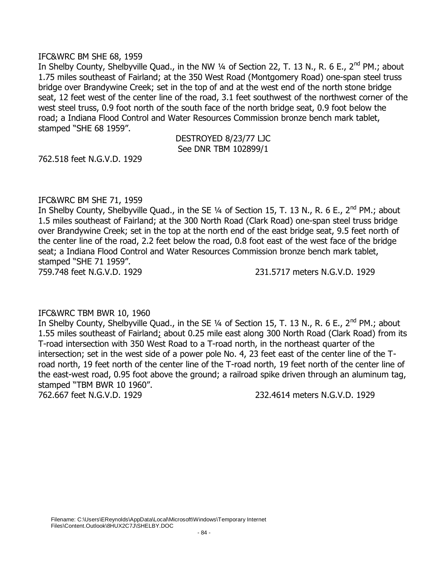#### IFC&WRC BM SHE 68, 1959

In Shelby County, Shelbyville Quad., in the NW 1/4 of Section 22, T. 13 N., R. 6 E., 2<sup>nd</sup> PM.; about 1.75 miles southeast of Fairland; at the 350 West Road (Montgomery Road) one-span steel truss bridge over Brandywine Creek; set in the top of and at the west end of the north stone bridge seat, 12 feet west of the center line of the road, 3.1 feet southwest of the northwest corner of the west steel truss, 0.9 foot north of the south face of the north bridge seat, 0.9 foot below the road; a Indiana Flood Control and Water Resources Commission bronze bench mark tablet, stamped "SHE 68 1959".

> DESTROYED 8/23/77 LJC See DNR TBM 102899/1

762.518 feet N.G.V.D. 1929

#### IFC&WRC BM SHE 71, 1959

In Shelby County, Shelbyville Quad., in the SE 1/4 of Section 15, T. 13 N., R. 6 E., 2<sup>nd</sup> PM.; about 1.5 miles southeast of Fairland; at the 300 North Road (Clark Road) one-span steel truss bridge over Brandywine Creek; set in the top at the north end of the east bridge seat, 9.5 feet north of the center line of the road, 2.2 feet below the road, 0.8 foot east of the west face of the bridge seat; a Indiana Flood Control and Water Resources Commission bronze bench mark tablet, stamped "SHE 71 1959".

759.748 feet N.G.V.D. 1929 231.5717 meters N.G.V.D. 1929

#### IFC&WRC TBM BWR 10, 1960

In Shelby County, Shelbyville Quad., in the SE 1/4 of Section 15, T. 13 N., R. 6 E., 2<sup>nd</sup> PM.: about 1.55 miles southeast of Fairland; about 0.25 mile east along 300 North Road (Clark Road) from its T-road intersection with 350 West Road to a T-road north, in the northeast quarter of the intersection; set in the west side of a power pole No. 4, 23 feet east of the center line of the Troad north, 19 feet north of the center line of the T-road north, 19 feet north of the center line of the east-west road, 0.95 foot above the ground; a railroad spike driven through an aluminum tag, stamped "TBM BWR 10 1960".

762.667 feet N.G.V.D. 1929 232.4614 meters N.G.V.D. 1929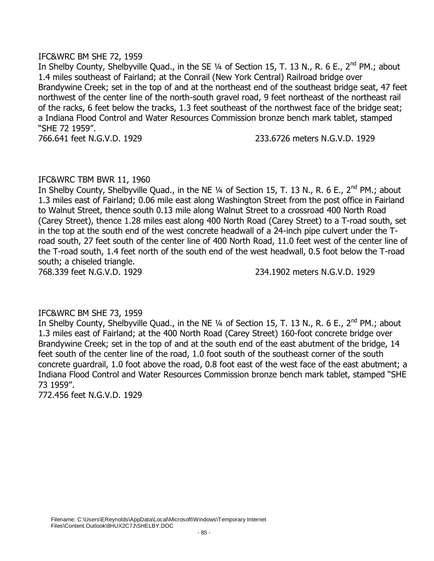## IFC&WRC BM SHE 72, 1959

In Shelby County, Shelbyville Quad., in the SE 1/4 of Section 15, T. 13 N., R. 6 E., 2<sup>nd</sup> PM.; about 1.4 miles southeast of Fairland; at the Conrail (New York Central) Railroad bridge over Brandywine Creek; set in the top of and at the northeast end of the southeast bridge seat, 47 feet northwest of the center line of the north-south gravel road, 9 feet northeast of the northeast rail of the racks, 6 feet below the tracks, 1.3 feet southeast of the northwest face of the bridge seat; a Indiana Flood Control and Water Resources Commission bronze bench mark tablet, stamped "SHE 72 1959".

766.641 feet N.G.V.D. 1929 233.6726 meters N.G.V.D. 1929

# IFC&WRC TBM BWR 11, 1960

In Shelby County, Shelbyville Quad., in the NE  $\frac{1}{4}$  of Section 15, T. 13 N., R. 6 E., 2<sup>nd</sup> PM.; about 1.3 miles east of Fairland; 0.06 mile east along Washington Street from the post office in Fairland to Walnut Street, thence south 0.13 mile along Walnut Street to a crossroad 400 North Road (Carey Street), thence 1.28 miles east along 400 North Road (Carey Street) to a T-road south, set in the top at the south end of the west concrete headwall of a 24-inch pipe culvert under the Troad south, 27 feet south of the center line of 400 North Road, 11.0 feet west of the center line of the T-road south, 1.4 feet north of the south end of the west headwall, 0.5 foot below the T-road south; a chiseled triangle.

768.339 feet N.G.V.D. 1929 234.1902 meters N.G.V.D. 1929

# IFC&WRC BM SHE 73, 1959

In Shelby County, Shelbyville Quad., in the NE  $\frac{1}{4}$  of Section 15, T. 13 N., R. 6 E., 2<sup>nd</sup> PM.; about 1.3 miles east of Fairland; at the 400 North Road (Carey Street) 160-foot concrete bridge over Brandywine Creek; set in the top of and at the south end of the east abutment of the bridge, 14 feet south of the center line of the road, 1.0 foot south of the southeast corner of the south concrete guardrail, 1.0 foot above the road, 0.8 foot east of the west face of the east abutment; a Indiana Flood Control and Water Resources Commission bronze bench mark tablet, stamped "SHE 73 1959".

772.456 feet N.G.V.D. 1929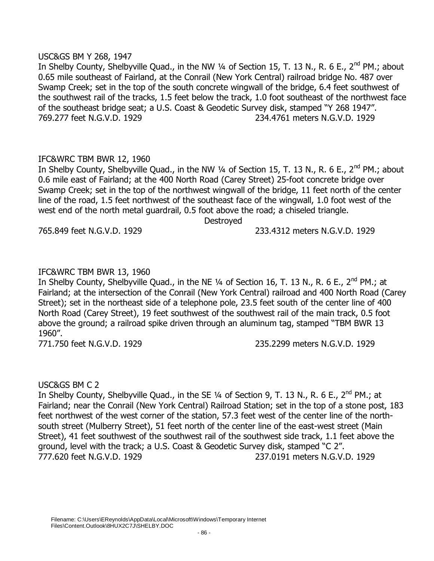### USC&GS BM Y 268, 1947

In Shelby County, Shelbyville Quad., in the NW 1/4 of Section 15, T. 13 N., R. 6 E., 2<sup>nd</sup> PM.; about 0.65 mile southeast of Fairland, at the Conrail (New York Central) railroad bridge No. 487 over Swamp Creek; set in the top of the south concrete wingwall of the bridge, 6.4 feet southwest of the southwest rail of the tracks, 1.5 feet below the track, 1.0 foot southeast of the northwest face of the southeast bridge seat; a U.S. Coast & Geodetic Survey disk, stamped "Y 268 1947". 769.277 feet N.G.V.D. 1929 234.4761 meters N.G.V.D. 1929

# IFC&WRC TBM BWR 12, 1960

In Shelby County, Shelbyville Quad., in the NW 1/4 of Section 15, T. 13 N., R. 6 E., 2<sup>nd</sup> PM.; about 0.6 mile east of Fairland; at the 400 North Road (Carey Street) 25-foot concrete bridge over Swamp Creek; set in the top of the northwest wingwall of the bridge, 11 feet north of the center line of the road, 1.5 feet northwest of the southeast face of the wingwall, 1.0 foot west of the west end of the north metal guardrail, 0.5 foot above the road; a chiseled triangle.

Destroyed

765.849 feet N.G.V.D. 1929 233.4312 meters N.G.V.D. 1929

# IFC&WRC TBM BWR 13, 1960

In Shelby County, Shelbyville Quad., in the NE  $\frac{1}{4}$  of Section 16, T. 13 N., R. 6 E., 2<sup>nd</sup> PM.; at Fairland; at the intersection of the Conrail (New York Central) railroad and 400 North Road (Carey Street); set in the northeast side of a telephone pole, 23.5 feet south of the center line of 400 North Road (Carey Street), 19 feet southwest of the southwest rail of the main track, 0.5 foot above the ground; a railroad spike driven through an aluminum tag, stamped "TBM BWR 13 1960".

771.750 feet N.G.V.D. 1929 235.2299 meters N.G.V.D. 1929

# USC&GS BM C 2

In Shelby County, Shelbyville Quad., in the SE 1/4 of Section 9, T. 13 N., R. 6 E., 2<sup>nd</sup> PM.; at Fairland; near the Conrail (New York Central) Railroad Station; set in the top of a stone post, 183 feet northwest of the west corner of the station, 57.3 feet west of the center line of the northsouth street (Mulberry Street), 51 feet north of the center line of the east-west street (Main Street), 41 feet southwest of the southwest rail of the southwest side track, 1.1 feet above the ground, level with the track; a U.S. Coast & Geodetic Survey disk, stamped "C 2". 777.620 feet N.G.V.D. 1929 237.0191 meters N.G.V.D. 1929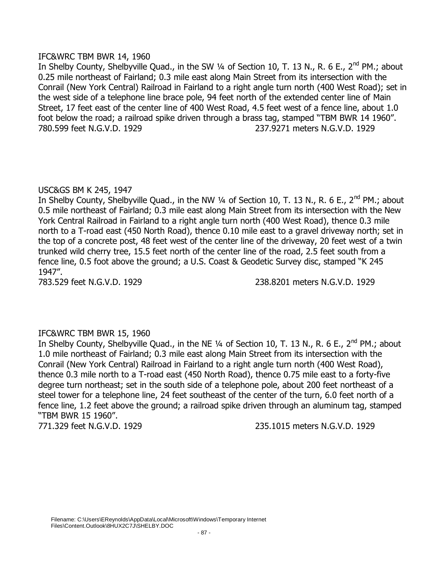## IFC&WRC TBM BWR 14, 1960

In Shelby County, Shelbyville Quad., in the SW 1/4 of Section 10, T. 13 N., R. 6 E., 2<sup>nd</sup> PM.; about 0.25 mile northeast of Fairland; 0.3 mile east along Main Street from its intersection with the Conrail (New York Central) Railroad in Fairland to a right angle turn north (400 West Road); set in the west side of a telephone line brace pole, 94 feet north of the extended center line of Main Street, 17 feet east of the center line of 400 West Road, 4.5 feet west of a fence line, about 1.0 foot below the road; a railroad spike driven through a brass tag, stamped "TBM BWR 14 1960". 780.599 feet N.G.V.D. 1929 237.9271 meters N.G.V.D. 1929

# USC&GS BM K 245, 1947

In Shelby County, Shelbyville Quad., in the NW 1/4 of Section 10, T. 13 N., R. 6 E., 2<sup>nd</sup> PM.; about 0.5 mile northeast of Fairland; 0.3 mile east along Main Street from its intersection with the New York Central Railroad in Fairland to a right angle turn north (400 West Road), thence 0.3 mile north to a T-road east (450 North Road), thence 0.10 mile east to a gravel driveway north; set in the top of a concrete post, 48 feet west of the center line of the driveway, 20 feet west of a twin trunked wild cherry tree, 15.5 feet north of the center line of the road, 2.5 feet south from a fence line, 0.5 foot above the ground; a U.S. Coast & Geodetic Survey disc, stamped "K 245 1947".

783.529 feet N.G.V.D. 1929 238.8201 meters N.G.V.D. 1929

# IFC&WRC TBM BWR 15, 1960

In Shelby County, Shelbyville Quad., in the NE 1/4 of Section 10, T. 13 N., R. 6 E., 2<sup>nd</sup> PM.; about 1.0 mile northeast of Fairland; 0.3 mile east along Main Street from its intersection with the Conrail (New York Central) Railroad in Fairland to a right angle turn north (400 West Road), thence 0.3 mile north to a T-road east (450 North Road), thence 0.75 mile east to a forty-five degree turn northeast; set in the south side of a telephone pole, about 200 feet northeast of a steel tower for a telephone line, 24 feet southeast of the center of the turn, 6.0 feet north of a fence line, 1.2 feet above the ground; a railroad spike driven through an aluminum tag, stamped "TBM BWR 15 1960".

771.329 feet N.G.V.D. 1929 235.1015 meters N.G.V.D. 1929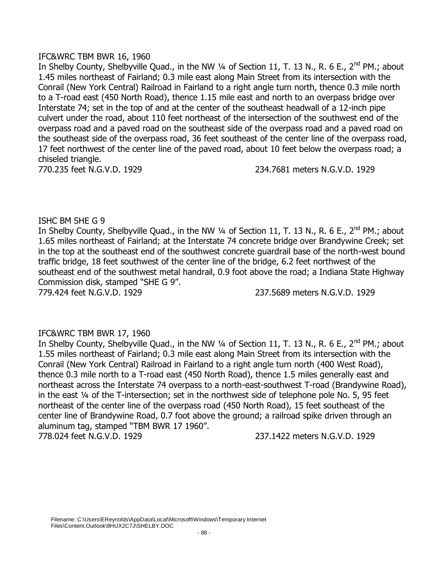## IFC&WRC TBM BWR 16, 1960

In Shelby County, Shelbyville Quad., in the NW 1/4 of Section 11, T. 13 N., R. 6 E., 2<sup>nd</sup> PM.; about 1.45 miles northeast of Fairland; 0.3 mile east along Main Street from its intersection with the Conrail (New York Central) Railroad in Fairland to a right angle turn north, thence 0.3 mile north to a T-road east (450 North Road), thence 1.15 mile east and north to an overpass bridge over Interstate 74; set in the top of and at the center of the southeast headwall of a 12-inch pipe culvert under the road, about 110 feet northeast of the intersection of the southwest end of the overpass road and a paved road on the southeast side of the overpass road and a paved road on the southeast side of the overpass road, 36 feet southeast of the center line of the overpass road, 17 feet northwest of the center line of the paved road, about 10 feet below the overpass road; a chiseled triangle.

770.235 feet N.G.V.D. 1929 234.7681 meters N.G.V.D. 1929

# ISHC BM SHE G 9

In Shelby County, Shelbyville Quad., in the NW 1/4 of Section 11, T. 13 N., R. 6 E., 2<sup>nd</sup> PM.; about 1.65 miles northeast of Fairland; at the Interstate 74 concrete bridge over Brandywine Creek; set in the top at the southeast end of the southwest concrete guardrail base of the north-west bound traffic bridge, 18 feet southwest of the center line of the bridge, 6.2 feet northwest of the southeast end of the southwest metal handrail, 0.9 foot above the road; a Indiana State Highway Commission disk, stamped "SHE G 9".

779.424 feet N.G.V.D. 1929 237.5689 meters N.G.V.D. 1929

# IFC&WRC TBM BWR 17, 1960

In Shelby County, Shelbyville Quad., in the NW 1/4 of Section 11, T. 13 N., R. 6 E., 2<sup>nd</sup> PM.; about 1.55 miles northeast of Fairland; 0.3 mile east along Main Street from its intersection with the Conrail (New York Central) Railroad in Fairland to a right angle turn north (400 West Road), thence 0.3 mile north to a T-road east (450 North Road), thence 1.5 miles generally east and northeast across the Interstate 74 overpass to a north-east-southwest T-road (Brandywine Road), in the east ¼ of the T-intersection; set in the northwest side of telephone pole No. 5, 95 feet northeast of the center line of the overpass road (450 North Road), 15 feet southeast of the center line of Brandywine Road, 0.7 foot above the ground; a railroad spike driven through an aluminum tag, stamped "TBM BWR 17 1960". 778.024 feet N.G.V.D. 1929 237.1422 meters N.G.V.D. 1929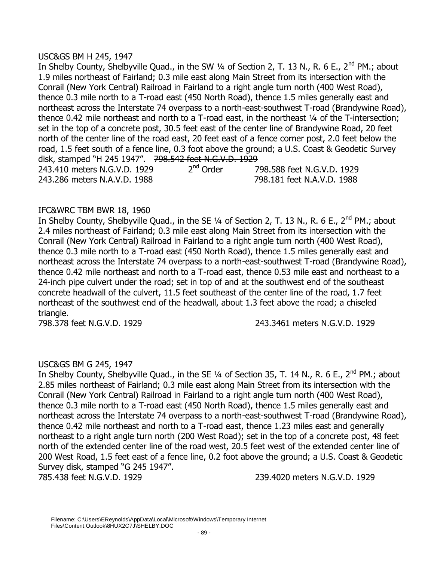## USC&GS BM H 245, 1947

In Shelby County, Shelbyville Quad., in the SW 1/4 of Section 2, T. 13 N., R. 6 E., 2<sup>nd</sup> PM.; about 1.9 miles northeast of Fairland; 0.3 mile east along Main Street from its intersection with the Conrail (New York Central) Railroad in Fairland to a right angle turn north (400 West Road), thence 0.3 mile north to a T-road east (450 North Road), thence 1.5 miles generally east and northeast across the Interstate 74 overpass to a north-east-southwest T-road (Brandywine Road), thence 0.42 mile northeast and north to a T-road east, in the northeast ¼ of the T-intersection; set in the top of a concrete post, 30.5 feet east of the center line of Brandywine Road, 20 feet north of the center line of the road east, 20 feet east of a fence corner post, 2.0 feet below the road, 1.5 feet south of a fence line, 0.3 foot above the ground; a U.S. Coast & Geodetic Survey disk, stamped "H 245 1947". 798.542 feet N.G.V.D. 1929<br>243.410 meters N.G.V.D. 1929 2<sup>nd</sup> Order 7 243.410 meters N.G.V.D. 1929  $2^{nq}$  Order  $798.588$  feet N.G.V.D. 1929 243.286 meters N.A.V.D. 1988 798.181 feet N.A.V.D. 1988

# IFC&WRC TBM BWR 18, 1960

In Shelby County, Shelbyville Quad., in the SE 1/4 of Section 2, T. 13 N., R. 6 E., 2<sup>nd</sup> PM.; about 2.4 miles northeast of Fairland; 0.3 mile east along Main Street from its intersection with the Conrail (New York Central) Railroad in Fairland to a right angle turn north (400 West Road), thence 0.3 mile north to a T-road east (450 North Road), thence 1.5 miles generally east and northeast across the Interstate 74 overpass to a north-east-southwest T-road (Brandywine Road), thence 0.42 mile northeast and north to a T-road east, thence 0.53 mile east and northeast to a 24-inch pipe culvert under the road; set in top of and at the southwest end of the southeast concrete headwall of the culvert, 11.5 feet southeast of the center line of the road, 1.7 feet northeast of the southwest end of the headwall, about 1.3 feet above the road; a chiseled triangle.

798.378 feet N.G.V.D. 1929 243.3461 meters N.G.V.D. 1929

# USC&GS BM G 245, 1947

In Shelby County, Shelbyville Quad., in the SE 1/4 of Section 35, T. 14 N., R. 6 E., 2<sup>nd</sup> PM.; about 2.85 miles northeast of Fairland; 0.3 mile east along Main Street from its intersection with the Conrail (New York Central) Railroad in Fairland to a right angle turn north (400 West Road), thence 0.3 mile north to a T-road east (450 North Road), thence 1.5 miles generally east and northeast across the Interstate 74 overpass to a north-east-southwest T-road (Brandywine Road), thence 0.42 mile northeast and north to a T-road east, thence 1.23 miles east and generally northeast to a right angle turn north (200 West Road); set in the top of a concrete post, 48 feet north of the extended center line of the road west, 20.5 feet west of the extended center line of 200 West Road, 1.5 feet east of a fence line, 0.2 foot above the ground; a U.S. Coast & Geodetic Survey disk, stamped "G 245 1947".

785.438 feet N.G.V.D. 1929 239.4020 meters N.G.V.D. 1929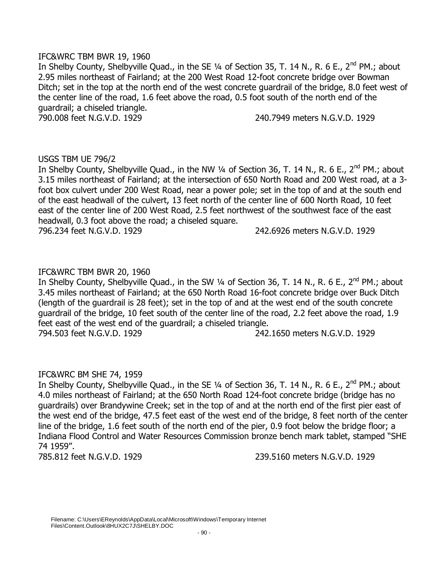## IFC&WRC TBM BWR 19, 1960

In Shelby County, Shelbyville Quad., in the SE 1/4 of Section 35, T. 14 N., R. 6 E., 2<sup>nd</sup> PM.; about 2.95 miles northeast of Fairland; at the 200 West Road 12-foot concrete bridge over Bowman Ditch; set in the top at the north end of the west concrete guardrail of the bridge, 8.0 feet west of the center line of the road, 1.6 feet above the road, 0.5 foot south of the north end of the guardrail; a chiseled triangle.

790.008 feet N.G.V.D. 1929 240.7949 meters N.G.V.D. 1929

### USGS TBM UE 796/2

In Shelby County, Shelbyville Quad., in the NW 1/4 of Section 36, T. 14 N., R. 6 E., 2<sup>nd</sup> PM.; about 3.15 miles northeast of Fairland; at the intersection of 650 North Road and 200 West road, at a 3 foot box culvert under 200 West Road, near a power pole; set in the top of and at the south end of the east headwall of the culvert, 13 feet north of the center line of 600 North Road, 10 feet east of the center line of 200 West Road, 2.5 feet northwest of the southwest face of the east headwall, 0.3 foot above the road; a chiseled square. 796.234 feet N.G.V.D. 1929 242.6926 meters N.G.V.D. 1929

### IFC&WRC TBM BWR 20, 1960

In Shelby County, Shelbyville Quad., in the SW 1/4 of Section 36, T. 14 N., R. 6 E., 2<sup>nd</sup> PM.; about 3.45 miles northeast of Fairland; at the 650 North Road 16-foot concrete bridge over Buck Ditch (length of the guardrail is 28 feet); set in the top of and at the west end of the south concrete guardrail of the bridge, 10 feet south of the center line of the road, 2.2 feet above the road, 1.9 feet east of the west end of the guardrail; a chiseled triangle. 794.503 feet N.G.V.D. 1929 242.1650 meters N.G.V.D. 1929

# IFC&WRC BM SHE 74, 1959

In Shelby County, Shelbyville Quad., in the SE 1/4 of Section 36, T. 14 N., R. 6 E., 2<sup>nd</sup> PM.; about 4.0 miles northeast of Fairland; at the 650 North Road 124-foot concrete bridge (bridge has no guardrails) over Brandywine Creek; set in the top of and at the north end of the first pier east of the west end of the bridge, 47.5 feet east of the west end of the bridge, 8 feet north of the center line of the bridge, 1.6 feet south of the north end of the pier, 0.9 foot below the bridge floor; a Indiana Flood Control and Water Resources Commission bronze bench mark tablet, stamped "SHE 74 1959".

785.812 feet N.G.V.D. 1929 239.5160 meters N.G.V.D. 1929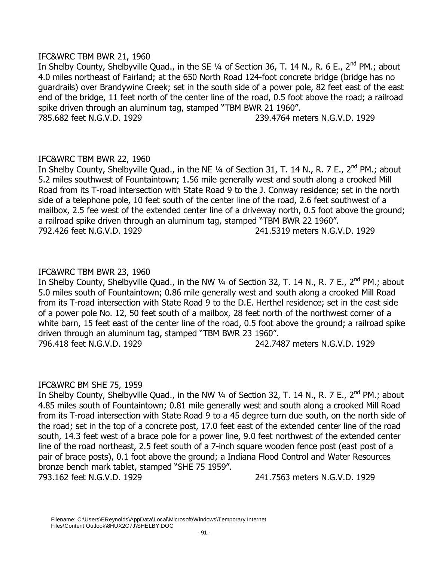## IFC&WRC TBM BWR 21, 1960

In Shelby County, Shelbyville Quad., in the SE 1/4 of Section 36, T. 14 N., R. 6 E., 2<sup>nd</sup> PM.; about 4.0 miles northeast of Fairland; at the 650 North Road 124-foot concrete bridge (bridge has no guardrails) over Brandywine Creek; set in the south side of a power pole, 82 feet east of the east end of the bridge, 11 feet north of the center line of the road, 0.5 foot above the road; a railroad spike driven through an aluminum tag, stamped "TBM BWR 21 1960". 785.682 feet N.G.V.D. 1929 239.4764 meters N.G.V.D. 1929

# IFC&WRC TBM BWR 22, 1960

In Shelby County, Shelbyville Quad., in the NE 1/4 of Section 31, T. 14 N., R. 7 E., 2<sup>nd</sup> PM.; about 5.2 miles southwest of Fountaintown; 1.56 mile generally west and south along a crooked Mill Road from its T-road intersection with State Road 9 to the J. Conway residence; set in the north side of a telephone pole, 10 feet south of the center line of the road, 2.6 feet southwest of a mailbox, 2.5 fee west of the extended center line of a driveway north, 0.5 foot above the ground; a railroad spike driven through an aluminum tag, stamped "TBM BWR 22 1960". 792.426 feet N.G.V.D. 1929 241.5319 meters N.G.V.D. 1929

# IFC&WRC TBM BWR 23, 1960

In Shelby County, Shelbyville Quad., in the NW 1/4 of Section 32, T. 14 N., R. 7 E., 2<sup>nd</sup> PM.; about 5.0 miles south of Fountaintown; 0.86 mile generally west and south along a crooked Mill Road from its T-road intersection with State Road 9 to the D.E. Herthel residence; set in the east side of a power pole No. 12, 50 feet south of a mailbox, 28 feet north of the northwest corner of a white barn, 15 feet east of the center line of the road, 0.5 foot above the ground; a railroad spike driven through an aluminum tag, stamped "TBM BWR 23 1960". 796.418 feet N.G.V.D. 1929 242.7487 meters N.G.V.D. 1929

# IFC&WRC BM SHE 75, 1959

In Shelby County, Shelbyville Quad., in the NW 1/4 of Section 32, T. 14 N., R. 7 E., 2<sup>nd</sup> PM.; about 4.85 miles south of Fountaintown; 0.81 mile generally west and south along a crooked Mill Road from its T-road intersection with State Road 9 to a 45 degree turn due south, on the north side of the road; set in the top of a concrete post, 17.0 feet east of the extended center line of the road south, 14.3 feet west of a brace pole for a power line, 9.0 feet northwest of the extended center line of the road northeast, 2.5 feet south of a 7-inch square wooden fence post (east post of a pair of brace posts), 0.1 foot above the ground; a Indiana Flood Control and Water Resources bronze bench mark tablet, stamped "SHE 75 1959".

793.162 feet N.G.V.D. 1929 241.7563 meters N.G.V.D. 1929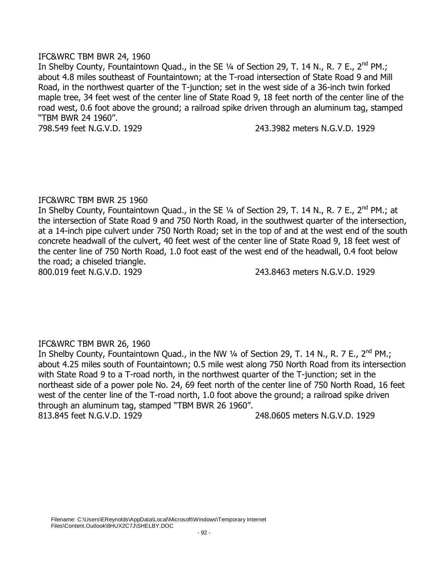## IFC&WRC TBM BWR 24, 1960

In Shelby County, Fountaintown Quad., in the SE  $\frac{1}{4}$  of Section 29, T. 14 N., R. 7 E., 2<sup>nd</sup> PM.; about 4.8 miles southeast of Fountaintown; at the T-road intersection of State Road 9 and Mill Road, in the northwest quarter of the T-junction; set in the west side of a 36-inch twin forked maple tree, 34 feet west of the center line of State Road 9, 18 feet north of the center line of the road west, 0.6 foot above the ground; a railroad spike driven through an aluminum tag, stamped "TBM BWR 24 1960".

798.549 feet N.G.V.D. 1929 243.3982 meters N.G.V.D. 1929

### IFC&WRC TBM BWR 25 1960

In Shelby County, Fountaintown Quad., in the SE 1/4 of Section 29, T. 14 N., R. 7 E., 2<sup>nd</sup> PM.; at the intersection of State Road 9 and 750 North Road, in the southwest quarter of the intersection, at a 14-inch pipe culvert under 750 North Road; set in the top of and at the west end of the south concrete headwall of the culvert, 40 feet west of the center line of State Road 9, 18 feet west of the center line of 750 North Road, 1.0 foot east of the west end of the headwall, 0.4 foot below the road; a chiseled triangle.

800.019 feet N.G.V.D. 1929 243.8463 meters N.G.V.D. 1929

# IFC&WRC TBM BWR 26, 1960

In Shelby County, Fountaintown Quad., in the NW 1/4 of Section 29, T. 14 N., R. 7 E., 2<sup>nd</sup> PM.; about 4.25 miles south of Fountaintown; 0.5 mile west along 750 North Road from its intersection with State Road 9 to a T-road north, in the northwest quarter of the T-junction; set in the northeast side of a power pole No. 24, 69 feet north of the center line of 750 North Road, 16 feet west of the center line of the T-road north, 1.0 foot above the ground; a railroad spike driven through an aluminum tag, stamped "TBM BWR 26 1960". 813.845 feet N.G.V.D. 1929 248.0605 meters N.G.V.D. 1929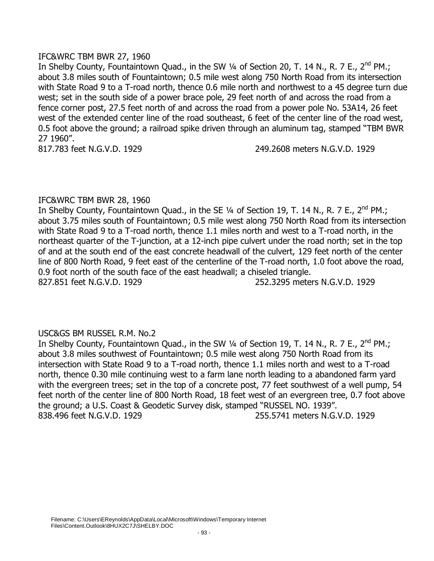## IFC&WRC TBM BWR 27, 1960

In Shelby County, Fountaintown Quad., in the SW 1/4 of Section 20, T. 14 N., R. 7 E., 2<sup>nd</sup> PM.; about 3.8 miles south of Fountaintown; 0.5 mile west along 750 North Road from its intersection with State Road 9 to a T-road north, thence 0.6 mile north and northwest to a 45 degree turn due west; set in the south side of a power brace pole, 29 feet north of and across the road from a fence corner post, 27.5 feet north of and across the road from a power pole No. 53A14, 26 feet west of the extended center line of the road southeast, 6 feet of the center line of the road west, 0.5 foot above the ground; a railroad spike driven through an aluminum tag, stamped "TBM BWR 27 1960".

817.783 feet N.G.V.D. 1929 249.2608 meters N.G.V.D. 1929

### IFC&WRC TBM BWR 28, 1960

In Shelby County, Fountaintown Quad., in the SE  $\frac{1}{4}$  of Section 19, T. 14 N., R. 7 E., 2<sup>nd</sup> PM.; about 3.75 miles south of Fountaintown; 0.5 mile west along 750 North Road from its intersection with State Road 9 to a T-road north, thence 1.1 miles north and west to a T-road north, in the northeast quarter of the T-junction, at a 12-inch pipe culvert under the road north; set in the top of and at the south end of the east concrete headwall of the culvert, 129 feet north of the center line of 800 North Road, 9 feet east of the centerline of the T-road north, 1.0 foot above the road, 0.9 foot north of the south face of the east headwall; a chiseled triangle. 827.851 feet N.G.V.D. 1929 252.3295 meters N.G.V.D. 1929

# USC&GS BM RUSSEL R.M. No.2

In Shelby County, Fountaintown Quad., in the SW  $\frac{1}{4}$  of Section 19, T. 14 N., R. 7 E., 2<sup>nd</sup> PM.; about 3.8 miles southwest of Fountaintown; 0.5 mile west along 750 North Road from its intersection with State Road 9 to a T-road north, thence 1.1 miles north and west to a T-road north, thence 0.30 mile continuing west to a farm lane north leading to a abandoned farm yard with the evergreen trees; set in the top of a concrete post, 77 feet southwest of a well pump, 54 feet north of the center line of 800 North Road, 18 feet west of an evergreen tree, 0.7 foot above the ground; a U.S. Coast & Geodetic Survey disk, stamped "RUSSEL NO. 1939". 838.496 feet N.G.V.D. 1929 255.5741 meters N.G.V.D. 1929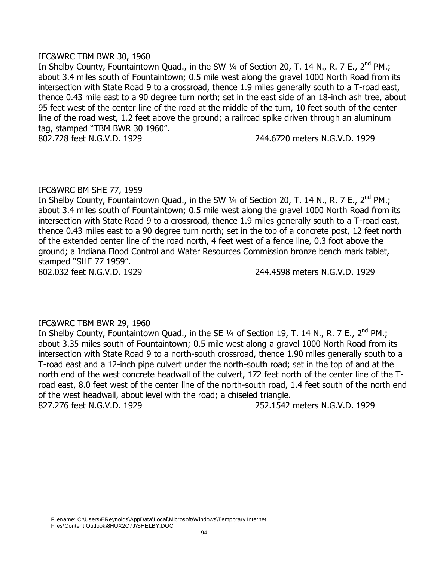## IFC&WRC TBM BWR 30, 1960

In Shelby County, Fountaintown Quad., in the SW 1/4 of Section 20, T. 14 N., R. 7 E., 2<sup>nd</sup> PM.; about 3.4 miles south of Fountaintown; 0.5 mile west along the gravel 1000 North Road from its intersection with State Road 9 to a crossroad, thence 1.9 miles generally south to a T-road east, thence 0.43 mile east to a 90 degree turn north; set in the east side of an 18-inch ash tree, about 95 feet west of the center line of the road at the middle of the turn, 10 feet south of the center line of the road west, 1.2 feet above the ground; a railroad spike driven through an aluminum tag, stamped "TBM BWR 30 1960".

802.728 feet N.G.V.D. 1929 244.6720 meters N.G.V.D. 1929

# IFC&WRC BM SHE 77, 1959

In Shelby County, Fountaintown Quad., in the SW 1/4 of Section 20, T. 14 N., R. 7 E., 2<sup>nd</sup> PM.; about 3.4 miles south of Fountaintown; 0.5 mile west along the gravel 1000 North Road from its intersection with State Road 9 to a crossroad, thence 1.9 miles generally south to a T-road east, thence 0.43 miles east to a 90 degree turn north; set in the top of a concrete post, 12 feet north of the extended center line of the road north, 4 feet west of a fence line, 0.3 foot above the ground; a Indiana Flood Control and Water Resources Commission bronze bench mark tablet, stamped "SHE 77 1959".

802.032 feet N.G.V.D. 1929 244.4598 meters N.G.V.D. 1929

# IFC&WRC TBM BWR 29, 1960

In Shelby County, Fountaintown Quad., in the SE 1/4 of Section 19, T. 14 N., R. 7 E., 2<sup>nd</sup> PM.; about 3.35 miles south of Fountaintown; 0.5 mile west along a gravel 1000 North Road from its intersection with State Road 9 to a north-south crossroad, thence 1.90 miles generally south to a T-road east and a 12-inch pipe culvert under the north-south road; set in the top of and at the north end of the west concrete headwall of the culvert, 172 feet north of the center line of the Troad east, 8.0 feet west of the center line of the north-south road, 1.4 feet south of the north end of the west headwall, about level with the road; a chiseled triangle. 827.276 feet N.G.V.D. 1929 252.1542 meters N.G.V.D. 1929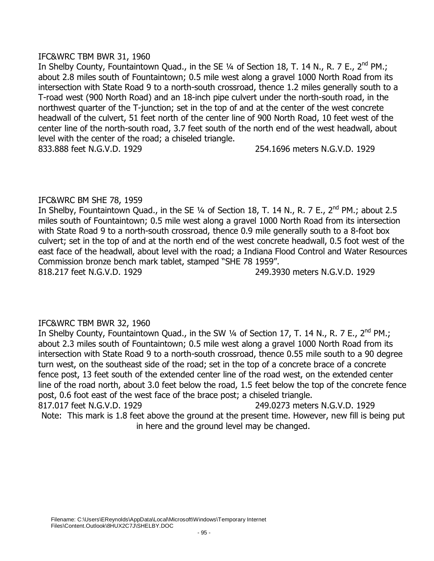## IFC&WRC TBM BWR 31, 1960

In Shelby County, Fountaintown Quad., in the SE  $\frac{1}{4}$  of Section 18, T. 14 N., R. 7 E., 2<sup>nd</sup> PM.; about 2.8 miles south of Fountaintown; 0.5 mile west along a gravel 1000 North Road from its intersection with State Road 9 to a north-south crossroad, thence 1.2 miles generally south to a T-road west (900 North Road) and an 18-inch pipe culvert under the north-south road, in the northwest quarter of the T-junction; set in the top of and at the center of the west concrete headwall of the culvert, 51 feet north of the center line of 900 North Road, 10 feet west of the center line of the north-south road, 3.7 feet south of the north end of the west headwall, about level with the center of the road; a chiseled triangle. 833.888 feet N.G.V.D. 1929 254.1696 meters N.G.V.D. 1929

# IFC&WRC BM SHE 78, 1959

In Shelby, Fountaintown Quad., in the SE 1/4 of Section 18, T. 14 N., R. 7 E., 2<sup>nd</sup> PM.; about 2.5 miles south of Fountaintown; 0.5 mile west along a gravel 1000 North Road from its intersection with State Road 9 to a north-south crossroad, thence 0.9 mile generally south to a 8-foot box culvert; set in the top of and at the north end of the west concrete headwall, 0.5 foot west of the east face of the headwall, about level with the road; a Indiana Flood Control and Water Resources Commission bronze bench mark tablet, stamped "SHE 78 1959".

818.217 feet N.G.V.D. 1929 249.3930 meters N.G.V.D. 1929

# IFC&WRC TBM BWR 32, 1960

In Shelby County, Fountaintown Quad., in the SW  $\frac{1}{4}$  of Section 17, T. 14 N., R. 7 E., 2<sup>nd</sup> PM.; about 2.3 miles south of Fountaintown; 0.5 mile west along a gravel 1000 North Road from its intersection with State Road 9 to a north-south crossroad, thence 0.55 mile south to a 90 degree turn west, on the southeast side of the road; set in the top of a concrete brace of a concrete fence post, 13 feet south of the extended center line of the road west, on the extended center line of the road north, about 3.0 feet below the road, 1.5 feet below the top of the concrete fence post, 0.6 foot east of the west face of the brace post; a chiseled triangle. 817.017 feet N.G.V.D. 1929 249.0273 meters N.G.V.D. 1929 Note: This mark is 1.8 feet above the ground at the present time. However, new fill is being put in here and the ground level may be changed.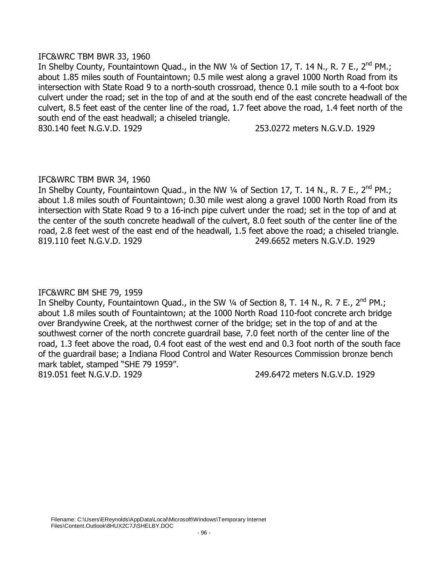### IFC&WRC TBM BWR 33, 1960

In Shelby County, Fountaintown Quad., in the NW 1/4 of Section 17, T. 14 N., R. 7 E., 2<sup>nd</sup> PM.; about 1.85 miles south of Fountaintown; 0.5 mile west along a gravel 1000 North Road from its intersection with State Road 9 to a north-south crossroad, thence 0.1 mile south to a 4-foot box culvert under the road; set in the top of and at the south end of the east concrete headwall of the culvert, 8.5 feet east of the center line of the road, 1.7 feet above the road, 1.4 feet north of the south end of the east headwall; a chiseled triangle.

830.140 feet N.G.V.D. 1929 253.0272 meters N.G.V.D. 1929

# IFC&WRC TBM BWR 34, 1960

In Shelby County, Fountaintown Quad., in the NW 1/4 of Section 17, T. 14 N., R. 7 E., 2<sup>nd</sup> PM.; about 1.8 miles south of Fountaintown; 0.30 mile west along a gravel 1000 North Road from its intersection with State Road 9 to a 16-inch pipe culvert under the road; set in the top of and at the center of the south concrete headwall of the culvert, 8.0 feet south of the center line of the road, 2.8 feet west of the east end of the headwall, 1.5 feet above the road; a chiseled triangle. 819.110 feet N.G.V.D. 1929 249.6652 meters N.G.V.D. 1929

# IFC&WRC BM SHE 79, 1959

In Shelby County, Fountaintown Quad., in the SW 1/4 of Section 8, T. 14 N., R. 7 E., 2<sup>nd</sup> PM.; about 1.8 miles south of Fountaintown; at the 1000 North Road 110-foot concrete arch bridge over Brandywine Creek, at the northwest corner of the bridge; set in the top of and at the southwest corner of the north concrete guardrail base, 7.0 feet north of the center line of the road, 1.3 feet above the road, 0.4 foot east of the west end and 0.3 foot north of the south face of the guardrail base; a Indiana Flood Control and Water Resources Commission bronze bench mark tablet, stamped "SHE 79 1959". 819.051 feet N.G.V.D. 1929 249.6472 meters N.G.V.D. 1929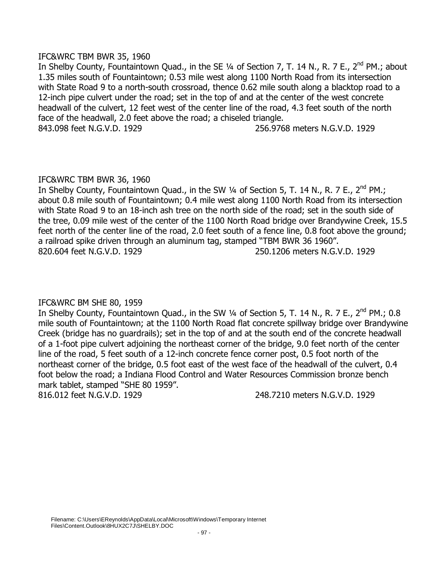### IFC&WRC TBM BWR 35, 1960

In Shelby County, Fountaintown Quad., in the SE 1/4 of Section 7, T. 14 N., R. 7 E., 2<sup>nd</sup> PM.; about 1.35 miles south of Fountaintown; 0.53 mile west along 1100 North Road from its intersection with State Road 9 to a north-south crossroad, thence 0.62 mile south along a blacktop road to a 12-inch pipe culvert under the road; set in the top of and at the center of the west concrete headwall of the culvert, 12 feet west of the center line of the road, 4.3 feet south of the north face of the headwall, 2.0 feet above the road; a chiseled triangle. 843.098 feet N.G.V.D. 1929 256.9768 meters N.G.V.D. 1929

# IFC&WRC TBM BWR 36, 1960

In Shelby County, Fountaintown Quad., in the SW  $\frac{1}{4}$  of Section 5, T. 14 N., R. 7 E., 2<sup>nd</sup> PM.; about 0.8 mile south of Fountaintown; 0.4 mile west along 1100 North Road from its intersection with State Road 9 to an 18-inch ash tree on the north side of the road; set in the south side of the tree, 0.09 mile west of the center of the 1100 North Road bridge over Brandywine Creek, 15.5 feet north of the center line of the road, 2.0 feet south of a fence line, 0.8 foot above the ground; a railroad spike driven through an aluminum tag, stamped "TBM BWR 36 1960". 820.604 feet N.G.V.D. 1929 250.1206 meters N.G.V.D. 1929

# IFC&WRC BM SHE 80, 1959

In Shelby County, Fountaintown Quad., in the SW 1/4 of Section 5, T. 14 N., R. 7 E., 2<sup>nd</sup> PM.; 0.8 mile south of Fountaintown; at the 1100 North Road flat concrete spillway bridge over Brandywine Creek (bridge has no guardrails); set in the top of and at the south end of the concrete headwall of a 1-foot pipe culvert adjoining the northeast corner of the bridge, 9.0 feet north of the center line of the road, 5 feet south of a 12-inch concrete fence corner post, 0.5 foot north of the northeast corner of the bridge, 0.5 foot east of the west face of the headwall of the culvert, 0.4 foot below the road; a Indiana Flood Control and Water Resources Commission bronze bench mark tablet, stamped "SHE 80 1959".

816.012 feet N.G.V.D. 1929 248.7210 meters N.G.V.D. 1929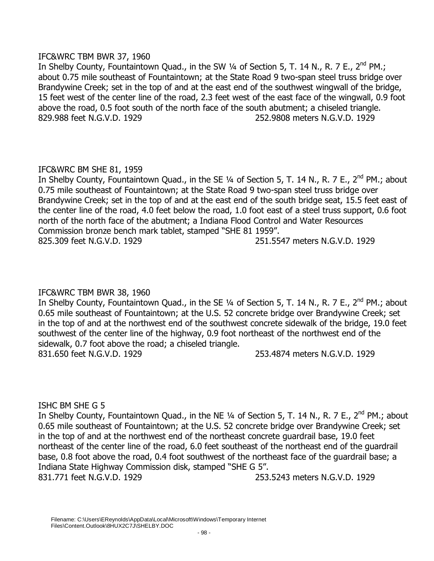# IFC&WRC TBM BWR 37, 1960

In Shelby County, Fountaintown Quad., in the SW 1/4 of Section 5, T. 14 N., R. 7 E., 2<sup>nd</sup> PM.; about 0.75 mile southeast of Fountaintown; at the State Road 9 two-span steel truss bridge over Brandywine Creek; set in the top of and at the east end of the southwest wingwall of the bridge, 15 feet west of the center line of the road, 2.3 feet west of the east face of the wingwall, 0.9 foot above the road, 0.5 foot south of the north face of the south abutment; a chiseled triangle. 829.988 feet N.G.V.D. 1929 252.9808 meters N.G.V.D. 1929

# IFC&WRC BM SHE 81, 1959

In Shelby County, Fountaintown Quad., in the SE 1/4 of Section 5, T. 14 N., R. 7 E., 2<sup>nd</sup> PM.; about 0.75 mile southeast of Fountaintown; at the State Road 9 two-span steel truss bridge over Brandywine Creek; set in the top of and at the east end of the south bridge seat, 15.5 feet east of the center line of the road, 4.0 feet below the road, 1.0 foot east of a steel truss support, 0.6 foot north of the north face of the abutment; a Indiana Flood Control and Water Resources Commission bronze bench mark tablet, stamped "SHE 81 1959". 825.309 feet N.G.V.D. 1929 251.5547 meters N.G.V.D. 1929

# IFC&WRC TBM BWR 38, 1960

In Shelby County, Fountaintown Quad., in the SE 1/4 of Section 5, T. 14 N., R. 7 E., 2<sup>nd</sup> PM.; about 0.65 mile southeast of Fountaintown; at the U.S. 52 concrete bridge over Brandywine Creek; set in the top of and at the northwest end of the southwest concrete sidewalk of the bridge, 19.0 feet southwest of the center line of the highway, 0.9 foot northeast of the northwest end of the sidewalk, 0.7 foot above the road; a chiseled triangle. 831.650 feet N.G.V.D. 1929 253.4874 meters N.G.V.D. 1929

# ISHC BM SHE G 5

In Shelby County, Fountaintown Quad., in the NE 1/4 of Section 5, T. 14 N., R. 7 E., 2<sup>nd</sup> PM.: about 0.65 mile southeast of Fountaintown; at the U.S. 52 concrete bridge over Brandywine Creek; set in the top of and at the northwest end of the northeast concrete guardrail base, 19.0 feet northeast of the center line of the road, 6.0 feet southeast of the northeast end of the guardrail base, 0.8 foot above the road, 0.4 foot southwest of the northeast face of the guardrail base; a Indiana State Highway Commission disk, stamped "SHE G 5". 831.771 feet N.G.V.D. 1929 253.5243 meters N.G.V.D. 1929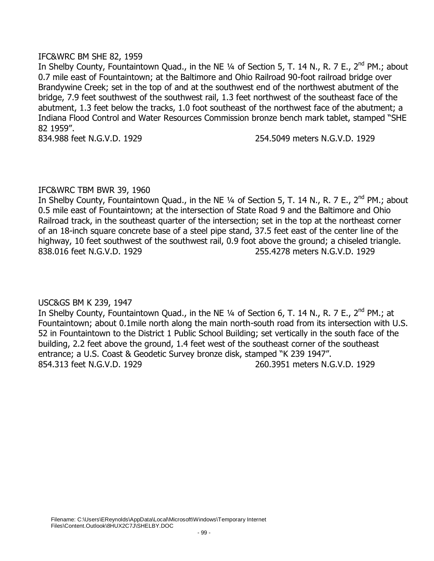## IFC&WRC BM SHE 82, 1959

In Shelby County, Fountaintown Quad., in the NE 1/4 of Section 5, T. 14 N., R. 7 E., 2<sup>nd</sup> PM.; about 0.7 mile east of Fountaintown; at the Baltimore and Ohio Railroad 90-foot railroad bridge over Brandywine Creek; set in the top of and at the southwest end of the northwest abutment of the bridge, 7.9 feet southwest of the southwest rail, 1.3 feet northwest of the southeast face of the abutment, 1.3 feet below the tracks, 1.0 foot southeast of the northwest face of the abutment; a Indiana Flood Control and Water Resources Commission bronze bench mark tablet, stamped "SHE 82 1959".

834.988 feet N.G.V.D. 1929 254.5049 meters N.G.V.D. 1929

# IFC&WRC TBM BWR 39, 1960

In Shelby County, Fountaintown Quad., in the NE 1/4 of Section 5, T. 14 N., R. 7 E., 2<sup>nd</sup> PM.; about 0.5 mile east of Fountaintown; at the intersection of State Road 9 and the Baltimore and Ohio Railroad track, in the southeast quarter of the intersection; set in the top at the northeast corner of an 18-inch square concrete base of a steel pipe stand, 37.5 feet east of the center line of the highway, 10 feet southwest of the southwest rail, 0.9 foot above the ground; a chiseled triangle. 838.016 feet N.G.V.D. 1929 255.4278 meters N.G.V.D. 1929

USC&GS BM K 239, 1947

In Shelby County, Fountaintown Quad., in the NE 1/4 of Section 6, T. 14 N., R. 7 E., 2<sup>nd</sup> PM.; at Fountaintown; about 0.1mile north along the main north-south road from its intersection with U.S. 52 in Fountaintown to the District 1 Public School Building; set vertically in the south face of the building, 2.2 feet above the ground, 1.4 feet west of the southeast corner of the southeast entrance; a U.S. Coast & Geodetic Survey bronze disk, stamped "K 239 1947". 854.313 feet N.G.V.D. 1929 260.3951 meters N.G.V.D. 1929

Filename: C:\Users\EReynolds\AppData\Local\Microsoft\Windows\Temporary Internet Files\Content.Outlook\8HUX2C7J\SHELBY.DOC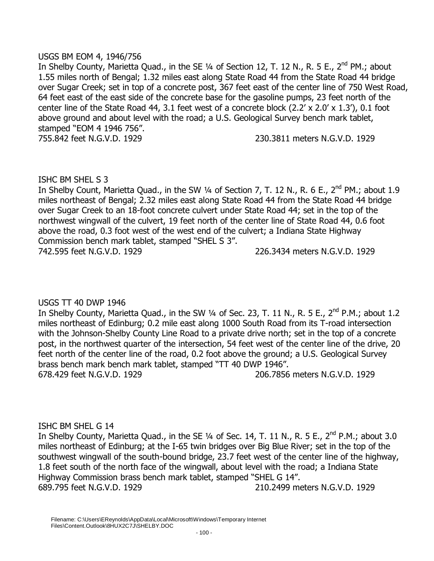## USGS BM EOM 4, 1946/756

In Shelby County, Marietta Quad., in the SE 1/4 of Section 12, T. 12 N., R. 5 E., 2<sup>nd</sup> PM.; about 1.55 miles north of Bengal; 1.32 miles east along State Road 44 from the State Road 44 bridge over Sugar Creek; set in top of a concrete post, 367 feet east of the center line of 750 West Road, 64 feet east of the east side of the concrete base for the gasoline pumps, 23 feet north of the center line of the State Road 44, 3.1 feet west of a concrete block (2.2' x 2.0' x 1.3'), 0.1 foot above ground and about level with the road; a U.S. Geological Survey bench mark tablet, stamped "EOM 4 1946 756". 755.842 feet N.G.V.D. 1929 230.3811 meters N.G.V.D. 1929

ISHC BM SHEL S 3

In Shelby Count, Marietta Quad., in the SW 1/4 of Section 7, T. 12 N., R. 6 E., 2<sup>nd</sup> PM.; about 1.9 miles northeast of Bengal; 2.32 miles east along State Road 44 from the State Road 44 bridge over Sugar Creek to an 18-foot concrete culvert under State Road 44; set in the top of the northwest wingwall of the culvert, 19 feet north of the center line of State Road 44, 0.6 foot above the road, 0.3 foot west of the west end of the culvert; a Indiana State Highway Commission bench mark tablet, stamped "SHEL S 3". 742.595 feet N.G.V.D. 1929 226.3434 meters N.G.V.D. 1929

USGS TT 40 DWP 1946 In Shelby County, Marietta Quad., in the SW 1/4 of Sec. 23, T. 11 N., R. 5 E., 2<sup>nd</sup> P.M.; about 1.2 miles northeast of Edinburg; 0.2 mile east along 1000 South Road from its T-road intersection with the Johnson-Shelby County Line Road to a private drive north; set in the top of a concrete post, in the northwest quarter of the intersection, 54 feet west of the center line of the drive, 20 feet north of the center line of the road, 0.2 foot above the ground; a U.S. Geological Survey brass bench mark bench mark tablet, stamped "TT 40 DWP 1946". 678.429 feet N.G.V.D. 1929 206.7856 meters N.G.V.D. 1929

#### ISHC BM SHEL G 14

In Shelby County, Marietta Quad., in the SE 1/4 of Sec. 14, T. 11 N., R. 5 E., 2<sup>nd</sup> P.M.; about 3.0 miles northeast of Edinburg; at the I-65 twin bridges over Big Blue River; set in the top of the southwest wingwall of the south-bound bridge, 23.7 feet west of the center line of the highway, 1.8 feet south of the north face of the wingwall, about level with the road; a Indiana State Highway Commission brass bench mark tablet, stamped "SHEL G 14". 689.795 feet N.G.V.D. 1929 210.2499 meters N.G.V.D. 1929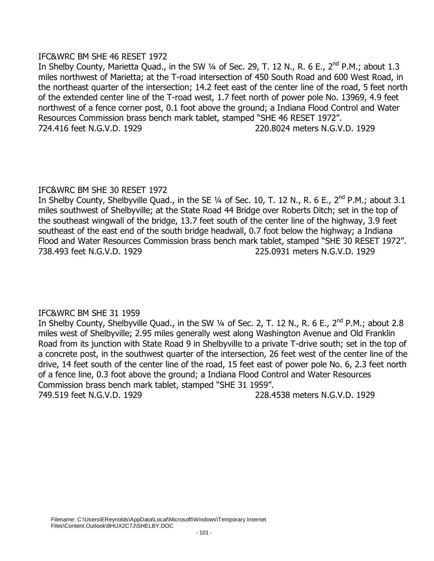# IFC&WRC BM SHE 46 RESET 1972

In Shelby County, Marietta Quad., in the SW  $\frac{1}{4}$  of Sec. 29, T. 12 N., R. 6 E., 2<sup>nd</sup> P.M.; about 1.3 miles northwest of Marietta; at the T-road intersection of 450 South Road and 600 West Road, in the northeast quarter of the intersection; 14.2 feet east of the center line of the road, 5 feet north of the extended center line of the T-road west, 1.7 feet north of power pole No. 13969, 4.9 feet northwest of a fence corner post, 0.1 foot above the ground; a Indiana Flood Control and Water Resources Commission brass bench mark tablet, stamped "SHE 46 RESET 1972". 724.416 feet N.G.V.D. 1929 220.8024 meters N.G.V.D. 1929

# IFC&WRC BM SHE 30 RESET 1972

In Shelby County, Shelbyville Quad., in the SE  $\frac{1}{4}$  of Sec. 10, T. 12 N., R. 6 E., 2<sup>nd</sup> P.M.; about 3.1 miles southwest of Shelbyville; at the State Road 44 Bridge over Roberts Ditch; set in the top of the southeast wingwall of the bridge, 13.7 feet south of the center line of the highway, 3.9 feet southeast of the east end of the south bridge headwall, 0.7 foot below the highway; a Indiana Flood and Water Resources Commission brass bench mark tablet, stamped "SHE 30 RESET 1972". 738.493 feet N.G.V.D. 1929 225.0931 meters N.G.V.D. 1929

# IFC&WRC BM SHE 31 1959

In Shelby County, Shelbyville Quad., in the SW  $\frac{1}{4}$  of Sec. 2, T. 12 N., R. 6 E., 2<sup>nd</sup> P.M.; about 2.8 miles west of Shelbyville; 2.95 miles generally west along Washington Avenue and Old Franklin Road from its junction with State Road 9 in Shelbyville to a private T-drive south; set in the top of a concrete post, in the southwest quarter of the intersection, 26 feet west of the center line of the drive, 14 feet south of the center line of the road, 15 feet east of power pole No. 6, 2.3 feet north of a fence line, 0.3 foot above the ground; a Indiana Flood Control and Water Resources Commission brass bench mark tablet, stamped "SHE 31 1959". 749.519 feet N.G.V.D. 1929 228.4538 meters N.G.V.D. 1929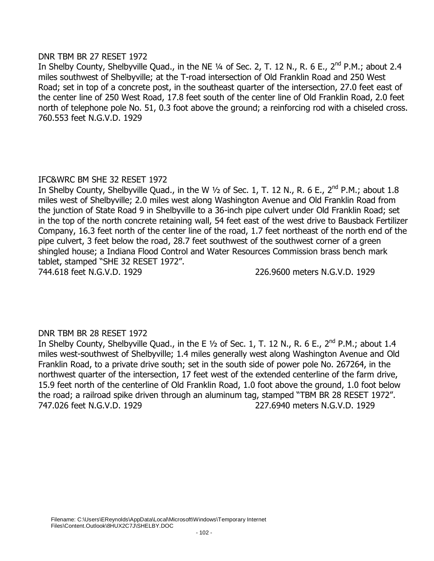## DNR TBM BR 27 RESET 1972

In Shelby County, Shelbyville Quad., in the NE  $\frac{1}{4}$  of Sec. 2, T. 12 N., R. 6 E., 2<sup>nd</sup> P.M.; about 2.4 miles southwest of Shelbyville; at the T-road intersection of Old Franklin Road and 250 West Road; set in top of a concrete post, in the southeast quarter of the intersection, 27.0 feet east of the center line of 250 West Road, 17.8 feet south of the center line of Old Franklin Road, 2.0 feet north of telephone pole No. 51, 0.3 foot above the ground; a reinforcing rod with a chiseled cross. 760.553 feet N.G.V.D. 1929

# IFC&WRC BM SHE 32 RESET 1972

In Shelby County, Shelbyville Quad., in the W  $\frac{1}{2}$  of Sec. 1, T. 12 N., R. 6 E., 2<sup>nd</sup> P.M.; about 1.8 miles west of Shelbyville; 2.0 miles west along Washington Avenue and Old Franklin Road from the junction of State Road 9 in Shelbyville to a 36-inch pipe culvert under Old Franklin Road; set in the top of the north concrete retaining wall, 54 feet east of the west drive to Bausback Fertilizer Company, 16.3 feet north of the center line of the road, 1.7 feet northeast of the north end of the pipe culvert, 3 feet below the road, 28.7 feet southwest of the southwest corner of a green shingled house; a Indiana Flood Control and Water Resources Commission brass bench mark tablet, stamped "SHE 32 RESET 1972".

744.618 feet N.G.V.D. 1929 226.9600 meters N.G.V.D. 1929

# DNR TBM BR 28 RESET 1972

In Shelby County, Shelbyville Quad., in the E  $1/2$  of Sec. 1, T. 12 N., R. 6 E., 2<sup>nd</sup> P.M.; about 1.4 miles west-southwest of Shelbyville; 1.4 miles generally west along Washington Avenue and Old Franklin Road, to a private drive south; set in the south side of power pole No. 267264, in the northwest quarter of the intersection, 17 feet west of the extended centerline of the farm drive, 15.9 feet north of the centerline of Old Franklin Road, 1.0 foot above the ground, 1.0 foot below the road; a railroad spike driven through an aluminum tag, stamped "TBM BR 28 RESET 1972". 747.026 feet N.G.V.D. 1929 227.6940 meters N.G.V.D. 1929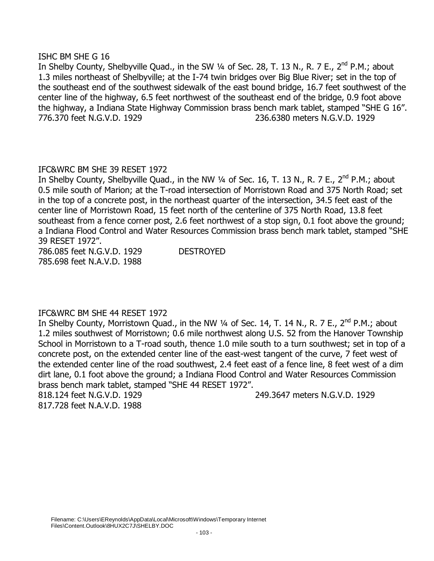#### ISHC BM SHE G 16

In Shelby County, Shelbyville Quad., in the SW 1/4 of Sec. 28, T. 13 N., R. 7 E., 2<sup>nd</sup> P.M.; about 1.3 miles northeast of Shelbyville; at the I-74 twin bridges over Big Blue River; set in the top of the southeast end of the southwest sidewalk of the east bound bridge, 16.7 feet southwest of the center line of the highway, 6.5 feet northwest of the southeast end of the bridge, 0.9 foot above the highway, a Indiana State Highway Commission brass bench mark tablet, stamped "SHE G 16". 776.370 feet N.G.V.D. 1929 236.6380 meters N.G.V.D. 1929

# IFC&WRC BM SHE 39 RESET 1972

In Shelby County, Shelbyville Quad., in the NW  $\frac{1}{4}$  of Sec. 16, T. 13 N., R. 7 E., 2<sup>nd</sup> P.M.; about 0.5 mile south of Marion; at the T-road intersection of Morristown Road and 375 North Road; set in the top of a concrete post, in the northeast quarter of the intersection, 34.5 feet east of the center line of Morristown Road, 15 feet north of the centerline of 375 North Road, 13.8 feet southeast from a fence corner post, 2.6 feet northwest of a stop sign, 0.1 foot above the ground; a Indiana Flood Control and Water Resources Commission brass bench mark tablet, stamped "SHE 39 RESET 1972".

786.085 feet N.G.V.D. 1929 DESTROYED 785.698 feet N.A.V.D. 1988

# IFC&WRC BM SHE 44 RESET 1972

In Shelby County, Morristown Quad., in the NW ¼ of Sec. 14, T. 14 N., R. 7 E., 2<sup>nd</sup> P.M.; about 1.2 miles southwest of Morristown; 0.6 mile northwest along U.S. 52 from the Hanover Township School in Morristown to a T-road south, thence 1.0 mile south to a turn southwest; set in top of a concrete post, on the extended center line of the east-west tangent of the curve, 7 feet west of the extended center line of the road southwest, 2.4 feet east of a fence line, 8 feet west of a dim dirt lane, 0.1 foot above the ground; a Indiana Flood Control and Water Resources Commission brass bench mark tablet, stamped "SHE 44 RESET 1972".

817.728 feet N.A.V.D. 1988

818.124 feet N.G.V.D. 1929 249.3647 meters N.G.V.D. 1929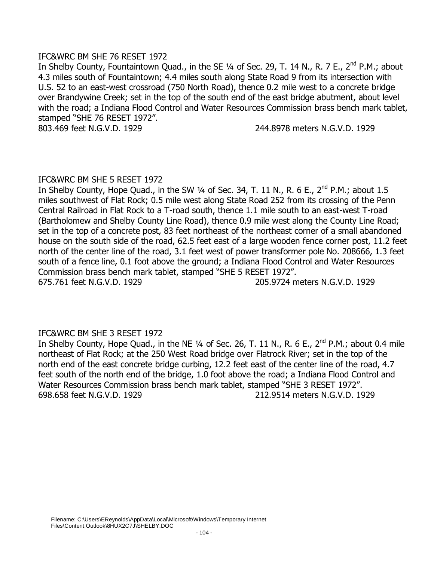## IFC&WRC BM SHE 76 RESET 1972

In Shelby County, Fountaintown Quad., in the SE 1/4 of Sec. 29, T. 14 N., R. 7 E., 2<sup>nd</sup> P.M.; about 4.3 miles south of Fountaintown; 4.4 miles south along State Road 9 from its intersection with U.S. 52 to an east-west crossroad (750 North Road), thence 0.2 mile west to a concrete bridge over Brandywine Creek; set in the top of the south end of the east bridge abutment, about level with the road; a Indiana Flood Control and Water Resources Commission brass bench mark tablet, stamped "SHE 76 RESET 1972".

803.469 feet N.G.V.D. 1929 244.8978 meters N.G.V.D. 1929

### IFC&WRC BM SHE 5 RESET 1972

In Shelby County, Hope Quad., in the SW  $\frac{1}{4}$  of Sec. 34, T. 11 N., R. 6 E., 2<sup>nd</sup> P.M.; about 1.5 miles southwest of Flat Rock; 0.5 mile west along State Road 252 from its crossing of the Penn Central Railroad in Flat Rock to a T-road south, thence 1.1 mile south to an east-west T-road (Bartholomew and Shelby County Line Road), thence 0.9 mile west along the County Line Road; set in the top of a concrete post, 83 feet northeast of the northeast corner of a small abandoned house on the south side of the road, 62.5 feet east of a large wooden fence corner post, 11.2 feet north of the center line of the road, 3.1 feet west of power transformer pole No. 208666, 1.3 feet south of a fence line, 0.1 foot above the ground; a Indiana Flood Control and Water Resources Commission brass bench mark tablet, stamped "SHE 5 RESET 1972". 675.761 feet N.G.V.D. 1929 205.9724 meters N.G.V.D. 1929

# IFC&WRC BM SHE 3 RESET 1972

In Shelby County, Hope Quad., in the NE 1/4 of Sec. 26, T. 11 N., R. 6 E., 2<sup>nd</sup> P.M.; about 0.4 mile northeast of Flat Rock; at the 250 West Road bridge over Flatrock River; set in the top of the north end of the east concrete bridge curbing, 12.2 feet east of the center line of the road, 4.7 feet south of the north end of the bridge, 1.0 foot above the road; a Indiana Flood Control and Water Resources Commission brass bench mark tablet, stamped "SHE 3 RESET 1972". 698.658 feet N.G.V.D. 1929 212.9514 meters N.G.V.D. 1929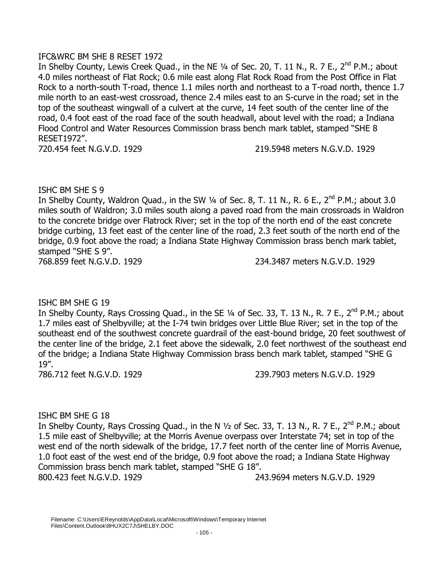# IFC&WRC BM SHE 8 RESET 1972

In Shelby County, Lewis Creek Quad., in the NE 1/4 of Sec. 20, T. 11 N., R. 7 E., 2<sup>nd</sup> P.M.; about 4.0 miles northeast of Flat Rock; 0.6 mile east along Flat Rock Road from the Post Office in Flat Rock to a north-south T-road, thence 1.1 miles north and northeast to a T-road north, thence 1.7 mile north to an east-west crossroad, thence 2.4 miles east to an S-curve in the road; set in the top of the southeast wingwall of a culvert at the curve, 14 feet south of the center line of the road, 0.4 foot east of the road face of the south headwall, about level with the road; a Indiana Flood Control and Water Resources Commission brass bench mark tablet, stamped "SHE 8 RESET1972".

720.454 feet N.G.V.D. 1929 219.5948 meters N.G.V.D. 1929

# ISHC BM SHE S 9

In Shelby County, Waldron Quad., in the SW  $\frac{1}{4}$  of Sec. 8, T. 11 N., R. 6 E., 2<sup>nd</sup> P.M.; about 3.0 miles south of Waldron; 3.0 miles south along a paved road from the main crossroads in Waldron to the concrete bridge over Flatrock River; set in the top of the north end of the east concrete bridge curbing, 13 feet east of the center line of the road, 2.3 feet south of the north end of the bridge, 0.9 foot above the road; a Indiana State Highway Commission brass bench mark tablet, stamped "SHE S 9".

768.859 feet N.G.V.D. 1929 234.3487 meters N.G.V.D. 1929

# ISHC BM SHE G 19

In Shelby County, Rays Crossing Quad., in the SE 1/4 of Sec. 33, T. 13 N., R. 7 E., 2<sup>nd</sup> P.M.; about 1.7 miles east of Shelbyville; at the I-74 twin bridges over Little Blue River; set in the top of the southeast end of the southwest concrete guardrail of the east-bound bridge, 20 feet southwest of the center line of the bridge, 2.1 feet above the sidewalk, 2.0 feet northwest of the southeast end of the bridge; a Indiana State Highway Commission brass bench mark tablet, stamped "SHE G 19".

786.712 feet N.G.V.D. 1929 239.7903 meters N.G.V.D. 1929

# ISHC BM SHE G 18

In Shelby County, Rays Crossing Quad., in the N  $\frac{1}{2}$  of Sec. 33, T. 13 N., R. 7 E., 2<sup>nd</sup> P.M.; about 1.5 mile east of Shelbyville; at the Morris Avenue overpass over Interstate 74; set in top of the west end of the north sidewalk of the bridge, 17.7 feet north of the center line of Morris Avenue, 1.0 foot east of the west end of the bridge, 0.9 foot above the road; a Indiana State Highway Commission brass bench mark tablet, stamped "SHE G 18". 800.423 feet N.G.V.D. 1929 243.9694 meters N.G.V.D. 1929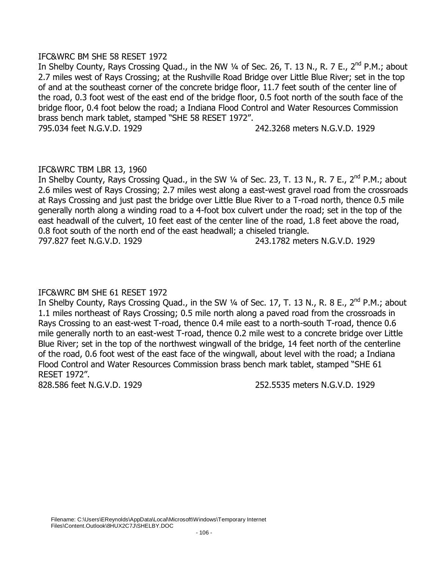# IFC&WRC BM SHE 58 RESET 1972

In Shelby County, Rays Crossing Quad., in the NW ¼ of Sec. 26, T. 13 N., R. 7 E., 2<sup>nd</sup> P.M.; about 2.7 miles west of Rays Crossing; at the Rushville Road Bridge over Little Blue River; set in the top of and at the southeast corner of the concrete bridge floor, 11.7 feet south of the center line of the road, 0.3 foot west of the east end of the bridge floor, 0.5 foot north of the south face of the bridge floor, 0.4 foot below the road; a Indiana Flood Control and Water Resources Commission brass bench mark tablet, stamped "SHE 58 RESET 1972". 795.034 feet N.G.V.D. 1929 242.3268 meters N.G.V.D. 1929

IFC&WRC TBM LBR 13, 1960

In Shelby County, Rays Crossing Quad., in the SW ¼ of Sec. 23, T. 13 N., R. 7 E., 2<sup>nd</sup> P.M.; about 2.6 miles west of Rays Crossing; 2.7 miles west along a east-west gravel road from the crossroads at Rays Crossing and just past the bridge over Little Blue River to a T-road north, thence 0.5 mile generally north along a winding road to a 4-foot box culvert under the road; set in the top of the east headwall of the culvert, 10 feet east of the center line of the road, 1.8 feet above the road, 0.8 foot south of the north end of the east headwall; a chiseled triangle. 797.827 feet N.G.V.D. 1929 243.1782 meters N.G.V.D. 1929

# IFC&WRC BM SHE 61 RESET 1972

In Shelby County, Rays Crossing Quad., in the SW 1/4 of Sec. 17, T. 13 N., R. 8 E., 2<sup>nd</sup> P.M.; about 1.1 miles northeast of Rays Crossing; 0.5 mile north along a paved road from the crossroads in Rays Crossing to an east-west T-road, thence 0.4 mile east to a north-south T-road, thence 0.6 mile generally north to an east-west T-road, thence 0.2 mile west to a concrete bridge over Little Blue River; set in the top of the northwest wingwall of the bridge, 14 feet north of the centerline of the road, 0.6 foot west of the east face of the wingwall, about level with the road; a Indiana Flood Control and Water Resources Commission brass bench mark tablet, stamped "SHE 61 RESET 1972".

828.586 feet N.G.V.D. 1929 252.5535 meters N.G.V.D. 1929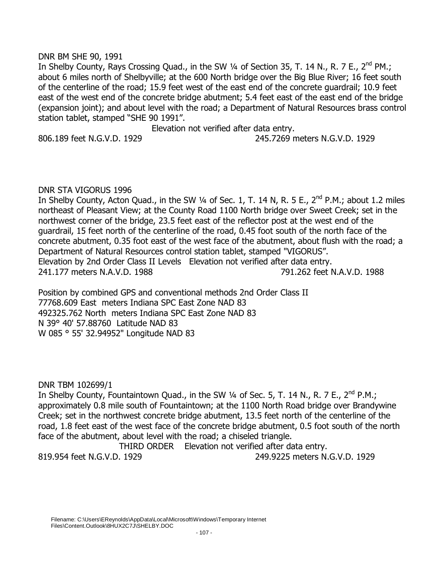### DNR BM SHE 90, 1991

In Shelby County, Rays Crossing Quad., in the SW 1/4 of Section 35, T. 14 N., R. 7 E., 2<sup>nd</sup> PM.; about 6 miles north of Shelbyville; at the 600 North bridge over the Big Blue River; 16 feet south of the centerline of the road; 15.9 feet west of the east end of the concrete guardrail; 10.9 feet east of the west end of the concrete bridge abutment; 5.4 feet east of the east end of the bridge (expansion joint); and about level with the road; a Department of Natural Resources brass control station tablet, stamped "SHE 90 1991".

Elevation not verified after data entry.

806.189 feet N.G.V.D. 1929 245.7269 meters N.G.V.D. 1929

# DNR STA VIGORUS 1996

In Shelby County, Acton Quad., in the SW  $\frac{1}{4}$  of Sec. 1, T. 14 N, R. 5 E., 2<sup>nd</sup> P.M.; about 1.2 miles northeast of Pleasant View; at the County Road 1100 North bridge over Sweet Creek; set in the northwest corner of the bridge, 23.5 feet east of the reflector post at the west end of the guardrail, 15 feet north of the centerline of the road, 0.45 foot south of the north face of the concrete abutment, 0.35 foot east of the west face of the abutment, about flush with the road; a Department of Natural Resources control station tablet, stamped "VIGORUS". Elevation by 2nd Order Class II Levels Elevation not verified after data entry. 241.177 meters N.A.V.D. 1988 791.262 feet N.A.V.D. 1988

Position by combined GPS and conventional methods 2nd Order Class II 77768.609 East meters Indiana SPC East Zone NAD 83 492325.762 North meters Indiana SPC East Zone NAD 83 N 39° 40' 57.88760 Latitude NAD 83 W 085 ° 55' 32.94952" Longitude NAD 83

DNR TBM 102699/1

In Shelby County, Fountaintown Quad., in the SW 1/4 of Sec. 5, T. 14 N., R. 7 E., 2<sup>nd</sup> P.M.; approximately 0.8 mile south of Fountaintown; at the 1100 North Road bridge over Brandywine Creek; set in the northwest concrete bridge abutment, 13.5 feet north of the centerline of the road, 1.8 feet east of the west face of the concrete bridge abutment, 0.5 foot south of the north face of the abutment, about level with the road; a chiseled triangle.

THIRD ORDER Elevation not verified after data entry. 819.954 feet N.G.V.D. 1929 249.9225 meters N.G.V.D. 1929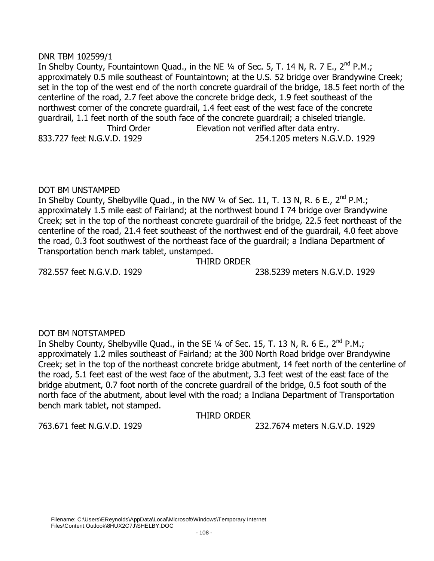# DNR TBM 102599/1

In Shelby County, Fountaintown Quad., in the NE  $\frac{1}{4}$  of Sec. 5, T. 14 N, R. 7 E., 2<sup>nd</sup> P.M.; approximately 0.5 mile southeast of Fountaintown; at the U.S. 52 bridge over Brandywine Creek; set in the top of the west end of the north concrete guardrail of the bridge, 18.5 feet north of the centerline of the road, 2.7 feet above the concrete bridge deck, 1.9 feet southeast of the northwest corner of the concrete guardrail, 1.4 feet east of the west face of the concrete guardrail, 1.1 feet north of the south face of the concrete guardrail; a chiseled triangle. Third Order Elevation not verified after data entry. 833.727 feet N.G.V.D. 1929 254.1205 meters N.G.V.D. 1929

# DOT BM UNSTAMPED

In Shelby County, Shelbyville Quad., in the NW  $\frac{1}{4}$  of Sec. 11, T. 13 N, R. 6 E., 2<sup>nd</sup> P.M.; approximately 1.5 mile east of Fairland; at the northwest bound I 74 bridge over Brandywine Creek; set in the top of the northeast concrete guardrail of the bridge, 22.5 feet northeast of the centerline of the road, 21.4 feet southeast of the northwest end of the guardrail, 4.0 feet above the road, 0.3 foot southwest of the northeast face of the guardrail; a Indiana Department of Transportation bench mark tablet, unstamped.

THIRD ORDER

782.557 feet N.G.V.D. 1929 238.5239 meters N.G.V.D. 1929

# DOT BM NOTSTAMPED

In Shelby County, Shelbyville Quad., in the SE  $\frac{1}{4}$  of Sec. 15, T. 13 N, R. 6 E., 2<sup>nd</sup> P.M.; approximately 1.2 miles southeast of Fairland; at the 300 North Road bridge over Brandywine Creek; set in the top of the northeast concrete bridge abutment, 14 feet north of the centerline of the road, 5.1 feet east of the west face of the abutment, 3.3 feet west of the east face of the bridge abutment, 0.7 foot north of the concrete guardrail of the bridge, 0.5 foot south of the north face of the abutment, about level with the road; a Indiana Department of Transportation bench mark tablet, not stamped.

THIRD ORDER

763.671 feet N.G.V.D. 1929 232.7674 meters N.G.V.D. 1929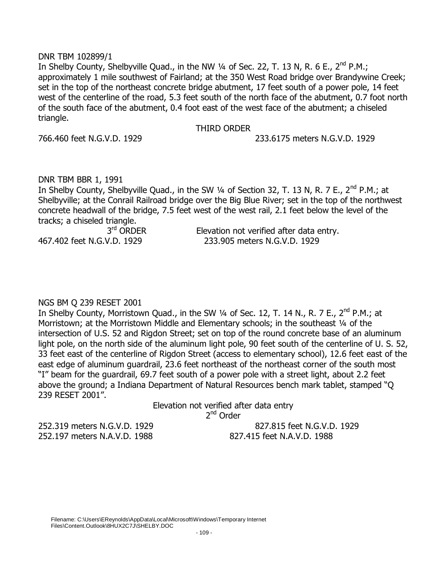#### DNR TBM 102899/1

In Shelby County, Shelbyville Quad., in the NW 1/4 of Sec. 22, T. 13 N, R. 6 E., 2<sup>nd</sup> P.M.; approximately 1 mile southwest of Fairland; at the 350 West Road bridge over Brandywine Creek; set in the top of the northeast concrete bridge abutment, 17 feet south of a power pole, 14 feet west of the centerline of the road, 5.3 feet south of the north face of the abutment, 0.7 foot north of the south face of the abutment, 0.4 foot east of the west face of the abutment; a chiseled triangle.

#### THIRD ORDER

766.460 feet N.G.V.D. 1929 233.6175 meters N.G.V.D. 1929

DNR TBM BBR 1, 1991

In Shelby County, Shelbyville Quad., in the SW  $\frac{1}{4}$  of Section 32, T. 13 N, R. 7 E., 2<sup>nd</sup> P.M.; at Shelbyville; at the Conrail Railroad bridge over the Big Blue River; set in the top of the northwest concrete headwall of the bridge, 7.5 feet west of the west rail, 2.1 feet below the level of the tracks; a chiseled triangle.

| $3rd$ ORDER                | Elevation not verified after data entry. |
|----------------------------|------------------------------------------|
| 467.402 feet N.G.V.D. 1929 | 233.905 meters N.G.V.D. 1929             |

# NGS BM Q 239 RESET 2001

In Shelby County, Morristown Quad., in the SW  $\frac{1}{4}$  of Sec. 12, T. 14 N., R. 7 E., 2<sup>nd</sup> P.M.; at Morristown; at the Morristown Middle and Elementary schools; in the southeast 1/4 of the intersection of U.S. 52 and Rigdon Street; set on top of the round concrete base of an aluminum light pole, on the north side of the aluminum light pole, 90 feet south of the centerline of U. S. 52, 33 feet east of the centerline of Rigdon Street (access to elementary school), 12.6 feet east of the east edge of aluminum guardrail, 23.6 feet northeast of the northeast corner of the south most "I" beam for the guardrail, 69.7 feet south of a power pole with a street light, about 2.2 feet above the ground; a Indiana Department of Natural Resources bench mark tablet, stamped "Q 239 RESET 2001".

Elevation not verified after data entry

2<sup>nd</sup> Order

252.197 meters N.A.V.D. 1988 827.415 feet N.A.V.D. 1988

252.319 meters N.G.V.D. 1929 827.815 feet N.G.V.D. 1929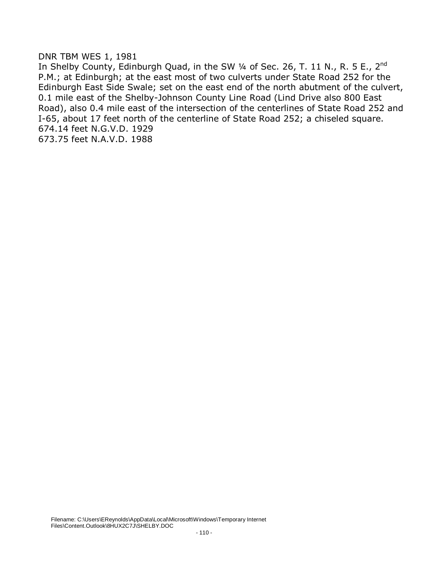#### DNR TBM WES 1, 1981

In Shelby County, Edinburgh Quad, in the SW  $\frac{1}{4}$  of Sec. 26, T. 11 N., R. 5 E., 2<sup>nd</sup> P.M.; at Edinburgh; at the east most of two culverts under State Road 252 for the Edinburgh East Side Swale; set on the east end of the north abutment of the culvert, 0.1 mile east of the Shelby-Johnson County Line Road (Lind Drive also 800 East Road), also 0.4 mile east of the intersection of the centerlines of State Road 252 and I-65, about 17 feet north of the centerline of State Road 252; a chiseled square. 674.14 feet N.G.V.D. 1929 673.75 feet N.A.V.D. 1988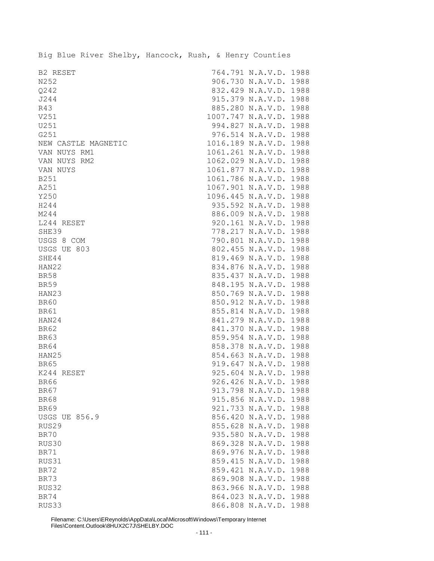|                      |  | Big Blue River Shelby, Hancock, Rush, & Henry Counties |  |                        |      |
|----------------------|--|--------------------------------------------------------|--|------------------------|------|
| B2 RESET             |  |                                                        |  | 764.791 N.A.V.D. 1988  |      |
| N252                 |  |                                                        |  | 906.730 N.A.V.D. 1988  |      |
| Q242                 |  |                                                        |  | 832.429 N.A.V.D. 1988  |      |
| J244                 |  |                                                        |  | 915.379 N.A.V.D. 1988  |      |
| R43                  |  |                                                        |  | 885.280 N.A.V.D. 1988  |      |
| V251                 |  |                                                        |  | 1007.747 N.A.V.D. 1988 |      |
| U251                 |  |                                                        |  | 994.827 N.A.V.D. 1988  |      |
| G251                 |  |                                                        |  | 976.514 N.A.V.D. 1988  |      |
| NEW CASTLE MAGNETIC  |  |                                                        |  | 1016.189 N.A.V.D. 1988 |      |
| VAN NUYS RM1         |  |                                                        |  | 1061.261 N.A.V.D. 1988 |      |
| VAN NUYS RM2         |  |                                                        |  | 1062.029 N.A.V.D.      | 1988 |
| VAN NUYS             |  |                                                        |  | 1061.877 N.A.V.D. 1988 |      |
| B251                 |  |                                                        |  | 1061.786 N.A.V.D. 1988 |      |
| A251                 |  |                                                        |  | 1067.901 N.A.V.D. 1988 |      |
| Y250                 |  |                                                        |  | 1096.445 N.A.V.D. 1988 |      |
| H244                 |  |                                                        |  | 935.592 N.A.V.D. 1988  |      |
| M244                 |  |                                                        |  | 886.009 N.A.V.D. 1988  |      |
| L244 RESET           |  |                                                        |  | 920.161 N.A.V.D. 1988  |      |
| SHE39                |  |                                                        |  | 778.217 N.A.V.D. 1988  |      |
| USGS 8 COM           |  |                                                        |  | 790.801 N.A.V.D. 1988  |      |
| USGS UE 803          |  |                                                        |  | 802.455 N.A.V.D. 1988  |      |
| SHE44                |  |                                                        |  | 819.469 N.A.V.D. 1988  |      |
| HAN22                |  |                                                        |  | 834.876 N.A.V.D.       | 1988 |
| <b>BR58</b>          |  |                                                        |  | 835.437 N.A.V.D.       | 1988 |
| <b>BR59</b>          |  |                                                        |  | 848.195 N.A.V.D.       | 1988 |
| HAN23                |  |                                                        |  | 850.769 N.A.V.D. 1988  |      |
| <b>BR60</b>          |  |                                                        |  | 850.912 N.A.V.D. 1988  |      |
| <b>BR61</b>          |  |                                                        |  | 855.814 N.A.V.D. 1988  |      |
| HAN24                |  |                                                        |  | 841.279 N.A.V.D. 1988  |      |
| <b>BR62</b>          |  |                                                        |  | 841.370 N.A.V.D. 1988  |      |
| <b>BR63</b>          |  |                                                        |  | 859.954 N.A.V.D. 1988  |      |
| <b>BR64</b>          |  |                                                        |  | 858.378 N.A.V.D. 1988  |      |
| HAN25                |  |                                                        |  | 854.663 N.A.V.D. 1988  |      |
| <b>BR65</b>          |  |                                                        |  | 919.647 N.A.V.D.       | 1988 |
| K244 RESET           |  |                                                        |  | 925.604 N.A.V.D.       | 1988 |
| <b>BR66</b>          |  |                                                        |  | 926.426 N.A.V.D.       | 1988 |
| <b>BR67</b>          |  |                                                        |  | 913.798 N.A.V.D.       | 1988 |
| <b>BR68</b>          |  |                                                        |  | 915.856 N.A.V.D.       | 1988 |
| <b>BR69</b>          |  |                                                        |  | 921.733 N.A.V.D.       | 1988 |
| <b>USGS UE 856.9</b> |  |                                                        |  | 856.420 N.A.V.D.       | 1988 |
| RUS29                |  |                                                        |  | 855.628 N.A.V.D.       | 1988 |
| <b>BR70</b>          |  |                                                        |  | 935.580 N.A.V.D.       | 1988 |
| RUS30                |  |                                                        |  | 869.328 N.A.V.D.       | 1988 |
| BR71                 |  |                                                        |  | 869.976 N.A.V.D.       | 1988 |
| RUS31                |  |                                                        |  | 859.415 N.A.V.D.       | 1988 |
| <b>BR72</b>          |  |                                                        |  | 859.421 N.A.V.D.       | 1988 |
| BR73                 |  |                                                        |  | 869.908 N.A.V.D.       | 1988 |
| RUS32                |  |                                                        |  | 863.966 N.A.V.D. 1988  |      |
| <b>BR74</b>          |  |                                                        |  | 864.023 N.A.V.D.       | 1988 |
| RUS33                |  |                                                        |  | 866.808 N.A.V.D. 1988  |      |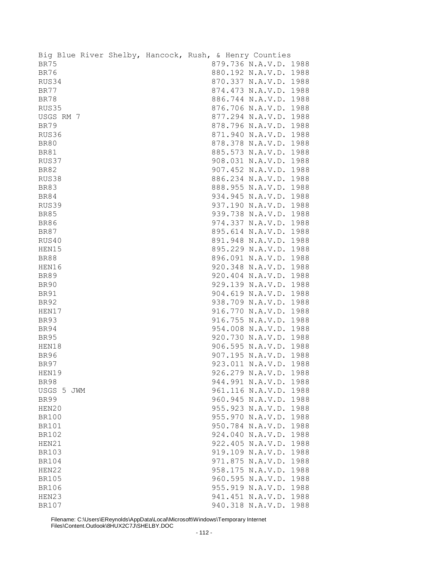|              |  | Big Blue River Shelby, Hancock, Rush, & Henry Counties |                       |      |
|--------------|--|--------------------------------------------------------|-----------------------|------|
| <b>BR75</b>  |  |                                                        | 879.736 N.A.V.D. 1988 |      |
| <b>BR76</b>  |  |                                                        | 880.192 N.A.V.D. 1988 |      |
| RUS34        |  |                                                        | 870.337 N.A.V.D. 1988 |      |
| BR77         |  |                                                        | 874.473 N.A.V.D. 1988 |      |
| <b>BR78</b>  |  |                                                        | 886.744 N.A.V.D. 1988 |      |
| RUS35        |  |                                                        | 876.706 N.A.V.D. 1988 |      |
| USGS RM 7    |  |                                                        | 877.294 N.A.V.D. 1988 |      |
| <b>BR79</b>  |  |                                                        | 878.796 N.A.V.D. 1988 |      |
| RUS36        |  |                                                        | 871.940 N.A.V.D. 1988 |      |
| <b>BR80</b>  |  |                                                        | 878.378 N.A.V.D. 1988 |      |
| <b>BR81</b>  |  |                                                        | 885.573 N.A.V.D. 1988 |      |
| RUS37        |  |                                                        | 908.031 N.A.V.D. 1988 |      |
| <b>BR82</b>  |  |                                                        | 907.452 N.A.V.D. 1988 |      |
| RUS38        |  |                                                        | 886.234 N.A.V.D. 1988 |      |
| <b>BR83</b>  |  |                                                        | 888.955 N.A.V.D. 1988 |      |
| <b>BR84</b>  |  |                                                        | 934.945 N.A.V.D. 1988 |      |
| RUS39        |  |                                                        | 937.190 N.A.V.D. 1988 |      |
| <b>BR85</b>  |  |                                                        | 939.738 N.A.V.D. 1988 |      |
| <b>BR86</b>  |  |                                                        | 974.337 N.A.V.D. 1988 |      |
| <b>BR87</b>  |  |                                                        | 895.614 N.A.V.D. 1988 |      |
| RUS40        |  |                                                        | 891.948 N.A.V.D. 1988 |      |
| HEN15        |  |                                                        | 895.229 N.A.V.D. 1988 |      |
| <b>BR88</b>  |  |                                                        | 896.091 N.A.V.D. 1988 |      |
| HEN16        |  |                                                        | 920.348 N.A.V.D. 1988 |      |
|              |  |                                                        |                       |      |
| <b>BR89</b>  |  |                                                        | 920.404 N.A.V.D. 1988 |      |
| <b>BR90</b>  |  |                                                        | 929.139 N.A.V.D. 1988 |      |
| <b>BR91</b>  |  |                                                        | 904.619 N.A.V.D. 1988 |      |
| <b>BR92</b>  |  |                                                        | 938.709 N.A.V.D. 1988 |      |
| HEN17        |  |                                                        | 916.770 N.A.V.D. 1988 |      |
| <b>BR93</b>  |  |                                                        | 916.755 N.A.V.D. 1988 |      |
| <b>BR94</b>  |  |                                                        | 954.008 N.A.V.D. 1988 |      |
| <b>BR95</b>  |  |                                                        | 920.730 N.A.V.D. 1988 |      |
| HEN18        |  |                                                        | 906.595 N.A.V.D. 1988 |      |
| <b>BR96</b>  |  |                                                        | 907.195 N.A.V.D. 1988 |      |
| <b>BR97</b>  |  |                                                        | 923.011 N.A.V.D. 1988 |      |
| HEN19        |  |                                                        | 926.279 N.A.V.D.      | 1988 |
| <b>BR98</b>  |  |                                                        | 944.991 N.A.V.D.      | 1988 |
| USGS 5 JWM   |  |                                                        | 961.116 N.A.V.D.      | 1988 |
| <b>BR99</b>  |  |                                                        | 960.945 N.A.V.D.      | 1988 |
| HEN20        |  |                                                        | 955.923 N.A.V.D.      | 1988 |
| <b>BR100</b> |  |                                                        | 955.970 N.A.V.D.      | 1988 |
| <b>BR101</b> |  |                                                        | 950.784 N.A.V.D.      | 1988 |
| <b>BR102</b> |  |                                                        | 924.040 N.A.V.D.      | 1988 |
| HEN21        |  |                                                        | 922.405 N.A.V.D.      | 1988 |
| <b>BR103</b> |  |                                                        | 919.109 N.A.V.D.      | 1988 |
| <b>BR104</b> |  |                                                        | 971.875 N.A.V.D.      | 1988 |
| HEN22        |  |                                                        | 958.175 N.A.V.D.      | 1988 |
| <b>BR105</b> |  |                                                        | 960.595 N.A.V.D.      | 1988 |
| <b>BR106</b> |  |                                                        | 955.919 N.A.V.D.      | 1988 |
| HEN23        |  |                                                        | 941.451 N.A.V.D. 1988 |      |
| <b>BR107</b> |  |                                                        | 940.318 N.A.V.D. 1988 |      |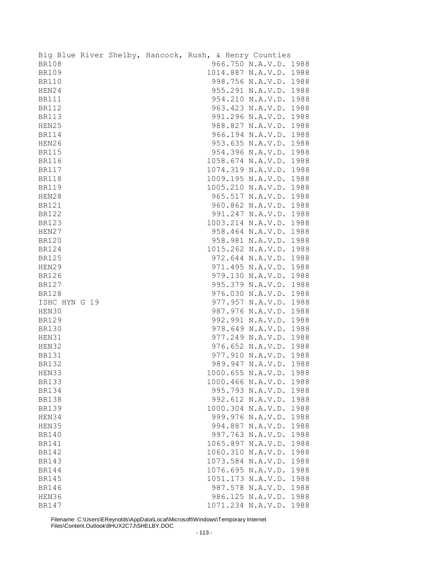|               |  | Big Blue River Shelby, Hancock, Rush, & Henry Counties |                        |      |
|---------------|--|--------------------------------------------------------|------------------------|------|
| <b>BR108</b>  |  |                                                        | 966.750 N.A.V.D. 1988  |      |
| <b>BR109</b>  |  |                                                        | 1014.887 N.A.V.D.      | 1988 |
| <b>BR110</b>  |  |                                                        | 998.756 N.A.V.D.       | 1988 |
| HEN24         |  |                                                        | 955.291 N.A.V.D.       | 1988 |
| <b>BR111</b>  |  |                                                        | 954.210 N.A.V.D.       | 1988 |
| <b>BR112</b>  |  |                                                        | 963.423 N.A.V.D. 1988  |      |
| <b>BR113</b>  |  |                                                        | 991.296 N.A.V.D. 1988  |      |
| HEN25         |  |                                                        | 988.827 N.A.V.D. 1988  |      |
| <b>BR114</b>  |  |                                                        | 966.194 N.A.V.D. 1988  |      |
| HEN26         |  |                                                        | 953.635 N.A.V.D. 1988  |      |
| <b>BR115</b>  |  |                                                        | 954.396 N.A.V.D. 1988  |      |
| <b>BR116</b>  |  |                                                        | 1058.674 N.A.V.D.      | 1988 |
| <b>BR117</b>  |  |                                                        | 1074.319 N.A.V.D.      | 1988 |
| <b>BR118</b>  |  |                                                        | 1009.195 N.A.V.D.      | 1988 |
| <b>BR119</b>  |  |                                                        | 1005.210 N.A.V.D.      | 1988 |
| HEN28         |  |                                                        | 965.517 N.A.V.D.       | 1988 |
| <b>BR121</b>  |  |                                                        | 960.862 N.A.V.D.       | 1988 |
|               |  |                                                        |                        |      |
| <b>BR122</b>  |  |                                                        | 991.247 N.A.V.D. 1988  |      |
| <b>BR123</b>  |  |                                                        | 1003.214 N.A.V.D. 1988 |      |
| HEN27         |  |                                                        | 958.464 N.A.V.D. 1988  |      |
| <b>BR120</b>  |  |                                                        | 958.981 N.A.V.D. 1988  |      |
| <b>BR124</b>  |  |                                                        | 1015.262 N.A.V.D.      | 1988 |
| <b>BR125</b>  |  |                                                        | 972.644 N.A.V.D.       | 1988 |
| HEN29         |  |                                                        | 971.495 N.A.V.D.       | 1988 |
| <b>BR126</b>  |  |                                                        | 979.130 N.A.V.D.       | 1988 |
| <b>BR127</b>  |  |                                                        | 995.379 N.A.V.D.       | 1988 |
| <b>BR128</b>  |  |                                                        | 976.030 N.A.V.D.       | 1988 |
| ISHC HYN G 19 |  |                                                        | 977.957 N.A.V.D.       | 1988 |
| HEN30         |  |                                                        | 987.976 N.A.V.D.       | 1988 |
| <b>BR129</b>  |  |                                                        | 992.991 N.A.V.D.       | 1988 |
| <b>BR130</b>  |  |                                                        | 978.649 N.A.V.D.       | 1988 |
| HEN31         |  |                                                        | 977.249 N.A.V.D. 1988  |      |
| HEN32         |  |                                                        | 976.652 N.A.V.D. 1988  |      |
| <b>BR131</b>  |  |                                                        | 977.910 N.A.V.D. 1988  |      |
| <b>BR132</b>  |  |                                                        | 989.947 N.A.V.D.       | 1988 |
| HEN33         |  |                                                        | 1000.655 N.A.V.D.      | 1988 |
| <b>BR133</b>  |  |                                                        | 1000.466 N.A.V.D.      | 1988 |
| <b>BR134</b>  |  |                                                        | 995.793 N.A.V.D.       | 1988 |
| <b>BR138</b>  |  |                                                        | 992.612 N.A.V.D.       | 1988 |
| <b>BR139</b>  |  |                                                        | 1000.304 N.A.V.D.      | 1988 |
| HEN34         |  |                                                        | 999.976 N.A.V.D.       | 1988 |
| HEN35         |  |                                                        | 994.887 N.A.V.D.       | 1988 |
| <b>BR140</b>  |  |                                                        | 997.763 N.A.V.D.       | 1988 |
| <b>BR141</b>  |  |                                                        | 1065.897 N.A.V.D.      | 1988 |
| <b>BR142</b>  |  |                                                        | 1060.310 N.A.V.D.      | 1988 |
| <b>BR143</b>  |  |                                                        | 1073.584 N.A.V.D.      | 1988 |
| BR144         |  |                                                        | 1076.695 N.A.V.D.      | 1988 |
| <b>BR145</b>  |  |                                                        | 1051.173 N.A.V.D.      | 1988 |
| <b>BR146</b>  |  |                                                        | 987.578 N.A.V.D.       | 1988 |
| HEN36         |  |                                                        | 986.125 N.A.V.D.       | 1988 |
| <b>BR147</b>  |  |                                                        | 1071.234 N.A.V.D.      | 1988 |
|               |  |                                                        |                        |      |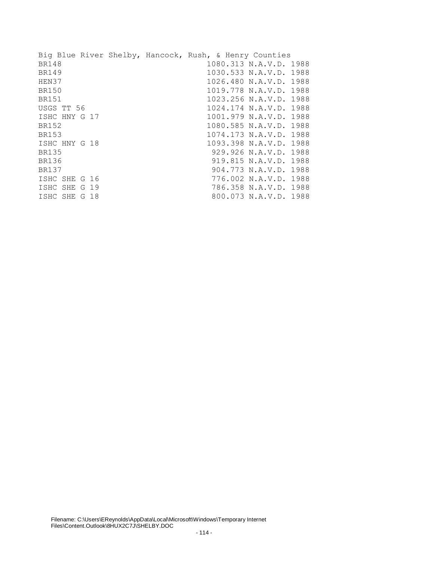|               |  | Big Blue River Shelby, Hancock, Rush, & Henry Counties |                        |  |
|---------------|--|--------------------------------------------------------|------------------------|--|
| <b>BR148</b>  |  |                                                        | 1080.313 N.A.V.D. 1988 |  |
| <b>BR149</b>  |  |                                                        | 1030.533 N.A.V.D. 1988 |  |
| HEN37         |  |                                                        | 1026.480 N.A.V.D. 1988 |  |
| BR150         |  |                                                        | 1019.778 N.A.V.D. 1988 |  |
| <b>BR151</b>  |  |                                                        | 1023.256 N.A.V.D. 1988 |  |
| USGS TT 56    |  |                                                        | 1024.174 N.A.V.D. 1988 |  |
| ISHC HNY G 17 |  |                                                        | 1001.979 N.A.V.D. 1988 |  |
| BR152         |  |                                                        | 1080.585 N.A.V.D. 1988 |  |
| <b>BR153</b>  |  |                                                        | 1074.173 N.A.V.D. 1988 |  |
| ISHC HNY G 18 |  |                                                        | 1093.398 N.A.V.D. 1988 |  |
| <b>BR135</b>  |  |                                                        | 929.926 N.A.V.D. 1988  |  |
| <b>BR136</b>  |  |                                                        | 919.815 N.A.V.D. 1988  |  |
| <b>BR137</b>  |  |                                                        | 904.773 N.A.V.D. 1988  |  |
| ISHC SHE G 16 |  |                                                        | 776.002 N.A.V.D. 1988  |  |
| ISHC SHE G 19 |  |                                                        | 786.358 N.A.V.D. 1988  |  |
| ISHC SHE G 18 |  |                                                        | 800.073 N.A.V.D. 1988  |  |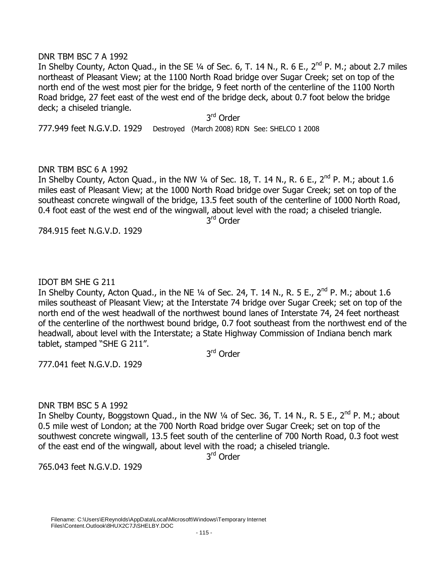#### DNR TBM BSC 7 A 1992

In Shelby County, Acton Quad., in the SE  $\frac{1}{4}$  of Sec. 6, T. 14 N., R. 6 E., 2<sup>nd</sup> P. M.; about 2.7 miles northeast of Pleasant View; at the 1100 North Road bridge over Sugar Creek; set on top of the north end of the west most pier for the bridge, 9 feet north of the centerline of the 1100 North Road bridge, 27 feet east of the west end of the bridge deck, about 0.7 foot below the bridge deck; a chiseled triangle.

3<sup>rd</sup> Order

777.949 feet N.G.V.D. 1929 Destroyed (March 2008) RDN See: SHELCO 1 2008

# DNR TBM BSC 6 A 1992

In Shelby County, Acton Quad., in the NW  $\frac{1}{4}$  of Sec. 18, T. 14 N., R. 6 E., 2<sup>nd</sup> P. M.; about 1.6 miles east of Pleasant View; at the 1000 North Road bridge over Sugar Creek; set on top of the southeast concrete wingwall of the bridge, 13.5 feet south of the centerline of 1000 North Road, 0.4 foot east of the west end of the wingwall, about level with the road; a chiseled triangle. 3<sup>rd</sup> Order

784.915 feet N.G.V.D. 1929

# IDOT BM SHE G 211

In Shelby County, Acton Quad., in the NE  $\frac{1}{4}$  of Sec. 24, T. 14 N., R. 5 E., 2<sup>nd</sup> P. M.; about 1.6 miles southeast of Pleasant View; at the Interstate 74 bridge over Sugar Creek; set on top of the north end of the west headwall of the northwest bound lanes of Interstate 74, 24 feet northeast of the centerline of the northwest bound bridge, 0.7 foot southeast from the northwest end of the headwall, about level with the Interstate; a State Highway Commission of Indiana bench mark tablet, stamped "SHE G 211".

3<sup>rd</sup> Order

777.041 feet N.G.V.D. 1929

# DNR TBM BSC 5 A 1992

In Shelby County, Boggstown Quad., in the NW  $\frac{1}{4}$  of Sec. 36, T. 14 N., R. 5 E., 2<sup>nd</sup> P. M.; about 0.5 mile west of London; at the 700 North Road bridge over Sugar Creek; set on top of the southwest concrete wingwall, 13.5 feet south of the centerline of 700 North Road, 0.3 foot west of the east end of the wingwall, about level with the road; a chiseled triangle.

3<sup>rd</sup> Order

765.043 feet N.G.V.D. 1929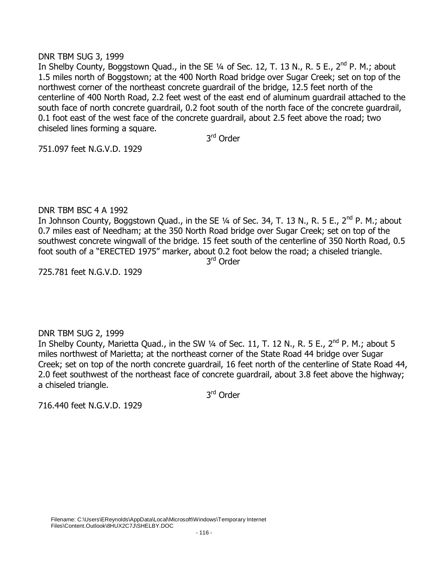# DNR TBM SUG 3, 1999

In Shelby County, Boggstown Quad., in the SE 1/4 of Sec. 12, T. 13 N., R. 5 E., 2<sup>nd</sup> P. M.; about 1.5 miles north of Boggstown; at the 400 North Road bridge over Sugar Creek; set on top of the northwest corner of the northeast concrete guardrail of the bridge, 12.5 feet north of the centerline of 400 North Road, 2.2 feet west of the east end of aluminum guardrail attached to the south face of north concrete guardrail, 0.2 foot south of the north face of the concrete guardrail, 0.1 foot east of the west face of the concrete guardrail, about 2.5 feet above the road; two chiseled lines forming a square.

3<sup>rd</sup> Order

751.097 feet N.G.V.D. 1929

# DNR TBM BSC 4 A 1992

In Johnson County, Boggstown Quad., in the SE 1/4 of Sec. 34, T. 13 N., R. 5 E., 2<sup>nd</sup> P. M.; about 0.7 miles east of Needham; at the 350 North Road bridge over Sugar Creek; set on top of the southwest concrete wingwall of the bridge. 15 feet south of the centerline of 350 North Road, 0.5 foot south of a "ERECTED 1975" marker, about 0.2 foot below the road; a chiseled triangle.

3<sup>rd</sup> Order

725.781 feet N.G.V.D. 1929

# DNR TBM SUG 2, 1999

In Shelby County, Marietta Quad., in the SW  $\frac{1}{4}$  of Sec. 11, T. 12 N., R. 5 E.,  $2^{nd}$  P. M.; about 5 miles northwest of Marietta; at the northeast corner of the State Road 44 bridge over Sugar Creek; set on top of the north concrete guardrail, 16 feet north of the centerline of State Road 44, 2.0 feet southwest of the northeast face of concrete guardrail, about 3.8 feet above the highway; a chiseled triangle.

3<sup>rd</sup> Order

716.440 feet N.G.V.D. 1929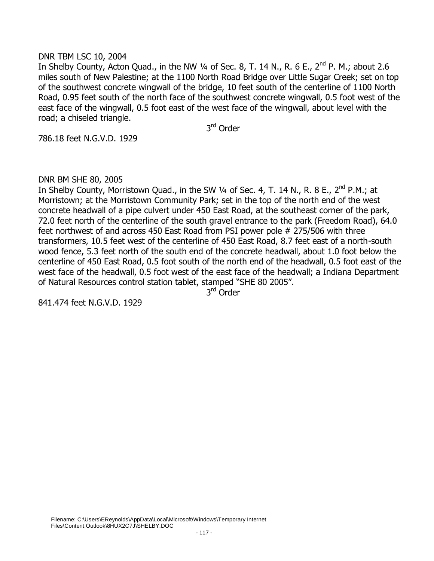#### DNR TBM LSC 10, 2004

In Shelby County, Acton Quad., in the NW 1/4 of Sec. 8, T. 14 N., R. 6 E., 2<sup>nd</sup> P. M.; about 2.6 miles south of New Palestine; at the 1100 North Road Bridge over Little Sugar Creek; set on top of the southwest concrete wingwall of the bridge, 10 feet south of the centerline of 1100 North Road, 0.95 feet south of the north face of the southwest concrete wingwall, 0.5 foot west of the east face of the wingwall, 0.5 foot east of the west face of the wingwall, about level with the road; a chiseled triangle.

3<sup>rd</sup> Order

786.18 feet N.G.V.D. 1929

DNR BM SHE 80, 2005

In Shelby County, Morristown Quad., in the SW  $\frac{1}{4}$  of Sec. 4, T. 14 N., R. 8 E., 2<sup>nd</sup> P.M.; at Morristown; at the Morristown Community Park; set in the top of the north end of the west concrete headwall of a pipe culvert under 450 East Road, at the southeast corner of the park, 72.0 feet north of the centerline of the south gravel entrance to the park (Freedom Road), 64.0 feet northwest of and across 450 East Road from PSI power pole # 275/506 with three transformers, 10.5 feet west of the centerline of 450 East Road, 8.7 feet east of a north-south wood fence, 5.3 feet north of the south end of the concrete headwall, about 1.0 foot below the centerline of 450 East Road, 0.5 foot south of the north end of the headwall, 0.5 foot east of the west face of the headwall, 0.5 foot west of the east face of the headwall; a Indiana Department of Natural Resources control station tablet, stamped "SHE 80 2005".

3<sup>rd</sup> Order

841.474 feet N.G.V.D. 1929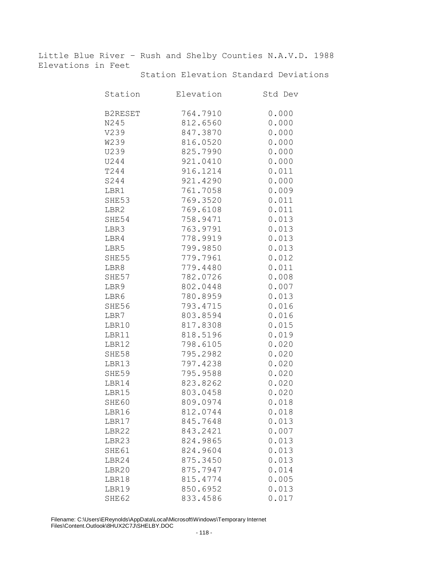Little Blue River – Rush and Shelby Counties N.A.V.D. 1988 Elevations in Feet

| Station        | Elevation | Std Dev |
|----------------|-----------|---------|
| <b>B2RESET</b> | 764.7910  | 0.000   |
| N245           | 812.6560  | 0.000   |
| V239           | 847.3870  | 0.000   |
| <b>W239</b>    | 816.0520  | 0.000   |
| U239           | 825.7990  | 0.000   |
| U244           | 921.0410  | 0.000   |
| T244           | 916.1214  | 0.011   |
| S244           | 921.4290  | 0.000   |
| LBR1           | 761.7058  | 0.009   |
| SHE53          | 769.3520  | 0.011   |
| LBR2           | 769.6108  | 0.011   |
| SHE54          | 758.9471  | 0.013   |
| LBR3           | 763.9791  | 0.013   |
| LBR4           | 778.9919  | 0.013   |
| LBR5           | 799.9850  | 0.013   |
| SHE55          | 779.7961  | 0.012   |
| LBR8           | 779.4480  | 0.011   |
| SHE57          | 782.0726  | 0.008   |
| LBR9           | 802.0448  | 0.007   |
| LBR6           | 780.8959  | 0.013   |
| SHE56          | 793.4715  | 0.016   |
| LBR7           | 803.8594  | 0.016   |
| LBR10          | 817.8308  | 0.015   |
| LBR11          | 818.5196  | 0.019   |
| LBR12          | 798.6105  | 0.020   |
| SHE58          | 795.2982  | 0.020   |
| LBR13          | 797.4238  | 0.020   |
| SHE59          | 795.9588  | 0.020   |
| LBR14          | 823.8262  | 0.020   |
| LBR15          | 803.0458  | 0.020   |
| SHE60          | 809.0974  | 0.018   |
| LBR16          | 812.0744  | 0.018   |
| LBR17          | 845.7648  | 0.013   |
| LBR22          | 843.2421  | 0.007   |
| LBR23          | 824.9865  | 0.013   |
| SHE61          | 824.9604  | 0.013   |
| LBR24          | 875.3450  | 0.013   |
| LBR20          | 875.7947  | 0.014   |
| LBR18          | 815.4774  | 0.005   |
| LBR19          | 850.6952  | 0.013   |
| SHE62          | 833.4586  | 0.017   |

Station Elevation Standard Deviations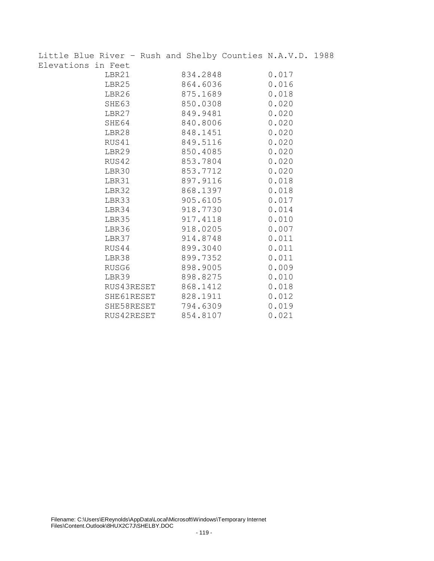| Little Blue River - Rush and Shelby Counties N.A.V.D. 1988 |                     |          |          |       |  |
|------------------------------------------------------------|---------------------|----------|----------|-------|--|
| Elevations in Feet                                         |                     |          |          |       |  |
|                                                            | LBR21               | 834.2848 |          | 0.017 |  |
|                                                            | LBR25               |          | 864.6036 | 0.016 |  |
|                                                            | LBR26               | 875.1689 |          | 0.018 |  |
|                                                            | SHE63               | 850.0308 |          | 0.020 |  |
|                                                            | LBR27               |          | 849.9481 | 0.020 |  |
|                                                            | SHE64               | 840.8006 |          | 0.020 |  |
|                                                            | LBR28               | 848.1451 |          | 0.020 |  |
|                                                            | RUS41               |          | 849.5116 | 0.020 |  |
|                                                            | LBR29               | 850.4085 |          | 0.020 |  |
|                                                            | RUS42               | 853.7804 |          | 0.020 |  |
|                                                            | LBR30               | 853.7712 |          | 0.020 |  |
|                                                            | LBR31               | 897.9116 |          | 0.018 |  |
|                                                            | LBR32               | 868.1397 |          | 0.018 |  |
|                                                            | LBR33               | 905.6105 |          | 0.017 |  |
|                                                            | LBR34               | 918.7730 |          | 0.014 |  |
|                                                            | LBR35               | 917.4118 |          | 0.010 |  |
|                                                            | LBR36               | 918.0205 |          | 0.007 |  |
|                                                            | LBR37               | 914.8748 |          | 0.011 |  |
|                                                            | RUS44               | 899.3040 |          | 0.011 |  |
|                                                            | LBR38               | 899.7352 |          | 0.011 |  |
|                                                            | RUSG6               | 898.9005 |          | 0.009 |  |
|                                                            | LBR39               | 898.8275 |          | 0.010 |  |
|                                                            | RUS43RESET 868.1412 |          |          | 0.018 |  |
|                                                            | SHE61RESET 828.1911 |          |          | 0.012 |  |
|                                                            | SHE58RESET 794.6309 |          |          | 0.019 |  |
|                                                            | RUS42RESET          | 854.8107 |          | 0.021 |  |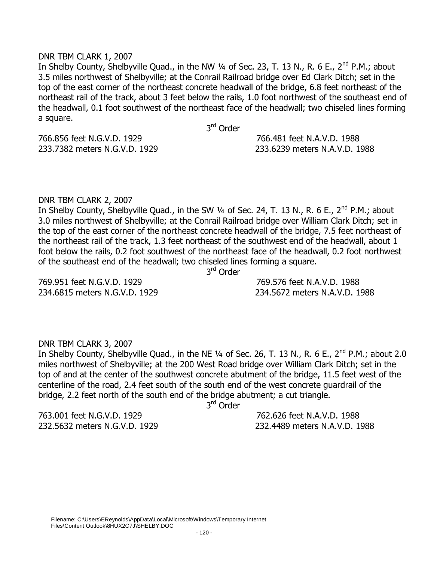#### DNR TBM CLARK 1, 2007

In Shelby County, Shelbyville Quad., in the NW  $\frac{1}{4}$  of Sec. 23, T. 13 N., R. 6 E., 2<sup>nd</sup> P.M.; about 3.5 miles northwest of Shelbyville; at the Conrail Railroad bridge over Ed Clark Ditch; set in the top of the east corner of the northeast concrete headwall of the bridge, 6.8 feet northeast of the northeast rail of the track, about 3 feet below the rails, 1.0 foot northwest of the southeast end of the headwall, 0.1 foot southwest of the northeast face of the headwall; two chiseled lines forming a square.

3<sup>rd</sup> Order

766.856 feet N.G.V.D. 1929 766.481 feet N.A.V.D. 1988

233.7382 meters N.G.V.D. 1929 233.6239 meters N.A.V.D. 1988

#### DNR TBM CLARK 2, 2007

In Shelby County, Shelbyville Quad., in the SW 1/4 of Sec. 24, T. 13 N., R. 6 E., 2<sup>nd</sup> P.M.; about 3.0 miles northwest of Shelbyville; at the Conrail Railroad bridge over William Clark Ditch; set in the top of the east corner of the northeast concrete headwall of the bridge, 7.5 feet northeast of the northeast rail of the track, 1.3 feet northeast of the southwest end of the headwall, about 1 foot below the rails, 0.2 foot southwest of the northeast face of the headwall, 0.2 foot northwest of the southeast end of the headwall; two chiseled lines forming a square.

3<sup>rd</sup> Order

234.6815 meters N.G.V.D. 1929 234.5672 meters N.A.V.D. 1988

769.951 feet N.G.V.D. 1929 769.576 feet N.A.V.D. 1988

# DNR TBM CLARK 3, 2007

In Shelby County, Shelbyville Quad., in the NE 1/4 of Sec. 26, T. 13 N., R. 6 E., 2<sup>nd</sup> P.M.; about 2.0 miles northwest of Shelbyville; at the 200 West Road bridge over William Clark Ditch; set in the top of and at the center of the southwest concrete abutment of the bridge, 11.5 feet west of the centerline of the road, 2.4 feet south of the south end of the west concrete guardrail of the bridge, 2.2 feet north of the south end of the bridge abutment; a cut triangle.

3<sup>rd</sup> Order

763.001 feet N.G.V.D. 1929 762.626 feet N.A.V.D. 1988

232.5632 meters N.G.V.D. 1929 232.4489 meters N.A.V.D. 1988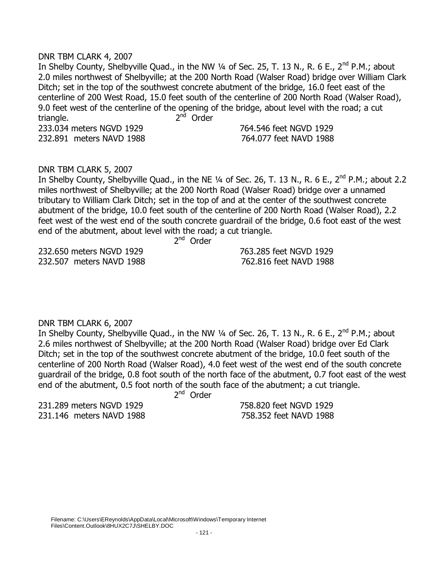#### DNR TBM CLARK 4, 2007

In Shelby County, Shelbyville Quad., in the NW 1/4 of Sec. 25, T. 13 N., R. 6 E., 2<sup>nd</sup> P.M.; about 2.0 miles northwest of Shelbyville; at the 200 North Road (Walser Road) bridge over William Clark Ditch; set in the top of the southwest concrete abutment of the bridge, 16.0 feet east of the centerline of 200 West Road, 15.0 feet south of the centerline of 200 North Road (Walser Road), 9.0 feet west of the centerline of the opening of the bridge, about level with the road; a cut triangle.  $2<sup>nd</sup>$  Order 233.034 meters NGVD 1929 764.546 feet NGVD 1929 232.891 meters NAVD 1988 764.077 feet NAVD 1988

#### DNR TBM CLARK 5, 2007

In Shelby County, Shelbyville Quad., in the NE 1/4 of Sec. 26, T. 13 N., R. 6 E., 2<sup>nd</sup> P.M.; about 2.2 miles northwest of Shelbyville; at the 200 North Road (Walser Road) bridge over a unnamed tributary to William Clark Ditch; set in the top of and at the center of the southwest concrete abutment of the bridge, 10.0 feet south of the centerline of 200 North Road (Walser Road), 2.2 feet west of the west end of the south concrete guardrail of the bridge, 0.6 foot east of the west end of the abutment, about level with the road; a cut triangle.

2  $2<sup>nd</sup>$  Order

232.650 meters NGVD 1929 763.285 feet NGVD 1929 232.507 meters NAVD 1988 762.816 feet NAVD 1988

DNR TBM CLARK 6, 2007

In Shelby County, Shelbyville Quad., in the NW 1/4 of Sec. 26, T. 13 N., R. 6 E., 2<sup>nd</sup> P.M.; about 2.6 miles northwest of Shelbyville; at the 200 North Road (Walser Road) bridge over Ed Clark Ditch; set in the top of the southwest concrete abutment of the bridge, 10.0 feet south of the centerline of 200 North Road (Walser Road), 4.0 feet west of the west end of the south concrete guardrail of the bridge, 0.8 foot south of the north face of the abutment, 0.7 foot east of the west end of the abutment, 0.5 foot north of the south face of the abutment; a cut triangle.

 $2<sup>nd</sup>$  Order

231.289 meters NGVD 1929 758.820 feet NGVD 1929 231.146 meters NAVD 1988 758.352 feet NAVD 1988

2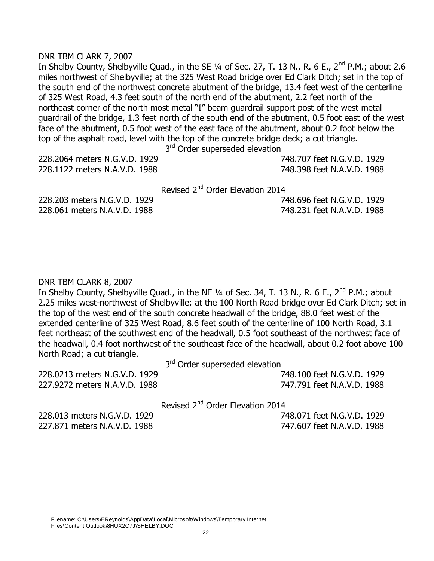#### DNR TBM CLARK 7, 2007

In Shelby County, Shelbyville Quad., in the SE 1/4 of Sec. 27, T. 13 N., R. 6 E., 2<sup>nd</sup> P.M.; about 2.6 miles northwest of Shelbyville; at the 325 West Road bridge over Ed Clark Ditch; set in the top of the south end of the northwest concrete abutment of the bridge, 13.4 feet west of the centerline of 325 West Road, 4.3 feet south of the north end of the abutment, 2.2 feet north of the northeast corner of the north most metal "I" beam guardrail support post of the west metal guardrail of the bridge, 1.3 feet north of the south end of the abutment, 0.5 foot east of the west face of the abutment, 0.5 foot west of the east face of the abutment, about 0.2 foot below the top of the asphalt road, level with the top of the concrete bridge deck; a cut triangle.

3<sup>rd</sup> Order superseded elevation

| 228.2064 meters N.G.V.D. 1929 | 748.707 feet N.G.V.D. 1929 |
|-------------------------------|----------------------------|
| 228.1122 meters N.A.V.D. 1988 | 748.398 feet N.A.V.D. 1988 |
|                               |                            |

Revised 2<sup>nd</sup> Order Elevation 2014

228.203 meters N.G.V.D. 1929 748.696 feet N.G.V.D. 1929 228.061 meters N.A.V.D. 1988 748.231 feet N.A.V.D. 1988

#### DNR TBM CLARK 8, 2007

In Shelby County, Shelbyville Quad., in the NE 1/4 of Sec. 34, T. 13 N., R. 6 E., 2<sup>nd</sup> P.M.; about 2.25 miles west-northwest of Shelbyville; at the 100 North Road bridge over Ed Clark Ditch; set in the top of the west end of the south concrete headwall of the bridge, 88.0 feet west of the extended centerline of 325 West Road, 8.6 feet south of the centerline of 100 North Road, 3.1 feet northeast of the southwest end of the headwall, 0.5 foot southeast of the northwest face of the headwall, 0.4 foot northwest of the southeast face of the headwall, about 0.2 foot above 100 North Road; a cut triangle.

3<sup>rd</sup> Order superseded elevation

| 228.0213 meters N.G.V.D. 1929 | 748.100 feet N.G.V.D. 1929 |
|-------------------------------|----------------------------|
| 227.9272 meters N.A.V.D. 1988 | 747.791 feet N.A.V.D. 1988 |

Revised 2<sup>nd</sup> Order Elevation 2014

228.013 meters N.G.V.D. 1929 748.071 feet N.G.V.D. 1929 227.871 meters N.A.V.D. 1988 747.607 feet N.A.V.D. 1988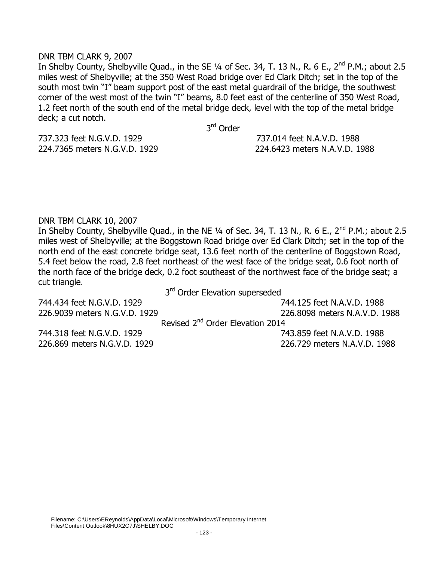#### DNR TBM CLARK 9, 2007

In Shelby County, Shelbyville Quad., in the SE 1/4 of Sec. 34, T. 13 N., R. 6 E., 2<sup>nd</sup> P.M.; about 2.5 miles west of Shelbyville; at the 350 West Road bridge over Ed Clark Ditch; set in the top of the south most twin "I" beam support post of the east metal guardrail of the bridge, the southwest corner of the west most of the twin "I" beams, 8.0 feet east of the centerline of 350 West Road, 1.2 feet north of the south end of the metal bridge deck, level with the top of the metal bridge deck; a cut notch.

3<sup>rd</sup> Order

737.323 feet N.G.V.D. 1929 737.014 feet N.A.V.D. 1988

224.7365 meters N.G.V.D. 1929 224.6423 meters N.A.V.D. 1988

DNR TBM CLARK 10, 2007

In Shelby County, Shelbyville Quad., in the NE 1/4 of Sec. 34, T. 13 N., R. 6 E., 2<sup>nd</sup> P.M.; about 2.5 miles west of Shelbyville; at the Boggstown Road bridge over Ed Clark Ditch; set in the top of the north end of the east concrete bridge seat, 13.6 feet north of the centerline of Boggstown Road, 5.4 feet below the road, 2.8 feet northeast of the west face of the bridge seat, 0.6 foot north of the north face of the bridge deck, 0.2 foot southeast of the northwest face of the bridge seat; a cut triangle.

3<sup>rd</sup> Order Elevation superseded

744.434 feet N.G.V.D. 1929 744.125 feet N.A.V.D. 1988 226.9039 meters N.G.V.D. 1929 226.8098 meters N.A.V.D. 1988 Revised 2<sup>nd</sup> Order Elevation 2014 744.318 feet N.G.V.D. 1929 743.859 feet N.A.V.D. 1988 226.869 meters N.G.V.D. 1929 226.729 meters N.A.V.D. 1988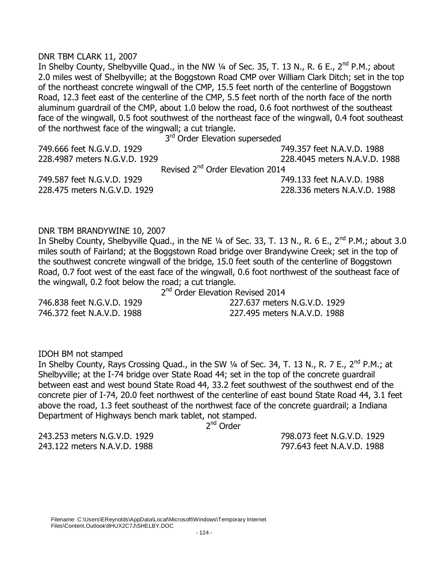#### DNR TBM CLARK 11, 2007

In Shelby County, Shelbyville Quad., in the NW 1/4 of Sec. 35, T. 13 N., R. 6 E., 2<sup>nd</sup> P.M.; about 2.0 miles west of Shelbyville; at the Boggstown Road CMP over William Clark Ditch; set in the top of the northeast concrete wingwall of the CMP, 15.5 feet north of the centerline of Boggstown Road, 12.3 feet east of the centerline of the CMP, 5.5 feet north of the north face of the north aluminum guardrail of the CMP, about 1.0 below the road, 0.6 foot northwest of the southeast face of the wingwall, 0.5 foot southwest of the northeast face of the wingwall, 0.4 foot southeast of the northwest face of the wingwall; a cut triangle.

3<sup>rd</sup> Order Elevation superseded

| 749.666 feet N.G.V.D. 1929    | 749.357 feet N.A.V.D. 1988                   |
|-------------------------------|----------------------------------------------|
| 228.4987 meters N.G.V.D. 1929 | 228.4045 meters N.A.V.D. 1988                |
|                               | Revised 2 <sup>nd</sup> Order Elevation 2014 |
| 749.587 feet N.G.V.D. 1929    | 749.133 feet N.A.V.D. 1988                   |
| 228.475 meters N.G.V.D. 1929  | 228.336 meters N.A.V.D. 1988                 |

#### DNR TBM BRANDYWINE 10, 2007

In Shelby County, Shelbyville Quad., in the NE 1/4 of Sec. 33, T. 13 N., R. 6 E., 2<sup>nd</sup> P.M.; about 3.0 miles south of Fairland; at the Boggstown Road bridge over Brandywine Creek; set in the top of the southwest concrete wingwall of the bridge, 15.0 feet south of the centerline of Boggstown Road, 0.7 foot west of the east face of the wingwall, 0.6 foot northwest of the southeast face of the wingwall, 0.2 foot below the road; a cut triangle.

2<sup>nd</sup> Order Elevation Revised 2014

746.838 feet N.G.V.D. 1929 227.637 meters N.G.V.D. 1929 746.372 feet N.A.V.D. 1988 227.495 meters N.A.V.D. 1988

#### IDOH BM not stamped

In Shelby County, Rays Crossing Quad., in the SW 1/4 of Sec. 34, T. 13 N., R. 7 E., 2<sup>nd</sup> P.M.; at Shelbyville; at the I-74 bridge over State Road 44; set in the top of the concrete guardrail between east and west bound State Road 44, 33.2 feet southwest of the southwest end of the concrete pier of I-74, 20.0 feet northwest of the centerline of east bound State Road 44, 3.1 feet above the road, 1.3 feet southeast of the northwest face of the concrete guardrail; a Indiana Department of Highways bench mark tablet, not stamped.

2<sup>nd</sup> Order

243.253 meters N.G.V.D. 1929 798.073 feet N.G.V.D. 1929 243.122 meters N.A.V.D. 1988 797.643 feet N.A.V.D. 1988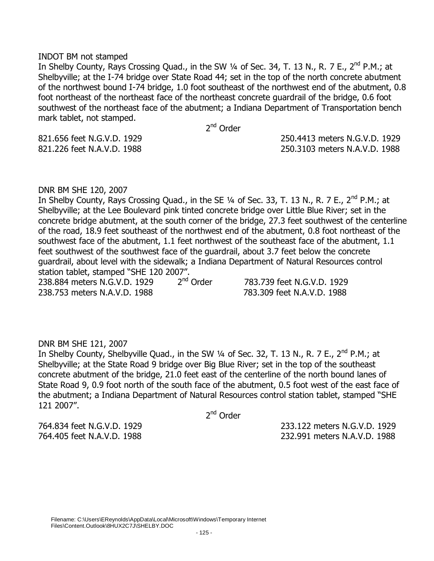#### INDOT BM not stamped

In Shelby County, Rays Crossing Quad., in the SW 1/4 of Sec. 34, T. 13 N., R. 7 E., 2<sup>nd</sup> P.M.; at Shelbyville; at the I-74 bridge over State Road 44; set in the top of the north concrete abutment of the northwest bound I-74 bridge, 1.0 foot southeast of the northwest end of the abutment, 0.8 foot northeast of the northeast face of the northeast concrete guardrail of the bridge, 0.6 foot southwest of the northeast face of the abutment; a Indiana Department of Transportation bench mark tablet, not stamped.

2<sup>nd</sup> Order

821.656 feet N.G.V.D. 1929 250.4413 meters N.G.V.D. 1929

821.226 feet N.A.V.D. 1988 250.3103 meters N.A.V.D. 1988

#### DNR BM SHE 120, 2007

In Shelby County, Rays Crossing Quad., in the SE  $\frac{1}{4}$  of Sec. 33, T. 13 N., R. 7 E., 2<sup>nd</sup> P.M.; at Shelbyville; at the Lee Boulevard pink tinted concrete bridge over Little Blue River; set in the concrete bridge abutment, at the south corner of the bridge, 27.3 feet southwest of the centerline of the road, 18.9 feet southeast of the northwest end of the abutment, 0.8 foot northeast of the southwest face of the abutment, 1.1 feet northwest of the southeast face of the abutment, 1.1 feet southwest of the southwest face of the guardrail, about 3.7 feet below the concrete guardrail, about level with the sidewalk; a Indiana Department of Natural Resources control station tablet, stamped "SHE 120 2007".<br>238.884 meters N.G.V.D. 1929 2<sup>nd</sup> Order

238.884 meters N.G.V.D. 1929 2 238.753 meters N.A.V.D. 1988 783.309 feet N.A.V.D. 1988

783.739 feet N.G.V.D. 1929

#### DNR BM SHE 121, 2007

In Shelby County, Shelbyville Quad., in the SW 1/4 of Sec. 32, T. 13 N., R. 7 E., 2<sup>nd</sup> P.M.; at Shelbyville; at the State Road 9 bridge over Big Blue River; set in the top of the southeast concrete abutment of the bridge, 21.0 feet east of the centerline of the north bound lanes of State Road 9, 0.9 foot north of the south face of the abutment, 0.5 foot west of the east face of the abutment; a Indiana Department of Natural Resources control station tablet, stamped "SHE 121 2007".

2<sup>nd</sup> Order

764.834 feet N.G.V.D. 1929 233.122 meters N.G.V.D. 1929 764.405 feet N.A.V.D. 1988 232.991 meters N.A.V.D. 1988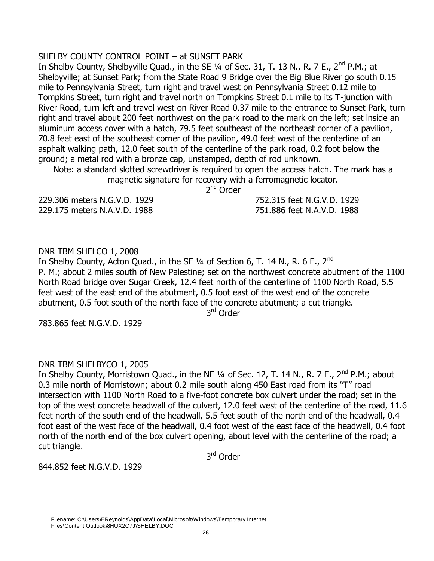# SHELBY COUNTY CONTROL POINT – at SUNSET PARK

In Shelby County, Shelbyville Quad., in the SE 1/4 of Sec. 31, T. 13 N., R. 7 E., 2<sup>nd</sup> P.M.: at Shelbyville; at Sunset Park; from the State Road 9 Bridge over the Big Blue River go south 0.15 mile to Pennsylvania Street, turn right and travel west on Pennsylvania Street 0.12 mile to Tompkins Street, turn right and travel north on Tompkins Street 0.1 mile to its T-junction with River Road, turn left and travel west on River Road 0.37 mile to the entrance to Sunset Park, turn right and travel about 200 feet northwest on the park road to the mark on the left; set inside an aluminum access cover with a hatch, 79.5 feet southeast of the northeast corner of a pavilion, 70.8 feet east of the southeast corner of the pavilion, 49.0 feet west of the centerline of an asphalt walking path, 12.0 feet south of the centerline of the park road, 0.2 foot below the ground; a metal rod with a bronze cap, unstamped, depth of rod unknown.

Note: a standard slotted screwdriver is required to open the access hatch. The mark has a magnetic signature for recovery with a ferromagnetic locator.

2<sup>nd</sup> Order

229.306 meters N.G.V.D. 1929 752.315 feet N.G.V.D. 1929 229.175 meters N.A.V.D. 1988 751.886 feet N.A.V.D. 1988

DNR TBM SHELCO 1, 2008

In Shelby County, Acton Quad., in the SE  $\frac{1}{4}$  of Section 6, T. 14 N., R. 6 E., 2<sup>nd</sup> P. M.; about 2 miles south of New Palestine; set on the northwest concrete abutment of the 1100 North Road bridge over Sugar Creek, 12.4 feet north of the centerline of 1100 North Road, 5.5 feet west of the east end of the abutment, 0.5 foot east of the west end of the concrete abutment, 0.5 foot south of the north face of the concrete abutment; a cut triangle.

3<sup>rd</sup> Order

783.865 feet N.G.V.D. 1929

# DNR TBM SHELBYCO 1, 2005

In Shelby County, Morristown Quad., in the NE  $\frac{1}{4}$  of Sec. 12, T. 14 N., R. 7 E., 2<sup>nd</sup> P.M.; about 0.3 mile north of Morristown; about 0.2 mile south along 450 East road from its "T" road intersection with 1100 North Road to a five-foot concrete box culvert under the road; set in the top of the west concrete headwall of the culvert, 12.0 feet west of the centerline of the road, 11.6 feet north of the south end of the headwall, 5.5 feet south of the north end of the headwall, 0.4 foot east of the west face of the headwall, 0.4 foot west of the east face of the headwall, 0.4 foot north of the north end of the box culvert opening, about level with the centerline of the road; a cut triangle.

3<sup>rd</sup> Order

844.852 feet N.G.V.D. 1929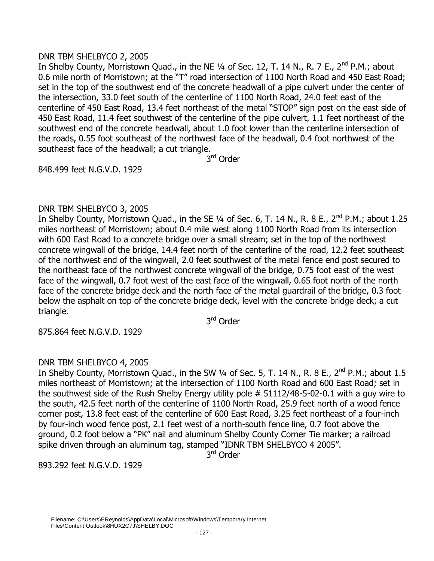# DNR TBM SHELBYCO 2, 2005

In Shelby County, Morristown Quad., in the NE 1/4 of Sec. 12, T. 14 N., R. 7 E., 2<sup>nd</sup> P.M.; about 0.6 mile north of Morristown; at the "T" road intersection of 1100 North Road and 450 East Road; set in the top of the southwest end of the concrete headwall of a pipe culvert under the center of the intersection, 33.0 feet south of the centerline of 1100 North Road, 24.0 feet east of the centerline of 450 East Road, 13.4 feet northeast of the metal "STOP" sign post on the east side of 450 East Road, 11.4 feet southwest of the centerline of the pipe culvert, 1.1 feet northeast of the southwest end of the concrete headwall, about 1.0 foot lower than the centerline intersection of the roads, 0.55 foot southeast of the northwest face of the headwall, 0.4 foot northwest of the southeast face of the headwall; a cut triangle.

3<sup>rd</sup> Order

848.499 feet N.G.V.D. 1929

# DNR TBM SHELBYCO 3, 2005

In Shelby County, Morristown Quad., in the SE 1/4 of Sec. 6, T. 14 N., R. 8 E., 2<sup>nd</sup> P.M.; about 1.25 miles northeast of Morristown; about 0.4 mile west along 1100 North Road from its intersection with 600 East Road to a concrete bridge over a small stream; set in the top of the northwest concrete wingwall of the bridge, 14.4 feet north of the centerline of the road, 12.2 feet southeast of the northwest end of the wingwall, 2.0 feet southwest of the metal fence end post secured to the northeast face of the northwest concrete wingwall of the bridge, 0.75 foot east of the west face of the wingwall, 0.7 foot west of the east face of the wingwall, 0.65 foot north of the north face of the concrete bridge deck and the north face of the metal guardrail of the bridge, 0.3 foot below the asphalt on top of the concrete bridge deck, level with the concrete bridge deck; a cut triangle.

3<sup>rd</sup> Order

875.864 feet N.G.V.D. 1929

# DNR TBM SHELBYCO 4, 2005

In Shelby County, Morristown Quad., in the SW 1/4 of Sec. 5, T. 14 N., R. 8 E., 2<sup>nd</sup> P.M.; about 1.5 miles northeast of Morristown; at the intersection of 1100 North Road and 600 East Road; set in the southwest side of the Rush Shelby Energy utility pole # 51112/48-5-02-0.1 with a guy wire to the south, 42.5 feet north of the centerline of 1100 North Road, 25.9 feet north of a wood fence corner post, 13.8 feet east of the centerline of 600 East Road, 3.25 feet northeast of a four-inch by four-inch wood fence post, 2.1 feet west of a north-south fence line, 0.7 foot above the ground, 0.2 foot below a "PK" nail and aluminum Shelby County Corner Tie marker; a railroad spike driven through an aluminum tag, stamped "IDNR TBM SHELBYCO 4 2005".

3<sup>rd</sup> Order

893.292 feet N.G.V.D. 1929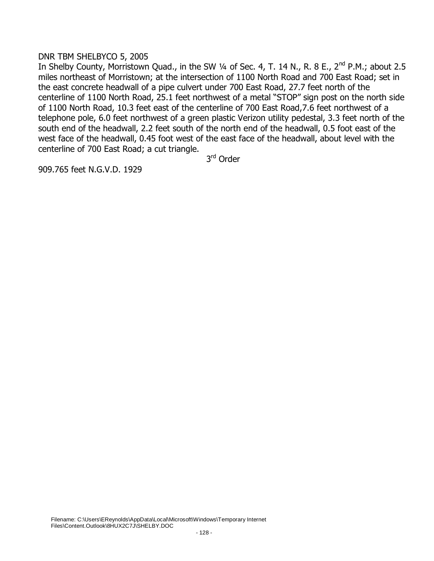# DNR TBM SHELBYCO 5, 2005

In Shelby County, Morristown Quad., in the SW 1/4 of Sec. 4, T. 14 N., R. 8 E., 2<sup>nd</sup> P.M.; about 2.5 miles northeast of Morristown; at the intersection of 1100 North Road and 700 East Road; set in the east concrete headwall of a pipe culvert under 700 East Road, 27.7 feet north of the centerline of 1100 North Road, 25.1 feet northwest of a metal "STOP" sign post on the north side of 1100 North Road, 10.3 feet east of the centerline of 700 East Road,7.6 feet northwest of a telephone pole, 6.0 feet northwest of a green plastic Verizon utility pedestal, 3.3 feet north of the south end of the headwall, 2.2 feet south of the north end of the headwall, 0.5 foot east of the west face of the headwall, 0.45 foot west of the east face of the headwall, about level with the centerline of 700 East Road; a cut triangle.

3<sup>rd</sup> Order

909.765 feet N.G.V.D. 1929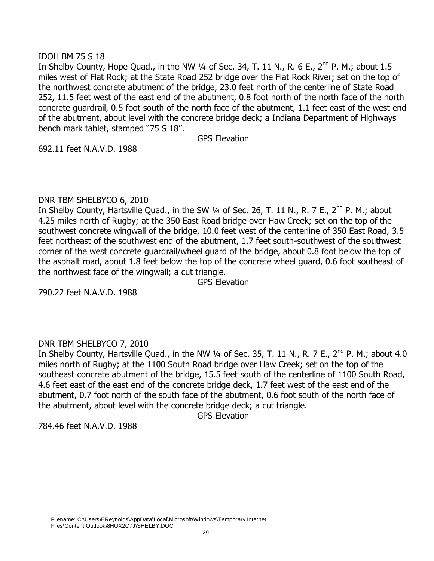# IDOH BM 75 S 18

In Shelby County, Hope Quad., in the NW  $\frac{1}{4}$  of Sec. 34, T. 11 N., R. 6 E., 2<sup>nd</sup> P. M.; about 1.5 miles west of Flat Rock; at the State Road 252 bridge over the Flat Rock River; set on the top of the northwest concrete abutment of the bridge, 23.0 feet north of the centerline of State Road 252, 11.5 feet west of the east end of the abutment, 0.8 foot north of the north face of the north concrete guardrail, 0.5 foot south of the north face of the abutment, 1.1 feet east of the west end of the abutment, about level with the concrete bridge deck; a Indiana Department of Highways bench mark tablet, stamped "75 S 18".

GPS Elevation

692.11 feet N.A.V.D. 1988

# DNR TBM SHELBYCO 6, 2010

In Shelby County, Hartsville Quad., in the SW  $\frac{1}{4}$  of Sec. 26, T. 11 N., R. 7 E., 2<sup>nd</sup> P. M.; about 4.25 miles north of Rugby; at the 350 East Road bridge over Haw Creek; set on the top of the southwest concrete wingwall of the bridge, 10.0 feet west of the centerline of 350 East Road, 3.5 feet northeast of the southwest end of the abutment, 1.7 feet south-southwest of the southwest corner of the west concrete guardrail/wheel guard of the bridge, about 0.8 foot below the top of the asphalt road, about 1.8 feet below the top of the concrete wheel guard, 0.6 foot southeast of the northwest face of the wingwall; a cut triangle.

GPS Elevation

790.22 feet N.A.V.D. 1988

# DNR TBM SHELBYCO 7, 2010

In Shelby County, Hartsville Quad., in the NW 1/4 of Sec. 35, T. 11 N., R. 7 E., 2<sup>nd</sup> P. M.; about 4.0 miles north of Rugby; at the 1100 South Road bridge over Haw Creek; set on the top of the southeast concrete abutment of the bridge, 15.5 feet south of the centerline of 1100 South Road, 4.6 feet east of the east end of the concrete bridge deck, 1.7 feet west of the east end of the abutment, 0.7 foot north of the south face of the abutment, 0.6 foot south of the north face of the abutment, about level with the concrete bridge deck; a cut triangle.

GPS Elevation

784.46 feet N.A.V.D. 1988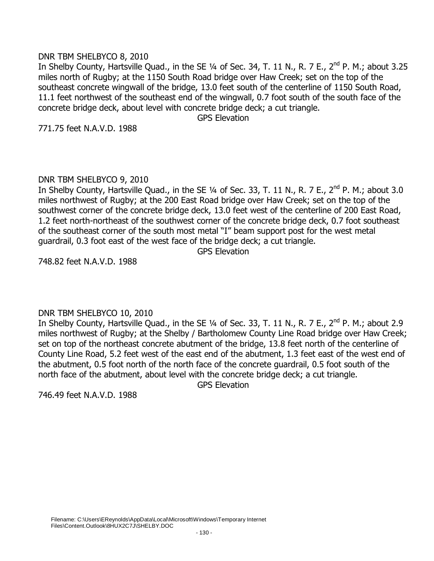#### DNR TBM SHELBYCO 8, 2010

In Shelby County, Hartsville Quad., in the SE 1/4 of Sec. 34, T. 11 N., R. 7 E., 2<sup>nd</sup> P. M.; about 3.25 miles north of Rugby; at the 1150 South Road bridge over Haw Creek; set on the top of the southeast concrete wingwall of the bridge, 13.0 feet south of the centerline of 1150 South Road, 11.1 feet northwest of the southeast end of the wingwall, 0.7 foot south of the south face of the concrete bridge deck, about level with concrete bridge deck; a cut triangle.

GPS Elevation

771.75 feet N.A.V.D. 1988

# DNR TBM SHELBYCO 9, 2010

In Shelby County, Hartsville Quad., in the SE 1/4 of Sec. 33, T. 11 N., R. 7 E., 2<sup>nd</sup> P. M.; about 3.0 miles northwest of Rugby; at the 200 East Road bridge over Haw Creek; set on the top of the southwest corner of the concrete bridge deck, 13.0 feet west of the centerline of 200 East Road, 1.2 feet north-northeast of the southwest corner of the concrete bridge deck, 0.7 foot southeast of the southeast corner of the south most metal "I" beam support post for the west metal guardrail, 0.3 foot east of the west face of the bridge deck; a cut triangle.

GPS Elevation

748.82 feet N.A.V.D. 1988

# DNR TBM SHELBYCO 10, 2010

In Shelby County, Hartsville Quad., in the SE 1/4 of Sec. 33, T. 11 N., R. 7 E., 2<sup>nd</sup> P. M.; about 2.9 miles northwest of Rugby; at the Shelby / Bartholomew County Line Road bridge over Haw Creek; set on top of the northeast concrete abutment of the bridge, 13.8 feet north of the centerline of County Line Road, 5.2 feet west of the east end of the abutment, 1.3 feet east of the west end of the abutment, 0.5 foot north of the north face of the concrete guardrail, 0.5 foot south of the north face of the abutment, about level with the concrete bridge deck; a cut triangle.

GPS Elevation

746.49 feet N.A.V.D. 1988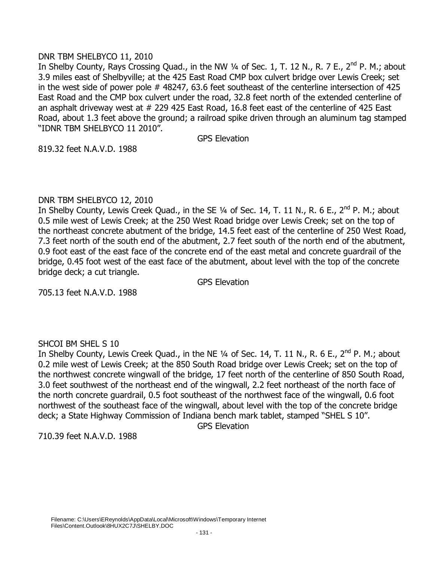# DNR TBM SHELBYCO 11, 2010

In Shelby County, Rays Crossing Quad., in the NW 1/4 of Sec. 1, T. 12 N., R. 7 E., 2<sup>nd</sup> P. M.; about 3.9 miles east of Shelbyville; at the 425 East Road CMP box culvert bridge over Lewis Creek; set in the west side of power pole # 48247, 63.6 feet southeast of the centerline intersection of 425 East Road and the CMP box culvert under the road, 32.8 feet north of the extended centerline of an asphalt driveway west at # 229 425 East Road, 16.8 feet east of the centerline of 425 East Road, about 1.3 feet above the ground; a railroad spike driven through an aluminum tag stamped "IDNR TBM SHELBYCO 11 2010".

GPS Elevation

819.32 feet N.A.V.D. 1988

# DNR TBM SHELBYCO 12, 2010

In Shelby County, Lewis Creek Quad., in the SE 1/4 of Sec. 14, T. 11 N., R. 6 E., 2<sup>nd</sup> P. M.; about 0.5 mile west of Lewis Creek; at the 250 West Road bridge over Lewis Creek; set on the top of the northeast concrete abutment of the bridge, 14.5 feet east of the centerline of 250 West Road, 7.3 feet north of the south end of the abutment, 2.7 feet south of the north end of the abutment, 0.9 foot east of the east face of the concrete end of the east metal and concrete guardrail of the bridge, 0.45 foot west of the east face of the abutment, about level with the top of the concrete bridge deck; a cut triangle.

GPS Elevation

705.13 feet N.A.V.D. 1988

# SHCOI BM SHEL S 10

In Shelby County, Lewis Creek Quad., in the NE 1/4 of Sec. 14, T. 11 N., R. 6 E., 2<sup>nd</sup> P. M.: about 0.2 mile west of Lewis Creek; at the 850 South Road bridge over Lewis Creek; set on the top of the northwest concrete wingwall of the bridge, 17 feet north of the centerline of 850 South Road, 3.0 feet southwest of the northeast end of the wingwall, 2.2 feet northeast of the north face of the north concrete guardrail, 0.5 foot southeast of the northwest face of the wingwall, 0.6 foot northwest of the southeast face of the wingwall, about level with the top of the concrete bridge deck; a State Highway Commission of Indiana bench mark tablet, stamped "SHEL S 10".

GPS Elevation

710.39 feet N.A.V.D. 1988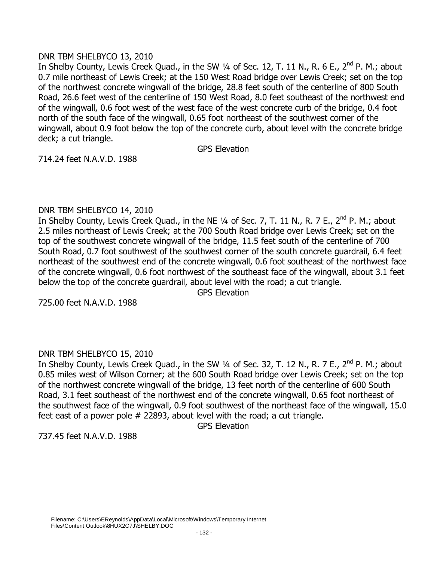# DNR TBM SHELBYCO 13, 2010

In Shelby County, Lewis Creek Quad., in the SW 1/4 of Sec. 12, T. 11 N., R. 6 E., 2<sup>nd</sup> P. M.; about 0.7 mile northeast of Lewis Creek; at the 150 West Road bridge over Lewis Creek; set on the top of the northwest concrete wingwall of the bridge, 28.8 feet south of the centerline of 800 South Road, 26.6 feet west of the centerline of 150 West Road, 8.0 feet southeast of the northwest end of the wingwall, 0.6 foot west of the west face of the west concrete curb of the bridge, 0.4 foot north of the south face of the wingwall, 0.65 foot northeast of the southwest corner of the wingwall, about 0.9 foot below the top of the concrete curb, about level with the concrete bridge deck; a cut triangle.

GPS Elevation

714.24 feet N.A.V.D. 1988

# DNR TBM SHELBYCO 14, 2010

In Shelby County, Lewis Creek Quad., in the NE 1/4 of Sec. 7, T. 11 N., R. 7 E., 2<sup>nd</sup> P. M.; about 2.5 miles northeast of Lewis Creek; at the 700 South Road bridge over Lewis Creek; set on the top of the southwest concrete wingwall of the bridge, 11.5 feet south of the centerline of 700 South Road, 0.7 foot southwest of the southwest corner of the south concrete guardrail, 6.4 feet northeast of the southwest end of the concrete wingwall, 0.6 foot southeast of the northwest face of the concrete wingwall, 0.6 foot northwest of the southeast face of the wingwall, about 3.1 feet below the top of the concrete guardrail, about level with the road; a cut triangle.

GPS Elevation

725.00 feet N.A.V.D. 1988

# DNR TBM SHELBYCO 15, 2010

In Shelby County, Lewis Creek Quad., in the SW 1/4 of Sec. 32, T. 12 N., R. 7 E., 2<sup>nd</sup> P. M.; about 0.85 miles west of Wilson Corner; at the 600 South Road bridge over Lewis Creek; set on the top of the northwest concrete wingwall of the bridge, 13 feet north of the centerline of 600 South Road, 3.1 feet southeast of the northwest end of the concrete wingwall, 0.65 foot northeast of the southwest face of the wingwall, 0.9 foot southwest of the northeast face of the wingwall, 15.0 feet east of a power pole # 22893, about level with the road; a cut triangle.

GPS Elevation

737.45 feet N.A.V.D. 1988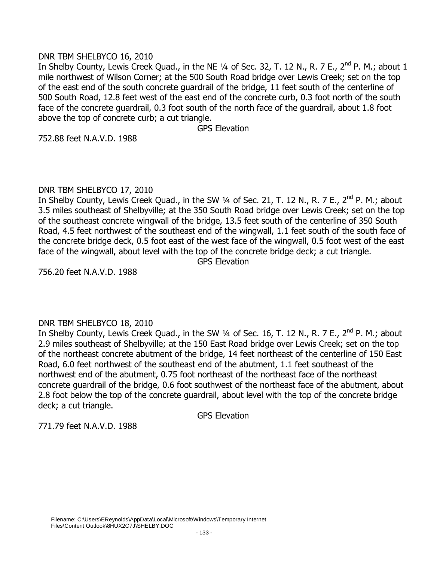# DNR TBM SHELBYCO 16, 2010

In Shelby County, Lewis Creek Quad., in the NE 1/4 of Sec. 32, T. 12 N., R. 7 E., 2<sup>nd</sup> P. M.; about 1 mile northwest of Wilson Corner; at the 500 South Road bridge over Lewis Creek; set on the top of the east end of the south concrete guardrail of the bridge, 11 feet south of the centerline of 500 South Road, 12.8 feet west of the east end of the concrete curb, 0.3 foot north of the south face of the concrete guardrail, 0.3 foot south of the north face of the guardrail, about 1.8 foot above the top of concrete curb; a cut triangle.

GPS Elevation

752.88 feet N.A.V.D. 1988

# DNR TBM SHELBYCO 17, 2010

In Shelby County, Lewis Creek Quad., in the SW 1/4 of Sec. 21, T. 12 N., R. 7 E., 2<sup>nd</sup> P. M.; about 3.5 miles southeast of Shelbyville; at the 350 South Road bridge over Lewis Creek; set on the top of the southeast concrete wingwall of the bridge, 13.5 feet south of the centerline of 350 South Road, 4.5 feet northwest of the southeast end of the wingwall, 1.1 feet south of the south face of the concrete bridge deck, 0.5 foot east of the west face of the wingwall, 0.5 foot west of the east face of the wingwall, about level with the top of the concrete bridge deck; a cut triangle.

GPS Elevation

756.20 feet N.A.V.D. 1988

# DNR TBM SHELBYCO 18, 2010

In Shelby County, Lewis Creek Quad., in the SW 1/4 of Sec. 16, T. 12 N., R. 7 E., 2<sup>nd</sup> P. M.; about 2.9 miles southeast of Shelbyville; at the 150 East Road bridge over Lewis Creek; set on the top of the northeast concrete abutment of the bridge, 14 feet northeast of the centerline of 150 East Road, 6.0 feet northwest of the southeast end of the abutment, 1.1 feet southeast of the northwest end of the abutment, 0.75 foot northeast of the northeast face of the northeast concrete guardrail of the bridge, 0.6 foot southwest of the northeast face of the abutment, about 2.8 foot below the top of the concrete guardrail, about level with the top of the concrete bridge deck; a cut triangle.

GPS Elevation

771.79 feet N.A.V.D. 1988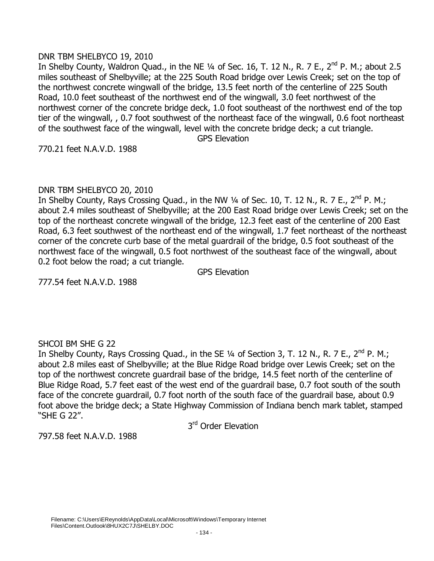# DNR TBM SHELBYCO 19, 2010

In Shelby County, Waldron Quad., in the NE 1/4 of Sec. 16, T. 12 N., R. 7 E., 2<sup>nd</sup> P. M.; about 2.5 miles southeast of Shelbyville; at the 225 South Road bridge over Lewis Creek; set on the top of the northwest concrete wingwall of the bridge, 13.5 feet north of the centerline of 225 South Road, 10.0 feet southeast of the northwest end of the wingwall, 3.0 feet northwest of the northwest corner of the concrete bridge deck, 1.0 foot southeast of the northwest end of the top tier of the wingwall, , 0.7 foot southwest of the northeast face of the wingwall, 0.6 foot northeast of the southwest face of the wingwall, level with the concrete bridge deck; a cut triangle.

GPS Elevation

770.21 feet N.A.V.D. 1988

# DNR TBM SHELBYCO 20, 2010

In Shelby County, Rays Crossing Quad., in the NW  $\frac{1}{4}$  of Sec. 10, T. 12 N., R. 7 E., 2<sup>nd</sup> P. M.; about 2.4 miles southeast of Shelbyville; at the 200 East Road bridge over Lewis Creek; set on the top of the northeast concrete wingwall of the bridge, 12.3 feet east of the centerline of 200 East Road, 6.3 feet southwest of the northeast end of the wingwall, 1.7 feet northeast of the northeast corner of the concrete curb base of the metal guardrail of the bridge, 0.5 foot southeast of the northwest face of the wingwall, 0.5 foot northwest of the southeast face of the wingwall, about 0.2 foot below the road; a cut triangle.

GPS Elevation

777.54 feet N.A.V.D. 1988

# SHCOI BM SHE G 22

In Shelby County, Rays Crossing Quad., in the SE 1/4 of Section 3, T. 12 N., R. 7 E., 2<sup>nd</sup> P. M.; about 2.8 miles east of Shelbyville; at the Blue Ridge Road bridge over Lewis Creek; set on the top of the northwest concrete guardrail base of the bridge, 14.5 feet north of the centerline of Blue Ridge Road, 5.7 feet east of the west end of the guardrail base, 0.7 foot south of the south face of the concrete guardrail, 0.7 foot north of the south face of the guardrail base, about 0.9 foot above the bridge deck; a State Highway Commission of Indiana bench mark tablet, stamped "SHE G 22".

3<sup>rd</sup> Order Elevation

797.58 feet N.A.V.D. 1988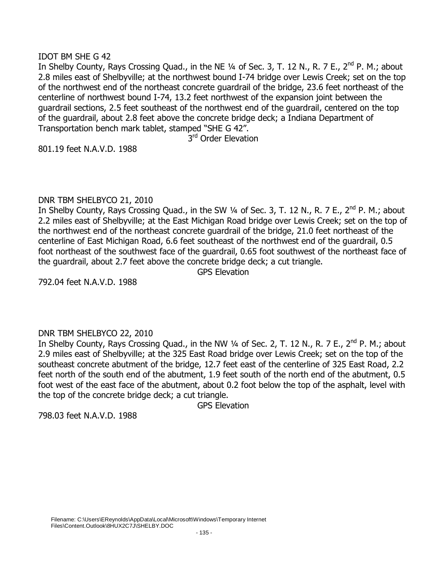# IDOT BM SHE G 42

In Shelby County, Rays Crossing Quad., in the NE  $\frac{1}{4}$  of Sec. 3, T. 12 N., R. 7 E., 2<sup>nd</sup> P. M.; about 2.8 miles east of Shelbyville; at the northwest bound I-74 bridge over Lewis Creek; set on the top of the northwest end of the northeast concrete guardrail of the bridge, 23.6 feet northeast of the centerline of northwest bound I-74, 13.2 feet northwest of the expansion joint between the guardrail sections, 2.5 feet southeast of the northwest end of the guardrail, centered on the top of the guardrail, about 2.8 feet above the concrete bridge deck; a Indiana Department of Transportation bench mark tablet, stamped "SHE G 42".

3<sup>rd</sup> Order Elevation

801.19 feet N.A.V.D. 1988

# DNR TBM SHELBYCO 21, 2010

In Shelby County, Rays Crossing Quad., in the SW 1/4 of Sec. 3, T. 12 N., R. 7 E., 2<sup>nd</sup> P. M.; about 2.2 miles east of Shelbyville; at the East Michigan Road bridge over Lewis Creek; set on the top of the northwest end of the northeast concrete guardrail of the bridge, 21.0 feet northeast of the centerline of East Michigan Road, 6.6 feet southeast of the northwest end of the guardrail, 0.5 foot northeast of the southwest face of the guardrail, 0.65 foot southwest of the northeast face of the guardrail, about 2.7 feet above the concrete bridge deck; a cut triangle.

GPS Elevation

792.04 feet N.A.V.D. 1988

# DNR TBM SHELBYCO 22, 2010

In Shelby County, Rays Crossing Quad., in the NW  $\frac{1}{4}$  of Sec. 2, T. 12 N., R. 7 E., 2<sup>nd</sup> P. M.; about 2.9 miles east of Shelbyville; at the 325 East Road bridge over Lewis Creek; set on the top of the southeast concrete abutment of the bridge, 12.7 feet east of the centerline of 325 East Road, 2.2 feet north of the south end of the abutment, 1.9 feet south of the north end of the abutment, 0.5 foot west of the east face of the abutment, about 0.2 foot below the top of the asphalt, level with the top of the concrete bridge deck; a cut triangle.

GPS Elevation

798.03 feet N.A.V.D. 1988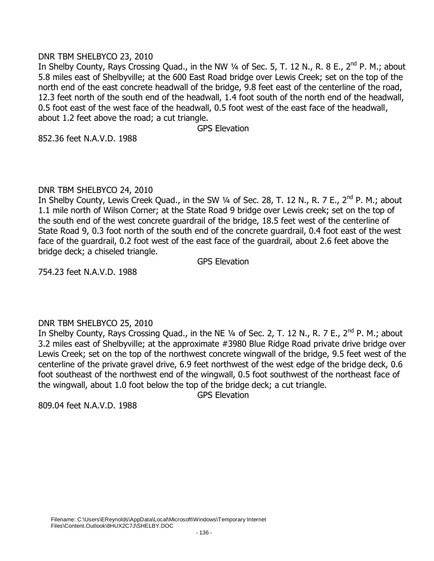# DNR TBM SHELBYCO 23, 2010

In Shelby County, Rays Crossing Quad., in the NW 1/4 of Sec. 5, T. 12 N., R. 8 E., 2<sup>nd</sup> P. M.; about 5.8 miles east of Shelbyville; at the 600 East Road bridge over Lewis Creek; set on the top of the north end of the east concrete headwall of the bridge, 9.8 feet east of the centerline of the road, 12.3 feet north of the south end of the headwall, 1.4 foot south of the north end of the headwall, 0.5 foot east of the west face of the headwall, 0.5 foot west of the east face of the headwall, about 1.2 feet above the road; a cut triangle.

GPS Elevation

852.36 feet N.A.V.D. 1988

#### DNR TBM SHELBYCO 24, 2010

In Shelby County, Lewis Creek Quad., in the SW 1/4 of Sec. 28, T. 12 N., R. 7 E., 2<sup>nd</sup> P. M.; about 1.1 mile north of Wilson Corner; at the State Road 9 bridge over Lewis creek; set on the top of the south end of the west concrete guardrail of the bridge, 18.5 feet west of the centerline of State Road 9, 0.3 foot north of the south end of the concrete guardrail, 0.4 foot east of the west face of the guardrail, 0.2 foot west of the east face of the guardrail, about 2.6 feet above the bridge deck; a chiseled triangle.

GPS Elevation

754.23 feet N.A.V.D. 1988

# DNR TBM SHELBYCO 25, 2010

In Shelby County, Rays Crossing Quad., in the NE 1/4 of Sec. 2, T. 12 N., R. 7 E., 2<sup>nd</sup> P. M.; about 3.2 miles east of Shelbyville; at the approximate #3980 Blue Ridge Road private drive bridge over Lewis Creek; set on the top of the northwest concrete wingwall of the bridge, 9.5 feet west of the centerline of the private gravel drive, 6.9 feet northwest of the west edge of the bridge deck, 0.6 foot southeast of the northwest end of the wingwall, 0.5 foot southwest of the northeast face of the wingwall, about 1.0 foot below the top of the bridge deck; a cut triangle.

GPS Elevation

809.04 feet N.A.V.D. 1988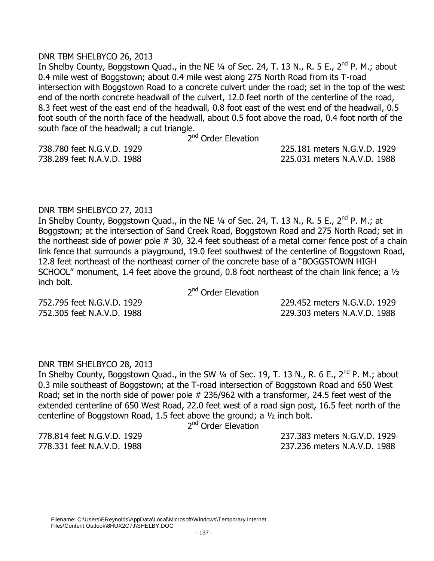#### DNR TBM SHELBYCO 26, 2013

In Shelby County, Boggstown Quad., in the NE  $\frac{1}{4}$  of Sec. 24, T. 13 N., R. 5 E., 2<sup>nd</sup> P. M.; about 0.4 mile west of Boggstown; about 0.4 mile west along 275 North Road from its T-road intersection with Boggstown Road to a concrete culvert under the road; set in the top of the west end of the north concrete headwall of the culvert, 12.0 feet north of the centerline of the road, 8.3 feet west of the east end of the headwall, 0.8 foot east of the west end of the headwall, 0.5 foot south of the north face of the headwall, about 0.5 foot above the road, 0.4 foot north of the south face of the headwall; a cut triangle.

2<sup>nd</sup> Order Elevation

738.780 feet N.G.V.D. 1929 225.181 meters N.G.V.D. 1929 738.289 feet N.A.V.D. 1988 225.031 meters N.A.V.D. 1988

#### DNR TBM SHELBYCO 27, 2013

In Shelby County, Boggstown Quad., in the NE  $\frac{1}{4}$  of Sec. 24, T. 13 N., R. 5 E., 2<sup>nd</sup> P. M.; at Boggstown; at the intersection of Sand Creek Road, Boggstown Road and 275 North Road; set in the northeast side of power pole # 30, 32.4 feet southeast of a metal corner fence post of a chain link fence that surrounds a playground, 19.0 feet southwest of the centerline of Boggstown Road, 12.8 feet northeast of the northeast corner of the concrete base of a "BOGGSTOWN HIGH SCHOOL" monument, 1.4 feet above the ground, 0.8 foot northeast of the chain link fence; a ½ inch bolt.

2<sup>nd</sup> Order Elevation

752.795 feet N.G.V.D. 1929 229.452 meters N.G.V.D. 1929 752.305 feet N.A.V.D. 1988 229.303 meters N.A.V.D. 1988

#### DNR TBM SHELBYCO 28, 2013

In Shelby County, Boggstown Quad., in the SW  $\frac{1}{4}$  of Sec. 19, T. 13 N., R. 6 E., 2<sup>nd</sup> P. M.; about 0.3 mile southeast of Boggstown; at the T-road intersection of Boggstown Road and 650 West Road; set in the north side of power pole # 236/962 with a transformer, 24.5 feet west of the extended centerline of 650 West Road, 22.0 feet west of a road sign post, 16.5 feet north of the centerline of Boggstown Road, 1.5 feet above the ground; a ½ inch bolt.

2<sup>nd</sup> Order Elevation

778.814 feet N.G.V.D. 1929 237.383 meters N.G.V.D. 1929 778.331 feet N.A.V.D. 1988 237.236 meters N.A.V.D. 1988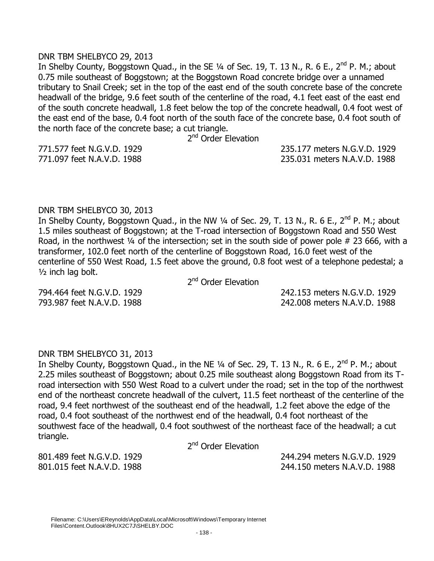#### DNR TBM SHELBYCO 29, 2013

In Shelby County, Boggstown Quad., in the SE  $\frac{1}{4}$  of Sec. 19, T. 13 N., R. 6 E., 2<sup>nd</sup> P. M.; about 0.75 mile southeast of Boggstown; at the Boggstown Road concrete bridge over a unnamed tributary to Snail Creek; set in the top of the east end of the south concrete base of the concrete headwall of the bridge, 9.6 feet south of the centerline of the road, 4.1 feet east of the east end of the south concrete headwall, 1.8 feet below the top of the concrete headwall, 0.4 foot west of the east end of the base, 0.4 foot north of the south face of the concrete base, 0.4 foot south of the north face of the concrete base; a cut triangle.

2<sup>nd</sup> Order Elevation

771.577 feet N.G.V.D. 1929 235.177 meters N.G.V.D. 1929 771.097 feet N.A.V.D. 1988 235.031 meters N.A.V.D. 1988

# DNR TBM SHELBYCO 30, 2013

In Shelby County, Boggstown Quad., in the NW 1/4 of Sec. 29, T. 13 N., R. 6 E., 2<sup>nd</sup> P. M.; about 1.5 miles southeast of Boggstown; at the T-road intersection of Boggstown Road and 550 West Road, in the northwest  $\frac{1}{4}$  of the intersection; set in the south side of power pole # 23 666, with a transformer, 102.0 feet north of the centerline of Boggstown Road, 16.0 feet west of the centerline of 550 West Road, 1.5 feet above the ground, 0.8 foot west of a telephone pedestal; a ½ inch lag bolt.

2<sup>nd</sup> Order Elevation

794.464 feet N.G.V.D. 1929 242.153 meters N.G.V.D. 1929 793.987 feet N.A.V.D. 1988 242.008 meters N.A.V.D. 1988

# DNR TBM SHELBYCO 31, 2013

In Shelby County, Boggstown Quad., in the NE  $\frac{1}{4}$  of Sec. 29, T. 13 N., R. 6 E., 2<sup>nd</sup> P. M.; about 2.25 miles southeast of Boggstown; about 0.25 mile southeast along Boggstown Road from its Troad intersection with 550 West Road to a culvert under the road; set in the top of the northwest end of the northeast concrete headwall of the culvert, 11.5 feet northeast of the centerline of the road, 9.4 feet northwest of the southeast end of the headwall, 1.2 feet above the edge of the road, 0.4 foot southeast of the northwest end of the headwall, 0.4 foot northeast of the southwest face of the headwall, 0.4 foot southwest of the northeast face of the headwall; a cut triangle.

2<sup>nd</sup> Order Elevation

801.489 feet N.G.V.D. 1929 244.294 meters N.G.V.D. 1929 801.015 feet N.A.V.D. 1988 244.150 meters N.A.V.D. 1988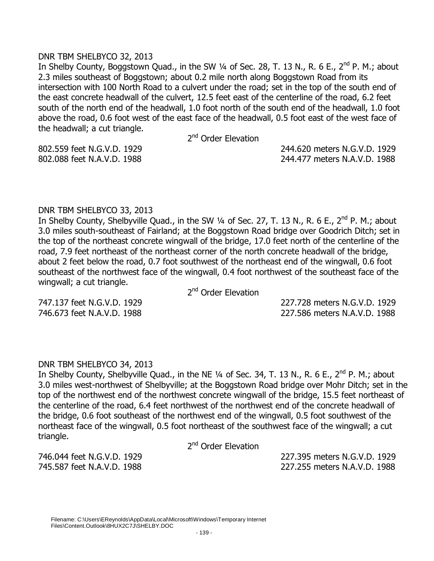#### DNR TBM SHELBYCO 32, 2013

In Shelby County, Boggstown Quad., in the SW  $\frac{1}{4}$  of Sec. 28, T. 13 N., R. 6 E., 2<sup>nd</sup> P. M.; about 2.3 miles southeast of Boggstown; about 0.2 mile north along Boggstown Road from its intersection with 100 North Road to a culvert under the road; set in the top of the south end of the east concrete headwall of the culvert, 12.5 feet east of the centerline of the road, 6.2 feet south of the north end of the headwall, 1.0 foot north of the south end of the headwall, 1.0 foot above the road, 0.6 foot west of the east face of the headwall, 0.5 foot east of the west face of the headwall; a cut triangle.

2<sup>nd</sup> Order Elevation

802.559 feet N.G.V.D. 1929 244.620 meters N.G.V.D. 1929 802.088 feet N.A.V.D. 1988 244.477 meters N.A.V.D. 1988

# DNR TBM SHELBYCO 33, 2013

In Shelby County, Shelbyville Quad., in the SW 1/4 of Sec. 27, T. 13 N., R. 6 E., 2<sup>nd</sup> P. M.; about 3.0 miles south-southeast of Fairland; at the Boggstown Road bridge over Goodrich Ditch; set in the top of the northeast concrete wingwall of the bridge, 17.0 feet north of the centerline of the road, 7.9 feet northeast of the northeast corner of the north concrete headwall of the bridge, about 2 feet below the road, 0.7 foot southwest of the northeast end of the wingwall, 0.6 foot southeast of the northwest face of the wingwall, 0.4 foot northwest of the southeast face of the wingwall; a cut triangle.

2<sup>nd</sup> Order Elevation

747.137 feet N.G.V.D. 1929 227.728 meters N.G.V.D. 1929 746.673 feet N.A.V.D. 1988 227.586 meters N.A.V.D. 1988

# DNR TBM SHELBYCO 34, 2013

In Shelby County, Shelbyville Quad., in the NE  $\frac{1}{4}$  of Sec. 34, T. 13 N., R. 6 E., 2<sup>nd</sup> P. M.; about 3.0 miles west-northwest of Shelbyville; at the Boggstown Road bridge over Mohr Ditch; set in the top of the northwest end of the northwest concrete wingwall of the bridge, 15.5 feet northeast of the centerline of the road, 6.4 feet northwest of the northwest end of the concrete headwall of the bridge, 0.6 foot southeast of the northwest end of the wingwall, 0.5 foot southwest of the northeast face of the wingwall, 0.5 foot northeast of the southwest face of the wingwall; a cut triangle.

2<sup>nd</sup> Order Elevation

746.044 feet N.G.V.D. 1929 227.395 meters N.G.V.D. 1929 745.587 feet N.A.V.D. 1988 227.255 meters N.A.V.D. 1988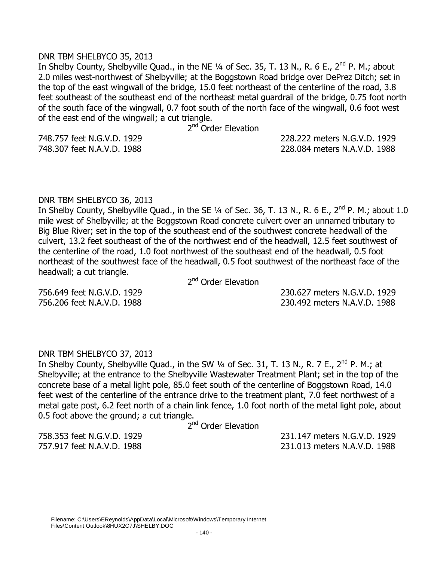#### DNR TBM SHELBYCO 35, 2013

In Shelby County, Shelbyville Quad., in the NE 1/4 of Sec. 35, T. 13 N., R. 6 E., 2<sup>nd</sup> P. M.; about 2.0 miles west-northwest of Shelbyville; at the Boggstown Road bridge over DePrez Ditch; set in the top of the east wingwall of the bridge, 15.0 feet northeast of the centerline of the road, 3.8 feet southeast of the southeast end of the northeast metal guardrail of the bridge, 0.75 foot north of the south face of the wingwall, 0.7 foot south of the north face of the wingwall, 0.6 foot west of the east end of the wingwall; a cut triangle.

2<sup>nd</sup> Order Elevation

748.757 feet N.G.V.D. 1929 228.222 meters N.G.V.D. 1929

748.307 feet N.A.V.D. 1988 228.084 meters N.A.V.D. 1988

#### DNR TBM SHELBYCO 36, 2013

In Shelby County, Shelbyville Quad., in the SE 1/4 of Sec. 36, T. 13 N., R. 6 E., 2<sup>nd</sup> P. M.; about 1.0 mile west of Shelbyville; at the Boggstown Road concrete culvert over an unnamed tributary to Big Blue River; set in the top of the southeast end of the southwest concrete headwall of the culvert, 13.2 feet southeast of the of the northwest end of the headwall, 12.5 feet southwest of the centerline of the road, 1.0 foot northwest of the southeast end of the headwall, 0.5 foot northeast of the southwest face of the headwall, 0.5 foot southwest of the northeast face of the headwall; a cut triangle.

2<sup>nd</sup> Order Elevation

756.649 feet N.G.V.D. 1929 230.627 meters N.G.V.D. 1929 756.206 feet N.A.V.D. 1988 230.492 meters N.A.V.D. 1988

# DNR TBM SHELBYCO 37, 2013

In Shelby County, Shelbyville Quad., in the SW  $\frac{1}{4}$  of Sec. 31, T. 13 N., R. 7 E., 2<sup>nd</sup> P. M.; at Shelbyville; at the entrance to the Shelbyville Wastewater Treatment Plant; set in the top of the concrete base of a metal light pole, 85.0 feet south of the centerline of Boggstown Road, 14.0 feet west of the centerline of the entrance drive to the treatment plant, 7.0 feet northwest of a metal gate post, 6.2 feet north of a chain link fence, 1.0 foot north of the metal light pole, about 0.5 foot above the ground; a cut triangle.

2<sup>nd</sup> Order Elevation

758.353 feet N.G.V.D. 1929 231.147 meters N.G.V.D. 1929 757.917 feet N.A.V.D. 1988 231.013 meters N.A.V.D. 1988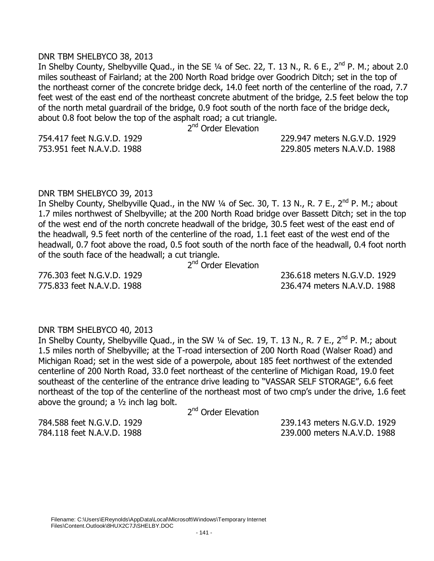#### DNR TBM SHELBYCO 38, 2013

In Shelby County, Shelbyville Quad., in the SE 1/4 of Sec. 22, T. 13 N., R. 6 E., 2<sup>nd</sup> P. M.; about 2.0 miles southeast of Fairland; at the 200 North Road bridge over Goodrich Ditch; set in the top of the northeast corner of the concrete bridge deck, 14.0 feet north of the centerline of the road, 7.7 feet west of the east end of the northeast concrete abutment of the bridge, 2.5 feet below the top of the north metal guardrail of the bridge, 0.9 foot south of the north face of the bridge deck, about 0.8 foot below the top of the asphalt road; a cut triangle.

2<sup>nd</sup> Order Elevation

754.417 feet N.G.V.D. 1929 229.947 meters N.G.V.D. 1929 753.951 feet N.A.V.D. 1988 229.805 meters N.A.V.D. 1988

#### DNR TBM SHELBYCO 39, 2013

In Shelby County, Shelbyville Quad., in the NW  $\frac{1}{4}$  of Sec. 30, T. 13 N., R. 7 E., 2<sup>nd</sup> P. M.; about 1.7 miles northwest of Shelbyville; at the 200 North Road bridge over Bassett Ditch; set in the top of the west end of the north concrete headwall of the bridge, 30.5 feet west of the east end of the headwall, 9.5 feet north of the centerline of the road, 1.1 feet east of the west end of the headwall, 0.7 foot above the road, 0.5 foot south of the north face of the headwall, 0.4 foot north of the south face of the headwall; a cut triangle.

2<sup>nd</sup> Order Elevation

776.303 feet N.G.V.D. 1929 236.618 meters N.G.V.D. 1929 775.833 feet N.A.V.D. 1988 236.474 meters N.A.V.D. 1988

#### DNR TBM SHELBYCO 40, 2013

In Shelby County, Shelbyville Quad., in the SW 1/4 of Sec. 19, T. 13 N., R. 7 E., 2<sup>nd</sup> P. M.; about 1.5 miles north of Shelbyville; at the T-road intersection of 200 North Road (Walser Road) and Michigan Road; set in the west side of a powerpole, about 185 feet northwest of the extended centerline of 200 North Road, 33.0 feet northeast of the centerline of Michigan Road, 19.0 feet southeast of the centerline of the entrance drive leading to "VASSAR SELF STORAGE", 6.6 feet northeast of the top of the centerline of the northeast most of two cmp's under the drive, 1.6 feet above the ground; a  $1/2$  inch lag bolt.

2<sup>nd</sup> Order Elevation

784.588 feet N.G.V.D. 1929 239.143 meters N.G.V.D. 1929 784.118 feet N.A.V.D. 1988 239.000 meters N.A.V.D. 1988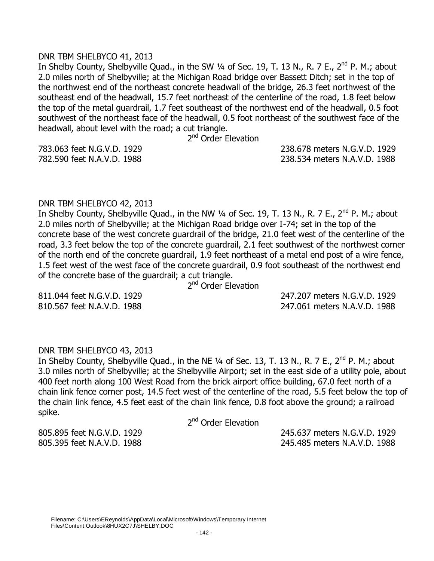#### DNR TBM SHELBYCO 41, 2013

In Shelby County, Shelbyville Quad., in the SW 1/4 of Sec. 19, T. 13 N., R. 7 E., 2<sup>nd</sup> P. M.; about 2.0 miles north of Shelbyville; at the Michigan Road bridge over Bassett Ditch; set in the top of the northwest end of the northeast concrete headwall of the bridge, 26.3 feet northwest of the southeast end of the headwall, 15.7 feet northeast of the centerline of the road, 1.8 feet below the top of the metal guardrail, 1.7 feet southeast of the northwest end of the headwall, 0.5 foot southwest of the northeast face of the headwall, 0.5 foot northeast of the southwest face of the headwall, about level with the road; a cut triangle.

2<sup>nd</sup> Order Elevation

783.063 feet N.G.V.D. 1929 238.678 meters N.G.V.D. 1929 782.590 feet N.A.V.D. 1988 238.534 meters N.A.V.D. 1988

#### DNR TBM SHELBYCO 42, 2013

In Shelby County, Shelbyville Quad., in the NW 1/4 of Sec. 19, T. 13 N., R. 7 E., 2<sup>nd</sup> P. M.: about 2.0 miles north of Shelbyville; at the Michigan Road bridge over I-74; set in the top of the concrete base of the west concrete guardrail of the bridge, 21.0 feet west of the centerline of the road, 3.3 feet below the top of the concrete guardrail, 2.1 feet southwest of the northwest corner of the north end of the concrete guardrail, 1.9 feet northeast of a metal end post of a wire fence, 1.5 feet west of the west face of the concrete guardrail, 0.9 foot southeast of the northwest end of the concrete base of the guardrail; a cut triangle.

2<sup>nd</sup> Order Elevation

811.044 feet N.G.V.D. 1929 247.207 meters N.G.V.D. 1929 810.567 feet N.A.V.D. 1988 247.061 meters N.A.V.D. 1988

# DNR TBM SHELBYCO 43, 2013

In Shelby County, Shelbyville Quad., in the NE  $\frac{1}{4}$  of Sec. 13, T. 13 N., R. 7 E., 2<sup>nd</sup> P. M.; about 3.0 miles north of Shelbyville; at the Shelbyville Airport; set in the east side of a utility pole, about 400 feet north along 100 West Road from the brick airport office building, 67.0 feet north of a chain link fence corner post, 14.5 feet west of the centerline of the road, 5.5 feet below the top of the chain link fence, 4.5 feet east of the chain link fence, 0.8 foot above the ground; a railroad spike.

2<sup>nd</sup> Order Elevation

805.895 feet N.G.V.D. 1929 245.637 meters N.G.V.D. 1929 805.395 feet N.A.V.D. 1988 245.485 meters N.A.V.D. 1988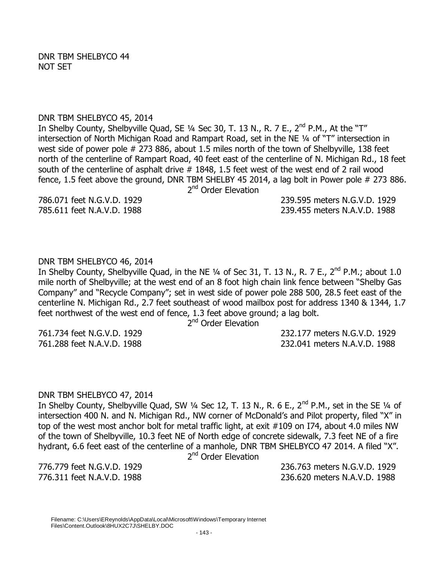#### DNR TBM SHELBYCO 45, 2014

In Shelby County, Shelbyville Quad, SE 1/4 Sec 30, T. 13 N., R. 7 E., 2<sup>nd</sup> P.M., At the "T" intersection of North Michigan Road and Rampart Road, set in the NE ¼ of "T" intersection in west side of power pole # 273 886, about 1.5 miles north of the town of Shelbyville, 138 feet north of the centerline of Rampart Road, 40 feet east of the centerline of N. Michigan Rd., 18 feet south of the centerline of asphalt drive # 1848, 1.5 feet west of the west end of 2 rail wood fence, 1.5 feet above the ground, DNR TBM SHELBY 45 2014, a lag bolt in Power pole # 273 886. 2<sup>nd</sup> Order Elevation

786.071 feet N.G.V.D. 1929 239.595 meters N.G.V.D. 1929 785.611 feet N.A.V.D. 1988 239.455 meters N.A.V.D. 1988

# DNR TBM SHELBYCO 46, 2014

In Shelby County, Shelbyville Quad, in the NE  $\frac{1}{4}$  of Sec 31, T. 13 N., R. 7 E., 2<sup>nd</sup> P.M.; about 1.0 mile north of Shelbyville; at the west end of an 8 foot high chain link fence between "Shelby Gas Company" and "Recycle Company"; set in west side of power pole 288 500, 28.5 feet east of the centerline N. Michigan Rd., 2.7 feet southeast of wood mailbox post for address 1340 & 1344, 1.7 feet northwest of the west end of fence, 1.3 feet above ground; a lag bolt.

2<sup>nd</sup> Order Elevation

761.734 feet N.G.V.D. 1929 232.177 meters N.G.V.D. 1929 761.288 feet N.A.V.D. 1988 232.041 meters N.A.V.D. 1988

# DNR TBM SHELBYCO 47, 2014

In Shelby County, Shelbyville Quad, SW  $\frac{1}{4}$  Sec 12, T. 13 N., R. 6 E., 2<sup>nd</sup> P.M., set in the SE  $\frac{1}{4}$  of intersection 400 N. and N. Michigan Rd., NW corner of McDonald's and Pilot property, filed "X" in top of the west most anchor bolt for metal traffic light, at exit #109 on I74, about 4.0 miles NW of the town of Shelbyville, 10.3 feet NE of North edge of concrete sidewalk, 7.3 feet NE of a fire hydrant, 6.6 feet east of the centerline of a manhole, DNR TBM SHELBYCO 47 2014. A filed "X".

2<sup>nd</sup> Order Elevation

776.779 feet N.G.V.D. 1929 236.763 meters N.G.V.D. 1929 776.311 feet N.A.V.D. 1988 236.620 meters N.A.V.D. 1988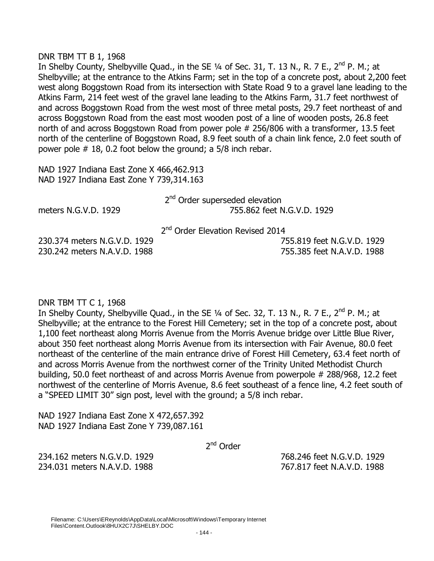#### DNR TBM TT B 1, 1968

In Shelby County, Shelbyville Quad., in the SE  $\frac{1}{4}$  of Sec. 31, T. 13 N., R. 7 E., 2<sup>nd</sup> P. M.; at Shelbyville; at the entrance to the Atkins Farm; set in the top of a concrete post, about 2,200 feet west along Boggstown Road from its intersection with State Road 9 to a gravel lane leading to the Atkins Farm, 214 feet west of the gravel lane leading to the Atkins Farm, 31.7 feet northwest of and across Boggstown Road from the west most of three metal posts, 29.7 feet northeast of and across Boggstown Road from the east most wooden post of a line of wooden posts, 26.8 feet north of and across Boggstown Road from power pole # 256/806 with a transformer, 13.5 feet north of the centerline of Boggstown Road, 8.9 feet south of a chain link fence, 2.0 feet south of power pole # 18, 0.2 foot below the ground; a 5/8 inch rebar.

NAD 1927 Indiana East Zone X 466,462.913 NAD 1927 Indiana East Zone Y 739,314.163

|                      | 2 <sup>nd</sup> Order superseded elevation |
|----------------------|--------------------------------------------|
| meters N.G.V.D. 1929 | 755.862 feet N.G.V.D. 1929                 |
|                      |                                            |

2<sup>nd</sup> Order Elevation Revised 2014

230.374 meters N.G.V.D. 1929 755.819 feet N.G.V.D. 1929 230.242 meters N.A.V.D. 1988 755.385 feet N.A.V.D. 1988

# DNR TBM TT C 1, 1968

In Shelby County, Shelbyville Quad., in the SE  $\frac{1}{4}$  of Sec. 32, T. 13 N., R. 7 E., 2<sup>nd</sup> P. M.; at Shelbyville; at the entrance to the Forest Hill Cemetery; set in the top of a concrete post, about 1,100 feet northeast along Morris Avenue from the Morris Avenue bridge over Little Blue River, about 350 feet northeast along Morris Avenue from its intersection with Fair Avenue, 80.0 feet northeast of the centerline of the main entrance drive of Forest Hill Cemetery, 63.4 feet north of and across Morris Avenue from the northwest corner of the Trinity United Methodist Church building, 50.0 feet northeast of and across Morris Avenue from powerpole # 288/968, 12.2 feet northwest of the centerline of Morris Avenue, 8.6 feet southeast of a fence line, 4.2 feet south of a "SPEED LIMIT 30" sign post, level with the ground; a 5/8 inch rebar.

NAD 1927 Indiana East Zone X 472,657.392 NAD 1927 Indiana East Zone Y 739,087.161

2<sup>nd</sup> Order

234.162 meters N.G.V.D. 1929 768.246 feet N.G.V.D. 1929 234.031 meters N.A.V.D. 1988 767.817 feet N.A.V.D. 1988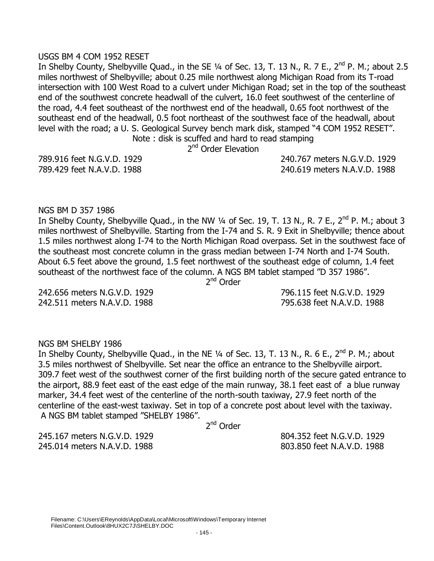#### Filename: C:\Users\EReynolds\AppData\Local\Microsoft\Windows\Temporary Internet Files\Content.Outlook\8HUX2C7J\SHELBY.DOC

# USGS BM 4 COM 1952 RESET

In Shelby County, Shelbyville Quad., in the SE 1/4 of Sec. 13, T. 13 N., R. 7 E., 2<sup>nd</sup> P. M.; about 2.5 miles northwest of Shelbyville; about 0.25 mile northwest along Michigan Road from its T-road intersection with 100 West Road to a culvert under Michigan Road; set in the top of the southeast end of the southwest concrete headwall of the culvert, 16.0 feet southwest of the centerline of the road, 4.4 feet southeast of the northwest end of the headwall, 0.65 foot northwest of the southeast end of the headwall, 0.5 foot northeast of the southwest face of the headwall, about level with the road; a U. S. Geological Survey bench mark disk, stamped "4 COM 1952 RESET". Note : disk is scuffed and hard to read stamping

2<sup>nd</sup> Order Elevation

789.916 feet N.G.V.D. 1929 240.767 meters N.G.V.D. 1929 789.429 feet N.A.V.D. 1988 240.619 meters N.A.V.D. 1988

# NGS BM D 357 1986

In Shelby County, Shelbyville Quad., in the NW 1/4 of Sec. 19, T. 13 N., R. 7 E., 2<sup>nd</sup> P. M.; about 3 miles northwest of Shelbyville. Starting from the I-74 and S. R. 9 Exit in Shelbyville; thence about 1.5 miles northwest along I-74 to the North Michigan Road overpass. Set in the southwest face of the southeast most concrete column in the grass median between I-74 North and I-74 South. About 6.5 feet above the ground, 1.5 feet northwest of the southeast edge of column, 1.4 feet southeast of the northwest face of the column. A NGS BM tablet stamped "D 357 1986".

2<sup>nd</sup> Order

242.656 meters N.G.V.D. 1929 796.115 feet N.G.V.D. 1929 242.511 meters N.A.V.D. 1988 795.638 feet N.A.V.D. 1988

### NGS BM SHELBY 1986

In Shelby County, Shelbyville Quad., in the NE 1/4 of Sec. 13, T. 13 N., R. 6 E., 2<sup>nd</sup> P. M.; about 3.5 miles northwest of Shelbyville. Set near the office an entrance to the Shelbyville airport. 309.7 feet west of the southwest corner of the first building north of the secure gated entrance to the airport, 88.9 feet east of the east edge of the main runway, 38.1 feet east of a blue runway marker, 34.4 feet west of the centerline of the north-south taxiway, 27.9 feet north of the centerline of the east-west taxiway. Set in top of a concrete post about level with the taxiway. A NGS BM tablet stamped "SHELBY 1986".

2<sup>nd</sup> Order

245.167 meters N.G.V.D. 1929 804.352 feet N.G.V.D. 1929 245.014 meters N.A.V.D. 1988 803.850 feet N.A.V.D. 1988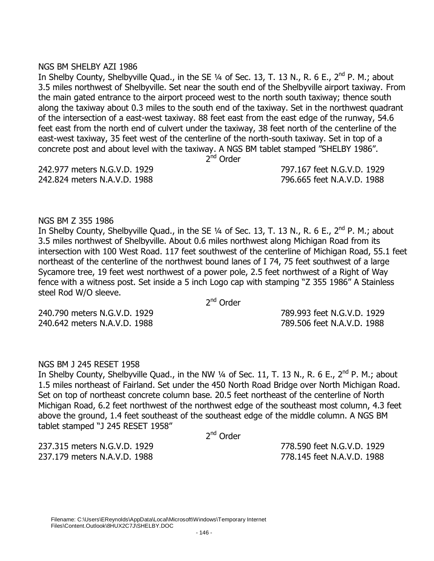### NGS BM SHELBY AZI 1986

In Shelby County, Shelbyville Quad., in the SE 1/4 of Sec. 13, T. 13 N., R. 6 E., 2<sup>nd</sup> P. M.; about 3.5 miles northwest of Shelbyville. Set near the south end of the Shelbyville airport taxiway. From the main gated entrance to the airport proceed west to the north south taxiway; thence south along the taxiway about 0.3 miles to the south end of the taxiway. Set in the northwest quadrant of the intersection of a east-west taxiway. 88 feet east from the east edge of the runway, 54.6 feet east from the north end of culvert under the taxiway, 38 feet north of the centerline of the east-west taxiway, 35 feet west of the centerline of the north-south taxiway. Set in top of a concrete post and about level with the taxiway. A NGS BM tablet stamped "SHELBY 1986".

2<sup>nd</sup> Order

242.977 meters N.G.V.D. 1929 797.167 feet N.G.V.D. 1929 242.824 meters N.A.V.D. 1988 796.665 feet N.A.V.D. 1988

# NGS BM Z 355 1986

In Shelby County, Shelbyville Quad., in the SE  $\frac{1}{4}$  of Sec. 13, T. 13 N., R. 6 E., 2<sup>nd</sup> P. M.; about 3.5 miles northwest of Shelbyville. About 0.6 miles northwest along Michigan Road from its intersection with 100 West Road. 117 feet southwest of the centerline of Michigan Road, 55.1 feet northeast of the centerline of the northwest bound lanes of I 74, 75 feet southwest of a large Sycamore tree, 19 feet west northwest of a power pole, 2.5 feet northwest of a Right of Way fence with a witness post. Set inside a 5 inch Logo cap with stamping "Z 355 1986" A Stainless steel Rod W/O sleeve.

2<sup>nd</sup> Order

240.790 meters N.G.V.D. 1929 789.993 feet N.G.V.D. 1929 240.642 meters N.A.V.D. 1988 789.506 feet N.A.V.D. 1988

# NGS BM J 245 RESET 1958

In Shelby County, Shelbyville Quad., in the NW  $\frac{1}{4}$  of Sec. 11, T. 13 N., R. 6 E., 2<sup>nd</sup> P. M.; about 1.5 miles northeast of Fairland. Set under the 450 North Road Bridge over North Michigan Road. Set on top of northeast concrete column base. 20.5 feet northeast of the centerline of North Michigan Road, 6.2 feet northwest of the northwest edge of the southeast most column, 4.3 feet above the ground, 1.4 feet southeast of the southeast edge of the middle column. A NGS BM tablet stamped "J 245 RESET 1958"

2<sup>nd</sup> Order

237.315 meters N.G.V.D. 1929 778.590 feet N.G.V.D. 1929 237.179 meters N.A.V.D. 1988 778.145 feet N.A.V.D. 1988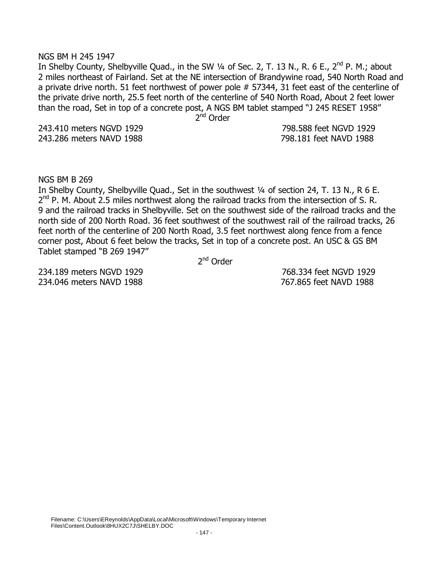#### NGS BM H 245 1947

In Shelby County, Shelbyville Quad., in the SW 1/4 of Sec. 2, T. 13 N., R. 6 E., 2<sup>nd</sup> P. M.; about 2 miles northeast of Fairland. Set at the NE intersection of Brandywine road, 540 North Road and a private drive north. 51 feet northwest of power pole # 57344, 31 feet east of the centerline of the private drive north, 25.5 feet north of the centerline of 540 North Road, About 2 feet lower than the road, Set in top of a concrete post, A NGS BM tablet stamped "J 245 RESET 1958"

 2  $2<sup>nd</sup>$  Order

243.286 meters NAVD 1988 798.181 feet NAVD 1988

243.410 meters NGVD 1929 798.588 feet NGVD 1929

NGS BM B 269

In Shelby County, Shelbyville Quad., Set in the southwest 1/4 of section 24, T. 13 N., R 6 E.  $2^{nd}$  P. M. About 2.5 miles northwest along the railroad tracks from the intersection of S. R. 9 and the railroad tracks in Shelbyville. Set on the southwest side of the railroad tracks and the north side of 200 North Road. 36 feet southwest of the southwest rail of the railroad tracks, 26 feet north of the centerline of 200 North Road, 3.5 feet northwest along fence from a fence corner post, About 6 feet below the tracks, Set in top of a concrete post. An USC & GS BM Tablet stamped "B 269 1947"

 2  $2<sup>nd</sup>$  Order

234.189 meters NGVD 1929 768.334 feet NGVD 1929 234.046 meters NAVD 1988 767.865 feet NAVD 1988